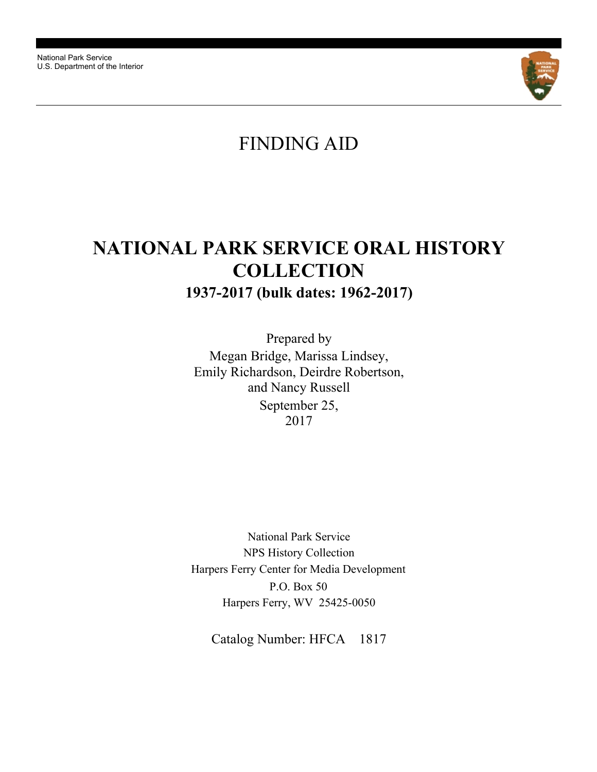National Park Service U.S. Department of the Interior



# FINDING AID

# **NATIONAL PARK SERVICE ORAL HISTORY COLLECTION 1937-2017 (bulk dates: 1962-2017)**

September 25, 2017 Megan Bridge, Marissa Lindsey, Emily Richardson, Deirdre Robertson, and Nancy Russell Prepared by

National Park Service NPS History Collection Harpers Ferry Center for Media Development Harpers Ferry, WV 25425-0050 P.O. Box 50

Catalog Number: HFCA 1817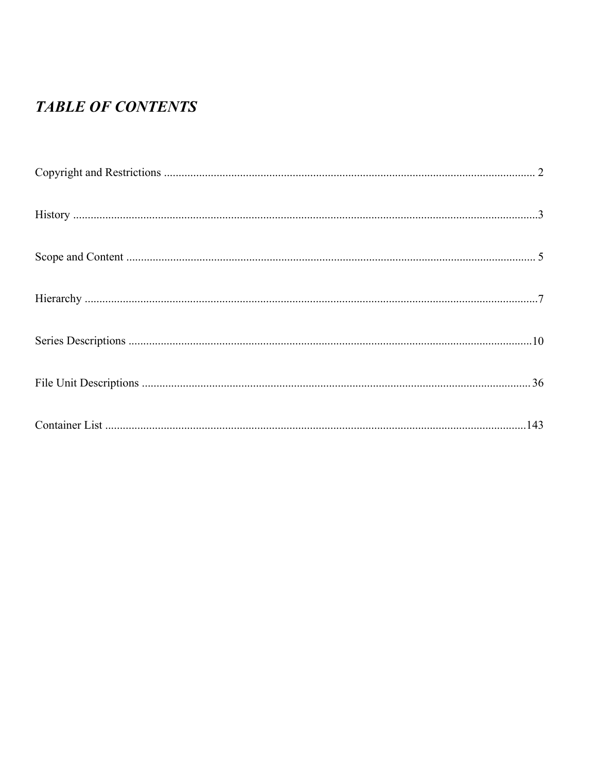# **TABLE OF CONTENTS**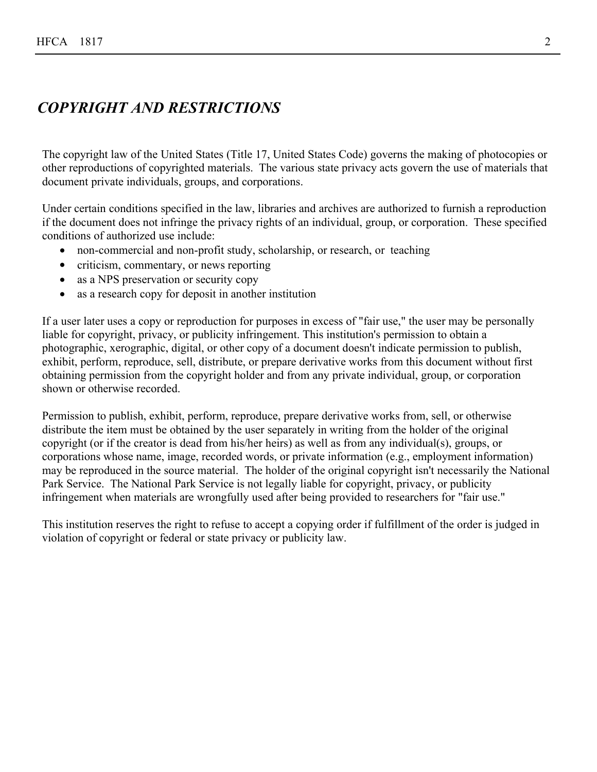# <span id="page-2-0"></span>*COPYRIGHT AND RESTRICTIONS*

The copyright law of the United States (Title 17, United States Code) governs the making of photocopies or other reproductions of copyrighted materials. The various state privacy acts govern the use of materials that document private individuals, groups, and corporations.

Under certain conditions specified in the law, libraries and archives are authorized to furnish a reproduction if the document does not infringe the privacy rights of an individual, group, or corporation. These specified conditions of authorized use include:

- non-commercial and non-profit study, scholarship, or research, or teaching
- criticism, commentary, or news reporting
- as a NPS preservation or security copy
- as a research copy for deposit in another institution

If a user later uses a copy or reproduction for purposes in excess of "fair use," the user may be personally liable for copyright, privacy, or publicity infringement. This institution's permission to obtain a photographic, xerographic, digital, or other copy of a document doesn't indicate permission to publish, exhibit, perform, reproduce, sell, distribute, or prepare derivative works from this document without first obtaining permission from the copyright holder and from any private individual, group, or corporation shown or otherwise recorded.

Permission to publish, exhibit, perform, reproduce, prepare derivative works from, sell, or otherwise distribute the item must be obtained by the user separately in writing from the holder of the original copyright (or if the creator is dead from his/her heirs) as well as from any individual(s), groups, or corporations whose name, image, recorded words, or private information (e.g., employment information) may be reproduced in the source material. The holder of the original copyright isn't necessarily the National Park Service. The National Park Service is not legally liable for copyright, privacy, or publicity infringement when materials are wrongfully used after being provided to researchers for "fair use."

This institution reserves the right to refuse to accept a copying order if fulfillment of the order is judged in violation of copyright or federal or state privacy or publicity law.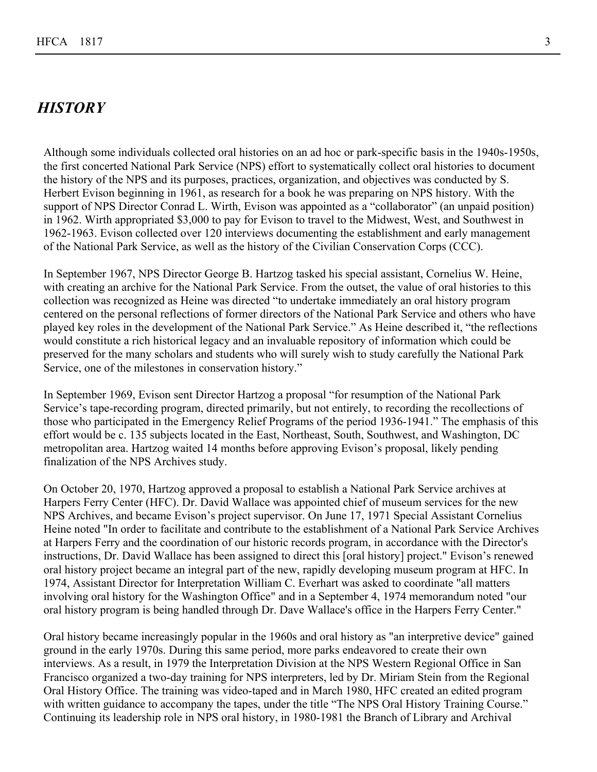## <span id="page-3-0"></span>*HISTORY*

Although some individuals collected oral histories on an ad hoc or park-specific basis in the 1940s-1950s, the first concerted National Park Service (NPS) effort to systematically collect oral histories to document the history of the NPS and its purposes, practices, organization, and objectives was conducted by S. Herbert Evison beginning in 1961, as research for a book he was preparing on NPS history. With the support of NPS Director Conrad L. Wirth, Evison was appointed as a "collaborator" (an unpaid position) in 1962. Wirth appropriated \$3,000 to pay for Evison to travel to the Midwest, West, and Southwest in 1962-1963. Evison collected over 120 interviews documenting the establishment and early management of the National Park Service, as well as the history of the Civilian Conservation Corps (CCC).

In September 1967, NPS Director George B. Hartzog tasked his special assistant, Cornelius W. Heine, with creating an archive for the National Park Service. From the outset, the value of oral histories to this collection was recognized as Heine was directed "to undertake immediately an oral history program centered on the personal reflections of former directors of the National Park Service and others who have played key roles in the development of the National Park Service." As Heine described it, "the reflections would constitute a rich historical legacy and an invaluable repository of information which could be preserved for the many scholars and students who will surely wish to study carefully the National Park Service, one of the milestones in conservation history."

In September 1969, Evison sent Director Hartzog a proposal "for resumption of the National Park Service's tape-recording program, directed primarily, but not entirely, to recording the recollections of those who participated in the Emergency Relief Programs of the period 1936-1941." The emphasis of this effort would be c. 135 subjects located in the East, Northeast, South, Southwest, and Washington, DC metropolitan area. Hartzog waited 14 months before approving Evison's proposal, likely pending finalization of the NPS Archives study.

On October 20, 1970, Hartzog approved a proposal to establish a National Park Service archives at Harpers Ferry Center (HFC). Dr. David Wallace was appointed chief of museum services for the new NPS Archives, and became Evison's project supervisor. On June 17, 1971 Special Assistant Cornelius Heine noted "In order to facilitate and contribute to the establishment of a National Park Service Archives at Harpers Ferry and the coordination of our historic records program, in accordance with the Director's instructions, Dr. David Wallace has been assigned to direct this [oral history] project." Evison's renewed oral history project became an integral part of the new, rapidly developing museum program at HFC. In 1974, Assistant Director for Interpretation William C. Everhart was asked to coordinate "all matters involving oral history for the Washington Office" and in a September 4, 1974 memorandum noted "our oral history program is being handled through Dr. Dave Wallace's office in the Harpers Ferry Center."

Oral history became increasingly popular in the 1960s and oral history as "an interpretive device" gained ground in the early 1970s. During this same period, more parks endeavored to create their own interviews. As a result, in 1979 the Interpretation Division at the NPS Western Regional Office in San Francisco organized a two-day training for NPS interpreters, led by Dr. Miriam Stein from the Regional Oral History Office. The training was video-taped and in March 1980, HFC created an edited program with written guidance to accompany the tapes, under the title "The NPS Oral History Training Course." Continuing its leadership role in NPS oral history, in 1980-1981 the Branch of Library and Archival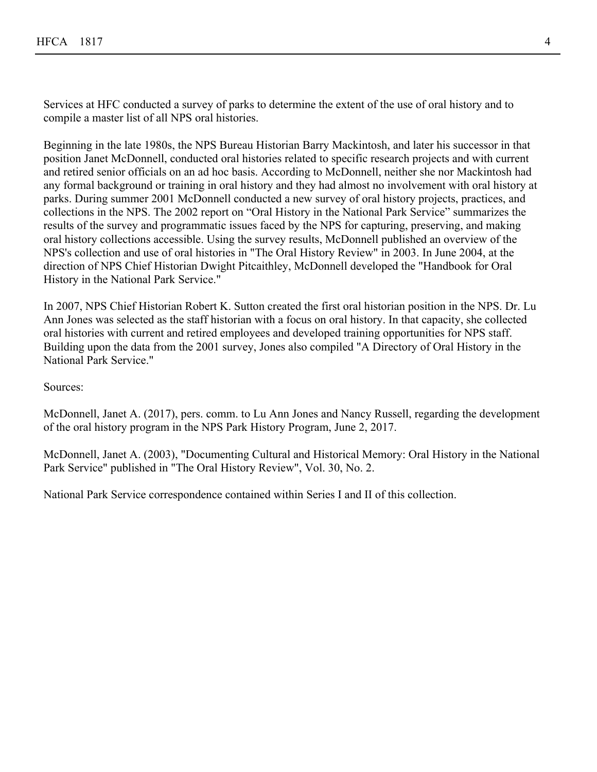Services at HFC conducted a survey of parks to determine the extent of the use of oral history and to compile a master list of all NPS oral histories.

Beginning in the late 1980s, the NPS Bureau Historian Barry Mackintosh, and later his successor in that position Janet McDonnell, conducted oral histories related to specific research projects and with current and retired senior officials on an ad hoc basis. According to McDonnell, neither she nor Mackintosh had any formal background or training in oral history and they had almost no involvement with oral history at parks. During summer 2001 McDonnell conducted a new survey of oral history projects, practices, and collections in the NPS. The 2002 report on "Oral History in the National Park Service" summarizes the results of the survey and programmatic issues faced by the NPS for capturing, preserving, and making oral history collections accessible. Using the survey results, McDonnell published an overview of the NPS's collection and use of oral histories in "The Oral History Review" in 2003. In June 2004, at the direction of NPS Chief Historian Dwight Pitcaithley, McDonnell developed the "Handbook for Oral History in the National Park Service."

In 2007, NPS Chief Historian Robert K. Sutton created the first oral historian position in the NPS. Dr. Lu Ann Jones was selected as the staff historian with a focus on oral history. In that capacity, she collected oral histories with current and retired employees and developed training opportunities for NPS staff. Building upon the data from the 2001 survey, Jones also compiled "A Directory of Oral History in the National Park Service."

Sources:

McDonnell, Janet A. (2017), pers. comm. to Lu Ann Jones and Nancy Russell, regarding the development of the oral history program in the NPS Park History Program, June 2, 2017.

McDonnell, Janet A. (2003), "Documenting Cultural and Historical Memory: Oral History in the National Park Service" published in "The Oral History Review", Vol. 30, No. 2.

National Park Service correspondence contained within Series I and II of this collection.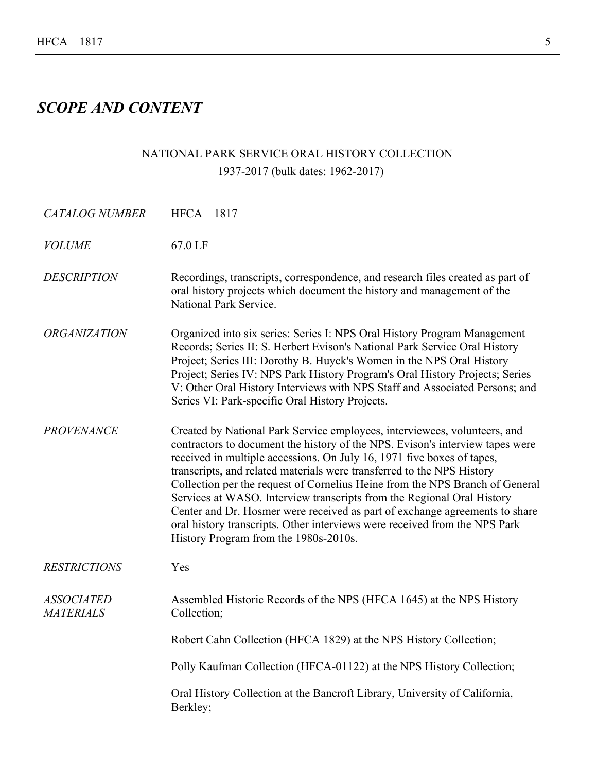# <span id="page-5-0"></span>*SCOPE AND CONTENT*

# NATIONAL PARK SERVICE ORAL HISTORY COLLECTION 1937-2017 (bulk dates: 1962-2017)

| <b>CATALOG NUMBER</b>                 | <b>HFCA</b> 1817                                                                                                                                                                                                                                                                                                                                                                                                                                                                                                                                                                                                                                                               |
|---------------------------------------|--------------------------------------------------------------------------------------------------------------------------------------------------------------------------------------------------------------------------------------------------------------------------------------------------------------------------------------------------------------------------------------------------------------------------------------------------------------------------------------------------------------------------------------------------------------------------------------------------------------------------------------------------------------------------------|
| <b>VOLUME</b>                         | 67.0 LF                                                                                                                                                                                                                                                                                                                                                                                                                                                                                                                                                                                                                                                                        |
| <b>DESCRIPTION</b>                    | Recordings, transcripts, correspondence, and research files created as part of<br>oral history projects which document the history and management of the<br>National Park Service.                                                                                                                                                                                                                                                                                                                                                                                                                                                                                             |
| <b>ORGANIZATION</b>                   | Organized into six series: Series I: NPS Oral History Program Management<br>Records; Series II: S. Herbert Evison's National Park Service Oral History<br>Project; Series III: Dorothy B. Huyck's Women in the NPS Oral History<br>Project; Series IV: NPS Park History Program's Oral History Projects; Series<br>V: Other Oral History Interviews with NPS Staff and Associated Persons; and<br>Series VI: Park-specific Oral History Projects.                                                                                                                                                                                                                              |
| <b>PROVENANCE</b>                     | Created by National Park Service employees, interviewees, volunteers, and<br>contractors to document the history of the NPS. Evison's interview tapes were<br>received in multiple accessions. On July 16, 1971 five boxes of tapes,<br>transcripts, and related materials were transferred to the NPS History<br>Collection per the request of Cornelius Heine from the NPS Branch of General<br>Services at WASO. Interview transcripts from the Regional Oral History<br>Center and Dr. Hosmer were received as part of exchange agreements to share<br>oral history transcripts. Other interviews were received from the NPS Park<br>History Program from the 1980s-2010s. |
| <b>RESTRICTIONS</b>                   | Yes                                                                                                                                                                                                                                                                                                                                                                                                                                                                                                                                                                                                                                                                            |
| <b>ASSOCIATED</b><br><b>MATERIALS</b> | Assembled Historic Records of the NPS (HFCA 1645) at the NPS History<br>Collection;                                                                                                                                                                                                                                                                                                                                                                                                                                                                                                                                                                                            |
|                                       | Robert Cahn Collection (HFCA 1829) at the NPS History Collection;                                                                                                                                                                                                                                                                                                                                                                                                                                                                                                                                                                                                              |
|                                       | Polly Kaufman Collection (HFCA-01122) at the NPS History Collection;                                                                                                                                                                                                                                                                                                                                                                                                                                                                                                                                                                                                           |
|                                       | Oral History Collection at the Bancroft Library, University of California,<br>Berkley;                                                                                                                                                                                                                                                                                                                                                                                                                                                                                                                                                                                         |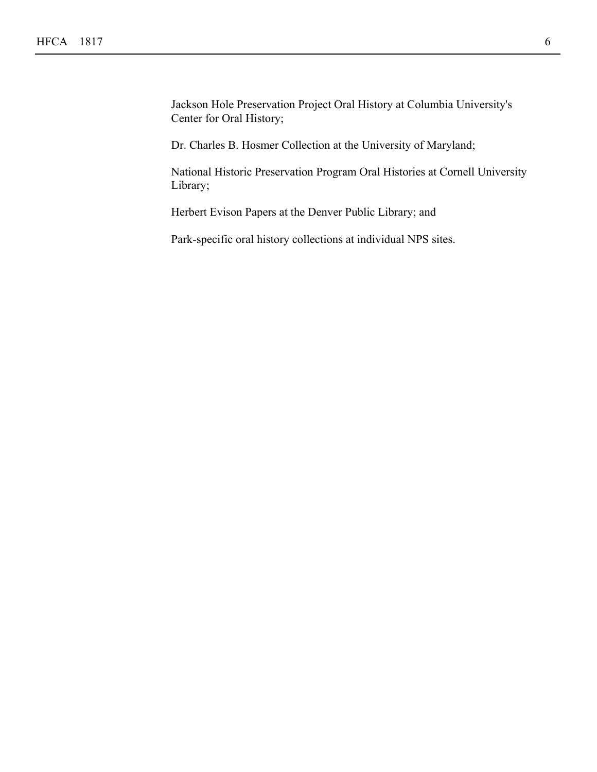Jackson Hole Preservation Project Oral History at Columbia University's Center for Oral History;

Dr. Charles B. Hosmer Collection at the University of Maryland;

National Historic Preservation Program Oral Histories at Cornell University Library;

Herbert Evison Papers at the Denver Public Library; and

Park-specific oral history collections at individual NPS sites.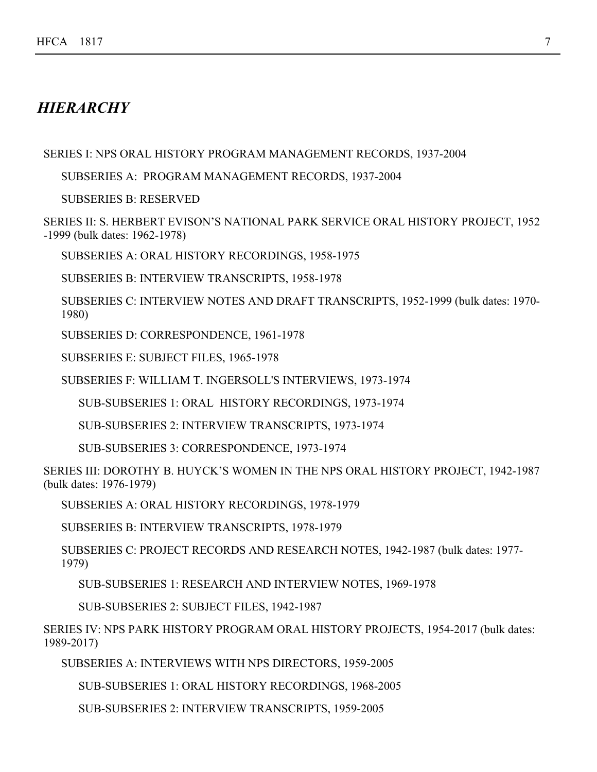## <span id="page-7-0"></span>*HIERARCHY*

SERIES I: NPS ORAL HISTORY PROGRAM MANAGEMENT RECORDS, 1937-2004

SUBSERIES A: PROGRAM MANAGEMENT RECORDS, 1937-2004

SUBSERIES B: RESERVED

SERIES II: S. HERBERT EVISON'S NATIONAL PARK SERVICE ORAL HISTORY PROJECT, 1952 -1999 (bulk dates: 1962-1978)

SUBSERIES A: ORAL HISTORY RECORDINGS, 1958-1975

SUBSERIES B: INTERVIEW TRANSCRIPTS, 1958-1978

SUBSERIES C: INTERVIEW NOTES AND DRAFT TRANSCRIPTS, 1952-1999 (bulk dates: 1970- 1980)

SUBSERIES D: CORRESPONDENCE, 1961-1978

SUBSERIES E: SUBJECT FILES, 1965-1978

SUBSERIES F: WILLIAM T. INGERSOLL'S INTERVIEWS, 1973-1974

SUB-SUBSERIES 1: ORAL HISTORY RECORDINGS, 1973-1974

SUB-SUBSERIES 2: INTERVIEW TRANSCRIPTS, 1973-1974

SUB-SUBSERIES 3: CORRESPONDENCE, 1973-1974

SERIES III: DOROTHY B. HUYCK'S WOMEN IN THE NPS ORAL HISTORY PROJECT, 1942-1987 (bulk dates: 1976-1979)

SUBSERIES A: ORAL HISTORY RECORDINGS, 1978-1979

SUBSERIES B: INTERVIEW TRANSCRIPTS, 1978-1979

SUBSERIES C: PROJECT RECORDS AND RESEARCH NOTES, 1942-1987 (bulk dates: 1977- 1979)

SUB-SUBSERIES 1: RESEARCH AND INTERVIEW NOTES, 1969-1978

SUB-SUBSERIES 2: SUBJECT FILES, 1942-1987

SERIES IV: NPS PARK HISTORY PROGRAM ORAL HISTORY PROJECTS, 1954-2017 (bulk dates: 1989-2017)

SUBSERIES A: INTERVIEWS WITH NPS DIRECTORS, 1959-2005

SUB-SUBSERIES 1: ORAL HISTORY RECORDINGS, 1968-2005

SUB-SUBSERIES 2: INTERVIEW TRANSCRIPTS, 1959-2005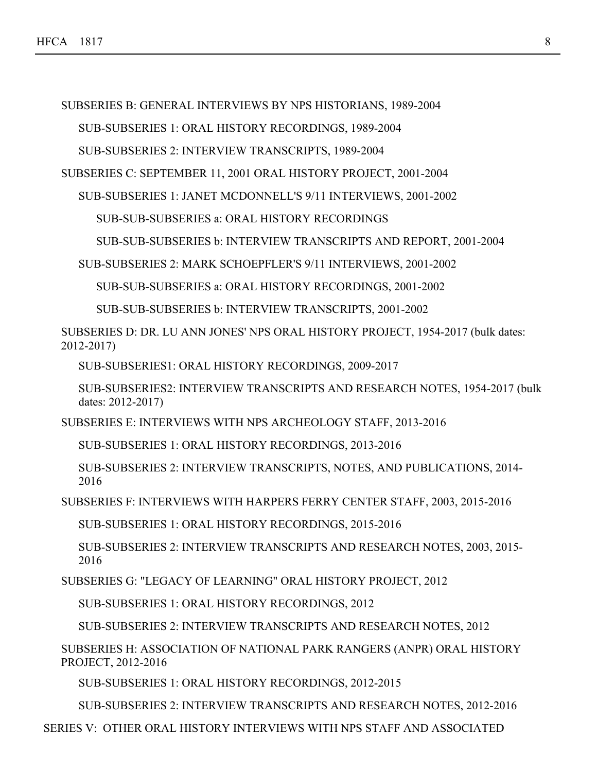SUBSERIES B: GENERAL INTERVIEWS BY NPS HISTORIANS, 1989-2004

SUB-SUBSERIES 1: ORAL HISTORY RECORDINGS, 1989-2004

SUB-SUBSERIES 2: INTERVIEW TRANSCRIPTS, 1989-2004

SUBSERIES C: SEPTEMBER 11, 2001 ORAL HISTORY PROJECT, 2001-2004

SUB-SUBSERIES 1: JANET MCDONNELL'S 9/11 INTERVIEWS, 2001-2002

SUB-SUB-SUBSERIES a: ORAL HISTORY RECORDINGS

SUB-SUB-SUBSERIES b: INTERVIEW TRANSCRIPTS AND REPORT, 2001-2004

SUB-SUBSERIES 2: MARK SCHOEPFLER'S 9/11 INTERVIEWS, 2001-2002

SUB-SUB-SUBSERIES a: ORAL HISTORY RECORDINGS, 2001-2002

SUB-SUB-SUBSERIES b: INTERVIEW TRANSCRIPTS, 2001-2002

SUBSERIES D: DR. LU ANN JONES' NPS ORAL HISTORY PROJECT, 1954-2017 (bulk dates: 2012-2017)

SUB-SUBSERIES1: ORAL HISTORY RECORDINGS, 2009-2017

SUB-SUBSERIES2: INTERVIEW TRANSCRIPTS AND RESEARCH NOTES, 1954-2017 (bulk dates: 2012-2017)

SUBSERIES E: INTERVIEWS WITH NPS ARCHEOLOGY STAFF, 2013-2016

SUB-SUBSERIES 1: ORAL HISTORY RECORDINGS, 2013-2016

SUB-SUBSERIES 2: INTERVIEW TRANSCRIPTS, NOTES, AND PUBLICATIONS, 2014- 2016

SUBSERIES F: INTERVIEWS WITH HARPERS FERRY CENTER STAFF, 2003, 2015-2016

SUB-SUBSERIES 1: ORAL HISTORY RECORDINGS, 2015-2016

SUB-SUBSERIES 2: INTERVIEW TRANSCRIPTS AND RESEARCH NOTES, 2003, 2015- 2016

SUBSERIES G: "LEGACY OF LEARNING" ORAL HISTORY PROJECT, 2012

SUB-SUBSERIES 1: ORAL HISTORY RECORDINGS, 2012

SUB-SUBSERIES 2: INTERVIEW TRANSCRIPTS AND RESEARCH NOTES, 2012

SUBSERIES H: ASSOCIATION OF NATIONAL PARK RANGERS (ANPR) ORAL HISTORY PROJECT, 2012-2016

SUB-SUBSERIES 1: ORAL HISTORY RECORDINGS, 2012-2015

SUB-SUBSERIES 2: INTERVIEW TRANSCRIPTS AND RESEARCH NOTES, 2012-2016

SERIES V: OTHER ORAL HISTORY INTERVIEWS WITH NPS STAFF AND ASSOCIATED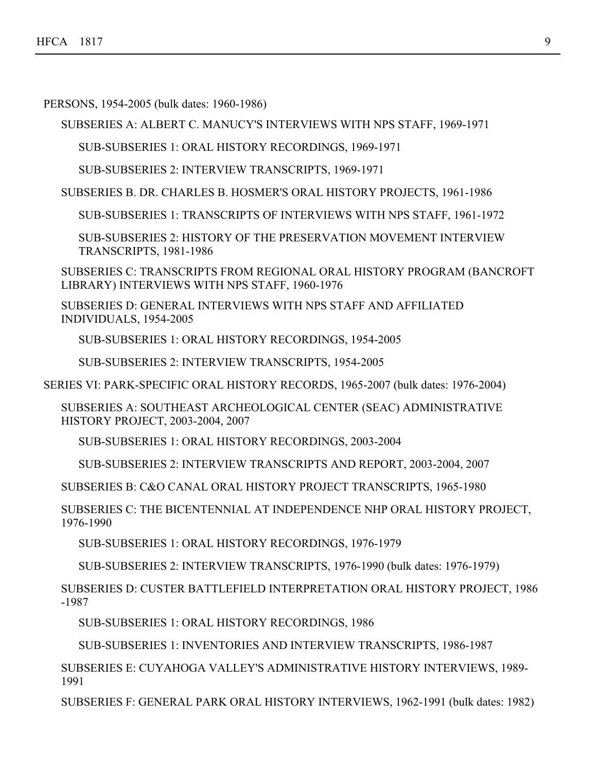PERSONS, 1954-2005 (bulk dates: 1960-1986)

SUBSERIES A: ALBERT C. MANUCY'S INTERVIEWS WITH NPS STAFF, 1969-1971

SUB-SUBSERIES 1: ORAL HISTORY RECORDINGS, 1969-1971

SUB-SUBSERIES 2: INTERVIEW TRANSCRIPTS, 1969-1971

SUBSERIES B. DR. CHARLES B. HOSMER'S ORAL HISTORY PROJECTS, 1961-1986

SUB-SUBSERIES 1: TRANSCRIPTS OF INTERVIEWS WITH NPS STAFF, 1961-1972

SUB-SUBSERIES 2: HISTORY OF THE PRESERVATION MOVEMENT INTERVIEW TRANSCRIPTS, 1981-1986

SUBSERIES C: TRANSCRIPTS FROM REGIONAL ORAL HISTORY PROGRAM (BANCROFT LIBRARY) INTERVIEWS WITH NPS STAFF, 1960-1976

SUBSERIES D: GENERAL INTERVIEWS WITH NPS STAFF AND AFFILIATED INDIVIDUALS, 1954-2005

SUB-SUBSERIES 1: ORAL HISTORY RECORDINGS, 1954-2005

SUB-SUBSERIES 2: INTERVIEW TRANSCRIPTS, 1954-2005

SERIES VI: PARK-SPECIFIC ORAL HISTORY RECORDS, 1965-2007 (bulk dates: 1976-2004)

SUBSERIES A: SOUTHEAST ARCHEOLOGICAL CENTER (SEAC) ADMINISTRATIVE HISTORY PROJECT, 2003-2004, 2007

SUB-SUBSERIES 1: ORAL HISTORY RECORDINGS, 2003-2004

SUB-SUBSERIES 2: INTERVIEW TRANSCRIPTS AND REPORT, 2003-2004, 2007

SUBSERIES B: C&O CANAL ORAL HISTORY PROJECT TRANSCRIPTS, 1965-1980

SUBSERIES C: THE BICENTENNIAL AT INDEPENDENCE NHP ORAL HISTORY PROJECT, 1976-1990

SUB-SUBSERIES 1: ORAL HISTORY RECORDINGS, 1976-1979

SUB-SUBSERIES 2: INTERVIEW TRANSCRIPTS, 1976-1990 (bulk dates: 1976-1979)

SUBSERIES D: CUSTER BATTLEFIELD INTERPRETATION ORAL HISTORY PROJECT, 1986 -1987

SUB-SUBSERIES 1: ORAL HISTORY RECORDINGS, 1986

SUB-SUBSERIES 1: INVENTORIES AND INTERVIEW TRANSCRIPTS, 1986-1987

SUBSERIES E: CUYAHOGA VALLEY'S ADMINISTRATIVE HISTORY INTERVIEWS, 1989- 1991

SUBSERIES F: GENERAL PARK ORAL HISTORY INTERVIEWS, 1962-1991 (bulk dates: 1982)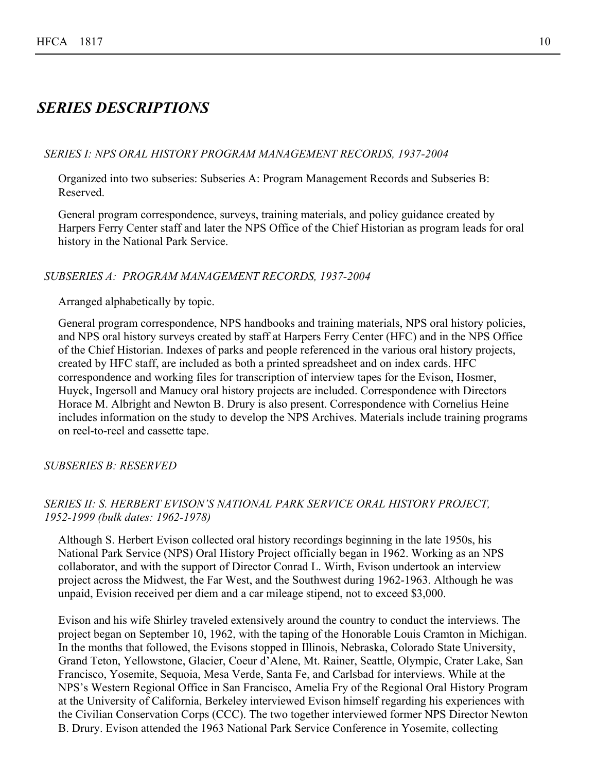## <span id="page-10-0"></span>*SERIES DESCRIPTIONS*

#### *SERIES I: NPS ORAL HISTORY PROGRAM MANAGEMENT RECORDS, 1937-2004*

Organized into two subseries: Subseries A: Program Management Records and Subseries B: Reserved.

General program correspondence, surveys, training materials, and policy guidance created by Harpers Ferry Center staff and later the NPS Office of the Chief Historian as program leads for oral history in the National Park Service.

#### *SUBSERIES A: PROGRAM MANAGEMENT RECORDS, 1937-2004*

#### Arranged alphabetically by topic.

General program correspondence, NPS handbooks and training materials, NPS oral history policies, and NPS oral history surveys created by staff at Harpers Ferry Center (HFC) and in the NPS Office of the Chief Historian. Indexes of parks and people referenced in the various oral history projects, created by HFC staff, are included as both a printed spreadsheet and on index cards. HFC correspondence and working files for transcription of interview tapes for the Evison, Hosmer, Huyck, Ingersoll and Manucy oral history projects are included. Correspondence with Directors Horace M. Albright and Newton B. Drury is also present. Correspondence with Cornelius Heine includes information on the study to develop the NPS Archives. Materials include training programs on reel-to-reel and cassette tape.

#### *SUBSERIES B: RESERVED*

## *SERIES II: S. HERBERT EVISON'S NATIONAL PARK SERVICE ORAL HISTORY PROJECT, 1952-1999 (bulk dates: 1962-1978)*

Although S. Herbert Evison collected oral history recordings beginning in the late 1950s, his National Park Service (NPS) Oral History Project officially began in 1962. Working as an NPS collaborator, and with the support of Director Conrad L. Wirth, Evison undertook an interview project across the Midwest, the Far West, and the Southwest during 1962-1963. Although he was unpaid, Evision received per diem and a car mileage stipend, not to exceed \$3,000.

Evison and his wife Shirley traveled extensively around the country to conduct the interviews. The project began on September 10, 1962, with the taping of the Honorable Louis Cramton in Michigan. In the months that followed, the Evisons stopped in Illinois, Nebraska, Colorado State University, Grand Teton, Yellowstone, Glacier, Coeur d'Alene, Mt. Rainer, Seattle, Olympic, Crater Lake, San Francisco, Yosemite, Sequoia, Mesa Verde, Santa Fe, and Carlsbad for interviews. While at the NPS's Western Regional Office in San Francisco, Amelia Fry of the Regional Oral History Program at the University of California, Berkeley interviewed Evison himself regarding his experiences with the Civilian Conservation Corps (CCC). The two together interviewed former NPS Director Newton B. Drury. Evison attended the 1963 National Park Service Conference in Yosemite, collecting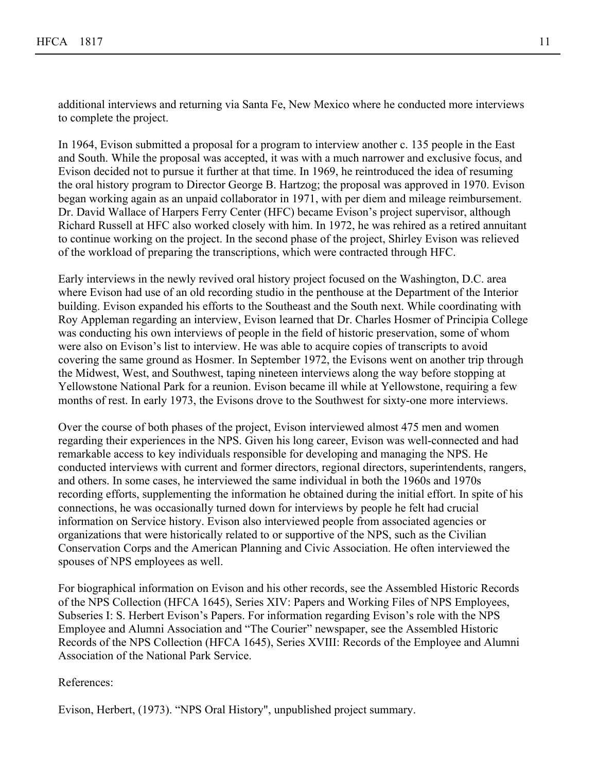additional interviews and returning via Santa Fe, New Mexico where he conducted more interviews to complete the project.

In 1964, Evison submitted a proposal for a program to interview another c. 135 people in the East and South. While the proposal was accepted, it was with a much narrower and exclusive focus, and Evison decided not to pursue it further at that time. In 1969, he reintroduced the idea of resuming the oral history program to Director George B. Hartzog; the proposal was approved in 1970. Evison began working again as an unpaid collaborator in 1971, with per diem and mileage reimbursement. Dr. David Wallace of Harpers Ferry Center (HFC) became Evison's project supervisor, although Richard Russell at HFC also worked closely with him. In 1972, he was rehired as a retired annuitant to continue working on the project. In the second phase of the project, Shirley Evison was relieved of the workload of preparing the transcriptions, which were contracted through HFC.

Early interviews in the newly revived oral history project focused on the Washington, D.C. area where Evison had use of an old recording studio in the penthouse at the Department of the Interior building. Evison expanded his efforts to the Southeast and the South next. While coordinating with Roy Appleman regarding an interview, Evison learned that Dr. Charles Hosmer of Principia College was conducting his own interviews of people in the field of historic preservation, some of whom were also on Evison's list to interview. He was able to acquire copies of transcripts to avoid covering the same ground as Hosmer. In September 1972, the Evisons went on another trip through the Midwest, West, and Southwest, taping nineteen interviews along the way before stopping at Yellowstone National Park for a reunion. Evison became ill while at Yellowstone, requiring a few months of rest. In early 1973, the Evisons drove to the Southwest for sixty-one more interviews.

Over the course of both phases of the project, Evison interviewed almost 475 men and women regarding their experiences in the NPS. Given his long career, Evison was well-connected and had remarkable access to key individuals responsible for developing and managing the NPS. He conducted interviews with current and former directors, regional directors, superintendents, rangers, and others. In some cases, he interviewed the same individual in both the 1960s and 1970s recording efforts, supplementing the information he obtained during the initial effort. In spite of his connections, he was occasionally turned down for interviews by people he felt had crucial information on Service history. Evison also interviewed people from associated agencies or organizations that were historically related to or supportive of the NPS, such as the Civilian Conservation Corps and the American Planning and Civic Association. He often interviewed the spouses of NPS employees as well.

For biographical information on Evison and his other records, see the Assembled Historic Records of the NPS Collection (HFCA 1645), Series XIV: Papers and Working Files of NPS Employees, Subseries I: S. Herbert Evison's Papers. For information regarding Evison's role with the NPS Employee and Alumni Association and "The Courier" newspaper, see the Assembled Historic Records of the NPS Collection (HFCA 1645), Series XVIII: Records of the Employee and Alumni Association of the National Park Service.

References:

Evison, Herbert, (1973). "NPS Oral History", unpublished project summary.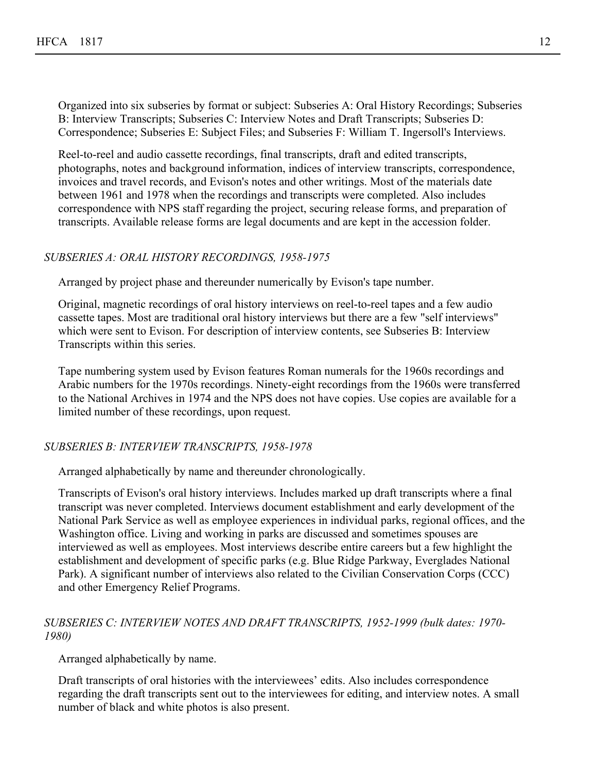Organized into six subseries by format or subject: Subseries A: Oral History Recordings; Subseries B: Interview Transcripts; Subseries C: Interview Notes and Draft Transcripts; Subseries D: Correspondence; Subseries E: Subject Files; and Subseries F: William T. Ingersoll's Interviews.

Reel-to-reel and audio cassette recordings, final transcripts, draft and edited transcripts, photographs, notes and background information, indices of interview transcripts, correspondence, invoices and travel records, and Evison's notes and other writings. Most of the materials date between 1961 and 1978 when the recordings and transcripts were completed. Also includes correspondence with NPS staff regarding the project, securing release forms, and preparation of transcripts. Available release forms are legal documents and are kept in the accession folder.

## *SUBSERIES A: ORAL HISTORY RECORDINGS, 1958-1975*

Arranged by project phase and thereunder numerically by Evison's tape number.

Original, magnetic recordings of oral history interviews on reel-to-reel tapes and a few audio cassette tapes. Most are traditional oral history interviews but there are a few "self interviews" which were sent to Evison. For description of interview contents, see Subseries B: Interview Transcripts within this series.

Tape numbering system used by Evison features Roman numerals for the 1960s recordings and Arabic numbers for the 1970s recordings. Ninety-eight recordings from the 1960s were transferred to the National Archives in 1974 and the NPS does not have copies. Use copies are available for a limited number of these recordings, upon request.

#### *SUBSERIES B: INTERVIEW TRANSCRIPTS, 1958-1978*

Arranged alphabetically by name and thereunder chronologically.

Transcripts of Evison's oral history interviews. Includes marked up draft transcripts where a final transcript was never completed. Interviews document establishment and early development of the National Park Service as well as employee experiences in individual parks, regional offices, and the Washington office. Living and working in parks are discussed and sometimes spouses are interviewed as well as employees. Most interviews describe entire careers but a few highlight the establishment and development of specific parks (e.g. Blue Ridge Parkway, Everglades National Park). A significant number of interviews also related to the Civilian Conservation Corps (CCC) and other Emergency Relief Programs.

## *SUBSERIES C: INTERVIEW NOTES AND DRAFT TRANSCRIPTS, 1952-1999 (bulk dates: 1970- 1980)*

Arranged alphabetically by name.

Draft transcripts of oral histories with the interviewees' edits. Also includes correspondence regarding the draft transcripts sent out to the interviewees for editing, and interview notes. A small number of black and white photos is also present.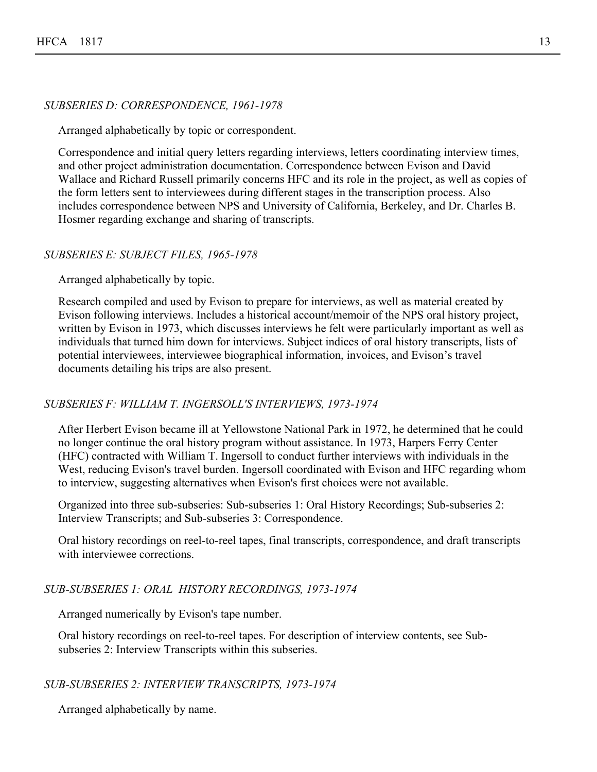## *SUBSERIES D: CORRESPONDENCE, 1961-1978*

Arranged alphabetically by topic or correspondent.

Correspondence and initial query letters regarding interviews, letters coordinating interview times, and other project administration documentation. Correspondence between Evison and David Wallace and Richard Russell primarily concerns HFC and its role in the project, as well as copies of the form letters sent to interviewees during different stages in the transcription process. Also includes correspondence between NPS and University of California, Berkeley, and Dr. Charles B. Hosmer regarding exchange and sharing of transcripts.

## *SUBSERIES E: SUBJECT FILES, 1965-1978*

Arranged alphabetically by topic.

Research compiled and used by Evison to prepare for interviews, as well as material created by Evison following interviews. Includes a historical account/memoir of the NPS oral history project, written by Evison in 1973, which discusses interviews he felt were particularly important as well as individuals that turned him down for interviews. Subject indices of oral history transcripts, lists of potential interviewees, interviewee biographical information, invoices, and Evison's travel documents detailing his trips are also present.

## *SUBSERIES F: WILLIAM T. INGERSOLL'S INTERVIEWS, 1973-1974*

After Herbert Evison became ill at Yellowstone National Park in 1972, he determined that he could no longer continue the oral history program without assistance. In 1973, Harpers Ferry Center (HFC) contracted with William T. Ingersoll to conduct further interviews with individuals in the West, reducing Evison's travel burden. Ingersoll coordinated with Evison and HFC regarding whom to interview, suggesting alternatives when Evison's first choices were not available.

Organized into three sub-subseries: Sub-subseries 1: Oral History Recordings; Sub-subseries 2: Interview Transcripts; and Sub-subseries 3: Correspondence.

Oral history recordings on reel-to-reel tapes, final transcripts, correspondence, and draft transcripts with interviewee corrections.

#### *SUB-SUBSERIES 1: ORAL HISTORY RECORDINGS, 1973-1974*

Arranged numerically by Evison's tape number.

Oral history recordings on reel-to-reel tapes. For description of interview contents, see Subsubseries 2: Interview Transcripts within this subseries.

*SUB-SUBSERIES 2: INTERVIEW TRANSCRIPTS, 1973-1974*

Arranged alphabetically by name.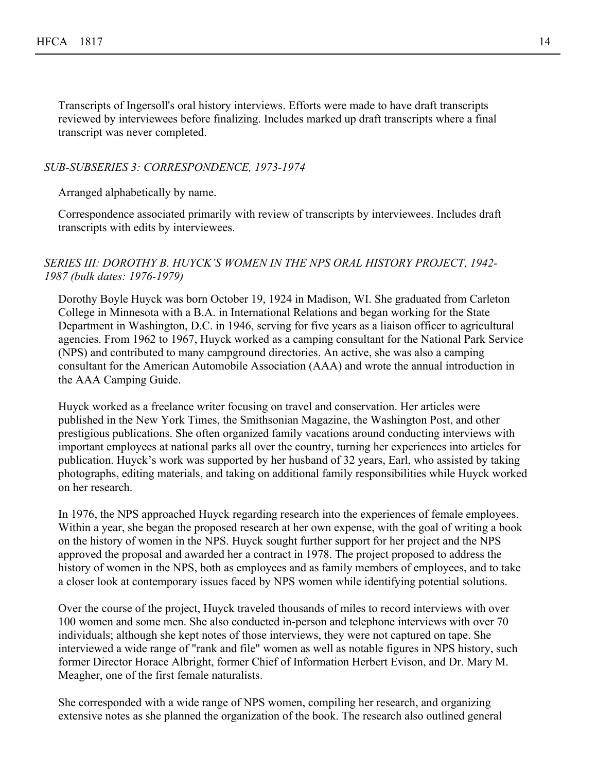Transcripts of Ingersoll's oral history interviews. Efforts were made to have draft transcripts reviewed by interviewees before finalizing. Includes marked up draft transcripts where a final transcript was never completed.

#### *SUB-SUBSERIES 3: CORRESPONDENCE, 1973-1974*

Arranged alphabetically by name.

Correspondence associated primarily with review of transcripts by interviewees. Includes draft transcripts with edits by interviewees.

#### *SERIES III: DOROTHY B. HUYCK'S WOMEN IN THE NPS ORAL HISTORY PROJECT, 1942- 1987 (bulk dates: 1976-1979)*

Dorothy Boyle Huyck was born October 19, 1924 in Madison, WI. She graduated from Carleton College in Minnesota with a B.A. in International Relations and began working for the State Department in Washington, D.C. in 1946, serving for five years as a liaison officer to agricultural agencies. From 1962 to 1967, Huyck worked as a camping consultant for the National Park Service (NPS) and contributed to many campground directories. An active, she was also a camping consultant for the American Automobile Association (AAA) and wrote the annual introduction in the AAA Camping Guide.

Huyck worked as a freelance writer focusing on travel and conservation. Her articles were published in the New York Times, the Smithsonian Magazine, the Washington Post, and other prestigious publications. She often organized family vacations around conducting interviews with important employees at national parks all over the country, turning her experiences into articles for publication. Huyck's work was supported by her husband of 32 years, Earl, who assisted by taking photographs, editing materials, and taking on additional family responsibilities while Huyck worked on her research.

In 1976, the NPS approached Huyck regarding research into the experiences of female employees. Within a year, she began the proposed research at her own expense, with the goal of writing a book on the history of women in the NPS. Huyck sought further support for her project and the NPS approved the proposal and awarded her a contract in 1978. The project proposed to address the history of women in the NPS, both as employees and as family members of employees, and to take a closer look at contemporary issues faced by NPS women while identifying potential solutions.

Over the course of the project, Huyck traveled thousands of miles to record interviews with over 100 women and some men. She also conducted in-person and telephone interviews with over 70 individuals; although she kept notes of those interviews, they were not captured on tape. She interviewed a wide range of "rank and file" women as well as notable figures in NPS history, such former Director Horace Albright, former Chief of Information Herbert Evison, and Dr. Mary M. Meagher, one of the first female naturalists.

She corresponded with a wide range of NPS women, compiling her research, and organizing extensive notes as she planned the organization of the book. The research also outlined general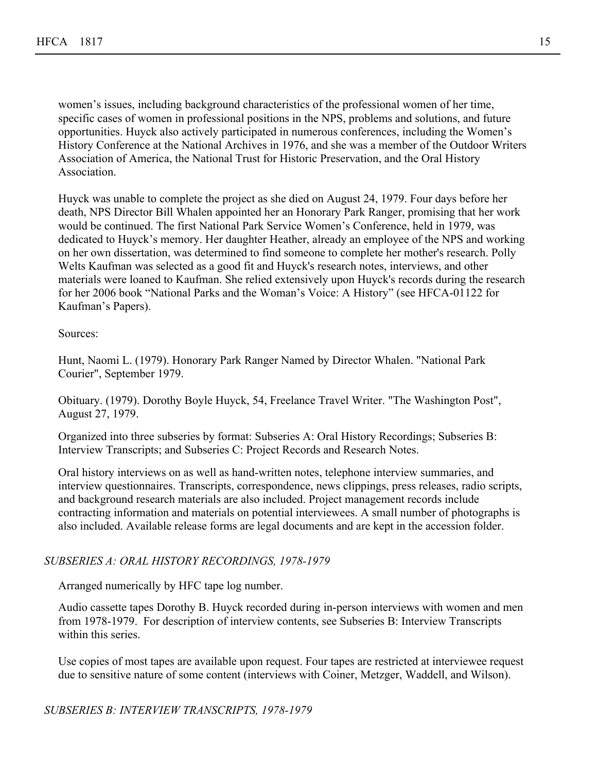women's issues, including background characteristics of the professional women of her time, specific cases of women in professional positions in the NPS, problems and solutions, and future opportunities. Huyck also actively participated in numerous conferences, including the Women's History Conference at the National Archives in 1976, and she was a member of the Outdoor Writers Association of America, the National Trust for Historic Preservation, and the Oral History Association.

Huyck was unable to complete the project as she died on August 24, 1979. Four days before her death, NPS Director Bill Whalen appointed her an Honorary Park Ranger, promising that her work would be continued. The first National Park Service Women's Conference, held in 1979, was dedicated to Huyck's memory. Her daughter Heather, already an employee of the NPS and working on her own dissertation, was determined to find someone to complete her mother's research. Polly Welts Kaufman was selected as a good fit and Huyck's research notes, interviews, and other materials were loaned to Kaufman. She relied extensively upon Huyck's records during the research for her 2006 book "National Parks and the Woman's Voice: A History" (see HFCA-01122 for Kaufman's Papers).

Sources:

Hunt, Naomi L. (1979). Honorary Park Ranger Named by Director Whalen. "National Park Courier", September 1979.

Obituary. (1979). Dorothy Boyle Huyck, 54, Freelance Travel Writer. "The Washington Post", August 27, 1979.

Organized into three subseries by format: Subseries A: Oral History Recordings; Subseries B: Interview Transcripts; and Subseries C: Project Records and Research Notes.

Oral history interviews on as well as hand-written notes, telephone interview summaries, and interview questionnaires. Transcripts, correspondence, news clippings, press releases, radio scripts, and background research materials are also included. Project management records include contracting information and materials on potential interviewees. A small number of photographs is also included. Available release forms are legal documents and are kept in the accession folder.

## *SUBSERIES A: ORAL HISTORY RECORDINGS, 1978-1979*

Arranged numerically by HFC tape log number.

Audio cassette tapes Dorothy B. Huyck recorded during in-person interviews with women and men from 1978-1979. For description of interview contents, see Subseries B: Interview Transcripts within this series.

Use copies of most tapes are available upon request. Four tapes are restricted at interviewee request due to sensitive nature of some content (interviews with Coiner, Metzger, Waddell, and Wilson).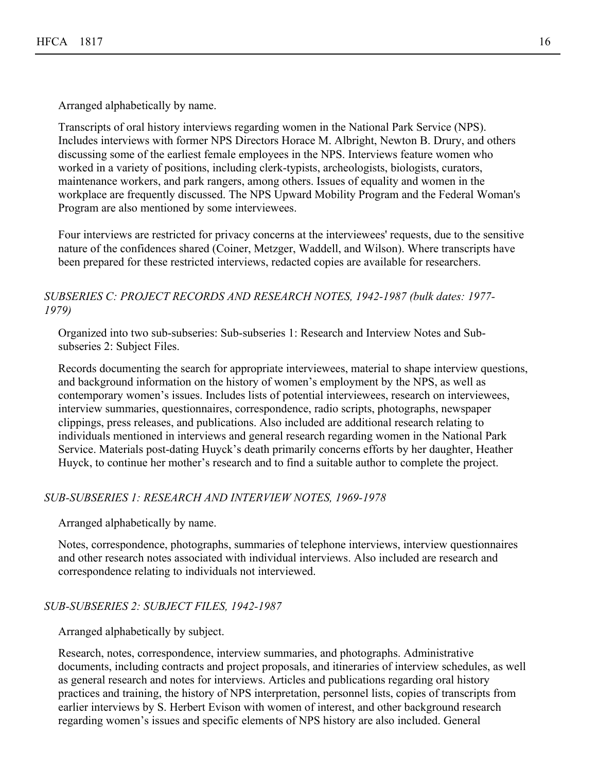Arranged alphabetically by name.

Transcripts of oral history interviews regarding women in the National Park Service (NPS). Includes interviews with former NPS Directors Horace M. Albright, Newton B. Drury, and others discussing some of the earliest female employees in the NPS. Interviews feature women who worked in a variety of positions, including clerk-typists, archeologists, biologists, curators, maintenance workers, and park rangers, among others. Issues of equality and women in the workplace are frequently discussed. The NPS Upward Mobility Program and the Federal Woman's Program are also mentioned by some interviewees.

Four interviews are restricted for privacy concerns at the interviewees' requests, due to the sensitive nature of the confidences shared (Coiner, Metzger, Waddell, and Wilson). Where transcripts have been prepared for these restricted interviews, redacted copies are available for researchers.

## *SUBSERIES C: PROJECT RECORDS AND RESEARCH NOTES, 1942-1987 (bulk dates: 1977- 1979)*

Organized into two sub-subseries: Sub-subseries 1: Research and Interview Notes and Subsubseries 2: Subject Files.

Records documenting the search for appropriate interviewees, material to shape interview questions, and background information on the history of women's employment by the NPS, as well as contemporary women's issues. Includes lists of potential interviewees, research on interviewees, interview summaries, questionnaires, correspondence, radio scripts, photographs, newspaper clippings, press releases, and publications. Also included are additional research relating to individuals mentioned in interviews and general research regarding women in the National Park Service. Materials post-dating Huyck's death primarily concerns efforts by her daughter, Heather Huyck, to continue her mother's research and to find a suitable author to complete the project.

## *SUB-SUBSERIES 1: RESEARCH AND INTERVIEW NOTES, 1969-1978*

Arranged alphabetically by name.

Notes, correspondence, photographs, summaries of telephone interviews, interview questionnaires and other research notes associated with individual interviews. Also included are research and correspondence relating to individuals not interviewed.

## *SUB-SUBSERIES 2: SUBJECT FILES, 1942-1987*

Arranged alphabetically by subject.

Research, notes, correspondence, interview summaries, and photographs. Administrative documents, including contracts and project proposals, and itineraries of interview schedules, as well as general research and notes for interviews. Articles and publications regarding oral history practices and training, the history of NPS interpretation, personnel lists, copies of transcripts from earlier interviews by S. Herbert Evison with women of interest, and other background research regarding women's issues and specific elements of NPS history are also included. General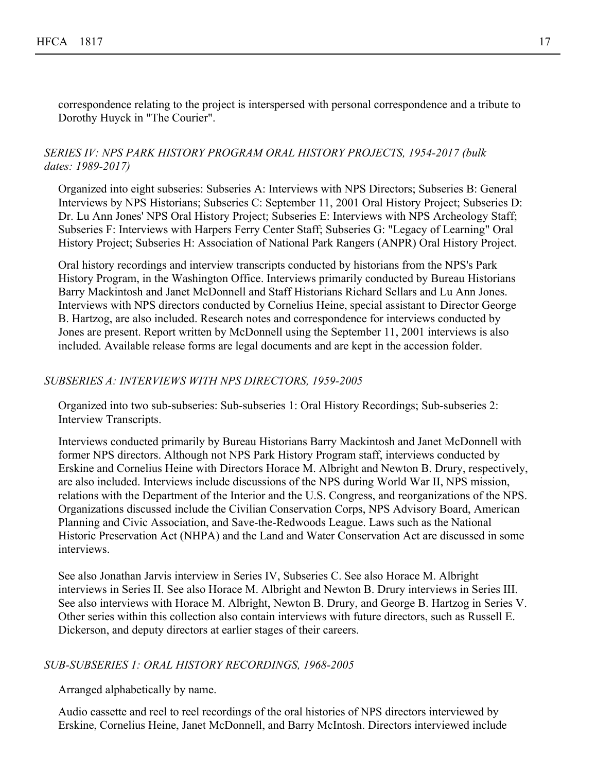correspondence relating to the project is interspersed with personal correspondence and a tribute to Dorothy Huyck in "The Courier".

## *SERIES IV: NPS PARK HISTORY PROGRAM ORAL HISTORY PROJECTS, 1954-2017 (bulk dates: 1989-2017)*

Organized into eight subseries: Subseries A: Interviews with NPS Directors; Subseries B: General Interviews by NPS Historians; Subseries C: September 11, 2001 Oral History Project; Subseries D: Dr. Lu Ann Jones' NPS Oral History Project; Subseries E: Interviews with NPS Archeology Staff; Subseries F: Interviews with Harpers Ferry Center Staff; Subseries G: "Legacy of Learning" Oral History Project; Subseries H: Association of National Park Rangers (ANPR) Oral History Project.

Oral history recordings and interview transcripts conducted by historians from the NPS's Park History Program, in the Washington Office. Interviews primarily conducted by Bureau Historians Barry Mackintosh and Janet McDonnell and Staff Historians Richard Sellars and Lu Ann Jones. Interviews with NPS directors conducted by Cornelius Heine, special assistant to Director George B. Hartzog, are also included. Research notes and correspondence for interviews conducted by Jones are present. Report written by McDonnell using the September 11, 2001 interviews is also included. Available release forms are legal documents and are kept in the accession folder.

## *SUBSERIES A: INTERVIEWS WITH NPS DIRECTORS, 1959-2005*

Organized into two sub-subseries: Sub-subseries 1: Oral History Recordings; Sub-subseries 2: Interview Transcripts.

Interviews conducted primarily by Bureau Historians Barry Mackintosh and Janet McDonnell with former NPS directors. Although not NPS Park History Program staff, interviews conducted by Erskine and Cornelius Heine with Directors Horace M. Albright and Newton B. Drury, respectively, are also included. Interviews include discussions of the NPS during World War II, NPS mission, relations with the Department of the Interior and the U.S. Congress, and reorganizations of the NPS. Organizations discussed include the Civilian Conservation Corps, NPS Advisory Board, American Planning and Civic Association, and Save-the-Redwoods League. Laws such as the National Historic Preservation Act (NHPA) and the Land and Water Conservation Act are discussed in some interviews.

See also Jonathan Jarvis interview in Series IV, Subseries C. See also Horace M. Albright interviews in Series II. See also Horace M. Albright and Newton B. Drury interviews in Series III. See also interviews with Horace M. Albright, Newton B. Drury, and George B. Hartzog in Series V. Other series within this collection also contain interviews with future directors, such as Russell E. Dickerson, and deputy directors at earlier stages of their careers.

#### *SUB-SUBSERIES 1: ORAL HISTORY RECORDINGS, 1968-2005*

Arranged alphabetically by name.

Audio cassette and reel to reel recordings of the oral histories of NPS directors interviewed by Erskine, Cornelius Heine, Janet McDonnell, and Barry McIntosh. Directors interviewed include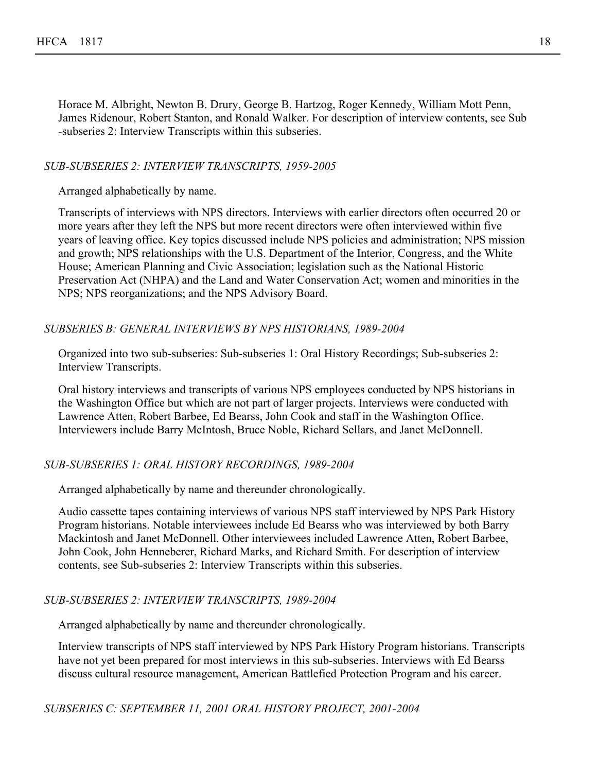Horace M. Albright, Newton B. Drury, George B. Hartzog, Roger Kennedy, William Mott Penn, James Ridenour, Robert Stanton, and Ronald Walker. For description of interview contents, see Sub -subseries 2: Interview Transcripts within this subseries.

#### *SUB-SUBSERIES 2: INTERVIEW TRANSCRIPTS, 1959-2005*

Arranged alphabetically by name.

Transcripts of interviews with NPS directors. Interviews with earlier directors often occurred 20 or more years after they left the NPS but more recent directors were often interviewed within five years of leaving office. Key topics discussed include NPS policies and administration; NPS mission and growth; NPS relationships with the U.S. Department of the Interior, Congress, and the White House; American Planning and Civic Association; legislation such as the National Historic Preservation Act (NHPA) and the Land and Water Conservation Act; women and minorities in the NPS; NPS reorganizations; and the NPS Advisory Board.

#### *SUBSERIES B: GENERAL INTERVIEWS BY NPS HISTORIANS, 1989-2004*

Organized into two sub-subseries: Sub-subseries 1: Oral History Recordings; Sub-subseries 2: Interview Transcripts.

Oral history interviews and transcripts of various NPS employees conducted by NPS historians in the Washington Office but which are not part of larger projects. Interviews were conducted with Lawrence Atten, Robert Barbee, Ed Bearss, John Cook and staff in the Washington Office. Interviewers include Barry McIntosh, Bruce Noble, Richard Sellars, and Janet McDonnell.

## *SUB-SUBSERIES 1: ORAL HISTORY RECORDINGS, 1989-2004*

Arranged alphabetically by name and thereunder chronologically.

Audio cassette tapes containing interviews of various NPS staff interviewed by NPS Park History Program historians. Notable interviewees include Ed Bearss who was interviewed by both Barry Mackintosh and Janet McDonnell. Other interviewees included Lawrence Atten, Robert Barbee, John Cook, John Henneberer, Richard Marks, and Richard Smith. For description of interview contents, see Sub-subseries 2: Interview Transcripts within this subseries.

## *SUB-SUBSERIES 2: INTERVIEW TRANSCRIPTS, 1989-2004*

Arranged alphabetically by name and thereunder chronologically.

Interview transcripts of NPS staff interviewed by NPS Park History Program historians. Transcripts have not yet been prepared for most interviews in this sub-subseries. Interviews with Ed Bearss discuss cultural resource management, American Battlefied Protection Program and his career.

*SUBSERIES C: SEPTEMBER 11, 2001 ORAL HISTORY PROJECT, 2001-2004*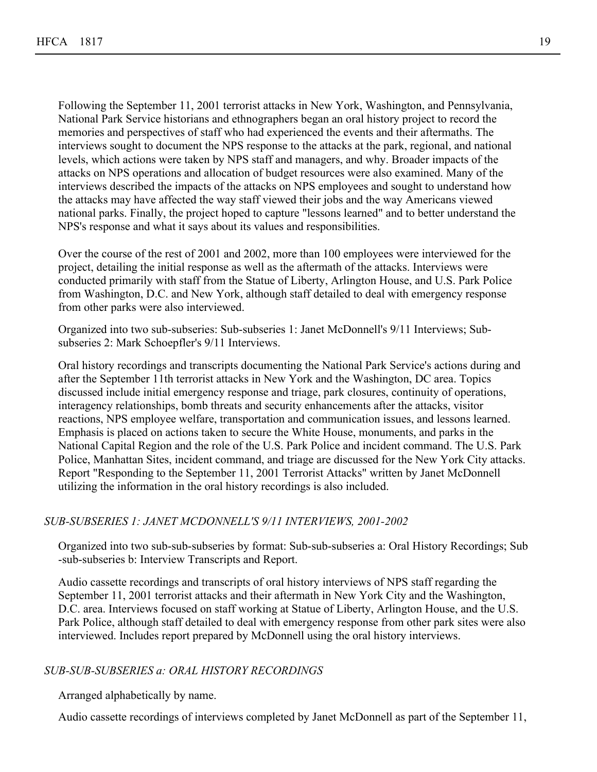Following the September 11, 2001 terrorist attacks in New York, Washington, and Pennsylvania, National Park Service historians and ethnographers began an oral history project to record the memories and perspectives of staff who had experienced the events and their aftermaths. The interviews sought to document the NPS response to the attacks at the park, regional, and national levels, which actions were taken by NPS staff and managers, and why. Broader impacts of the attacks on NPS operations and allocation of budget resources were also examined. Many of the interviews described the impacts of the attacks on NPS employees and sought to understand how the attacks may have affected the way staff viewed their jobs and the way Americans viewed national parks. Finally, the project hoped to capture "lessons learned" and to better understand the NPS's response and what it says about its values and responsibilities.

Over the course of the rest of 2001 and 2002, more than 100 employees were interviewed for the project, detailing the initial response as well as the aftermath of the attacks. Interviews were conducted primarily with staff from the Statue of Liberty, Arlington House, and U.S. Park Police from Washington, D.C. and New York, although staff detailed to deal with emergency response from other parks were also interviewed.

Organized into two sub-subseries: Sub-subseries 1: Janet McDonnell's 9/11 Interviews; Subsubseries 2: Mark Schoepfler's 9/11 Interviews.

Oral history recordings and transcripts documenting the National Park Service's actions during and after the September 11th terrorist attacks in New York and the Washington, DC area. Topics discussed include initial emergency response and triage, park closures, continuity of operations, interagency relationships, bomb threats and security enhancements after the attacks, visitor reactions, NPS employee welfare, transportation and communication issues, and lessons learned. Emphasis is placed on actions taken to secure the White House, monuments, and parks in the National Capital Region and the role of the U.S. Park Police and incident command. The U.S. Park Police, Manhattan Sites, incident command, and triage are discussed for the New York City attacks. Report "Responding to the September 11, 2001 Terrorist Attacks" written by Janet McDonnell utilizing the information in the oral history recordings is also included.

#### *SUB-SUBSERIES 1: JANET MCDONNELL'S 9/11 INTERVIEWS, 2001-2002*

Organized into two sub-sub-subseries by format: Sub-sub-subseries a: Oral History Recordings; Sub -sub-subseries b: Interview Transcripts and Report.

Audio cassette recordings and transcripts of oral history interviews of NPS staff regarding the September 11, 2001 terrorist attacks and their aftermath in New York City and the Washington, D.C. area. Interviews focused on staff working at Statue of Liberty, Arlington House, and the U.S. Park Police, although staff detailed to deal with emergency response from other park sites were also interviewed. Includes report prepared by McDonnell using the oral history interviews.

#### *SUB-SUB-SUBSERIES a: ORAL HISTORY RECORDINGS*

Arranged alphabetically by name.

Audio cassette recordings of interviews completed by Janet McDonnell as part of the September 11,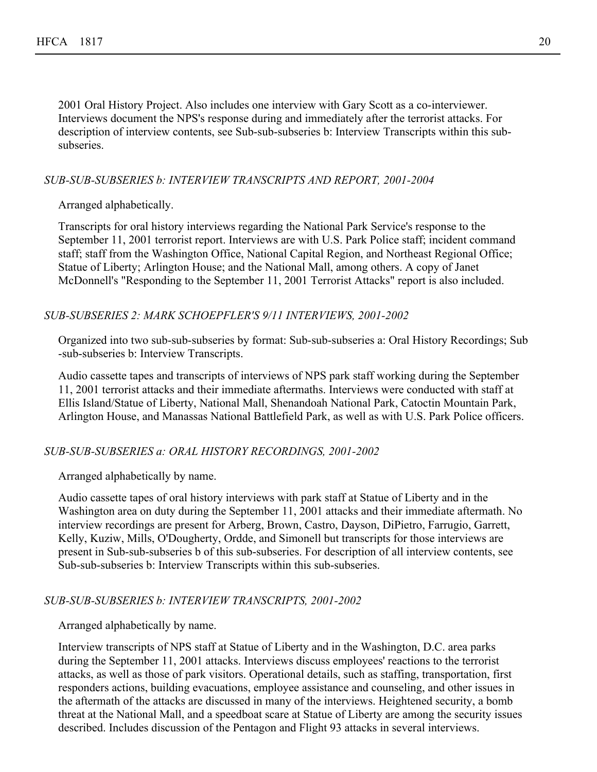2001 Oral History Project. Also includes one interview with Gary Scott as a co-interviewer. Interviews document the NPS's response during and immediately after the terrorist attacks. For description of interview contents, see Sub-sub-subseries b: Interview Transcripts within this subsubseries.

#### *SUB-SUB-SUBSERIES b: INTERVIEW TRANSCRIPTS AND REPORT, 2001-2004*

#### Arranged alphabetically.

Transcripts for oral history interviews regarding the National Park Service's response to the September 11, 2001 terrorist report. Interviews are with U.S. Park Police staff; incident command staff; staff from the Washington Office, National Capital Region, and Northeast Regional Office; Statue of Liberty; Arlington House; and the National Mall, among others. A copy of Janet McDonnell's "Responding to the September 11, 2001 Terrorist Attacks" report is also included.

#### *SUB-SUBSERIES 2: MARK SCHOEPFLER'S 9/11 INTERVIEWS, 2001-2002*

Organized into two sub-sub-subseries by format: Sub-sub-subseries a: Oral History Recordings; Sub -sub-subseries b: Interview Transcripts.

Audio cassette tapes and transcripts of interviews of NPS park staff working during the September 11, 2001 terrorist attacks and their immediate aftermaths. Interviews were conducted with staff at Ellis Island/Statue of Liberty, National Mall, Shenandoah National Park, Catoctin Mountain Park, Arlington House, and Manassas National Battlefield Park, as well as with U.S. Park Police officers.

#### *SUB-SUB-SUBSERIES a: ORAL HISTORY RECORDINGS, 2001-2002*

Arranged alphabetically by name.

Audio cassette tapes of oral history interviews with park staff at Statue of Liberty and in the Washington area on duty during the September 11, 2001 attacks and their immediate aftermath. No interview recordings are present for Arberg, Brown, Castro, Dayson, DiPietro, Farrugio, Garrett, Kelly, Kuziw, Mills, O'Dougherty, Ordde, and Simonell but transcripts for those interviews are present in Sub-sub-subseries b of this sub-subseries. For description of all interview contents, see Sub-sub-subseries b: Interview Transcripts within this sub-subseries.

#### *SUB-SUB-SUBSERIES b: INTERVIEW TRANSCRIPTS, 2001-2002*

Arranged alphabetically by name.

Interview transcripts of NPS staff at Statue of Liberty and in the Washington, D.C. area parks during the September 11, 2001 attacks. Interviews discuss employees' reactions to the terrorist attacks, as well as those of park visitors. Operational details, such as staffing, transportation, first responders actions, building evacuations, employee assistance and counseling, and other issues in the aftermath of the attacks are discussed in many of the interviews. Heightened security, a bomb threat at the National Mall, and a speedboat scare at Statue of Liberty are among the security issues described. Includes discussion of the Pentagon and Flight 93 attacks in several interviews.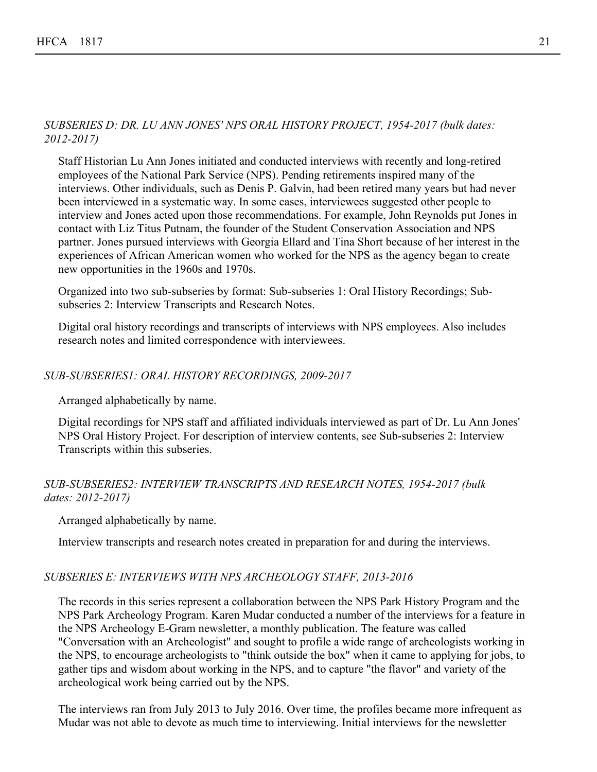## *SUBSERIES D: DR. LU ANN JONES' NPS ORAL HISTORY PROJECT, 1954-2017 (bulk dates: 2012-2017)*

Staff Historian Lu Ann Jones initiated and conducted interviews with recently and long-retired employees of the National Park Service (NPS). Pending retirements inspired many of the interviews. Other individuals, such as Denis P. Galvin, had been retired many years but had never been interviewed in a systematic way. In some cases, interviewees suggested other people to interview and Jones acted upon those recommendations. For example, John Reynolds put Jones in contact with Liz Titus Putnam, the founder of the Student Conservation Association and NPS partner. Jones pursued interviews with Georgia Ellard and Tina Short because of her interest in the experiences of African American women who worked for the NPS as the agency began to create new opportunities in the 1960s and 1970s.

Organized into two sub-subseries by format: Sub-subseries 1: Oral History Recordings; Subsubseries 2: Interview Transcripts and Research Notes.

Digital oral history recordings and transcripts of interviews with NPS employees. Also includes research notes and limited correspondence with interviewees.

## *SUB-SUBSERIES1: ORAL HISTORY RECORDINGS, 2009-2017*

Arranged alphabetically by name.

Digital recordings for NPS staff and affiliated individuals interviewed as part of Dr. Lu Ann Jones' NPS Oral History Project. For description of interview contents, see Sub-subseries 2: Interview Transcripts within this subseries.

## *SUB-SUBSERIES2: INTERVIEW TRANSCRIPTS AND RESEARCH NOTES, 1954-2017 (bulk dates: 2012-2017)*

Arranged alphabetically by name.

Interview transcripts and research notes created in preparation for and during the interviews.

#### *SUBSERIES E: INTERVIEWS WITH NPS ARCHEOLOGY STAFF, 2013-2016*

The records in this series represent a collaboration between the NPS Park History Program and the NPS Park Archeology Program. Karen Mudar conducted a number of the interviews for a feature in the NPS Archeology E-Gram newsletter, a monthly publication. The feature was called "Conversation with an Archeologist" and sought to profile a wide range of archeologists working in the NPS, to encourage archeologists to "think outside the box" when it came to applying for jobs, to gather tips and wisdom about working in the NPS, and to capture "the flavor" and variety of the archeological work being carried out by the NPS.

The interviews ran from July 2013 to July 2016. Over time, the profiles became more infrequent as Mudar was not able to devote as much time to interviewing. Initial interviews for the newsletter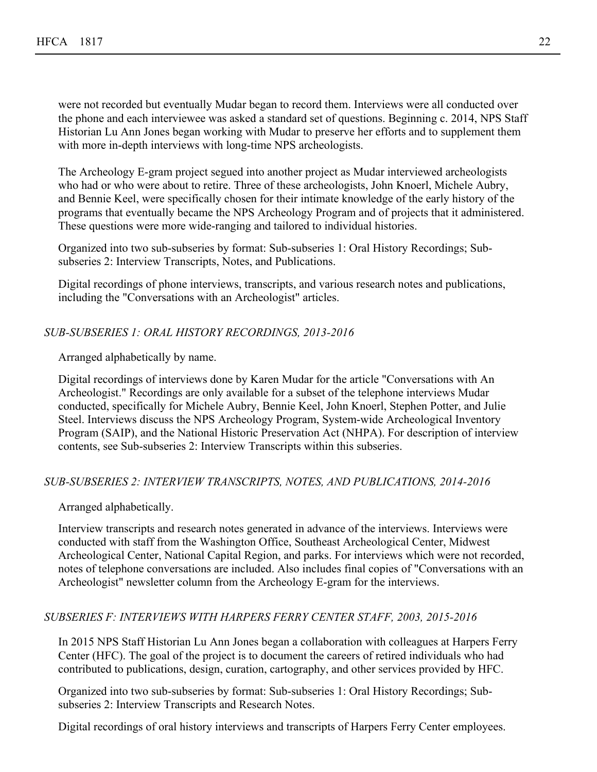were not recorded but eventually Mudar began to record them. Interviews were all conducted over the phone and each interviewee was asked a standard set of questions. Beginning c. 2014, NPS Staff Historian Lu Ann Jones began working with Mudar to preserve her efforts and to supplement them with more in-depth interviews with long-time NPS archeologists.

The Archeology E-gram project segued into another project as Mudar interviewed archeologists who had or who were about to retire. Three of these archeologists, John Knoerl, Michele Aubry, and Bennie Keel, were specifically chosen for their intimate knowledge of the early history of the programs that eventually became the NPS Archeology Program and of projects that it administered. These questions were more wide-ranging and tailored to individual histories.

Organized into two sub-subseries by format: Sub-subseries 1: Oral History Recordings; Subsubseries 2: Interview Transcripts, Notes, and Publications.

Digital recordings of phone interviews, transcripts, and various research notes and publications, including the "Conversations with an Archeologist" articles.

## *SUB-SUBSERIES 1: ORAL HISTORY RECORDINGS, 2013-2016*

Arranged alphabetically by name.

Digital recordings of interviews done by Karen Mudar for the article "Conversations with An Archeologist." Recordings are only available for a subset of the telephone interviews Mudar conducted, specifically for Michele Aubry, Bennie Keel, John Knoerl, Stephen Potter, and Julie Steel. Interviews discuss the NPS Archeology Program, System-wide Archeological Inventory Program (SAIP), and the National Historic Preservation Act (NHPA). For description of interview contents, see Sub-subseries 2: Interview Transcripts within this subseries.

## *SUB-SUBSERIES 2: INTERVIEW TRANSCRIPTS, NOTES, AND PUBLICATIONS, 2014-2016*

Arranged alphabetically.

Interview transcripts and research notes generated in advance of the interviews. Interviews were conducted with staff from the Washington Office, Southeast Archeological Center, Midwest Archeological Center, National Capital Region, and parks. For interviews which were not recorded, notes of telephone conversations are included. Also includes final copies of "Conversations with an Archeologist" newsletter column from the Archeology E-gram for the interviews.

## *SUBSERIES F: INTERVIEWS WITH HARPERS FERRY CENTER STAFF, 2003, 2015-2016*

In 2015 NPS Staff Historian Lu Ann Jones began a collaboration with colleagues at Harpers Ferry Center (HFC). The goal of the project is to document the careers of retired individuals who had contributed to publications, design, curation, cartography, and other services provided by HFC.

Organized into two sub-subseries by format: Sub-subseries 1: Oral History Recordings; Subsubseries 2: Interview Transcripts and Research Notes.

Digital recordings of oral history interviews and transcripts of Harpers Ferry Center employees.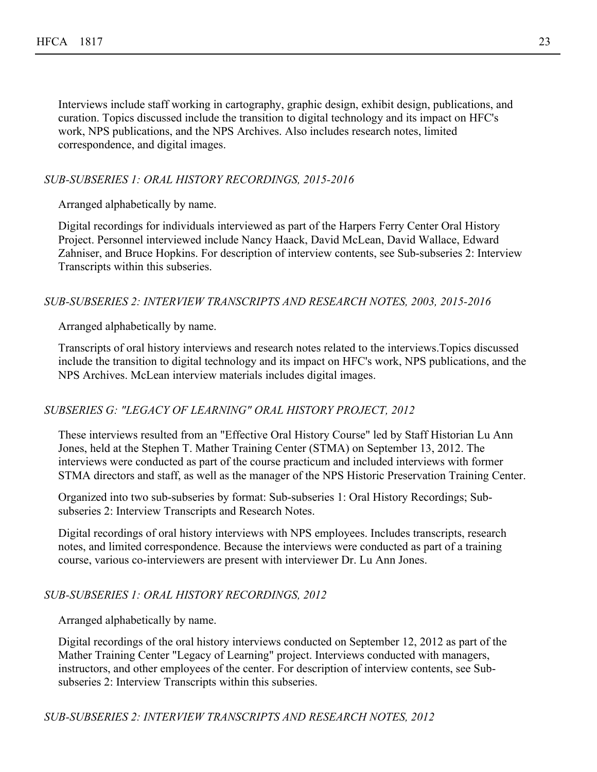Interviews include staff working in cartography, graphic design, exhibit design, publications, and curation. Topics discussed include the transition to digital technology and its impact on HFC's work, NPS publications, and the NPS Archives. Also includes research notes, limited correspondence, and digital images.

## *SUB-SUBSERIES 1: ORAL HISTORY RECORDINGS, 2015-2016*

Arranged alphabetically by name.

Digital recordings for individuals interviewed as part of the Harpers Ferry Center Oral History Project. Personnel interviewed include Nancy Haack, David McLean, David Wallace, Edward Zahniser, and Bruce Hopkins. For description of interview contents, see Sub-subseries 2: Interview Transcripts within this subseries.

#### *SUB-SUBSERIES 2: INTERVIEW TRANSCRIPTS AND RESEARCH NOTES, 2003, 2015-2016*

Arranged alphabetically by name.

Transcripts of oral history interviews and research notes related to the interviews.Topics discussed include the transition to digital technology and its impact on HFC's work, NPS publications, and the NPS Archives. McLean interview materials includes digital images.

## *SUBSERIES G: "LEGACY OF LEARNING" ORAL HISTORY PROJECT, 2012*

These interviews resulted from an "Effective Oral History Course" led by Staff Historian Lu Ann Jones, held at the Stephen T. Mather Training Center (STMA) on September 13, 2012. The interviews were conducted as part of the course practicum and included interviews with former STMA directors and staff, as well as the manager of the NPS Historic Preservation Training Center.

Organized into two sub-subseries by format: Sub-subseries 1: Oral History Recordings; Subsubseries 2: Interview Transcripts and Research Notes.

Digital recordings of oral history interviews with NPS employees. Includes transcripts, research notes, and limited correspondence. Because the interviews were conducted as part of a training course, various co-interviewers are present with interviewer Dr. Lu Ann Jones.

#### *SUB-SUBSERIES 1: ORAL HISTORY RECORDINGS, 2012*

Arranged alphabetically by name.

Digital recordings of the oral history interviews conducted on September 12, 2012 as part of the Mather Training Center "Legacy of Learning" project. Interviews conducted with managers, instructors, and other employees of the center. For description of interview contents, see Subsubseries 2: Interview Transcripts within this subseries.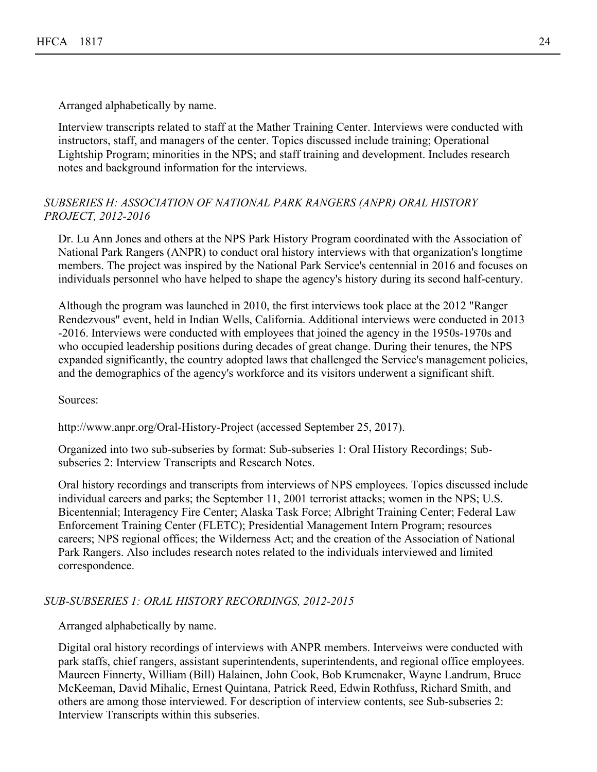Arranged alphabetically by name.

Interview transcripts related to staff at the Mather Training Center. Interviews were conducted with instructors, staff, and managers of the center. Topics discussed include training; Operational Lightship Program; minorities in the NPS; and staff training and development. Includes research notes and background information for the interviews.

## *SUBSERIES H: ASSOCIATION OF NATIONAL PARK RANGERS (ANPR) ORAL HISTORY PROJECT, 2012-2016*

Dr. Lu Ann Jones and others at the NPS Park History Program coordinated with the Association of National Park Rangers (ANPR) to conduct oral history interviews with that organization's longtime members. The project was inspired by the National Park Service's centennial in 2016 and focuses on individuals personnel who have helped to shape the agency's history during its second half-century.

Although the program was launched in 2010, the first interviews took place at the 2012 "Ranger Rendezvous" event, held in Indian Wells, California. Additional interviews were conducted in 2013 -2016. Interviews were conducted with employees that joined the agency in the 1950s-1970s and who occupied leadership positions during decades of great change. During their tenures, the NPS expanded significantly, the country adopted laws that challenged the Service's management policies, and the demographics of the agency's workforce and its visitors underwent a significant shift.

Sources:

http://www.anpr.org/Oral-History-Project (accessed September 25, 2017).

Organized into two sub-subseries by format: Sub-subseries 1: Oral History Recordings; Subsubseries 2: Interview Transcripts and Research Notes.

Oral history recordings and transcripts from interviews of NPS employees. Topics discussed include individual careers and parks; the September 11, 2001 terrorist attacks; women in the NPS; U.S. Bicentennial; Interagency Fire Center; Alaska Task Force; Albright Training Center; Federal Law Enforcement Training Center (FLETC); Presidential Management Intern Program; resources careers; NPS regional offices; the Wilderness Act; and the creation of the Association of National Park Rangers. Also includes research notes related to the individuals interviewed and limited correspondence.

## *SUB-SUBSERIES 1: ORAL HISTORY RECORDINGS, 2012-2015*

Arranged alphabetically by name.

Digital oral history recordings of interviews with ANPR members. Interveiws were conducted with park staffs, chief rangers, assistant superintendents, superintendents, and regional office employees. Maureen Finnerty, William (Bill) Halainen, John Cook, Bob Krumenaker, Wayne Landrum, Bruce McKeeman, David Mihalic, Ernest Quintana, Patrick Reed, Edwin Rothfuss, Richard Smith, and others are among those interviewed. For description of interview contents, see Sub-subseries 2: Interview Transcripts within this subseries.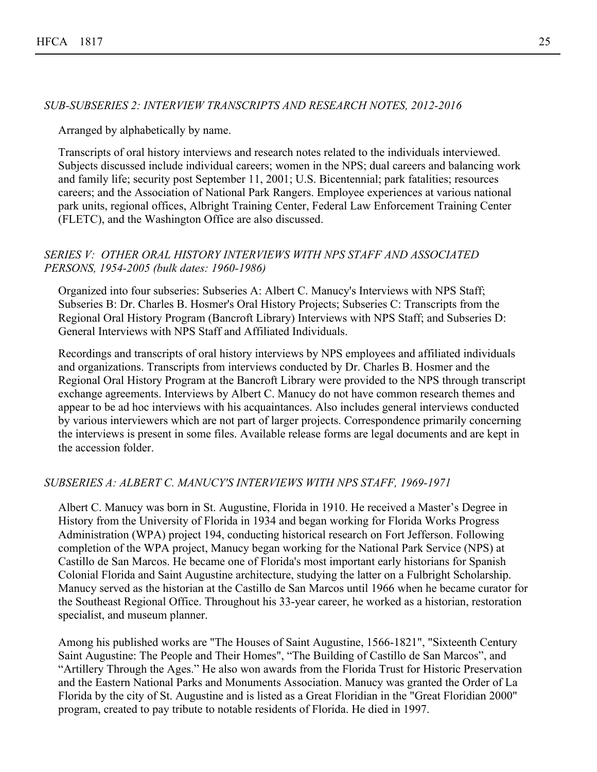#### *SUB-SUBSERIES 2: INTERVIEW TRANSCRIPTS AND RESEARCH NOTES, 2012-2016*

Arranged by alphabetically by name.

Transcripts of oral history interviews and research notes related to the individuals interviewed. Subjects discussed include individual careers; women in the NPS; dual careers and balancing work and family life; security post September 11, 2001; U.S. Bicentennial; park fatalities; resources careers; and the Association of National Park Rangers. Employee experiences at various national park units, regional offices, Albright Training Center, Federal Law Enforcement Training Center (FLETC), and the Washington Office are also discussed.

#### *SERIES V: OTHER ORAL HISTORY INTERVIEWS WITH NPS STAFF AND ASSOCIATED PERSONS, 1954-2005 (bulk dates: 1960-1986)*

Organized into four subseries: Subseries A: Albert C. Manucy's Interviews with NPS Staff; Subseries B: Dr. Charles B. Hosmer's Oral History Projects; Subseries C: Transcripts from the Regional Oral History Program (Bancroft Library) Interviews with NPS Staff; and Subseries D: General Interviews with NPS Staff and Affiliated Individuals.

Recordings and transcripts of oral history interviews by NPS employees and affiliated individuals and organizations. Transcripts from interviews conducted by Dr. Charles B. Hosmer and the Regional Oral History Program at the Bancroft Library were provided to the NPS through transcript exchange agreements. Interviews by Albert C. Manucy do not have common research themes and appear to be ad hoc interviews with his acquaintances. Also includes general interviews conducted by various interviewers which are not part of larger projects. Correspondence primarily concerning the interviews is present in some files. Available release forms are legal documents and are kept in the accession folder.

#### *SUBSERIES A: ALBERT C. MANUCY'S INTERVIEWS WITH NPS STAFF, 1969-1971*

Albert C. Manucy was born in St. Augustine, Florida in 1910. He received a Master's Degree in History from the University of Florida in 1934 and began working for Florida Works Progress Administration (WPA) project 194, conducting historical research on Fort Jefferson. Following completion of the WPA project, Manucy began working for the National Park Service (NPS) at Castillo de San Marcos. He became one of Florida's most important early historians for Spanish Colonial Florida and Saint Augustine architecture, studying the latter on a Fulbright Scholarship. Manucy served as the historian at the Castillo de San Marcos until 1966 when he became curator for the Southeast Regional Office. Throughout his 33-year career, he worked as a historian, restoration specialist, and museum planner.

Among his published works are "The Houses of Saint Augustine, 1566-1821", "Sixteenth Century Saint Augustine: The People and Their Homes", "The Building of Castillo de San Marcos", and "Artillery Through the Ages." He also won awards from the Florida Trust for Historic Preservation and the Eastern National Parks and Monuments Association. Manucy was granted the Order of La Florida by the city of St. Augustine and is listed as a Great Floridian in the "Great Floridian 2000" program, created to pay tribute to notable residents of Florida. He died in 1997.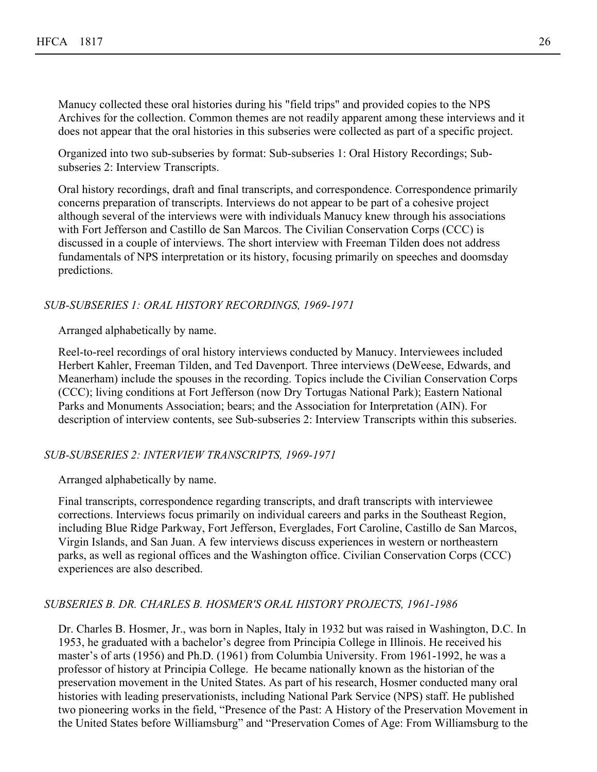Manucy collected these oral histories during his "field trips" and provided copies to the NPS Archives for the collection. Common themes are not readily apparent among these interviews and it does not appear that the oral histories in this subseries were collected as part of a specific project.

Organized into two sub-subseries by format: Sub-subseries 1: Oral History Recordings; Subsubseries 2: Interview Transcripts.

Oral history recordings, draft and final transcripts, and correspondence. Correspondence primarily concerns preparation of transcripts. Interviews do not appear to be part of a cohesive project although several of the interviews were with individuals Manucy knew through his associations with Fort Jefferson and Castillo de San Marcos. The Civilian Conservation Corps (CCC) is discussed in a couple of interviews. The short interview with Freeman Tilden does not address fundamentals of NPS interpretation or its history, focusing primarily on speeches and doomsday predictions.

## *SUB-SUBSERIES 1: ORAL HISTORY RECORDINGS, 1969-1971*

Arranged alphabetically by name.

Reel-to-reel recordings of oral history interviews conducted by Manucy. Interviewees included Herbert Kahler, Freeman Tilden, and Ted Davenport. Three interviews (DeWeese, Edwards, and Meanerham) include the spouses in the recording. Topics include the Civilian Conservation Corps (CCC); living conditions at Fort Jefferson (now Dry Tortugas National Park); Eastern National Parks and Monuments Association; bears; and the Association for Interpretation (AIN). For description of interview contents, see Sub-subseries 2: Interview Transcripts within this subseries.

## *SUB-SUBSERIES 2: INTERVIEW TRANSCRIPTS, 1969-1971*

Arranged alphabetically by name.

Final transcripts, correspondence regarding transcripts, and draft transcripts with interviewee corrections. Interviews focus primarily on individual careers and parks in the Southeast Region, including Blue Ridge Parkway, Fort Jefferson, Everglades, Fort Caroline, Castillo de San Marcos, Virgin Islands, and San Juan. A few interviews discuss experiences in western or northeastern parks, as well as regional offices and the Washington office. Civilian Conservation Corps (CCC) experiences are also described.

## *SUBSERIES B. DR. CHARLES B. HOSMER'S ORAL HISTORY PROJECTS, 1961-1986*

Dr. Charles B. Hosmer, Jr., was born in Naples, Italy in 1932 but was raised in Washington, D.C. In 1953, he graduated with a bachelor's degree from Principia College in Illinois. He received his master's of arts (1956) and Ph.D. (1961) from Columbia University. From 1961-1992, he was a professor of history at Principia College. He became nationally known as the historian of the preservation movement in the United States. As part of his research, Hosmer conducted many oral histories with leading preservationists, including National Park Service (NPS) staff. He published two pioneering works in the field, "Presence of the Past: A History of the Preservation Movement in the United States before Williamsburg" and "Preservation Comes of Age: From Williamsburg to the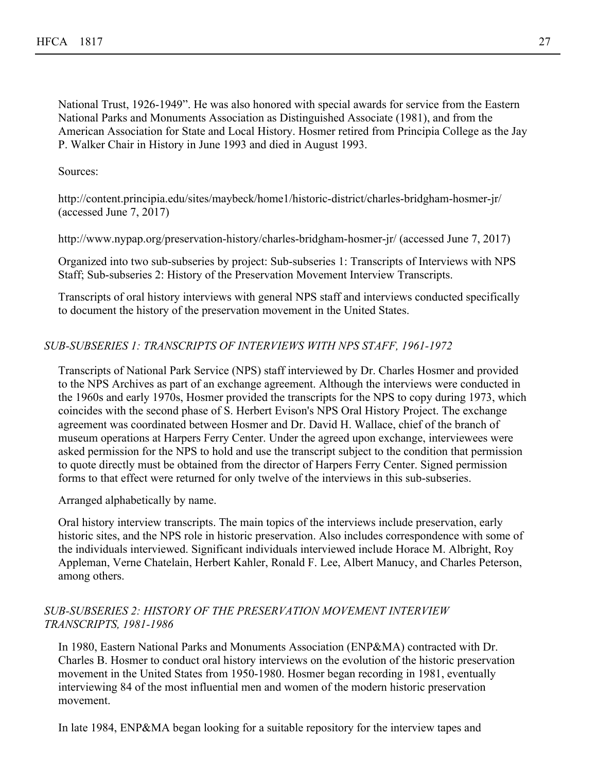National Trust, 1926-1949". He was also honored with special awards for service from the Eastern National Parks and Monuments Association as Distinguished Associate (1981), and from the American Association for State and Local History. Hosmer retired from Principia College as the Jay P. Walker Chair in History in June 1993 and died in August 1993.

Sources:

http://content.principia.edu/sites/maybeck/home1/historic-district/charles-bridgham-hosmer-jr/ (accessed June 7, 2017)

http://www.nypap.org/preservation-history/charles-bridgham-hosmer-jr/ (accessed June 7, 2017)

Organized into two sub-subseries by project: Sub-subseries 1: Transcripts of Interviews with NPS Staff; Sub-subseries 2: History of the Preservation Movement Interview Transcripts.

Transcripts of oral history interviews with general NPS staff and interviews conducted specifically to document the history of the preservation movement in the United States.

## *SUB-SUBSERIES 1: TRANSCRIPTS OF INTERVIEWS WITH NPS STAFF, 1961-1972*

Transcripts of National Park Service (NPS) staff interviewed by Dr. Charles Hosmer and provided to the NPS Archives as part of an exchange agreement. Although the interviews were conducted in the 1960s and early 1970s, Hosmer provided the transcripts for the NPS to copy during 1973, which coincides with the second phase of S. Herbert Evison's NPS Oral History Project. The exchange agreement was coordinated between Hosmer and Dr. David H. Wallace, chief of the branch of museum operations at Harpers Ferry Center. Under the agreed upon exchange, interviewees were asked permission for the NPS to hold and use the transcript subject to the condition that permission to quote directly must be obtained from the director of Harpers Ferry Center. Signed permission forms to that effect were returned for only twelve of the interviews in this sub-subseries.

Arranged alphabetically by name.

Oral history interview transcripts. The main topics of the interviews include preservation, early historic sites, and the NPS role in historic preservation. Also includes correspondence with some of the individuals interviewed. Significant individuals interviewed include Horace M. Albright, Roy Appleman, Verne Chatelain, Herbert Kahler, Ronald F. Lee, Albert Manucy, and Charles Peterson, among others.

## *SUB-SUBSERIES 2: HISTORY OF THE PRESERVATION MOVEMENT INTERVIEW TRANSCRIPTS, 1981-1986*

In 1980, Eastern National Parks and Monuments Association (ENP&MA) contracted with Dr. Charles B. Hosmer to conduct oral history interviews on the evolution of the historic preservation movement in the United States from 1950-1980. Hosmer began recording in 1981, eventually interviewing 84 of the most influential men and women of the modern historic preservation movement.

In late 1984, ENP&MA began looking for a suitable repository for the interview tapes and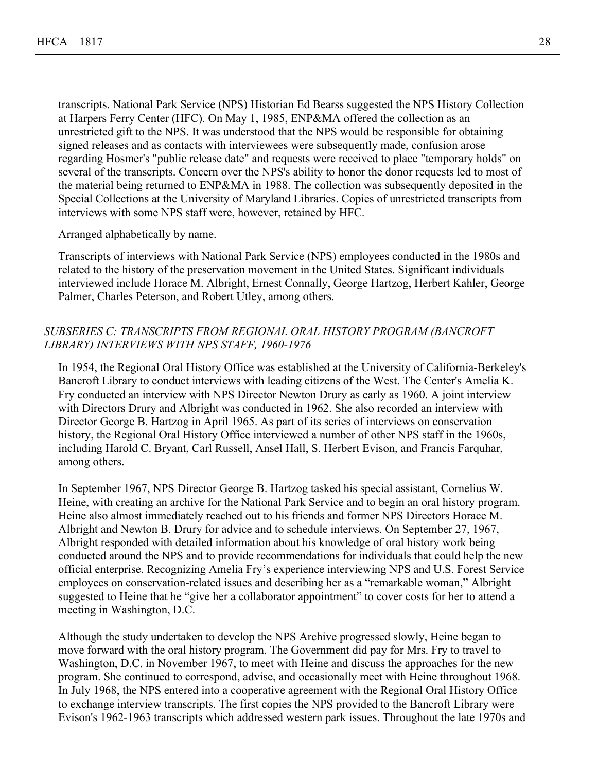transcripts. National Park Service (NPS) Historian Ed Bearss suggested the NPS History Collection at Harpers Ferry Center (HFC). On May 1, 1985, ENP&MA offered the collection as an unrestricted gift to the NPS. It was understood that the NPS would be responsible for obtaining signed releases and as contacts with interviewees were subsequently made, confusion arose regarding Hosmer's "public release date" and requests were received to place "temporary holds" on several of the transcripts. Concern over the NPS's ability to honor the donor requests led to most of the material being returned to ENP&MA in 1988. The collection was subsequently deposited in the Special Collections at the University of Maryland Libraries. Copies of unrestricted transcripts from interviews with some NPS staff were, however, retained by HFC.

Arranged alphabetically by name.

Transcripts of interviews with National Park Service (NPS) employees conducted in the 1980s and related to the history of the preservation movement in the United States. Significant individuals interviewed include Horace M. Albright, Ernest Connally, George Hartzog, Herbert Kahler, George Palmer, Charles Peterson, and Robert Utley, among others.

## *SUBSERIES C: TRANSCRIPTS FROM REGIONAL ORAL HISTORY PROGRAM (BANCROFT LIBRARY) INTERVIEWS WITH NPS STAFF, 1960-1976*

In 1954, the Regional Oral History Office was established at the University of California-Berkeley's Bancroft Library to conduct interviews with leading citizens of the West. The Center's Amelia K. Fry conducted an interview with NPS Director Newton Drury as early as 1960. A joint interview with Directors Drury and Albright was conducted in 1962. She also recorded an interview with Director George B. Hartzog in April 1965. As part of its series of interviews on conservation history, the Regional Oral History Office interviewed a number of other NPS staff in the 1960s, including Harold C. Bryant, Carl Russell, Ansel Hall, S. Herbert Evison, and Francis Farquhar, among others.

In September 1967, NPS Director George B. Hartzog tasked his special assistant, Cornelius W. Heine, with creating an archive for the National Park Service and to begin an oral history program. Heine also almost immediately reached out to his friends and former NPS Directors Horace M. Albright and Newton B. Drury for advice and to schedule interviews. On September 27, 1967, Albright responded with detailed information about his knowledge of oral history work being conducted around the NPS and to provide recommendations for individuals that could help the new official enterprise. Recognizing Amelia Fry's experience interviewing NPS and U.S. Forest Service employees on conservation-related issues and describing her as a "remarkable woman," Albright suggested to Heine that he "give her a collaborator appointment" to cover costs for her to attend a meeting in Washington, D.C.

Although the study undertaken to develop the NPS Archive progressed slowly, Heine began to move forward with the oral history program. The Government did pay for Mrs. Fry to travel to Washington, D.C. in November 1967, to meet with Heine and discuss the approaches for the new program. She continued to correspond, advise, and occasionally meet with Heine throughout 1968. In July 1968, the NPS entered into a cooperative agreement with the Regional Oral History Office to exchange interview transcripts. The first copies the NPS provided to the Bancroft Library were Evison's 1962-1963 transcripts which addressed western park issues. Throughout the late 1970s and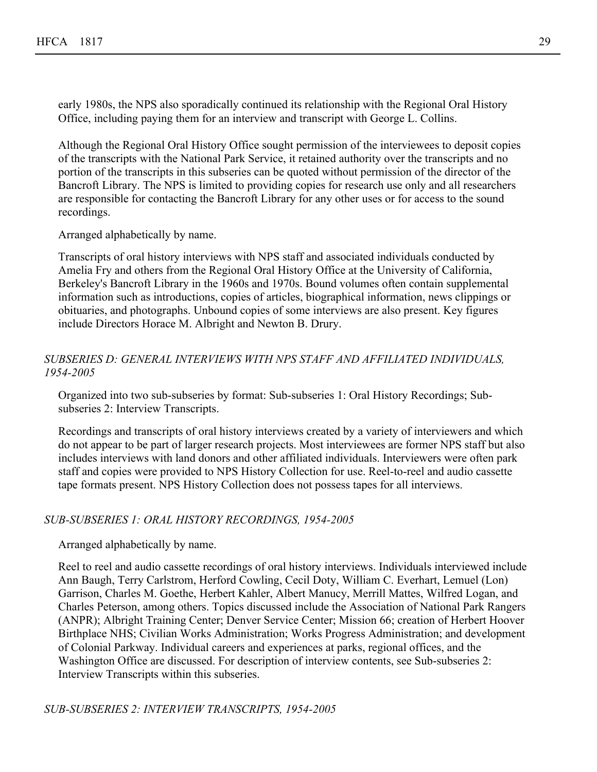early 1980s, the NPS also sporadically continued its relationship with the Regional Oral History Office, including paying them for an interview and transcript with George L. Collins.

Although the Regional Oral History Office sought permission of the interviewees to deposit copies of the transcripts with the National Park Service, it retained authority over the transcripts and no portion of the transcripts in this subseries can be quoted without permission of the director of the Bancroft Library. The NPS is limited to providing copies for research use only and all researchers are responsible for contacting the Bancroft Library for any other uses or for access to the sound recordings.

Arranged alphabetically by name.

Transcripts of oral history interviews with NPS staff and associated individuals conducted by Amelia Fry and others from the Regional Oral History Office at the University of California, Berkeley's Bancroft Library in the 1960s and 1970s. Bound volumes often contain supplemental information such as introductions, copies of articles, biographical information, news clippings or obituaries, and photographs. Unbound copies of some interviews are also present. Key figures include Directors Horace M. Albright and Newton B. Drury.

## *SUBSERIES D: GENERAL INTERVIEWS WITH NPS STAFF AND AFFILIATED INDIVIDUALS, 1954-2005*

Organized into two sub-subseries by format: Sub-subseries 1: Oral History Recordings; Subsubseries 2: Interview Transcripts.

Recordings and transcripts of oral history interviews created by a variety of interviewers and which do not appear to be part of larger research projects. Most interviewees are former NPS staff but also includes interviews with land donors and other affiliated individuals. Interviewers were often park staff and copies were provided to NPS History Collection for use. Reel-to-reel and audio cassette tape formats present. NPS History Collection does not possess tapes for all interviews.

## *SUB-SUBSERIES 1: ORAL HISTORY RECORDINGS, 1954-2005*

## Arranged alphabetically by name.

Reel to reel and audio cassette recordings of oral history interviews. Individuals interviewed include Ann Baugh, Terry Carlstrom, Herford Cowling, Cecil Doty, William C. Everhart, Lemuel (Lon) Garrison, Charles M. Goethe, Herbert Kahler, Albert Manucy, Merrill Mattes, Wilfred Logan, and Charles Peterson, among others. Topics discussed include the Association of National Park Rangers (ANPR); Albright Training Center; Denver Service Center; Mission 66; creation of Herbert Hoover Birthplace NHS; Civilian Works Administration; Works Progress Administration; and development of Colonial Parkway. Individual careers and experiences at parks, regional offices, and the Washington Office are discussed. For description of interview contents, see Sub-subseries 2: Interview Transcripts within this subseries.

*SUB-SUBSERIES 2: INTERVIEW TRANSCRIPTS, 1954-2005*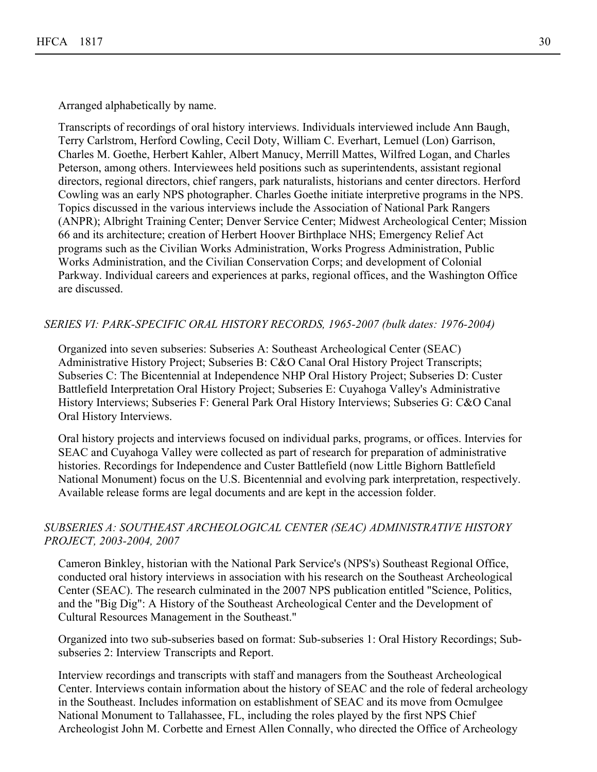Arranged alphabetically by name.

Transcripts of recordings of oral history interviews. Individuals interviewed include Ann Baugh, Terry Carlstrom, Herford Cowling, Cecil Doty, William C. Everhart, Lemuel (Lon) Garrison, Charles M. Goethe, Herbert Kahler, Albert Manucy, Merrill Mattes, Wilfred Logan, and Charles Peterson, among others. Interviewees held positions such as superintendents, assistant regional directors, regional directors, chief rangers, park naturalists, historians and center directors. Herford Cowling was an early NPS photographer. Charles Goethe initiate interpretive programs in the NPS. Topics discussed in the various interviews include the Association of National Park Rangers (ANPR); Albright Training Center; Denver Service Center; Midwest Archeological Center; Mission 66 and its architecture; creation of Herbert Hoover Birthplace NHS; Emergency Relief Act programs such as the Civilian Works Administration, Works Progress Administration, Public Works Administration, and the Civilian Conservation Corps; and development of Colonial Parkway. Individual careers and experiences at parks, regional offices, and the Washington Office are discussed.

#### *SERIES VI: PARK-SPECIFIC ORAL HISTORY RECORDS, 1965-2007 (bulk dates: 1976-2004)*

Organized into seven subseries: Subseries A: Southeast Archeological Center (SEAC) Administrative History Project; Subseries B: C&O Canal Oral History Project Transcripts; Subseries C: The Bicentennial at Independence NHP Oral History Project; Subseries D: Custer Battlefield Interpretation Oral History Project; Subseries E: Cuyahoga Valley's Administrative History Interviews; Subseries F: General Park Oral History Interviews; Subseries G: C&O Canal Oral History Interviews.

Oral history projects and interviews focused on individual parks, programs, or offices. Intervies for SEAC and Cuyahoga Valley were collected as part of research for preparation of administrative histories. Recordings for Independence and Custer Battlefield (now Little Bighorn Battlefield National Monument) focus on the U.S. Bicentennial and evolving park interpretation, respectively. Available release forms are legal documents and are kept in the accession folder.

## *SUBSERIES A: SOUTHEAST ARCHEOLOGICAL CENTER (SEAC) ADMINISTRATIVE HISTORY PROJECT, 2003-2004, 2007*

Cameron Binkley, historian with the National Park Service's (NPS's) Southeast Regional Office, conducted oral history interviews in association with his research on the Southeast Archeological Center (SEAC). The research culminated in the 2007 NPS publication entitled "Science, Politics, and the "Big Dig": A History of the Southeast Archeological Center and the Development of Cultural Resources Management in the Southeast."

Organized into two sub-subseries based on format: Sub-subseries 1: Oral History Recordings; Subsubseries 2: Interview Transcripts and Report.

Interview recordings and transcripts with staff and managers from the Southeast Archeological Center. Interviews contain information about the history of SEAC and the role of federal archeology in the Southeast. Includes information on establishment of SEAC and its move from Ocmulgee National Monument to Tallahassee, FL, including the roles played by the first NPS Chief Archeologist John M. Corbette and Ernest Allen Connally, who directed the Office of Archeology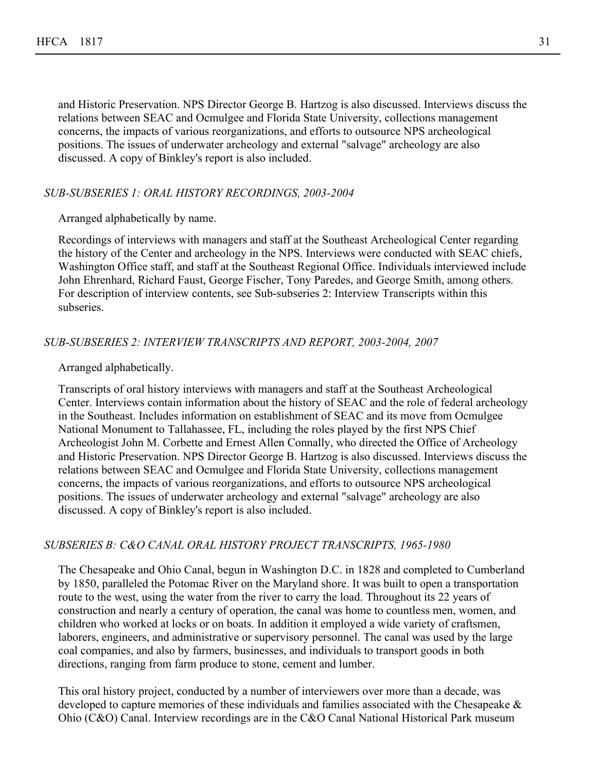and Historic Preservation. NPS Director George B. Hartzog is also discussed. Interviews discuss the relations between SEAC and Ocmulgee and Florida State University, collections management concerns, the impacts of various reorganizations, and efforts to outsource NPS archeological positions. The issues of underwater archeology and external "salvage" archeology are also discussed. A copy of Binkley's report is also included.

#### *SUB-SUBSERIES 1: ORAL HISTORY RECORDINGS, 2003-2004*

Arranged alphabetically by name.

Recordings of interviews with managers and staff at the Southeast Archeological Center regarding the history of the Center and archeology in the NPS. Interviews were conducted with SEAC chiefs, Washington Office staff, and staff at the Southeast Regional Office. Individuals interviewed include John Ehrenhard, Richard Faust, George Fischer, Tony Paredes, and George Smith, among others. For description of interview contents, see Sub-subseries 2: Interview Transcripts within this subseries.

#### *SUB-SUBSERIES 2: INTERVIEW TRANSCRIPTS AND REPORT, 2003-2004, 2007*

Arranged alphabetically.

Transcripts of oral history interviews with managers and staff at the Southeast Archeological Center. Interviews contain information about the history of SEAC and the role of federal archeology in the Southeast. Includes information on establishment of SEAC and its move from Ocmulgee National Monument to Tallahassee, FL, including the roles played by the first NPS Chief Archeologist John M. Corbette and Ernest Allen Connally, who directed the Office of Archeology and Historic Preservation. NPS Director George B. Hartzog is also discussed. Interviews discuss the relations between SEAC and Ocmulgee and Florida State University, collections management concerns, the impacts of various reorganizations, and efforts to outsource NPS archeological positions. The issues of underwater archeology and external "salvage" archeology are also discussed. A copy of Binkley's report is also included.

#### *SUBSERIES B: C&O CANAL ORAL HISTORY PROJECT TRANSCRIPTS, 1965-1980*

The Chesapeake and Ohio Canal, begun in Washington D.C. in 1828 and completed to Cumberland by 1850, paralleled the Potomac River on the Maryland shore. It was built to open a transportation route to the west, using the water from the river to carry the load. Throughout its 22 years of construction and nearly a century of operation, the canal was home to countless men, women, and children who worked at locks or on boats. In addition it employed a wide variety of craftsmen, laborers, engineers, and administrative or supervisory personnel. The canal was used by the large coal companies, and also by farmers, businesses, and individuals to transport goods in both directions, ranging from farm produce to stone, cement and lumber.

This oral history project, conducted by a number of interviewers over more than a decade, was developed to capture memories of these individuals and families associated with the Chesapeake & Ohio (C&O) Canal. Interview recordings are in the C&O Canal National Historical Park museum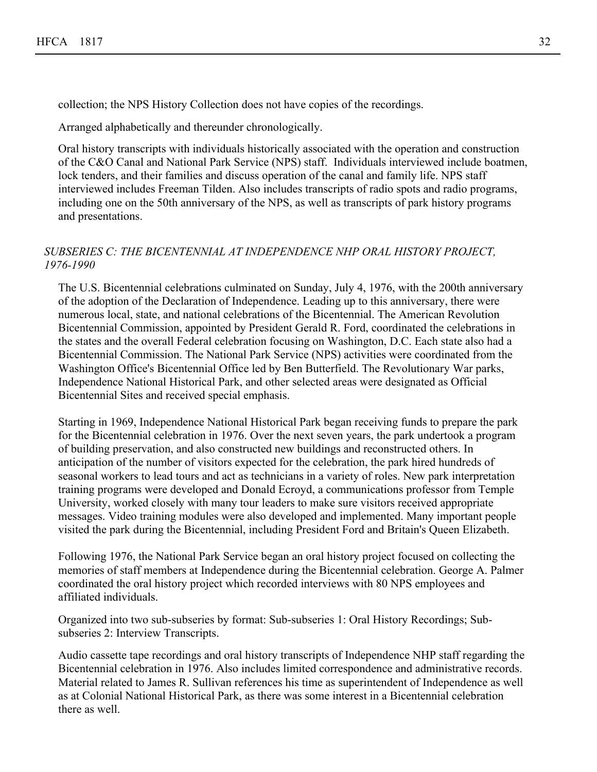collection; the NPS History Collection does not have copies of the recordings.

Arranged alphabetically and thereunder chronologically.

Oral history transcripts with individuals historically associated with the operation and construction of the C&O Canal and National Park Service (NPS) staff. Individuals interviewed include boatmen, lock tenders, and their families and discuss operation of the canal and family life. NPS staff interviewed includes Freeman Tilden. Also includes transcripts of radio spots and radio programs, including one on the 50th anniversary of the NPS, as well as transcripts of park history programs and presentations.

## *SUBSERIES C: THE BICENTENNIAL AT INDEPENDENCE NHP ORAL HISTORY PROJECT, 1976-1990*

The U.S. Bicentennial celebrations culminated on Sunday, July 4, 1976, with the 200th anniversary of the adoption of the Declaration of Independence. Leading up to this anniversary, there were numerous local, state, and national celebrations of the Bicentennial. The American Revolution Bicentennial Commission, appointed by President Gerald R. Ford, coordinated the celebrations in the states and the overall Federal celebration focusing on Washington, D.C. Each state also had a Bicentennial Commission. The National Park Service (NPS) activities were coordinated from the Washington Office's Bicentennial Office led by Ben Butterfield. The Revolutionary War parks, Independence National Historical Park, and other selected areas were designated as Official Bicentennial Sites and received special emphasis.

Starting in 1969, Independence National Historical Park began receiving funds to prepare the park for the Bicentennial celebration in 1976. Over the next seven years, the park undertook a program of building preservation, and also constructed new buildings and reconstructed others. In anticipation of the number of visitors expected for the celebration, the park hired hundreds of seasonal workers to lead tours and act as technicians in a variety of roles. New park interpretation training programs were developed and Donald Ecroyd, a communications professor from Temple University, worked closely with many tour leaders to make sure visitors received appropriate messages. Video training modules were also developed and implemented. Many important people visited the park during the Bicentennial, including President Ford and Britain's Queen Elizabeth.

Following 1976, the National Park Service began an oral history project focused on collecting the memories of staff members at Independence during the Bicentennial celebration. George A. Palmer coordinated the oral history project which recorded interviews with 80 NPS employees and affiliated individuals.

Organized into two sub-subseries by format: Sub-subseries 1: Oral History Recordings; Subsubseries 2: Interview Transcripts.

Audio cassette tape recordings and oral history transcripts of Independence NHP staff regarding the Bicentennial celebration in 1976. Also includes limited correspondence and administrative records. Material related to James R. Sullivan references his time as superintendent of Independence as well as at Colonial National Historical Park, as there was some interest in a Bicentennial celebration there as well.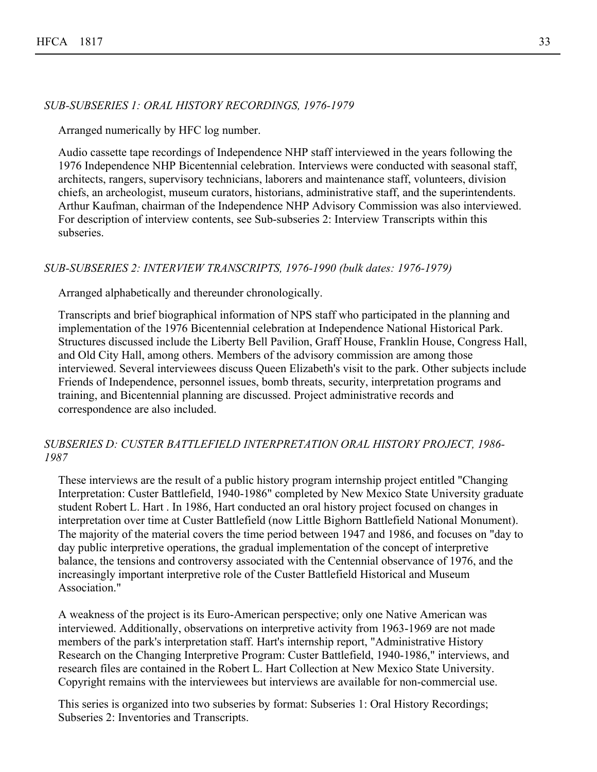#### *SUB-SUBSERIES 1: ORAL HISTORY RECORDINGS, 1976-1979*

Arranged numerically by HFC log number.

Audio cassette tape recordings of Independence NHP staff interviewed in the years following the 1976 Independence NHP Bicentennial celebration. Interviews were conducted with seasonal staff, architects, rangers, supervisory technicians, laborers and maintenance staff, volunteers, division chiefs, an archeologist, museum curators, historians, administrative staff, and the superintendents. Arthur Kaufman, chairman of the Independence NHP Advisory Commission was also interviewed. For description of interview contents, see Sub-subseries 2: Interview Transcripts within this subseries.

#### *SUB-SUBSERIES 2: INTERVIEW TRANSCRIPTS, 1976-1990 (bulk dates: 1976-1979)*

Arranged alphabetically and thereunder chronologically.

Transcripts and brief biographical information of NPS staff who participated in the planning and implementation of the 1976 Bicentennial celebration at Independence National Historical Park. Structures discussed include the Liberty Bell Pavilion, Graff House, Franklin House, Congress Hall, and Old City Hall, among others. Members of the advisory commission are among those interviewed. Several interviewees discuss Queen Elizabeth's visit to the park. Other subjects include Friends of Independence, personnel issues, bomb threats, security, interpretation programs and training, and Bicentennial planning are discussed. Project administrative records and correspondence are also included.

## *SUBSERIES D: CUSTER BATTLEFIELD INTERPRETATION ORAL HISTORY PROJECT, 1986- 1987*

These interviews are the result of a public history program internship project entitled "Changing Interpretation: Custer Battlefield, 1940-1986" completed by New Mexico State University graduate student Robert L. Hart . In 1986, Hart conducted an oral history project focused on changes in interpretation over time at Custer Battlefield (now Little Bighorn Battlefield National Monument). The majority of the material covers the time period between 1947 and 1986, and focuses on "day to day public interpretive operations, the gradual implementation of the concept of interpretive balance, the tensions and controversy associated with the Centennial observance of 1976, and the increasingly important interpretive role of the Custer Battlefield Historical and Museum Association."

A weakness of the project is its Euro-American perspective; only one Native American was interviewed. Additionally, observations on interpretive activity from 1963-1969 are not made members of the park's interpretation staff. Hart's internship report, "Administrative History Research on the Changing Interpretive Program: Custer Battlefield, 1940-1986," interviews, and research files are contained in the Robert L. Hart Collection at New Mexico State University. Copyright remains with the interviewees but interviews are available for non-commercial use.

This series is organized into two subseries by format: Subseries 1: Oral History Recordings; Subseries 2: Inventories and Transcripts.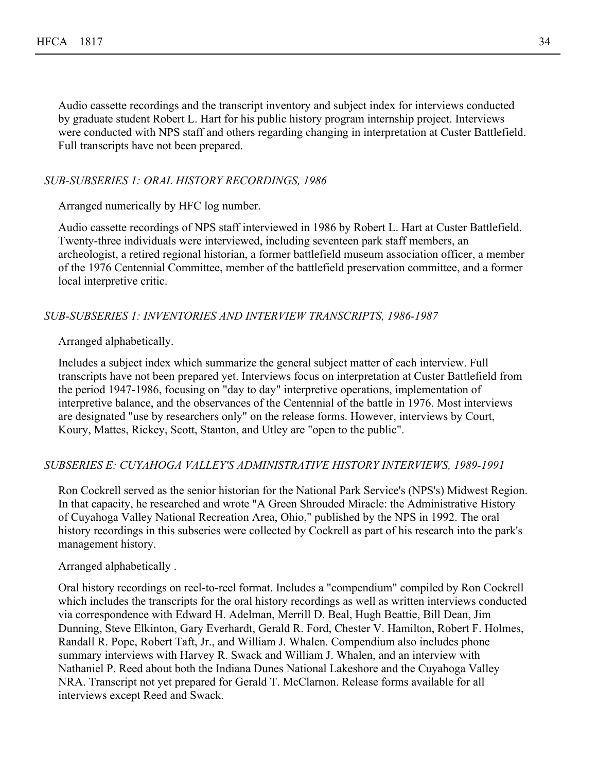Audio cassette recordings and the transcript inventory and subject index for interviews conducted by graduate student Robert L. Hart for his public history program internship project. Interviews were conducted with NPS staff and others regarding changing in interpretation at Custer Battlefield. Full transcripts have not been prepared.

#### *SUB-SUBSERIES 1: ORAL HISTORY RECORDINGS, 1986*

Arranged numerically by HFC log number.

Audio cassette recordings of NPS staff interviewed in 1986 by Robert L. Hart at Custer Battlefield. Twenty-three individuals were interviewed, including seventeen park staff members, an archeologist, a retired regional historian, a former battlefield museum association officer, a member of the 1976 Centennial Committee, member of the battlefield preservation committee, and a former local interpretive critic.

#### *SUB-SUBSERIES 1: INVENTORIES AND INTERVIEW TRANSCRIPTS, 1986-1987*

Arranged alphabetically.

Includes a subject index which summarize the general subject matter of each interview. Full transcripts have not been prepared yet. Interviews focus on interpretation at Custer Battlefield from the period 1947-1986, focusing on "day to day" interpretive operations, implementation of interpretive balance, and the observances of the Centennial of the battle in 1976. Most interviews are designated "use by researchers only" on the release forms. However, interviews by Court, Koury, Mattes, Rickey, Scott, Stanton, and Utley are "open to the public".

#### *SUBSERIES E: CUYAHOGA VALLEY'S ADMINISTRATIVE HISTORY INTERVIEWS, 1989-1991*

Ron Cockrell served as the senior historian for the National Park Service's (NPS's) Midwest Region. In that capacity, he researched and wrote "A Green Shrouded Miracle: the Administrative History of Cuyahoga Valley National Recreation Area, Ohio," published by the NPS in 1992. The oral history recordings in this subseries were collected by Cockrell as part of his research into the park's management history.

#### Arranged alphabetically .

Oral history recordings on reel-to-reel format. Includes a "compendium" compiled by Ron Cockrell which includes the transcripts for the oral history recordings as well as written interviews conducted via correspondence with Edward H. Adelman, Merrill D. Beal, Hugh Beattie, Bill Dean, Jim Dunning, Steve Elkinton, Gary Everhardt, Gerald R. Ford, Chester V. Hamilton, Robert F. Holmes, Randall R. Pope, Robert Taft, Jr., and William J. Whalen. Compendium also includes phone summary interviews with Harvey R. Swack and William J. Whalen, and an interview with Nathaniel P. Reed about both the Indiana Dunes National Lakeshore and the Cuyahoga Valley NRA. Transcript not yet prepared for Gerald T. McClarnon. Release forms available for all interviews except Reed and Swack.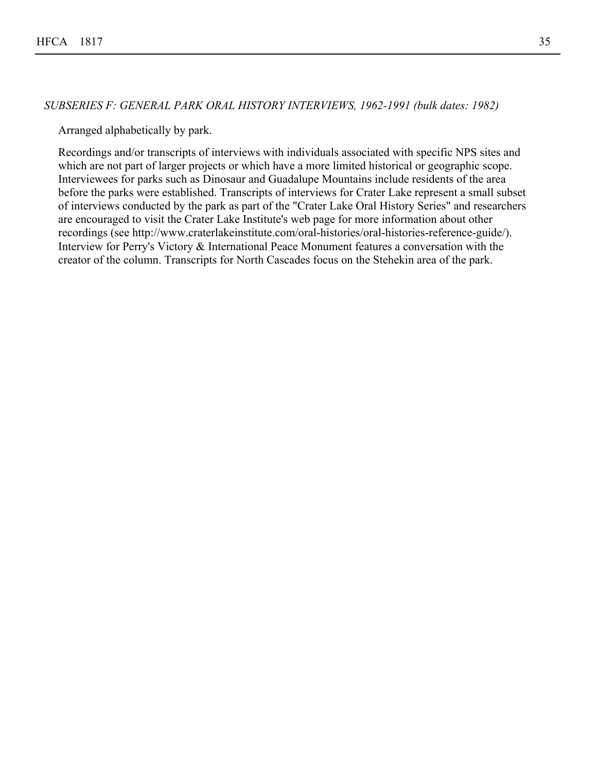#### *SUBSERIES F: GENERAL PARK ORAL HISTORY INTERVIEWS, 1962-1991 (bulk dates: 1982)*

Arranged alphabetically by park.

Recordings and/or transcripts of interviews with individuals associated with specific NPS sites and which are not part of larger projects or which have a more limited historical or geographic scope. Interviewees for parks such as Dinosaur and Guadalupe Mountains include residents of the area before the parks were established. Transcripts of interviews for Crater Lake represent a small subset of interviews conducted by the park as part of the "Crater Lake Oral History Series" and researchers are encouraged to visit the Crater Lake Institute's web page for more information about other recordings (see http://www.craterlakeinstitute.com/oral-histories/oral-histories-reference-guide/). Interview for Perry's Victory & International Peace Monument features a conversation with the creator of the column. Transcripts for North Cascades focus on the Stehekin area of the park.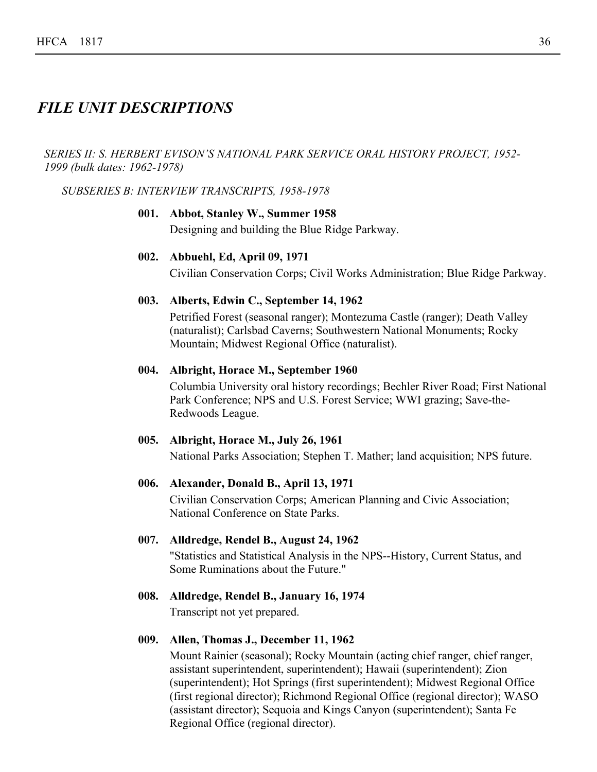## *FILE UNIT DESCRIPTIONS*

*SERIES II: S. HERBERT EVISON'S NATIONAL PARK SERVICE ORAL HISTORY PROJECT, 1952- 1999 (bulk dates: 1962-1978)*

*SUBSERIES B: INTERVIEW TRANSCRIPTS, 1958-1978*

## **001. Abbot, Stanley W., Summer 1958**

Designing and building the Blue Ridge Parkway.

## **002. Abbuehl, Ed, April 09, 1971**

Civilian Conservation Corps; Civil Works Administration; Blue Ridge Parkway.

#### **003. Alberts, Edwin C., September 14, 1962**

Petrified Forest (seasonal ranger); Montezuma Castle (ranger); Death Valley (naturalist); Carlsbad Caverns; Southwestern National Monuments; Rocky Mountain; Midwest Regional Office (naturalist).

#### **004. Albright, Horace M., September 1960**

Columbia University oral history recordings; Bechler River Road; First National Park Conference; NPS and U.S. Forest Service; WWI grazing; Save-the-Redwoods League.

#### **005. Albright, Horace M., July 26, 1961**

National Parks Association; Stephen T. Mather; land acquisition; NPS future.

#### **006. Alexander, Donald B., April 13, 1971**

Civilian Conservation Corps; American Planning and Civic Association; National Conference on State Parks.

## **007. Alldredge, Rendel B., August 24, 1962**

"Statistics and Statistical Analysis in the NPS--History, Current Status, and Some Ruminations about the Future."

**008. Alldredge, Rendel B., January 16, 1974**

Transcript not yet prepared.

## **009. Allen, Thomas J., December 11, 1962**

Mount Rainier (seasonal); Rocky Mountain (acting chief ranger, chief ranger, assistant superintendent, superintendent); Hawaii (superintendent); Zion (superintendent); Hot Springs (first superintendent); Midwest Regional Office (first regional director); Richmond Regional Office (regional director); WASO (assistant director); Sequoia and Kings Canyon (superintendent); Santa Fe Regional Office (regional director).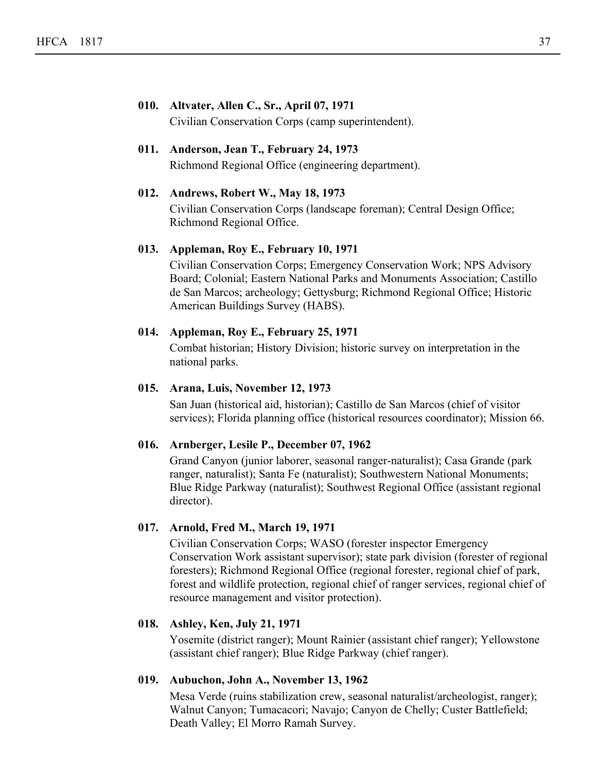#### **010. Altvater, Allen C., Sr., April 07, 1971**

Civilian Conservation Corps (camp superintendent).

## **011. Anderson, Jean T., February 24, 1973**

Richmond Regional Office (engineering department).

## **012. Andrews, Robert W., May 18, 1973**

Civilian Conservation Corps (landscape foreman); Central Design Office; Richmond Regional Office.

## **013. Appleman, Roy E., February 10, 1971**

Civilian Conservation Corps; Emergency Conservation Work; NPS Advisory Board; Colonial; Eastern National Parks and Monuments Association; Castillo de San Marcos; archeology; Gettysburg; Richmond Regional Office; Historic American Buildings Survey (HABS).

## **014. Appleman, Roy E., February 25, 1971**

Combat historian; History Division; historic survey on interpretation in the national parks.

#### **015. Arana, Luis, November 12, 1973**

San Juan (historical aid, historian); Castillo de San Marcos (chief of visitor services); Florida planning office (historical resources coordinator); Mission 66.

#### **016. Arnberger, Lesile P., December 07, 1962**

Grand Canyon (junior laborer, seasonal ranger-naturalist); Casa Grande (park ranger, naturalist); Santa Fe (naturalist); Southwestern National Monuments; Blue Ridge Parkway (naturalist); Southwest Regional Office (assistant regional director).

#### **017. Arnold, Fred M., March 19, 1971**

Civilian Conservation Corps; WASO (forester inspector Emergency Conservation Work assistant supervisor); state park division (forester of regional foresters); Richmond Regional Office (regional forester, regional chief of park, forest and wildlife protection, regional chief of ranger services, regional chief of resource management and visitor protection).

#### **018. Ashley, Ken, July 21, 1971**

Yosemite (district ranger); Mount Rainier (assistant chief ranger); Yellowstone (assistant chief ranger); Blue Ridge Parkway (chief ranger).

#### **019. Aubuchon, John A., November 13, 1962**

Mesa Verde (ruins stabilization crew, seasonal naturalist/archeologist, ranger); Walnut Canyon; Tumacacori; Navajo; Canyon de Chelly; Custer Battlefield; Death Valley; El Morro Ramah Survey.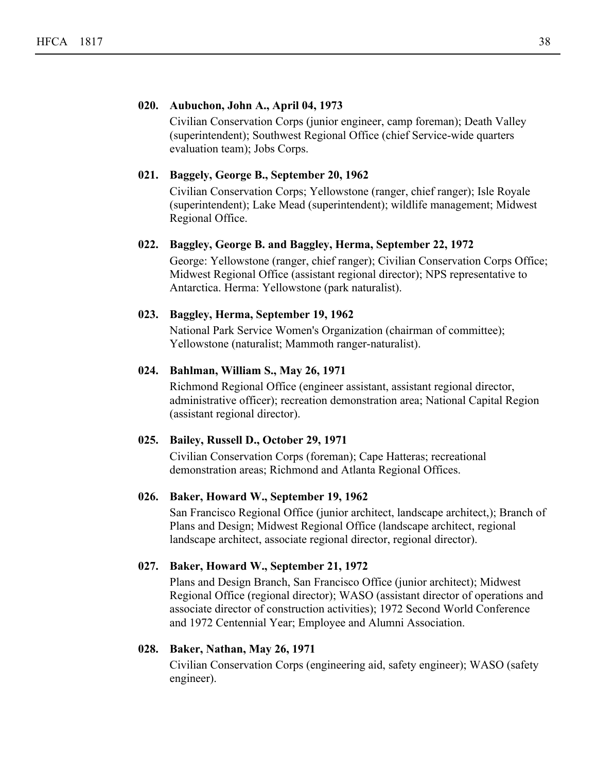#### **020. Aubuchon, John A., April 04, 1973**

Civilian Conservation Corps (junior engineer, camp foreman); Death Valley (superintendent); Southwest Regional Office (chief Service-wide quarters evaluation team); Jobs Corps.

#### **021. Baggely, George B., September 20, 1962**

Civilian Conservation Corps; Yellowstone (ranger, chief ranger); Isle Royale (superintendent); Lake Mead (superintendent); wildlife management; Midwest Regional Office.

#### **022. Baggley, George B. and Baggley, Herma, September 22, 1972**

George: Yellowstone (ranger, chief ranger); Civilian Conservation Corps Office; Midwest Regional Office (assistant regional director); NPS representative to Antarctica. Herma: Yellowstone (park naturalist).

#### **023. Baggley, Herma, September 19, 1962**

National Park Service Women's Organization (chairman of committee); Yellowstone (naturalist; Mammoth ranger-naturalist).

#### **024. Bahlman, William S., May 26, 1971**

Richmond Regional Office (engineer assistant, assistant regional director, administrative officer); recreation demonstration area; National Capital Region (assistant regional director).

#### **025. Bailey, Russell D., October 29, 1971**

Civilian Conservation Corps (foreman); Cape Hatteras; recreational demonstration areas; Richmond and Atlanta Regional Offices.

#### **026. Baker, Howard W., September 19, 1962**

San Francisco Regional Office (junior architect, landscape architect,); Branch of Plans and Design; Midwest Regional Office (landscape architect, regional landscape architect, associate regional director, regional director).

#### **027. Baker, Howard W., September 21, 1972**

Plans and Design Branch, San Francisco Office (junior architect); Midwest Regional Office (regional director); WASO (assistant director of operations and associate director of construction activities); 1972 Second World Conference and 1972 Centennial Year; Employee and Alumni Association.

#### **028. Baker, Nathan, May 26, 1971**

Civilian Conservation Corps (engineering aid, safety engineer); WASO (safety engineer).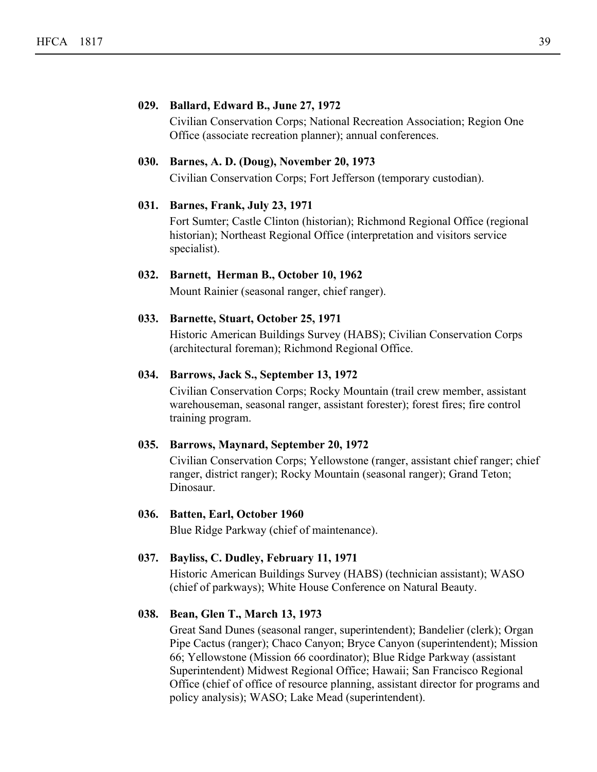#### **029. Ballard, Edward B., June 27, 1972**

Civilian Conservation Corps; National Recreation Association; Region One Office (associate recreation planner); annual conferences.

## **030. Barnes, A. D. (Doug), November 20, 1973**

Civilian Conservation Corps; Fort Jefferson (temporary custodian).

#### **031. Barnes, Frank, July 23, 1971**

Fort Sumter; Castle Clinton (historian); Richmond Regional Office (regional historian); Northeast Regional Office (interpretation and visitors service specialist).

## **032. Barnett, Herman B., October 10, 1962**

Mount Rainier (seasonal ranger, chief ranger).

#### **033. Barnette, Stuart, October 25, 1971**

Historic American Buildings Survey (HABS); Civilian Conservation Corps (architectural foreman); Richmond Regional Office.

## **034. Barrows, Jack S., September 13, 1972**

Civilian Conservation Corps; Rocky Mountain (trail crew member, assistant warehouseman, seasonal ranger, assistant forester); forest fires; fire control training program.

## **035. Barrows, Maynard, September 20, 1972**

Civilian Conservation Corps; Yellowstone (ranger, assistant chief ranger; chief ranger, district ranger); Rocky Mountain (seasonal ranger); Grand Teton; Dinosaur.

#### **036. Batten, Earl, October 1960**

Blue Ridge Parkway (chief of maintenance).

#### **037. Bayliss, C. Dudley, February 11, 1971**

Historic American Buildings Survey (HABS) (technician assistant); WASO (chief of parkways); White House Conference on Natural Beauty.

#### **038. Bean, Glen T., March 13, 1973**

Great Sand Dunes (seasonal ranger, superintendent); Bandelier (clerk); Organ Pipe Cactus (ranger); Chaco Canyon; Bryce Canyon (superintendent); Mission 66; Yellowstone (Mission 66 coordinator); Blue Ridge Parkway (assistant Superintendent) Midwest Regional Office; Hawaii; San Francisco Regional Office (chief of office of resource planning, assistant director for programs and policy analysis); WASO; Lake Mead (superintendent).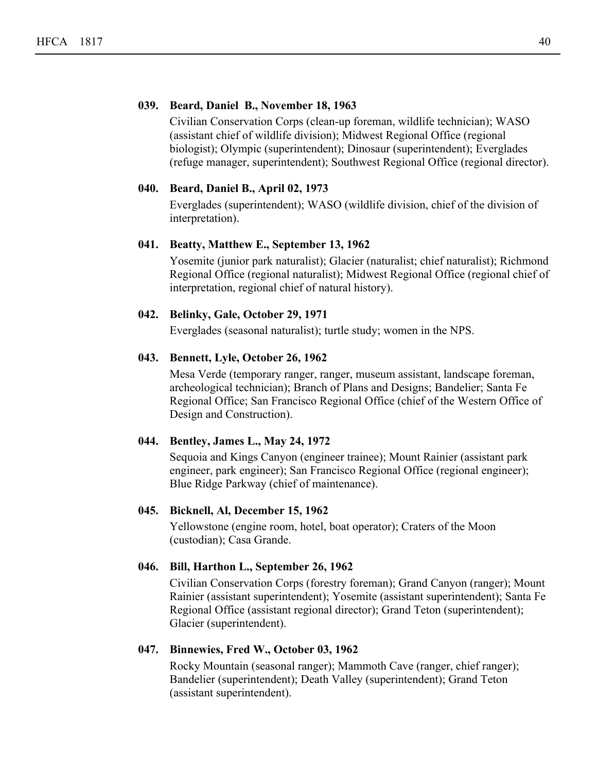#### **039. Beard, Daniel B., November 18, 1963**

Civilian Conservation Corps (clean-up foreman, wildlife technician); WASO (assistant chief of wildlife division); Midwest Regional Office (regional biologist); Olympic (superintendent); Dinosaur (superintendent); Everglades (refuge manager, superintendent); Southwest Regional Office (regional director).

## **040. Beard, Daniel B., April 02, 1973**

Everglades (superintendent); WASO (wildlife division, chief of the division of interpretation).

#### **041. Beatty, Matthew E., September 13, 1962**

Yosemite (junior park naturalist); Glacier (naturalist; chief naturalist); Richmond Regional Office (regional naturalist); Midwest Regional Office (regional chief of interpretation, regional chief of natural history).

#### **042. Belinky, Gale, October 29, 1971**

Everglades (seasonal naturalist); turtle study; women in the NPS.

## **043. Bennett, Lyle, October 26, 1962**

Mesa Verde (temporary ranger, ranger, museum assistant, landscape foreman, archeological technician); Branch of Plans and Designs; Bandelier; Santa Fe Regional Office; San Francisco Regional Office (chief of the Western Office of Design and Construction).

## **044. Bentley, James L., May 24, 1972**

Sequoia and Kings Canyon (engineer trainee); Mount Rainier (assistant park engineer, park engineer); San Francisco Regional Office (regional engineer); Blue Ridge Parkway (chief of maintenance).

## **045. Bicknell, Al, December 15, 1962**

Yellowstone (engine room, hotel, boat operator); Craters of the Moon (custodian); Casa Grande.

## **046. Bill, Harthon L., September 26, 1962**

Civilian Conservation Corps (forestry foreman); Grand Canyon (ranger); Mount Rainier (assistant superintendent); Yosemite (assistant superintendent); Santa Fe Regional Office (assistant regional director); Grand Teton (superintendent); Glacier (superintendent).

#### **047. Binnewies, Fred W., October 03, 1962**

Rocky Mountain (seasonal ranger); Mammoth Cave (ranger, chief ranger); Bandelier (superintendent); Death Valley (superintendent); Grand Teton (assistant superintendent).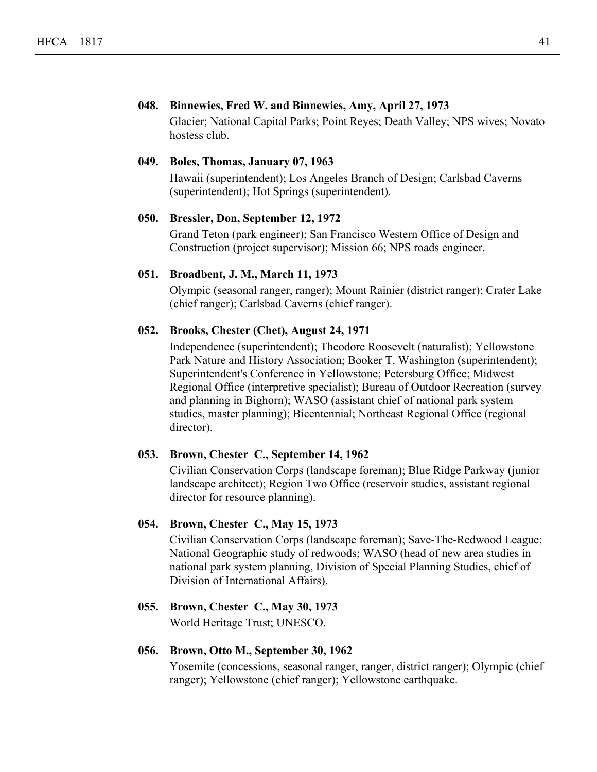#### **048. Binnewies, Fred W. and Binnewies, Amy, April 27, 1973**

Glacier; National Capital Parks; Point Reyes; Death Valley; NPS wives; Novato hostess club.

## **049. Boles, Thomas, January 07, 1963**

Hawaii (superintendent); Los Angeles Branch of Design; Carlsbad Caverns (superintendent); Hot Springs (superintendent).

#### **050. Bressler, Don, September 12, 1972**

Grand Teton (park engineer); San Francisco Western Office of Design and Construction (project supervisor); Mission 66; NPS roads engineer.

#### **051. Broadbent, J. M., March 11, 1973**

Olympic (seasonal ranger, ranger); Mount Rainier (district ranger); Crater Lake (chief ranger); Carlsbad Caverns (chief ranger).

## **052. Brooks, Chester (Chet), August 24, 1971**

Independence (superintendent); Theodore Roosevelt (naturalist); Yellowstone Park Nature and History Association; Booker T. Washington (superintendent); Superintendent's Conference in Yellowstone; Petersburg Office; Midwest Regional Office (interpretive specialist); Bureau of Outdoor Recreation (survey and planning in Bighorn); WASO (assistant chief of national park system studies, master planning); Bicentennial; Northeast Regional Office (regional director).

#### **053. Brown, Chester C., September 14, 1962**

Civilian Conservation Corps (landscape foreman); Blue Ridge Parkway (junior landscape architect); Region Two Office (reservoir studies, assistant regional director for resource planning).

#### **054. Brown, Chester C., May 15, 1973**

Civilian Conservation Corps (landscape foreman); Save-The-Redwood League; National Geographic study of redwoods; WASO (head of new area studies in national park system planning, Division of Special Planning Studies, chief of Division of International Affairs).

# **055. Brown, Chester C., May 30, 1973**

World Heritage Trust; UNESCO.

#### **056. Brown, Otto M., September 30, 1962**

Yosemite (concessions, seasonal ranger, ranger, district ranger); Olympic (chief ranger); Yellowstone (chief ranger); Yellowstone earthquake.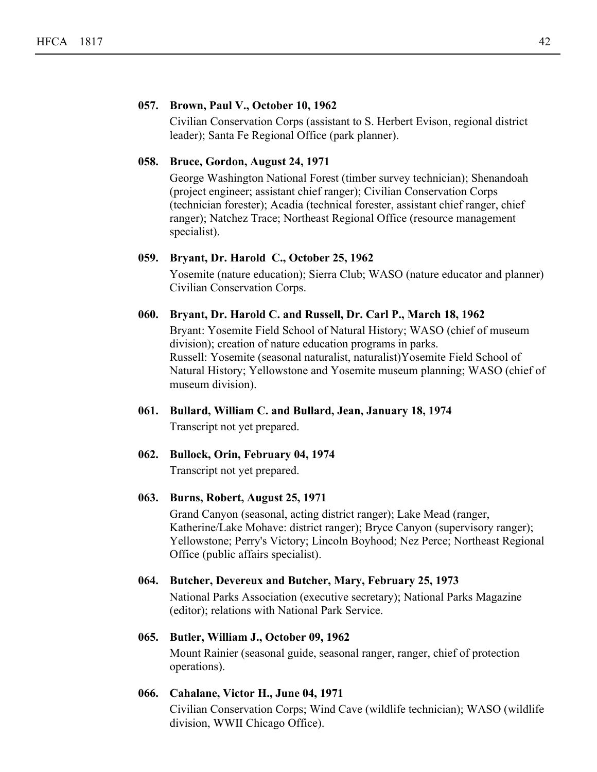#### **057. Brown, Paul V., October 10, 1962**

Civilian Conservation Corps (assistant to S. Herbert Evison, regional district leader); Santa Fe Regional Office (park planner).

#### **058. Bruce, Gordon, August 24, 1971**

George Washington National Forest (timber survey technician); Shenandoah (project engineer; assistant chief ranger); Civilian Conservation Corps (technician forester); Acadia (technical forester, assistant chief ranger, chief ranger); Natchez Trace; Northeast Regional Office (resource management specialist).

## **059. Bryant, Dr. Harold C., October 25, 1962**

Yosemite (nature education); Sierra Club; WASO (nature educator and planner) Civilian Conservation Corps.

#### **060. Bryant, Dr. Harold C. and Russell, Dr. Carl P., March 18, 1962**

Bryant: Yosemite Field School of Natural History; WASO (chief of museum division); creation of nature education programs in parks. Russell: Yosemite (seasonal naturalist, naturalist)Yosemite Field School of Natural History; Yellowstone and Yosemite museum planning; WASO (chief of museum division).

**061. Bullard, William C. and Bullard, Jean, January 18, 1974** Transcript not yet prepared.

## **062. Bullock, Orin, February 04, 1974**

Transcript not yet prepared.

## **063. Burns, Robert, August 25, 1971**

Grand Canyon (seasonal, acting district ranger); Lake Mead (ranger, Katherine/Lake Mohave: district ranger); Bryce Canyon (supervisory ranger); Yellowstone; Perry's Victory; Lincoln Boyhood; Nez Perce; Northeast Regional Office (public affairs specialist).

#### **064. Butcher, Devereux and Butcher, Mary, February 25, 1973**

National Parks Association (executive secretary); National Parks Magazine (editor); relations with National Park Service.

## **065. Butler, William J., October 09, 1962**

Mount Rainier (seasonal guide, seasonal ranger, ranger, chief of protection operations).

## **066. Cahalane, Victor H., June 04, 1971**

Civilian Conservation Corps; Wind Cave (wildlife technician); WASO (wildlife division, WWII Chicago Office).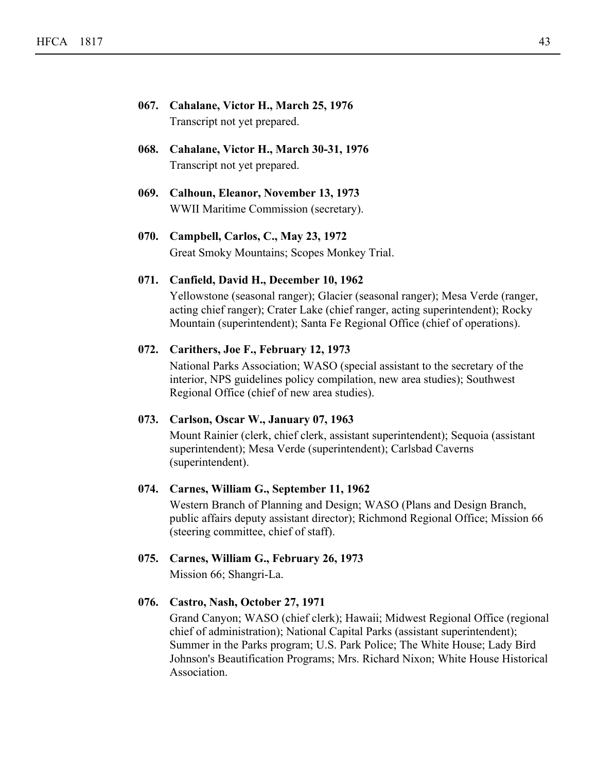- **067. Cahalane, Victor H., March 25, 1976** Transcript not yet prepared.
- **068. Cahalane, Victor H., March 30-31, 1976** Transcript not yet prepared.
- **069. Calhoun, Eleanor, November 13, 1973** WWII Maritime Commission (secretary).
- **070. Campbell, Carlos, C., May 23, 1972** Great Smoky Mountains; Scopes Monkey Trial.

#### **071. Canfield, David H., December 10, 1962**

Yellowstone (seasonal ranger); Glacier (seasonal ranger); Mesa Verde (ranger, acting chief ranger); Crater Lake (chief ranger, acting superintendent); Rocky Mountain (superintendent); Santa Fe Regional Office (chief of operations).

#### **072. Carithers, Joe F., February 12, 1973**

National Parks Association; WASO (special assistant to the secretary of the interior, NPS guidelines policy compilation, new area studies); Southwest Regional Office (chief of new area studies).

## **073. Carlson, Oscar W., January 07, 1963**

Mount Rainier (clerk, chief clerk, assistant superintendent); Sequoia (assistant superintendent); Mesa Verde (superintendent); Carlsbad Caverns (superintendent).

## **074. Carnes, William G., September 11, 1962**

Western Branch of Planning and Design; WASO (Plans and Design Branch, public affairs deputy assistant director); Richmond Regional Office; Mission 66 (steering committee, chief of staff).

#### **075. Carnes, William G., February 26, 1973**

Mission 66; Shangri-La.

#### **076. Castro, Nash, October 27, 1971**

Grand Canyon; WASO (chief clerk); Hawaii; Midwest Regional Office (regional chief of administration); National Capital Parks (assistant superintendent); Summer in the Parks program; U.S. Park Police; The White House; Lady Bird Johnson's Beautification Programs; Mrs. Richard Nixon; White House Historical Association.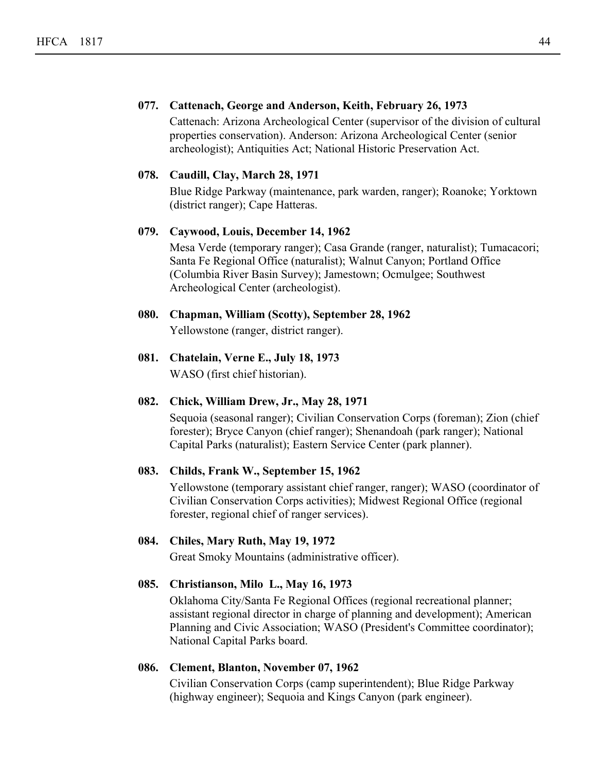## **077. Cattenach, George and Anderson, Keith, February 26, 1973**

Cattenach: Arizona Archeological Center (supervisor of the division of cultural properties conservation). Anderson: Arizona Archeological Center (senior archeologist); Antiquities Act; National Historic Preservation Act.

#### **078. Caudill, Clay, March 28, 1971**

Blue Ridge Parkway (maintenance, park warden, ranger); Roanoke; Yorktown (district ranger); Cape Hatteras.

## **079. Caywood, Louis, December 14, 1962**

Mesa Verde (temporary ranger); Casa Grande (ranger, naturalist); Tumacacori; Santa Fe Regional Office (naturalist); Walnut Canyon; Portland Office (Columbia River Basin Survey); Jamestown; Ocmulgee; Southwest Archeological Center (archeologist).

# **080. Chapman, William (Scotty), September 28, 1962**

Yellowstone (ranger, district ranger).

**081. Chatelain, Verne E., July 18, 1973** WASO (first chief historian).

## **082. Chick, William Drew, Jr., May 28, 1971**

Sequoia (seasonal ranger); Civilian Conservation Corps (foreman); Zion (chief forester); Bryce Canyon (chief ranger); Shenandoah (park ranger); National Capital Parks (naturalist); Eastern Service Center (park planner).

## **083. Childs, Frank W., September 15, 1962**

Yellowstone (temporary assistant chief ranger, ranger); WASO (coordinator of Civilian Conservation Corps activities); Midwest Regional Office (regional forester, regional chief of ranger services).

## **084. Chiles, Mary Ruth, May 19, 1972**

Great Smoky Mountains (administrative officer).

## **085. Christianson, Milo L., May 16, 1973**

Oklahoma City/Santa Fe Regional Offices (regional recreational planner; assistant regional director in charge of planning and development); American Planning and Civic Association; WASO (President's Committee coordinator); National Capital Parks board.

## **086. Clement, Blanton, November 07, 1962**

Civilian Conservation Corps (camp superintendent); Blue Ridge Parkway (highway engineer); Sequoia and Kings Canyon (park engineer).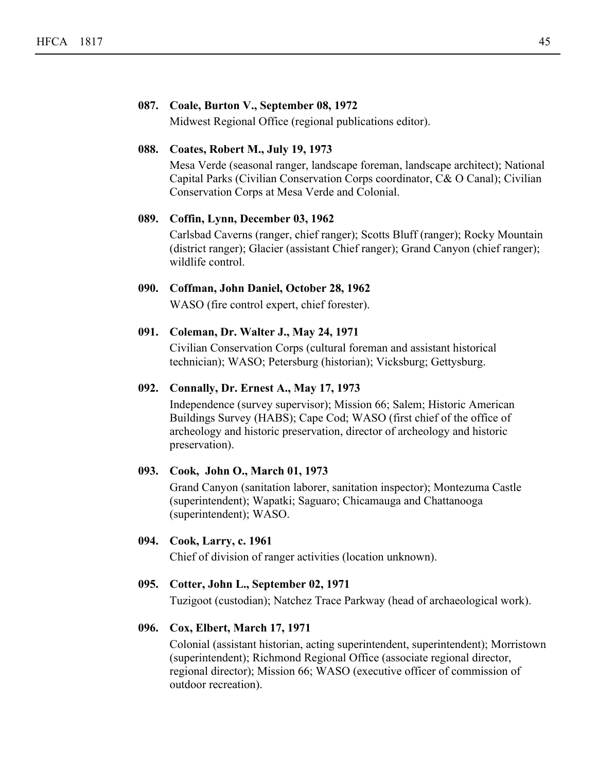#### **087. Coale, Burton V., September 08, 1972**

Midwest Regional Office (regional publications editor).

## **088. Coates, Robert M., July 19, 1973**

Mesa Verde (seasonal ranger, landscape foreman, landscape architect); National Capital Parks (Civilian Conservation Corps coordinator, C& O Canal); Civilian Conservation Corps at Mesa Verde and Colonial.

#### **089. Coffin, Lynn, December 03, 1962**

Carlsbad Caverns (ranger, chief ranger); Scotts Bluff (ranger); Rocky Mountain (district ranger); Glacier (assistant Chief ranger); Grand Canyon (chief ranger); wildlife control.

## **090. Coffman, John Daniel, October 28, 1962**

WASO (fire control expert, chief forester).

## **091. Coleman, Dr. Walter J., May 24, 1971**

Civilian Conservation Corps (cultural foreman and assistant historical technician); WASO; Petersburg (historian); Vicksburg; Gettysburg.

#### **092. Connally, Dr. Ernest A., May 17, 1973**

Independence (survey supervisor); Mission 66; Salem; Historic American Buildings Survey (HABS); Cape Cod; WASO (first chief of the office of archeology and historic preservation, director of archeology and historic preservation).

## **093. Cook, John O., March 01, 1973**

Grand Canyon (sanitation laborer, sanitation inspector); Montezuma Castle (superintendent); Wapatki; Saguaro; Chicamauga and Chattanooga (superintendent); WASO.

## **094. Cook, Larry, c. 1961**

Chief of division of ranger activities (location unknown).

## **095. Cotter, John L., September 02, 1971**

Tuzigoot (custodian); Natchez Trace Parkway (head of archaeological work).

## **096. Cox, Elbert, March 17, 1971**

Colonial (assistant historian, acting superintendent, superintendent); Morristown (superintendent); Richmond Regional Office (associate regional director, regional director); Mission 66; WASO (executive officer of commission of outdoor recreation).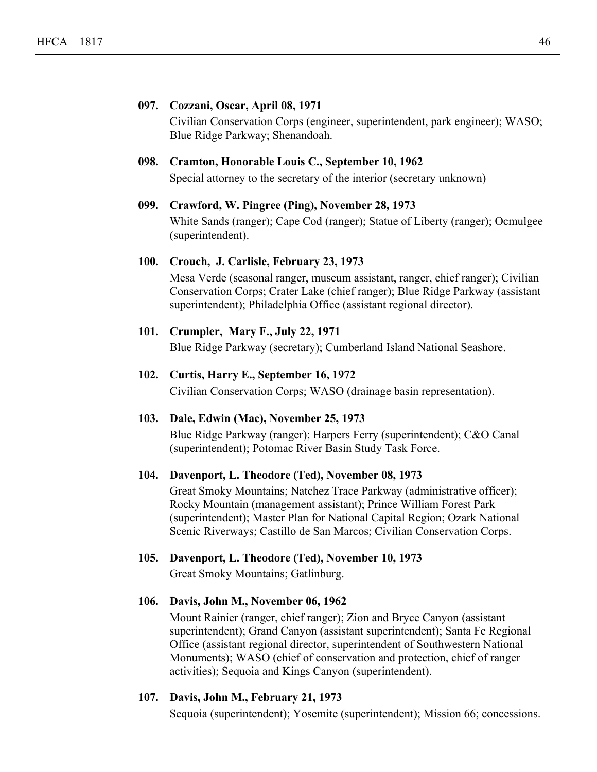#### **097. Cozzani, Oscar, April 08, 1971**

Civilian Conservation Corps (engineer, superintendent, park engineer); WASO; Blue Ridge Parkway; Shenandoah.

## **098. Cramton, Honorable Louis C., September 10, 1962**

Special attorney to the secretary of the interior (secretary unknown)

#### **099. Crawford, W. Pingree (Ping), November 28, 1973**

White Sands (ranger); Cape Cod (ranger); Statue of Liberty (ranger); Ocmulgee (superintendent).

#### **100. Crouch, J. Carlisle, February 23, 1973**

Mesa Verde (seasonal ranger, museum assistant, ranger, chief ranger); Civilian Conservation Corps; Crater Lake (chief ranger); Blue Ridge Parkway (assistant superintendent); Philadelphia Office (assistant regional director).

#### **101. Crumpler, Mary F., July 22, 1971**

Blue Ridge Parkway (secretary); Cumberland Island National Seashore.

## **102. Curtis, Harry E., September 16, 1972**

Civilian Conservation Corps; WASO (drainage basin representation).

#### **103. Dale, Edwin (Mac), November 25, 1973**

Blue Ridge Parkway (ranger); Harpers Ferry (superintendent); C&O Canal (superintendent); Potomac River Basin Study Task Force.

#### **104. Davenport, L. Theodore (Ted), November 08, 1973**

Great Smoky Mountains; Natchez Trace Parkway (administrative officer); Rocky Mountain (management assistant); Prince William Forest Park (superintendent); Master Plan for National Capital Region; Ozark National Scenic Riverways; Castillo de San Marcos; Civilian Conservation Corps.

## **105. Davenport, L. Theodore (Ted), November 10, 1973**

Great Smoky Mountains; Gatlinburg.

## **106. Davis, John M., November 06, 1962**

Mount Rainier (ranger, chief ranger); Zion and Bryce Canyon (assistant superintendent); Grand Canyon (assistant superintendent); Santa Fe Regional Office (assistant regional director, superintendent of Southwestern National Monuments); WASO (chief of conservation and protection, chief of ranger activities); Sequoia and Kings Canyon (superintendent).

## **107. Davis, John M., February 21, 1973**

Sequoia (superintendent); Yosemite (superintendent); Mission 66; concessions.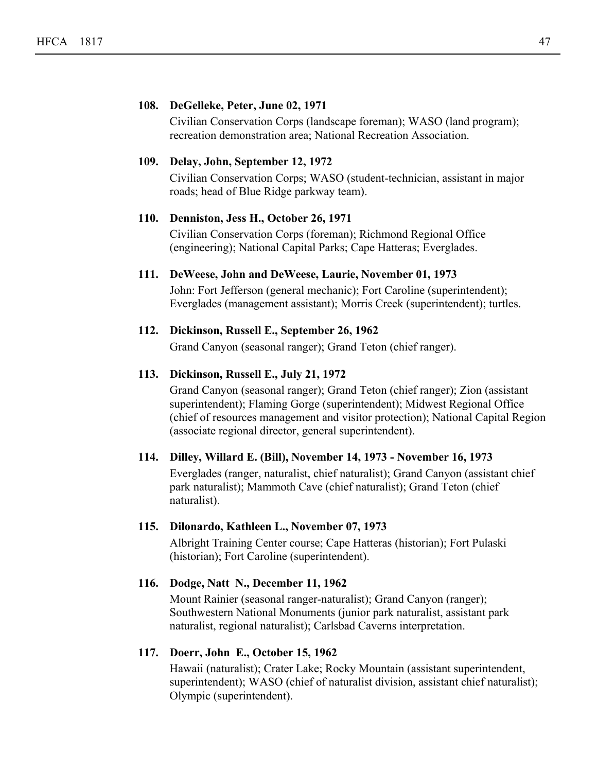#### **108. DeGelleke, Peter, June 02, 1971**

Civilian Conservation Corps (landscape foreman); WASO (land program); recreation demonstration area; National Recreation Association.

#### **109. Delay, John, September 12, 1972**

Civilian Conservation Corps; WASO (student-technician, assistant in major roads; head of Blue Ridge parkway team).

#### **110. Denniston, Jess H., October 26, 1971**

Civilian Conservation Corps (foreman); Richmond Regional Office (engineering); National Capital Parks; Cape Hatteras; Everglades.

#### **111. DeWeese, John and DeWeese, Laurie, November 01, 1973**

John: Fort Jefferson (general mechanic); Fort Caroline (superintendent); Everglades (management assistant); Morris Creek (superintendent); turtles.

#### **112. Dickinson, Russell E., September 26, 1962**

Grand Canyon (seasonal ranger); Grand Teton (chief ranger).

#### **113. Dickinson, Russell E., July 21, 1972**

Grand Canyon (seasonal ranger); Grand Teton (chief ranger); Zion (assistant superintendent); Flaming Gorge (superintendent); Midwest Regional Office (chief of resources management and visitor protection); National Capital Region (associate regional director, general superintendent).

### **114. Dilley, Willard E. (Bill), November 14, 1973 - November 16, 1973**

Everglades (ranger, naturalist, chief naturalist); Grand Canyon (assistant chief park naturalist); Mammoth Cave (chief naturalist); Grand Teton (chief naturalist).

#### **115. Dilonardo, Kathleen L., November 07, 1973**

Albright Training Center course; Cape Hatteras (historian); Fort Pulaski (historian); Fort Caroline (superintendent).

## **116. Dodge, Natt N., December 11, 1962**

Mount Rainier (seasonal ranger-naturalist); Grand Canyon (ranger); Southwestern National Monuments (junior park naturalist, assistant park naturalist, regional naturalist); Carlsbad Caverns interpretation.

#### **117. Doerr, John E., October 15, 1962**

Hawaii (naturalist); Crater Lake; Rocky Mountain (assistant superintendent, superintendent); WASO (chief of naturalist division, assistant chief naturalist); Olympic (superintendent).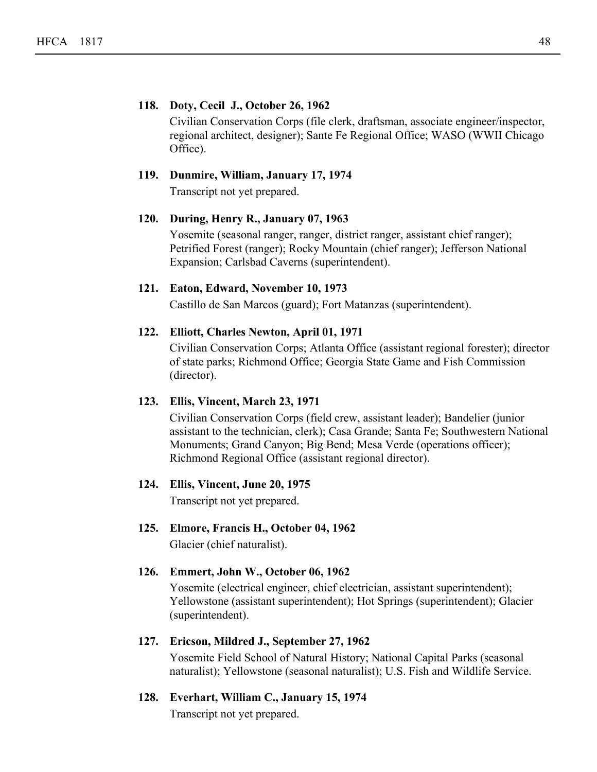#### **118. Doty, Cecil J., October 26, 1962**

Civilian Conservation Corps (file clerk, draftsman, associate engineer/inspector, regional architect, designer); Sante Fe Regional Office; WASO (WWII Chicago Office).

## **119. Dunmire, William, January 17, 1974**

Transcript not yet prepared.

#### **120. During, Henry R., January 07, 1963**

Yosemite (seasonal ranger, ranger, district ranger, assistant chief ranger); Petrified Forest (ranger); Rocky Mountain (chief ranger); Jefferson National Expansion; Carlsbad Caverns (superintendent).

### **121. Eaton, Edward, November 10, 1973**

Castillo de San Marcos (guard); Fort Matanzas (superintendent).

#### **122. Elliott, Charles Newton, April 01, 1971**

Civilian Conservation Corps; Atlanta Office (assistant regional forester); director of state parks; Richmond Office; Georgia State Game and Fish Commission (director).

#### **123. Ellis, Vincent, March 23, 1971**

Civilian Conservation Corps (field crew, assistant leader); Bandelier (junior assistant to the technician, clerk); Casa Grande; Santa Fe; Southwestern National Monuments; Grand Canyon; Big Bend; Mesa Verde (operations officer); Richmond Regional Office (assistant regional director).

#### **124. Ellis, Vincent, June 20, 1975**

Transcript not yet prepared.

**125. Elmore, Francis H., October 04, 1962** Glacier (chief naturalist).

#### **126. Emmert, John W., October 06, 1962**

Yosemite (electrical engineer, chief electrician, assistant superintendent); Yellowstone (assistant superintendent); Hot Springs (superintendent); Glacier (superintendent).

#### **127. Ericson, Mildred J., September 27, 1962**

Yosemite Field School of Natural History; National Capital Parks (seasonal naturalist); Yellowstone (seasonal naturalist); U.S. Fish and Wildlife Service.

**128. Everhart, William C., January 15, 1974**

Transcript not yet prepared.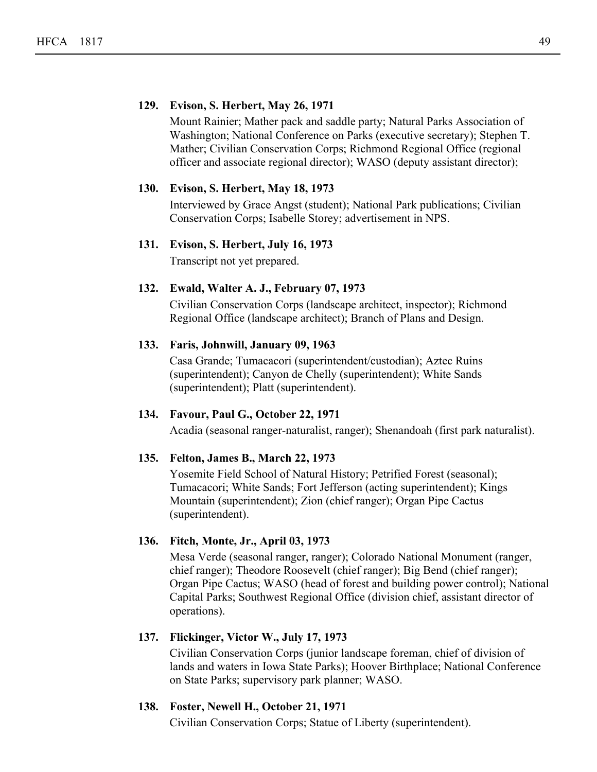#### **129. Evison, S. Herbert, May 26, 1971**

Mount Rainier; Mather pack and saddle party; Natural Parks Association of Washington; National Conference on Parks (executive secretary); Stephen T. Mather; Civilian Conservation Corps; Richmond Regional Office (regional officer and associate regional director); WASO (deputy assistant director);

#### **130. Evison, S. Herbert, May 18, 1973**

Interviewed by Grace Angst (student); National Park publications; Civilian Conservation Corps; Isabelle Storey; advertisement in NPS.

# **131. Evison, S. Herbert, July 16, 1973**

Transcript not yet prepared.

## **132. Ewald, Walter A. J., February 07, 1973**

Civilian Conservation Corps (landscape architect, inspector); Richmond Regional Office (landscape architect); Branch of Plans and Design.

#### **133. Faris, Johnwill, January 09, 1963**

Casa Grande; Tumacacori (superintendent/custodian); Aztec Ruins (superintendent); Canyon de Chelly (superintendent); White Sands (superintendent); Platt (superintendent).

#### **134. Favour, Paul G., October 22, 1971**

Acadia (seasonal ranger-naturalist, ranger); Shenandoah (first park naturalist).

#### **135. Felton, James B., March 22, 1973**

Yosemite Field School of Natural History; Petrified Forest (seasonal); Tumacacori; White Sands; Fort Jefferson (acting superintendent); Kings Mountain (superintendent); Zion (chief ranger); Organ Pipe Cactus (superintendent).

## **136. Fitch, Monte, Jr., April 03, 1973**

Mesa Verde (seasonal ranger, ranger); Colorado National Monument (ranger, chief ranger); Theodore Roosevelt (chief ranger); Big Bend (chief ranger); Organ Pipe Cactus; WASO (head of forest and building power control); National Capital Parks; Southwest Regional Office (division chief, assistant director of operations).

## **137. Flickinger, Victor W., July 17, 1973**

Civilian Conservation Corps (junior landscape foreman, chief of division of lands and waters in Iowa State Parks); Hoover Birthplace; National Conference on State Parks; supervisory park planner; WASO.

## **138. Foster, Newell H., October 21, 1971**

Civilian Conservation Corps; Statue of Liberty (superintendent).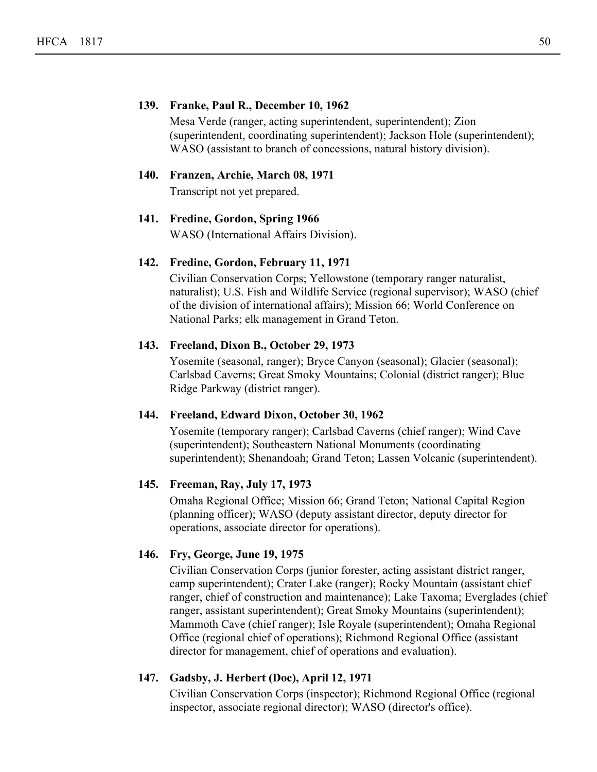#### **139. Franke, Paul R., December 10, 1962**

Mesa Verde (ranger, acting superintendent, superintendent); Zion (superintendent, coordinating superintendent); Jackson Hole (superintendent); WASO (assistant to branch of concessions, natural history division).

### **140. Franzen, Archie, March 08, 1971**

Transcript not yet prepared.

#### **141. Fredine, Gordon, Spring 1966**

WASO (International Affairs Division).

#### **142. Fredine, Gordon, February 11, 1971**

Civilian Conservation Corps; Yellowstone (temporary ranger naturalist, naturalist); U.S. Fish and Wildlife Service (regional supervisor); WASO (chief of the division of international affairs); Mission 66; World Conference on National Parks; elk management in Grand Teton.

## **143. Freeland, Dixon B., October 29, 1973**

Yosemite (seasonal, ranger); Bryce Canyon (seasonal); Glacier (seasonal); Carlsbad Caverns; Great Smoky Mountains; Colonial (district ranger); Blue Ridge Parkway (district ranger).

#### **144. Freeland, Edward Dixon, October 30, 1962**

Yosemite (temporary ranger); Carlsbad Caverns (chief ranger); Wind Cave (superintendent); Southeastern National Monuments (coordinating superintendent); Shenandoah; Grand Teton; Lassen Volcanic (superintendent).

## **145. Freeman, Ray, July 17, 1973**

Omaha Regional Office; Mission 66; Grand Teton; National Capital Region (planning officer); WASO (deputy assistant director, deputy director for operations, associate director for operations).

## **146. Fry, George, June 19, 1975**

Civilian Conservation Corps (junior forester, acting assistant district ranger, camp superintendent); Crater Lake (ranger); Rocky Mountain (assistant chief ranger, chief of construction and maintenance); Lake Taxoma; Everglades (chief ranger, assistant superintendent); Great Smoky Mountains (superintendent); Mammoth Cave (chief ranger); Isle Royale (superintendent); Omaha Regional Office (regional chief of operations); Richmond Regional Office (assistant director for management, chief of operations and evaluation).

#### **147. Gadsby, J. Herbert (Doc), April 12, 1971**

Civilian Conservation Corps (inspector); Richmond Regional Office (regional inspector, associate regional director); WASO (director's office).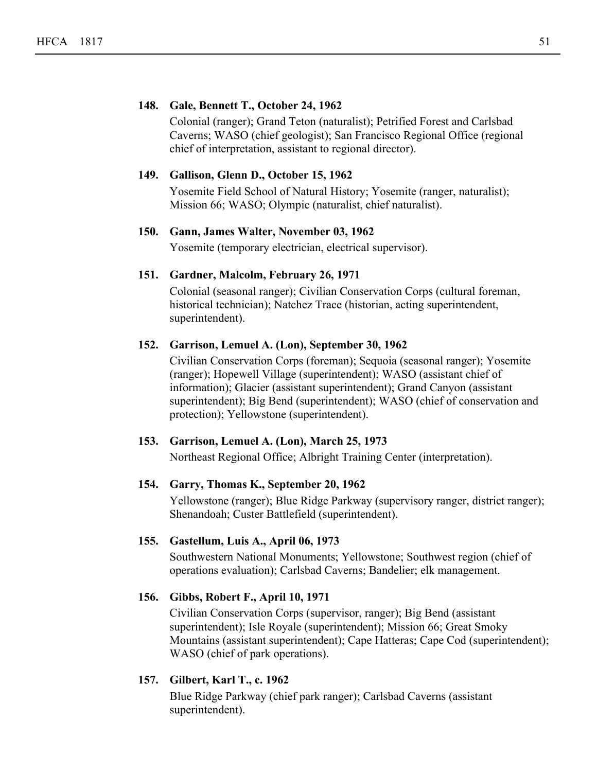#### **148. Gale, Bennett T., October 24, 1962**

Colonial (ranger); Grand Teton (naturalist); Petrified Forest and Carlsbad Caverns; WASO (chief geologist); San Francisco Regional Office (regional chief of interpretation, assistant to regional director).

#### **149. Gallison, Glenn D., October 15, 1962**

Yosemite Field School of Natural History; Yosemite (ranger, naturalist); Mission 66; WASO; Olympic (naturalist, chief naturalist).

#### **150. Gann, James Walter, November 03, 1962**

Yosemite (temporary electrician, electrical supervisor).

#### **151. Gardner, Malcolm, February 26, 1971**

Colonial (seasonal ranger); Civilian Conservation Corps (cultural foreman, historical technician); Natchez Trace (historian, acting superintendent, superintendent).

#### **152. Garrison, Lemuel A. (Lon), September 30, 1962**

Civilian Conservation Corps (foreman); Sequoia (seasonal ranger); Yosemite (ranger); Hopewell Village (superintendent); WASO (assistant chief of information); Glacier (assistant superintendent); Grand Canyon (assistant superintendent); Big Bend (superintendent); WASO (chief of conservation and protection); Yellowstone (superintendent).

## **153. Garrison, Lemuel A. (Lon), March 25, 1973**

Northeast Regional Office; Albright Training Center (interpretation).

## **154. Garry, Thomas K., September 20, 1962**

Yellowstone (ranger); Blue Ridge Parkway (supervisory ranger, district ranger); Shenandoah; Custer Battlefield (superintendent).

## **155. Gastellum, Luis A., April 06, 1973**

Southwestern National Monuments; Yellowstone; Southwest region (chief of operations evaluation); Carlsbad Caverns; Bandelier; elk management.

## **156. Gibbs, Robert F., April 10, 1971**

Civilian Conservation Corps (supervisor, ranger); Big Bend (assistant superintendent); Isle Royale (superintendent); Mission 66; Great Smoky Mountains (assistant superintendent); Cape Hatteras; Cape Cod (superintendent); WASO (chief of park operations).

## **157. Gilbert, Karl T., c. 1962**

Blue Ridge Parkway (chief park ranger); Carlsbad Caverns (assistant superintendent).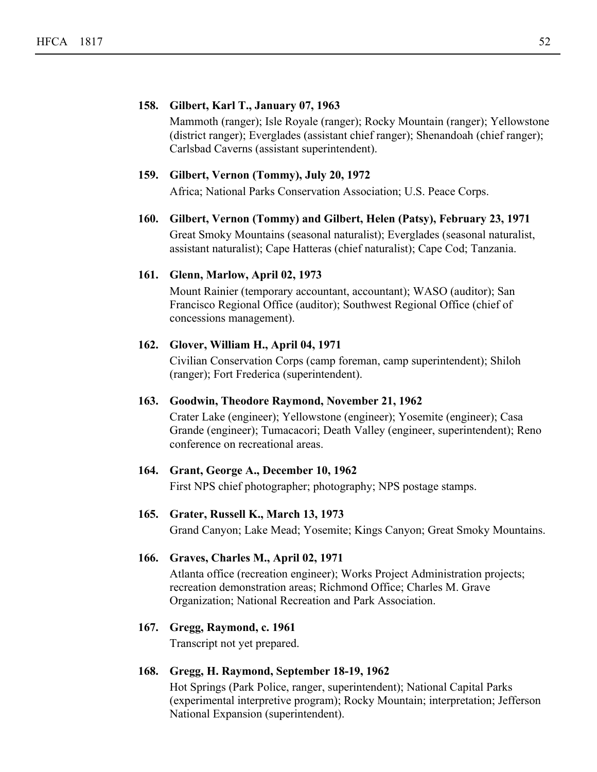#### **158. Gilbert, Karl T., January 07, 1963**

Mammoth (ranger); Isle Royale (ranger); Rocky Mountain (ranger); Yellowstone (district ranger); Everglades (assistant chief ranger); Shenandoah (chief ranger); Carlsbad Caverns (assistant superintendent).

#### **159. Gilbert, Vernon (Tommy), July 20, 1972**

Africa; National Parks Conservation Association; U.S. Peace Corps.

#### **160. Gilbert, Vernon (Tommy) and Gilbert, Helen (Patsy), February 23, 1971**

Great Smoky Mountains (seasonal naturalist); Everglades (seasonal naturalist, assistant naturalist); Cape Hatteras (chief naturalist); Cape Cod; Tanzania.

#### **161. Glenn, Marlow, April 02, 1973**

Mount Rainier (temporary accountant, accountant); WASO (auditor); San Francisco Regional Office (auditor); Southwest Regional Office (chief of concessions management).

#### **162. Glover, William H., April 04, 1971**

Civilian Conservation Corps (camp foreman, camp superintendent); Shiloh (ranger); Fort Frederica (superintendent).

#### **163. Goodwin, Theodore Raymond, November 21, 1962**

Crater Lake (engineer); Yellowstone (engineer); Yosemite (engineer); Casa Grande (engineer); Tumacacori; Death Valley (engineer, superintendent); Reno conference on recreational areas.

#### **164. Grant, George A., December 10, 1962**

First NPS chief photographer; photography; NPS postage stamps.

## **165. Grater, Russell K., March 13, 1973**

Grand Canyon; Lake Mead; Yosemite; Kings Canyon; Great Smoky Mountains.

#### **166. Graves, Charles M., April 02, 1971**

Atlanta office (recreation engineer); Works Project Administration projects; recreation demonstration areas; Richmond Office; Charles M. Grave Organization; National Recreation and Park Association.

## **167. Gregg, Raymond, c. 1961**

Transcript not yet prepared.

#### **168. Gregg, H. Raymond, September 18-19, 1962**

Hot Springs (Park Police, ranger, superintendent); National Capital Parks (experimental interpretive program); Rocky Mountain; interpretation; Jefferson National Expansion (superintendent).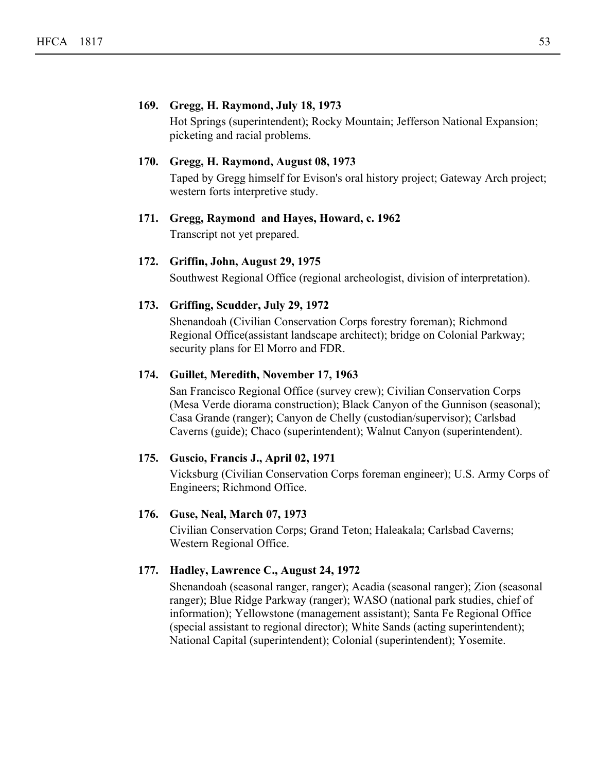#### **169. Gregg, H. Raymond, July 18, 1973**

Hot Springs (superintendent); Rocky Mountain; Jefferson National Expansion; picketing and racial problems.

#### **170. Gregg, H. Raymond, August 08, 1973**

Taped by Gregg himself for Evison's oral history project; Gateway Arch project; western forts interpretive study.

#### **171. Gregg, Raymond and Hayes, Howard, c. 1962**

Transcript not yet prepared.

#### **172. Griffin, John, August 29, 1975**

Southwest Regional Office (regional archeologist, division of interpretation).

## **173. Griffing, Scudder, July 29, 1972**

Shenandoah (Civilian Conservation Corps forestry foreman); Richmond Regional Office(assistant landscape architect); bridge on Colonial Parkway; security plans for El Morro and FDR.

## **174. Guillet, Meredith, November 17, 1963**

San Francisco Regional Office (survey crew); Civilian Conservation Corps (Mesa Verde diorama construction); Black Canyon of the Gunnison (seasonal); Casa Grande (ranger); Canyon de Chelly (custodian/supervisor); Carlsbad Caverns (guide); Chaco (superintendent); Walnut Canyon (superintendent).

#### **175. Guscio, Francis J., April 02, 1971**

Vicksburg (Civilian Conservation Corps foreman engineer); U.S. Army Corps of Engineers; Richmond Office.

#### **176. Guse, Neal, March 07, 1973**

Civilian Conservation Corps; Grand Teton; Haleakala; Carlsbad Caverns; Western Regional Office.

## **177. Hadley, Lawrence C., August 24, 1972**

Shenandoah (seasonal ranger, ranger); Acadia (seasonal ranger); Zion (seasonal ranger); Blue Ridge Parkway (ranger); WASO (national park studies, chief of information); Yellowstone (management assistant); Santa Fe Regional Office (special assistant to regional director); White Sands (acting superintendent); National Capital (superintendent); Colonial (superintendent); Yosemite.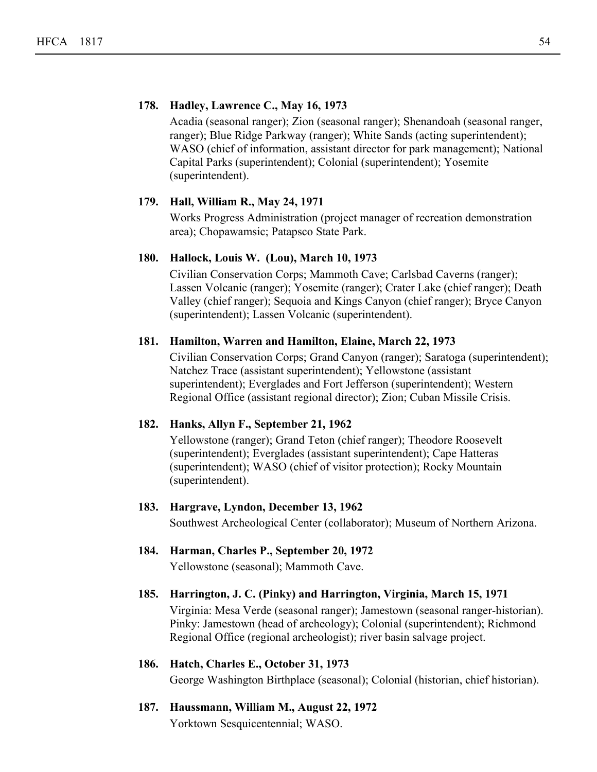### **178. Hadley, Lawrence C., May 16, 1973**

Acadia (seasonal ranger); Zion (seasonal ranger); Shenandoah (seasonal ranger, ranger); Blue Ridge Parkway (ranger); White Sands (acting superintendent); WASO (chief of information, assistant director for park management); National Capital Parks (superintendent); Colonial (superintendent); Yosemite (superintendent).

#### **179. Hall, William R., May 24, 1971**

Works Progress Administration (project manager of recreation demonstration area); Chopawamsic; Patapsco State Park.

## **180. Hallock, Louis W. (Lou), March 10, 1973**

Civilian Conservation Corps; Mammoth Cave; Carlsbad Caverns (ranger); Lassen Volcanic (ranger); Yosemite (ranger); Crater Lake (chief ranger); Death Valley (chief ranger); Sequoia and Kings Canyon (chief ranger); Bryce Canyon (superintendent); Lassen Volcanic (superintendent).

#### **181. Hamilton, Warren and Hamilton, Elaine, March 22, 1973**

Civilian Conservation Corps; Grand Canyon (ranger); Saratoga (superintendent); Natchez Trace (assistant superintendent); Yellowstone (assistant superintendent); Everglades and Fort Jefferson (superintendent); Western Regional Office (assistant regional director); Zion; Cuban Missile Crisis.

## **182. Hanks, Allyn F., September 21, 1962**

Yellowstone (ranger); Grand Teton (chief ranger); Theodore Roosevelt (superintendent); Everglades (assistant superintendent); Cape Hatteras (superintendent); WASO (chief of visitor protection); Rocky Mountain (superintendent).

#### **183. Hargrave, Lyndon, December 13, 1962**

Southwest Archeological Center (collaborator); Museum of Northern Arizona.

**184. Harman, Charles P., September 20, 1972** Yellowstone (seasonal); Mammoth Cave.

# **185. Harrington, J. C. (Pinky) and Harrington, Virginia, March 15, 1971**

Virginia: Mesa Verde (seasonal ranger); Jamestown (seasonal ranger-historian). Pinky: Jamestown (head of archeology); Colonial (superintendent); Richmond Regional Office (regional archeologist); river basin salvage project.

## **186. Hatch, Charles E., October 31, 1973**

George Washington Birthplace (seasonal); Colonial (historian, chief historian).

**187. Haussmann, William M., August 22, 1972** Yorktown Sesquicentennial; WASO.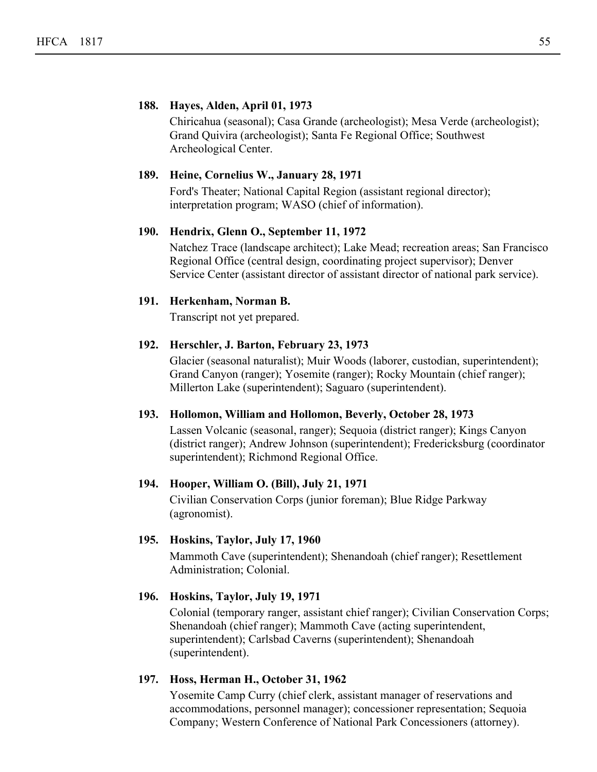#### **188. Hayes, Alden, April 01, 1973**

Chiricahua (seasonal); Casa Grande (archeologist); Mesa Verde (archeologist); Grand Quivira (archeologist); Santa Fe Regional Office; Southwest Archeological Center.

#### **189. Heine, Cornelius W., January 28, 1971**

Ford's Theater; National Capital Region (assistant regional director); interpretation program; WASO (chief of information).

#### **190. Hendrix, Glenn O., September 11, 1972**

Natchez Trace (landscape architect); Lake Mead; recreation areas; San Francisco Regional Office (central design, coordinating project supervisor); Denver Service Center (assistant director of assistant director of national park service).

#### **191. Herkenham, Norman B.**

Transcript not yet prepared.

#### **192. Herschler, J. Barton, February 23, 1973**

Glacier (seasonal naturalist); Muir Woods (laborer, custodian, superintendent); Grand Canyon (ranger); Yosemite (ranger); Rocky Mountain (chief ranger); Millerton Lake (superintendent); Saguaro (superintendent).

#### **193. Hollomon, William and Hollomon, Beverly, October 28, 1973**

Lassen Volcanic (seasonal, ranger); Sequoia (district ranger); Kings Canyon (district ranger); Andrew Johnson (superintendent); Fredericksburg (coordinator superintendent); Richmond Regional Office.

#### **194. Hooper, William O. (Bill), July 21, 1971**

Civilian Conservation Corps (junior foreman); Blue Ridge Parkway (agronomist).

#### **195. Hoskins, Taylor, July 17, 1960**

Mammoth Cave (superintendent); Shenandoah (chief ranger); Resettlement Administration; Colonial.

#### **196. Hoskins, Taylor, July 19, 1971**

Colonial (temporary ranger, assistant chief ranger); Civilian Conservation Corps; Shenandoah (chief ranger); Mammoth Cave (acting superintendent, superintendent); Carlsbad Caverns (superintendent); Shenandoah (superintendent).

## **197. Hoss, Herman H., October 31, 1962**

Yosemite Camp Curry (chief clerk, assistant manager of reservations and accommodations, personnel manager); concessioner representation; Sequoia Company; Western Conference of National Park Concessioners (attorney).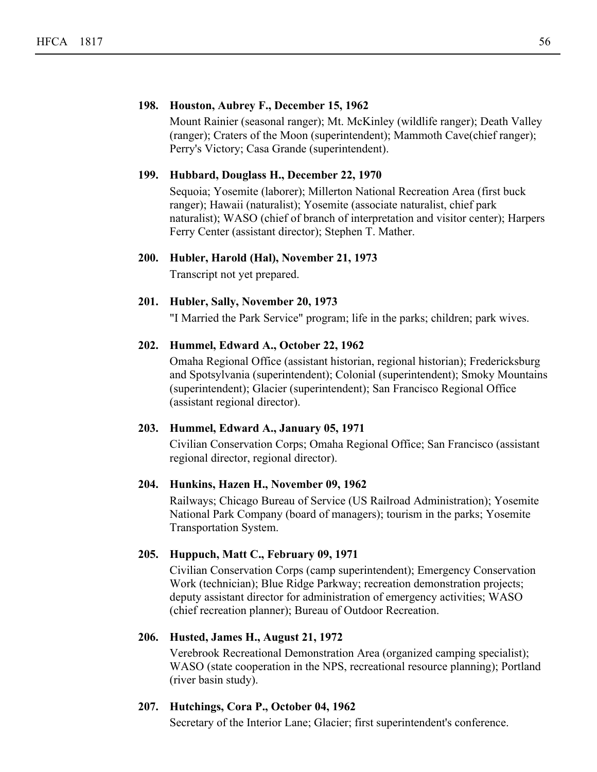#### **198. Houston, Aubrey F., December 15, 1962**

Mount Rainier (seasonal ranger); Mt. McKinley (wildlife ranger); Death Valley (ranger); Craters of the Moon (superintendent); Mammoth Cave(chief ranger); Perry's Victory; Casa Grande (superintendent).

#### **199. Hubbard, Douglass H., December 22, 1970**

Sequoia; Yosemite (laborer); Millerton National Recreation Area (first buck ranger); Hawaii (naturalist); Yosemite (associate naturalist, chief park naturalist); WASO (chief of branch of interpretation and visitor center); Harpers Ferry Center (assistant director); Stephen T. Mather.

## **200. Hubler, Harold (Hal), November 21, 1973**

Transcript not yet prepared.

#### **201. Hubler, Sally, November 20, 1973**

"I Married the Park Service" program; life in the parks; children; park wives.

#### **202. Hummel, Edward A., October 22, 1962**

Omaha Regional Office (assistant historian, regional historian); Fredericksburg and Spotsylvania (superintendent); Colonial (superintendent); Smoky Mountains (superintendent); Glacier (superintendent); San Francisco Regional Office (assistant regional director).

## **203. Hummel, Edward A., January 05, 1971**

Civilian Conservation Corps; Omaha Regional Office; San Francisco (assistant regional director, regional director).

#### **204. Hunkins, Hazen H., November 09, 1962**

Railways; Chicago Bureau of Service (US Railroad Administration); Yosemite National Park Company (board of managers); tourism in the parks; Yosemite Transportation System.

### **205. Huppuch, Matt C., February 09, 1971**

Civilian Conservation Corps (camp superintendent); Emergency Conservation Work (technician); Blue Ridge Parkway; recreation demonstration projects; deputy assistant director for administration of emergency activities; WASO (chief recreation planner); Bureau of Outdoor Recreation.

#### **206. Husted, James H., August 21, 1972**

Verebrook Recreational Demonstration Area (organized camping specialist); WASO (state cooperation in the NPS, recreational resource planning); Portland (river basin study).

## **207. Hutchings, Cora P., October 04, 1962**

Secretary of the Interior Lane; Glacier; first superintendent's conference.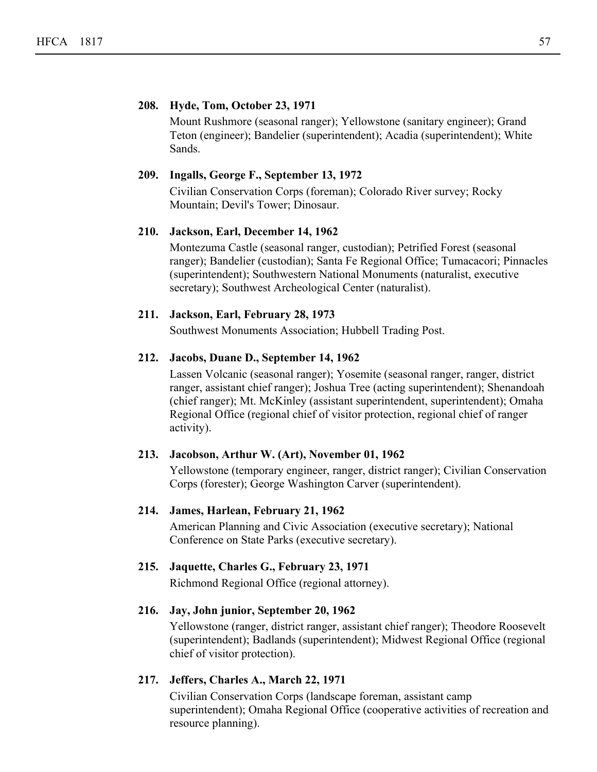#### **208. Hyde, Tom, October 23, 1971**

Mount Rushmore (seasonal ranger); Yellowstone (sanitary engineer); Grand Teton (engineer); Bandelier (superintendent); Acadia (superintendent); White Sands.

#### **209. Ingalls, George F., September 13, 1972**

Civilian Conservation Corps (foreman); Colorado River survey; Rocky Mountain; Devil's Tower; Dinosaur.

#### **210. Jackson, Earl, December 14, 1962**

Montezuma Castle (seasonal ranger, custodian); Petrified Forest (seasonal ranger); Bandelier (custodian); Santa Fe Regional Office; Tumacacori; Pinnacles (superintendent); Southwestern National Monuments (naturalist, executive secretary); Southwest Archeological Center (naturalist).

#### **211. Jackson, Earl, February 28, 1973**

Southwest Monuments Association; Hubbell Trading Post.

#### **212. Jacobs, Duane D., September 14, 1962**

Lassen Volcanic (seasonal ranger); Yosemite (seasonal ranger, ranger, district ranger, assistant chief ranger); Joshua Tree (acting superintendent); Shenandoah (chief ranger); Mt. McKinley (assistant superintendent, superintendent); Omaha Regional Office (regional chief of visitor protection, regional chief of ranger activity).

#### **213. Jacobson, Arthur W. (Art), November 01, 1962**

Yellowstone (temporary engineer, ranger, district ranger); Civilian Conservation Corps (forester); George Washington Carver (superintendent).

#### **214. James, Harlean, February 21, 1962**

American Planning and Civic Association (executive secretary); National Conference on State Parks (executive secretary).

## **215. Jaquette, Charles G., February 23, 1971**

Richmond Regional Office (regional attorney).

#### **216. Jay, John junior, September 20, 1962**

Yellowstone (ranger, district ranger, assistant chief ranger); Theodore Roosevelt (superintendent); Badlands (superintendent); Midwest Regional Office (regional chief of visitor protection).

## **217. Jeffers, Charles A., March 22, 1971**

Civilian Conservation Corps (landscape foreman, assistant camp superintendent); Omaha Regional Office (cooperative activities of recreation and resource planning).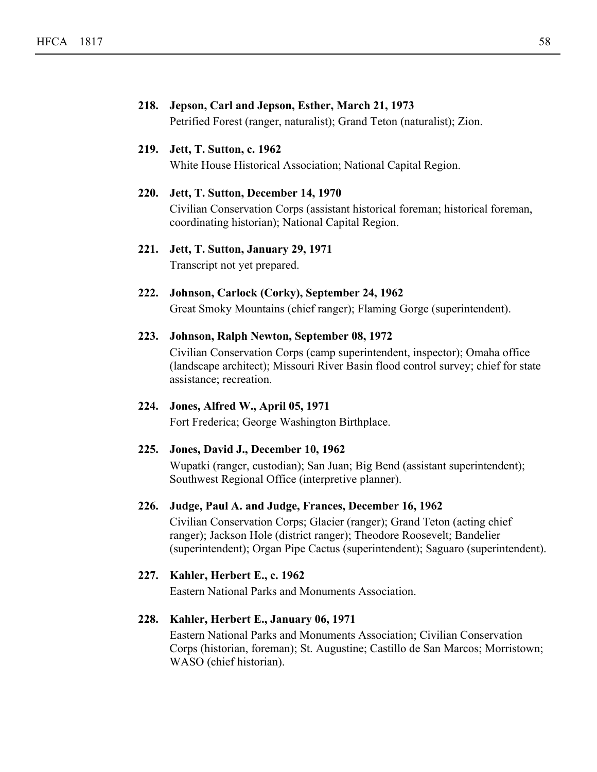# **218. Jepson, Carl and Jepson, Esther, March 21, 1973** Petrified Forest (ranger, naturalist); Grand Teton (naturalist); Zion. **219. Jett, T. Sutton, c. 1962** White House Historical Association; National Capital Region. **220. Jett, T. Sutton, December 14, 1970** Civilian Conservation Corps (assistant historical foreman; historical foreman, coordinating historian); National Capital Region. **221. Jett, T. Sutton, January 29, 1971** Transcript not yet prepared. **222. Johnson, Carlock (Corky), September 24, 1962** Great Smoky Mountains (chief ranger); Flaming Gorge (superintendent). **223. Johnson, Ralph Newton, September 08, 1972** Civilian Conservation Corps (camp superintendent, inspector); Omaha office (landscape architect); Missouri River Basin flood control survey; chief for state assistance; recreation. **224. Jones, Alfred W., April 05, 1971** Fort Frederica; George Washington Birthplace. **225. Jones, David J., December 10, 1962** Wupatki (ranger, custodian); San Juan; Big Bend (assistant superintendent); Southwest Regional Office (interpretive planner). **226. Judge, Paul A. and Judge, Frances, December 16, 1962** Civilian Conservation Corps; Glacier (ranger); Grand Teton (acting chief ranger); Jackson Hole (district ranger); Theodore Roosevelt; Bandelier (superintendent); Organ Pipe Cactus (superintendent); Saguaro (superintendent).

## **227. Kahler, Herbert E., c. 1962**

Eastern National Parks and Monuments Association.

## **228. Kahler, Herbert E., January 06, 1971**

Eastern National Parks and Monuments Association; Civilian Conservation Corps (historian, foreman); St. Augustine; Castillo de San Marcos; Morristown; WASO (chief historian).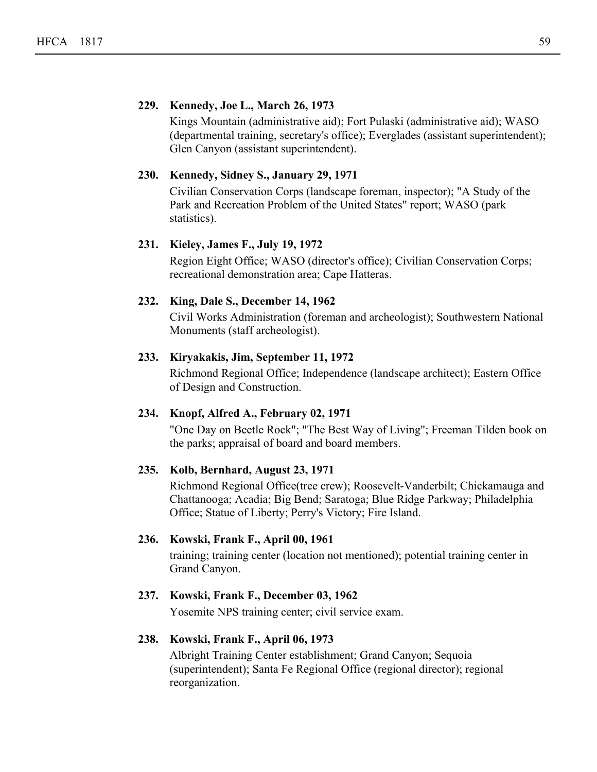### **229. Kennedy, Joe L., March 26, 1973**

Kings Mountain (administrative aid); Fort Pulaski (administrative aid); WASO (departmental training, secretary's office); Everglades (assistant superintendent); Glen Canyon (assistant superintendent).

#### **230. Kennedy, Sidney S., January 29, 1971**

Civilian Conservation Corps (landscape foreman, inspector); "A Study of the Park and Recreation Problem of the United States" report; WASO (park statistics).

#### **231. Kieley, James F., July 19, 1972**

Region Eight Office; WASO (director's office); Civilian Conservation Corps; recreational demonstration area; Cape Hatteras.

#### **232. King, Dale S., December 14, 1962**

Civil Works Administration (foreman and archeologist); Southwestern National Monuments (staff archeologist).

#### **233. Kiryakakis, Jim, September 11, 1972**

Richmond Regional Office; Independence (landscape architect); Eastern Office of Design and Construction.

#### **234. Knopf, Alfred A., February 02, 1971**

"One Day on Beetle Rock"; "The Best Way of Living"; Freeman Tilden book on the parks; appraisal of board and board members.

#### **235. Kolb, Bernhard, August 23, 1971**

Richmond Regional Office(tree crew); Roosevelt-Vanderbilt; Chickamauga and Chattanooga; Acadia; Big Bend; Saratoga; Blue Ridge Parkway; Philadelphia Office; Statue of Liberty; Perry's Victory; Fire Island.

#### **236. Kowski, Frank F., April 00, 1961**

training; training center (location not mentioned); potential training center in Grand Canyon.

## **237. Kowski, Frank F., December 03, 1962**

Yosemite NPS training center; civil service exam.

#### **238. Kowski, Frank F., April 06, 1973**

Albright Training Center establishment; Grand Canyon; Sequoia (superintendent); Santa Fe Regional Office (regional director); regional reorganization.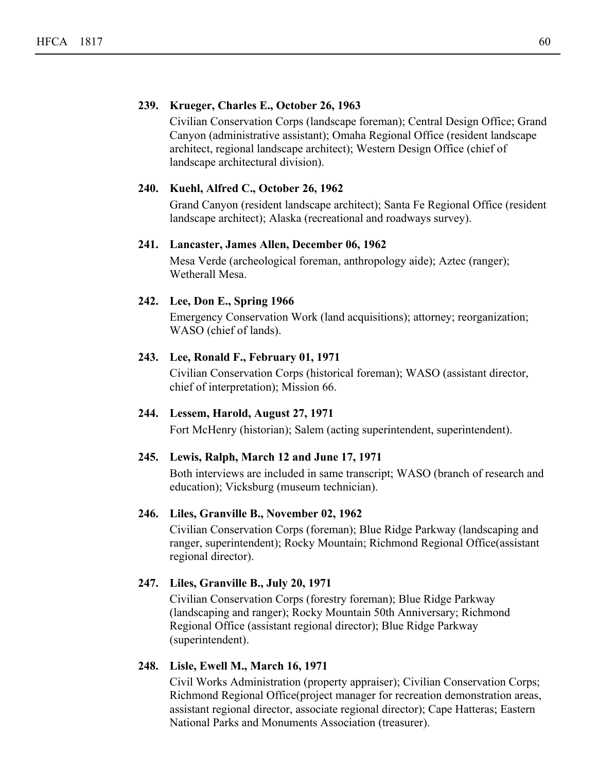## **239. Krueger, Charles E., October 26, 1963**

Civilian Conservation Corps (landscape foreman); Central Design Office; Grand Canyon (administrative assistant); Omaha Regional Office (resident landscape architect, regional landscape architect); Western Design Office (chief of landscape architectural division).

## **240. Kuehl, Alfred C., October 26, 1962**

Grand Canyon (resident landscape architect); Santa Fe Regional Office (resident landscape architect); Alaska (recreational and roadways survey).

#### **241. Lancaster, James Allen, December 06, 1962**

Mesa Verde (archeological foreman, anthropology aide); Aztec (ranger); Wetherall Mesa.

#### **242. Lee, Don E., Spring 1966**

Emergency Conservation Work (land acquisitions); attorney; reorganization; WASO (chief of lands).

#### **243. Lee, Ronald F., February 01, 1971**

Civilian Conservation Corps (historical foreman); WASO (assistant director, chief of interpretation); Mission 66.

#### **244. Lessem, Harold, August 27, 1971**

Fort McHenry (historian); Salem (acting superintendent, superintendent).

#### **245. Lewis, Ralph, March 12 and June 17, 1971**

Both interviews are included in same transcript; WASO (branch of research and education); Vicksburg (museum technician).

## **246. Liles, Granville B., November 02, 1962**

Civilian Conservation Corps (foreman); Blue Ridge Parkway (landscaping and ranger, superintendent); Rocky Mountain; Richmond Regional Office(assistant regional director).

#### **247. Liles, Granville B., July 20, 1971**

Civilian Conservation Corps (forestry foreman); Blue Ridge Parkway (landscaping and ranger); Rocky Mountain 50th Anniversary; Richmond Regional Office (assistant regional director); Blue Ridge Parkway (superintendent).

#### **248. Lisle, Ewell M., March 16, 1971**

Civil Works Administration (property appraiser); Civilian Conservation Corps; Richmond Regional Office(project manager for recreation demonstration areas, assistant regional director, associate regional director); Cape Hatteras; Eastern National Parks and Monuments Association (treasurer).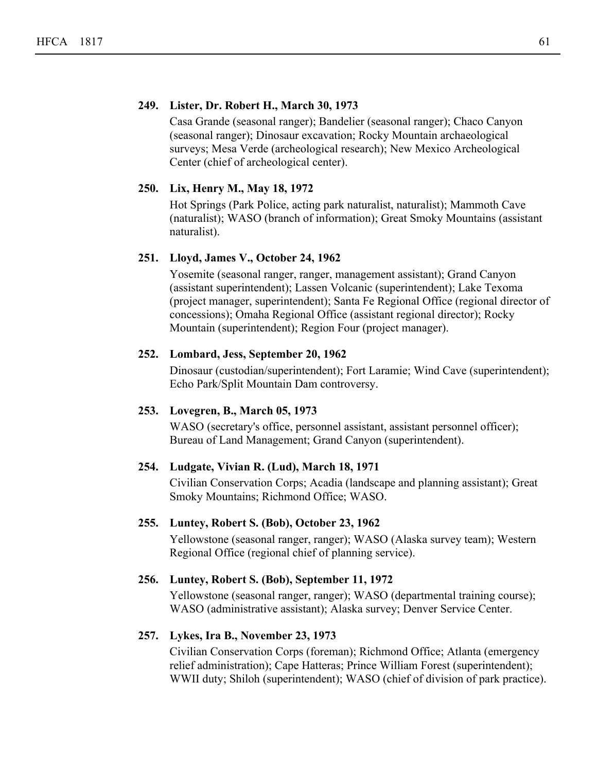#### **249. Lister, Dr. Robert H., March 30, 1973**

Casa Grande (seasonal ranger); Bandelier (seasonal ranger); Chaco Canyon (seasonal ranger); Dinosaur excavation; Rocky Mountain archaeological surveys; Mesa Verde (archeological research); New Mexico Archeological Center (chief of archeological center).

#### **250. Lix, Henry M., May 18, 1972**

Hot Springs (Park Police, acting park naturalist, naturalist); Mammoth Cave (naturalist); WASO (branch of information); Great Smoky Mountains (assistant naturalist).

## **251. Lloyd, James V., October 24, 1962**

Yosemite (seasonal ranger, ranger, management assistant); Grand Canyon (assistant superintendent); Lassen Volcanic (superintendent); Lake Texoma (project manager, superintendent); Santa Fe Regional Office (regional director of concessions); Omaha Regional Office (assistant regional director); Rocky Mountain (superintendent); Region Four (project manager).

#### **252. Lombard, Jess, September 20, 1962**

Dinosaur (custodian/superintendent); Fort Laramie; Wind Cave (superintendent); Echo Park/Split Mountain Dam controversy.

#### **253. Lovegren, B., March 05, 1973**

WASO (secretary's office, personnel assistant, assistant personnel officer); Bureau of Land Management; Grand Canyon (superintendent).

#### **254. Ludgate, Vivian R. (Lud), March 18, 1971**

Civilian Conservation Corps; Acadia (landscape and planning assistant); Great Smoky Mountains; Richmond Office; WASO.

#### **255. Luntey, Robert S. (Bob), October 23, 1962**

Yellowstone (seasonal ranger, ranger); WASO (Alaska survey team); Western Regional Office (regional chief of planning service).

#### **256. Luntey, Robert S. (Bob), September 11, 1972**

Yellowstone (seasonal ranger, ranger); WASO (departmental training course); WASO (administrative assistant); Alaska survey; Denver Service Center.

#### **257. Lykes, Ira B., November 23, 1973**

Civilian Conservation Corps (foreman); Richmond Office; Atlanta (emergency relief administration); Cape Hatteras; Prince William Forest (superintendent); WWII duty; Shiloh (superintendent); WASO (chief of division of park practice).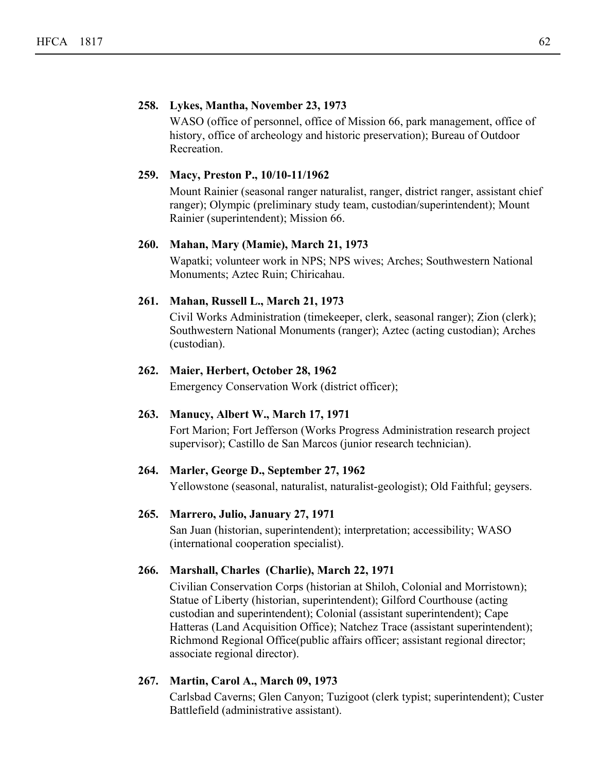### **258. Lykes, Mantha, November 23, 1973**

WASO (office of personnel, office of Mission 66, park management, office of history, office of archeology and historic preservation); Bureau of Outdoor Recreation.

#### **259. Macy, Preston P., 10/10-11/1962**

Mount Rainier (seasonal ranger naturalist, ranger, district ranger, assistant chief ranger); Olympic (preliminary study team, custodian/superintendent); Mount Rainier (superintendent); Mission 66.

#### **260. Mahan, Mary (Mamie), March 21, 1973**

Wapatki; volunteer work in NPS; NPS wives; Arches; Southwestern National Monuments; Aztec Ruin; Chiricahau.

#### **261. Mahan, Russell L., March 21, 1973**

Civil Works Administration (timekeeper, clerk, seasonal ranger); Zion (clerk); Southwestern National Monuments (ranger); Aztec (acting custodian); Arches (custodian).

#### **262. Maier, Herbert, October 28, 1962**

Emergency Conservation Work (district officer);

#### **263. Manucy, Albert W., March 17, 1971**

Fort Marion; Fort Jefferson (Works Progress Administration research project supervisor); Castillo de San Marcos (junior research technician).

## **264. Marler, George D., September 27, 1962**

Yellowstone (seasonal, naturalist, naturalist-geologist); Old Faithful; geysers.

#### **265. Marrero, Julio, January 27, 1971**

San Juan (historian, superintendent); interpretation; accessibility; WASO (international cooperation specialist).

## **266. Marshall, Charles (Charlie), March 22, 1971**

Civilian Conservation Corps (historian at Shiloh, Colonial and Morristown); Statue of Liberty (historian, superintendent); Gilford Courthouse (acting custodian and superintendent); Colonial (assistant superintendent); Cape Hatteras (Land Acquisition Office); Natchez Trace (assistant superintendent); Richmond Regional Office(public affairs officer; assistant regional director; associate regional director).

## **267. Martin, Carol A., March 09, 1973**

Carlsbad Caverns; Glen Canyon; Tuzigoot (clerk typist; superintendent); Custer Battlefield (administrative assistant).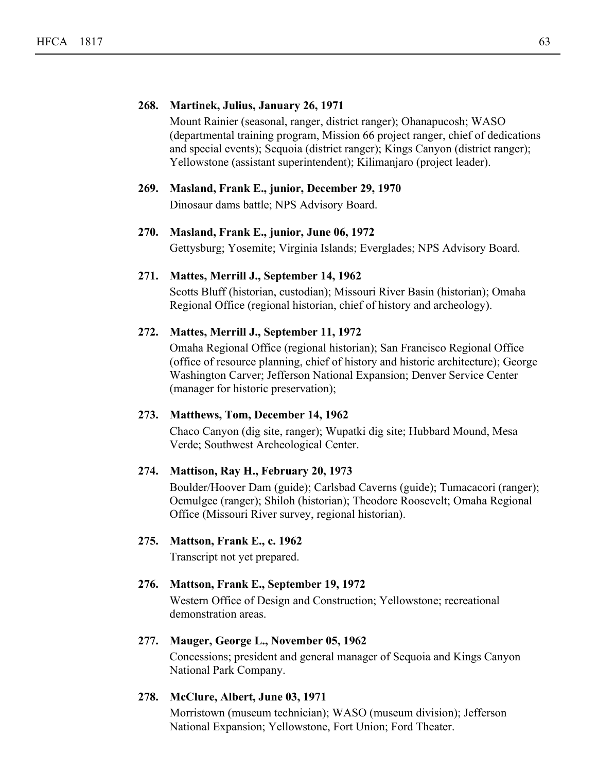#### **268. Martinek, Julius, January 26, 1971**

Mount Rainier (seasonal, ranger, district ranger); Ohanapucosh; WASO (departmental training program, Mission 66 project ranger, chief of dedications and special events); Sequoia (district ranger); Kings Canyon (district ranger); Yellowstone (assistant superintendent); Kilimanjaro (project leader).

#### **269. Masland, Frank E., junior, December 29, 1970**

Dinosaur dams battle; NPS Advisory Board.

#### **270. Masland, Frank E., junior, June 06, 1972**

Gettysburg; Yosemite; Virginia Islands; Everglades; NPS Advisory Board.

#### **271. Mattes, Merrill J., September 14, 1962**

Scotts Bluff (historian, custodian); Missouri River Basin (historian); Omaha Regional Office (regional historian, chief of history and archeology).

#### **272. Mattes, Merrill J., September 11, 1972**

Omaha Regional Office (regional historian); San Francisco Regional Office (office of resource planning, chief of history and historic architecture); George Washington Carver; Jefferson National Expansion; Denver Service Center (manager for historic preservation);

#### **273. Matthews, Tom, December 14, 1962**

Chaco Canyon (dig site, ranger); Wupatki dig site; Hubbard Mound, Mesa Verde; Southwest Archeological Center.

#### **274. Mattison, Ray H., February 20, 1973**

Boulder/Hoover Dam (guide); Carlsbad Caverns (guide); Tumacacori (ranger); Ocmulgee (ranger); Shiloh (historian); Theodore Roosevelt; Omaha Regional Office (Missouri River survey, regional historian).

### **275. Mattson, Frank E., c. 1962**

Transcript not yet prepared.

#### **276. Mattson, Frank E., September 19, 1972**

Western Office of Design and Construction; Yellowstone; recreational demonstration areas.

#### **277. Mauger, George L., November 05, 1962**

Concessions; president and general manager of Sequoia and Kings Canyon National Park Company.

#### **278. McClure, Albert, June 03, 1971**

Morristown (museum technician); WASO (museum division); Jefferson National Expansion; Yellowstone, Fort Union; Ford Theater.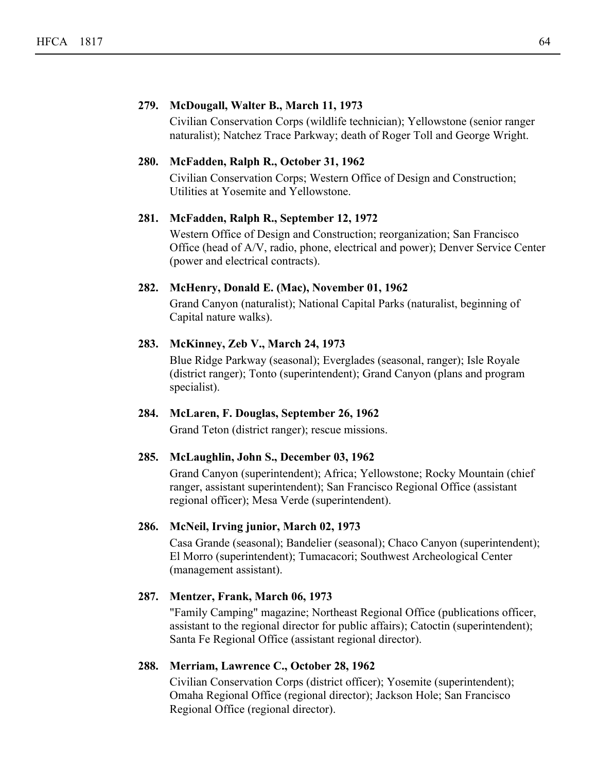#### **279. McDougall, Walter B., March 11, 1973**

Civilian Conservation Corps (wildlife technician); Yellowstone (senior ranger naturalist); Natchez Trace Parkway; death of Roger Toll and George Wright.

#### **280. McFadden, Ralph R., October 31, 1962**

Civilian Conservation Corps; Western Office of Design and Construction; Utilities at Yosemite and Yellowstone.

#### **281. McFadden, Ralph R., September 12, 1972**

Western Office of Design and Construction; reorganization; San Francisco Office (head of A/V, radio, phone, electrical and power); Denver Service Center (power and electrical contracts).

#### **282. McHenry, Donald E. (Mac), November 01, 1962**

Grand Canyon (naturalist); National Capital Parks (naturalist, beginning of Capital nature walks).

## **283. McKinney, Zeb V., March 24, 1973**

Blue Ridge Parkway (seasonal); Everglades (seasonal, ranger); Isle Royale (district ranger); Tonto (superintendent); Grand Canyon (plans and program specialist).

#### **284. McLaren, F. Douglas, September 26, 1962**

Grand Teton (district ranger); rescue missions.

#### **285. McLaughlin, John S., December 03, 1962**

Grand Canyon (superintendent); Africa; Yellowstone; Rocky Mountain (chief ranger, assistant superintendent); San Francisco Regional Office (assistant regional officer); Mesa Verde (superintendent).

#### **286. McNeil, Irving junior, March 02, 1973**

Casa Grande (seasonal); Bandelier (seasonal); Chaco Canyon (superintendent); El Morro (superintendent); Tumacacori; Southwest Archeological Center (management assistant).

#### **287. Mentzer, Frank, March 06, 1973**

"Family Camping" magazine; Northeast Regional Office (publications officer, assistant to the regional director for public affairs); Catoctin (superintendent); Santa Fe Regional Office (assistant regional director).

#### **288. Merriam, Lawrence C., October 28, 1962**

Civilian Conservation Corps (district officer); Yosemite (superintendent); Omaha Regional Office (regional director); Jackson Hole; San Francisco Regional Office (regional director).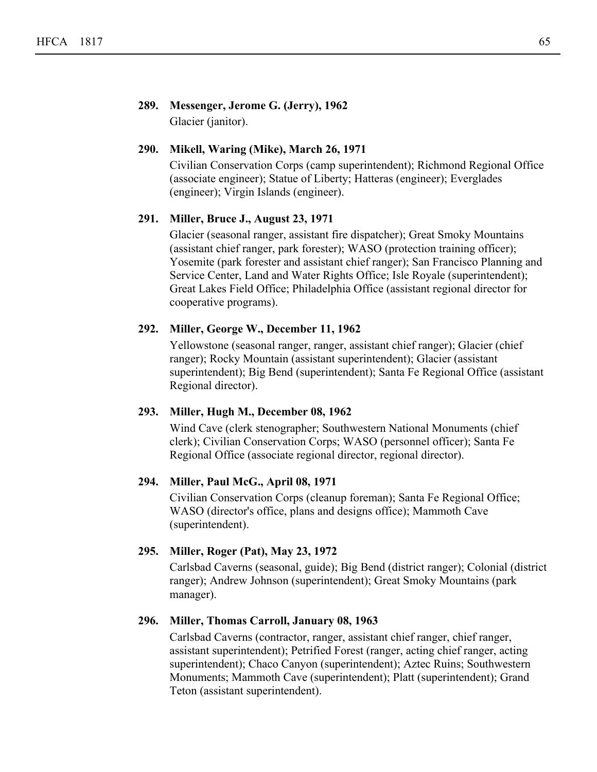## **289. Messenger, Jerome G. (Jerry), 1962** Glacier (janitor).

## **290. Mikell, Waring (Mike), March 26, 1971**

Civilian Conservation Corps (camp superintendent); Richmond Regional Office (associate engineer); Statue of Liberty; Hatteras (engineer); Everglades (engineer); Virgin Islands (engineer).

#### **291. Miller, Bruce J., August 23, 1971**

Glacier (seasonal ranger, assistant fire dispatcher); Great Smoky Mountains (assistant chief ranger, park forester); WASO (protection training officer); Yosemite (park forester and assistant chief ranger); San Francisco Planning and Service Center, Land and Water Rights Office; Isle Royale (superintendent); Great Lakes Field Office; Philadelphia Office (assistant regional director for cooperative programs).

## **292. Miller, George W., December 11, 1962**

Yellowstone (seasonal ranger, ranger, assistant chief ranger); Glacier (chief ranger); Rocky Mountain (assistant superintendent); Glacier (assistant superintendent); Big Bend (superintendent); Santa Fe Regional Office (assistant Regional director).

## **293. Miller, Hugh M., December 08, 1962**

Wind Cave (clerk stenographer; Southwestern National Monuments (chief clerk); Civilian Conservation Corps; WASO (personnel officer); Santa Fe Regional Office (associate regional director, regional director).

## **294. Miller, Paul McG., April 08, 1971**

Civilian Conservation Corps (cleanup foreman); Santa Fe Regional Office; WASO (director's office, plans and designs office); Mammoth Cave (superintendent).

#### **295. Miller, Roger (Pat), May 23, 1972**

Carlsbad Caverns (seasonal, guide); Big Bend (district ranger); Colonial (district ranger); Andrew Johnson (superintendent); Great Smoky Mountains (park manager).

#### **296. Miller, Thomas Carroll, January 08, 1963**

Carlsbad Caverns (contractor, ranger, assistant chief ranger, chief ranger, assistant superintendent); Petrified Forest (ranger, acting chief ranger, acting superintendent); Chaco Canyon (superintendent); Aztec Ruins; Southwestern Monuments; Mammoth Cave (superintendent); Platt (superintendent); Grand Teton (assistant superintendent).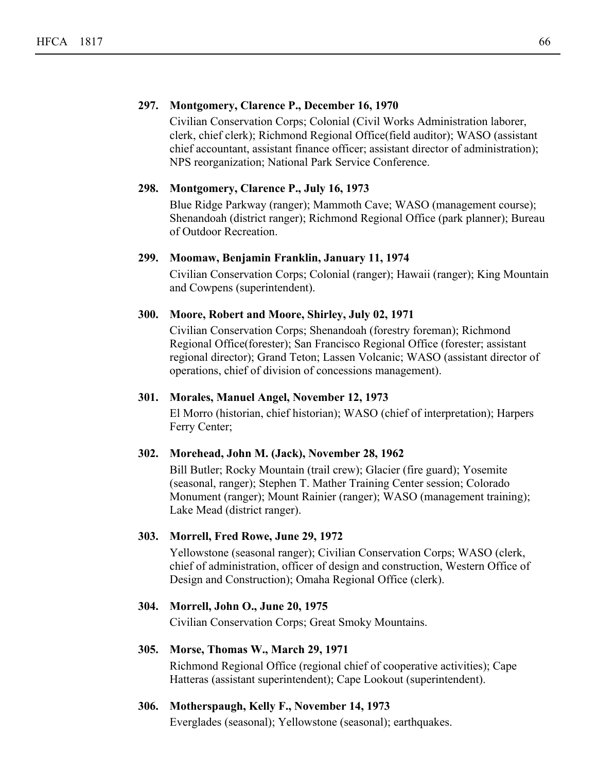## **297. Montgomery, Clarence P., December 16, 1970**

Civilian Conservation Corps; Colonial (Civil Works Administration laborer, clerk, chief clerk); Richmond Regional Office(field auditor); WASO (assistant chief accountant, assistant finance officer; assistant director of administration); NPS reorganization; National Park Service Conference.

## **298. Montgomery, Clarence P., July 16, 1973**

Blue Ridge Parkway (ranger); Mammoth Cave; WASO (management course); Shenandoah (district ranger); Richmond Regional Office (park planner); Bureau of Outdoor Recreation.

## **299. Moomaw, Benjamin Franklin, January 11, 1974**

Civilian Conservation Corps; Colonial (ranger); Hawaii (ranger); King Mountain and Cowpens (superintendent).

#### **300. Moore, Robert and Moore, Shirley, July 02, 1971**

Civilian Conservation Corps; Shenandoah (forestry foreman); Richmond Regional Office(forester); San Francisco Regional Office (forester; assistant regional director); Grand Teton; Lassen Volcanic; WASO (assistant director of operations, chief of division of concessions management).

## **301. Morales, Manuel Angel, November 12, 1973**

El Morro (historian, chief historian); WASO (chief of interpretation); Harpers Ferry Center;

#### **302. Morehead, John M. (Jack), November 28, 1962**

Bill Butler; Rocky Mountain (trail crew); Glacier (fire guard); Yosemite (seasonal, ranger); Stephen T. Mather Training Center session; Colorado Monument (ranger); Mount Rainier (ranger); WASO (management training); Lake Mead (district ranger).

## **303. Morrell, Fred Rowe, June 29, 1972**

Yellowstone (seasonal ranger); Civilian Conservation Corps; WASO (clerk, chief of administration, officer of design and construction, Western Office of Design and Construction); Omaha Regional Office (clerk).

## **304. Morrell, John O., June 20, 1975**

Civilian Conservation Corps; Great Smoky Mountains.

## **305. Morse, Thomas W., March 29, 1971**

Richmond Regional Office (regional chief of cooperative activities); Cape Hatteras (assistant superintendent); Cape Lookout (superintendent).

#### **306. Motherspaugh, Kelly F., November 14, 1973**

Everglades (seasonal); Yellowstone (seasonal); earthquakes.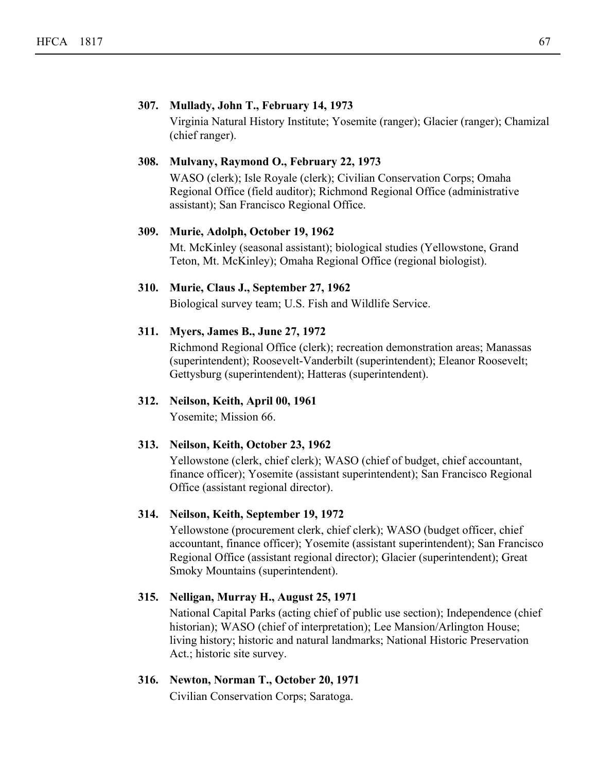#### **307. Mullady, John T., February 14, 1973**

Virginia Natural History Institute; Yosemite (ranger); Glacier (ranger); Chamizal (chief ranger).

#### **308. Mulvany, Raymond O., February 22, 1973**

WASO (clerk); Isle Royale (clerk); Civilian Conservation Corps; Omaha Regional Office (field auditor); Richmond Regional Office (administrative assistant); San Francisco Regional Office.

#### **309. Murie, Adolph, October 19, 1962**

Mt. McKinley (seasonal assistant); biological studies (Yellowstone, Grand Teton, Mt. McKinley); Omaha Regional Office (regional biologist).

#### **310. Murie, Claus J., September 27, 1962**

Biological survey team; U.S. Fish and Wildlife Service.

#### **311. Myers, James B., June 27, 1972**

Richmond Regional Office (clerk); recreation demonstration areas; Manassas (superintendent); Roosevelt-Vanderbilt (superintendent); Eleanor Roosevelt; Gettysburg (superintendent); Hatteras (superintendent).

## **312. Neilson, Keith, April 00, 1961**

Yosemite; Mission 66.

## **313. Neilson, Keith, October 23, 1962**

Yellowstone (clerk, chief clerk); WASO (chief of budget, chief accountant, finance officer); Yosemite (assistant superintendent); San Francisco Regional Office (assistant regional director).

## **314. Neilson, Keith, September 19, 1972**

Yellowstone (procurement clerk, chief clerk); WASO (budget officer, chief accountant, finance officer); Yosemite (assistant superintendent); San Francisco Regional Office (assistant regional director); Glacier (superintendent); Great Smoky Mountains (superintendent).

## **315. Nelligan, Murray H., August 25, 1971**

National Capital Parks (acting chief of public use section); Independence (chief historian); WASO (chief of interpretation); Lee Mansion/Arlington House; living history; historic and natural landmarks; National Historic Preservation Act.; historic site survey.

## **316. Newton, Norman T., October 20, 1971**

Civilian Conservation Corps; Saratoga.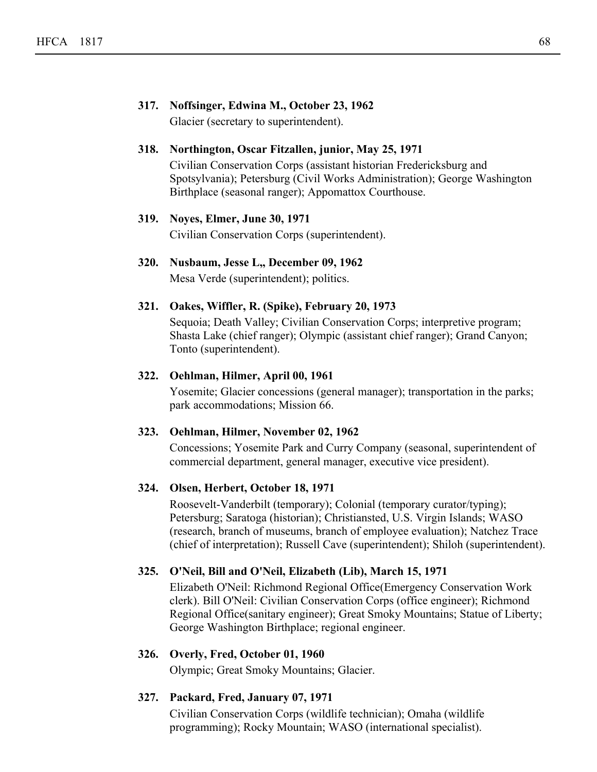## **317. Noffsinger, Edwina M., October 23, 1962** Glacier (secretary to superintendent).

#### **318. Northington, Oscar Fitzallen, junior, May 25, 1971**

Civilian Conservation Corps (assistant historian Fredericksburg and Spotsylvania); Petersburg (Civil Works Administration); George Washington Birthplace (seasonal ranger); Appomattox Courthouse.

#### **319. Noyes, Elmer, June 30, 1971**

Civilian Conservation Corps (superintendent).

## **320. Nusbaum, Jesse L,, December 09, 1962**

Mesa Verde (superintendent); politics.

#### **321. Oakes, Wiffler, R. (Spike), February 20, 1973**

Sequoia; Death Valley; Civilian Conservation Corps; interpretive program; Shasta Lake (chief ranger); Olympic (assistant chief ranger); Grand Canyon; Tonto (superintendent).

#### **322. Oehlman, Hilmer, April 00, 1961**

Yosemite; Glacier concessions (general manager); transportation in the parks; park accommodations; Mission 66.

#### **323. Oehlman, Hilmer, November 02, 1962**

Concessions; Yosemite Park and Curry Company (seasonal, superintendent of commercial department, general manager, executive vice president).

#### **324. Olsen, Herbert, October 18, 1971**

Roosevelt-Vanderbilt (temporary); Colonial (temporary curator/typing); Petersburg; Saratoga (historian); Christiansted, U.S. Virgin Islands; WASO (research, branch of museums, branch of employee evaluation); Natchez Trace (chief of interpretation); Russell Cave (superintendent); Shiloh (superintendent).

## **325. O'Neil, Bill and O'Neil, Elizabeth (Lib), March 15, 1971**

Elizabeth O'Neil: Richmond Regional Office(Emergency Conservation Work clerk). Bill O'Neil: Civilian Conservation Corps (office engineer); Richmond Regional Office(sanitary engineer); Great Smoky Mountains; Statue of Liberty; George Washington Birthplace; regional engineer.

## **326. Overly, Fred, October 01, 1960**

Olympic; Great Smoky Mountains; Glacier.

## **327. Packard, Fred, January 07, 1971**

Civilian Conservation Corps (wildlife technician); Omaha (wildlife programming); Rocky Mountain; WASO (international specialist).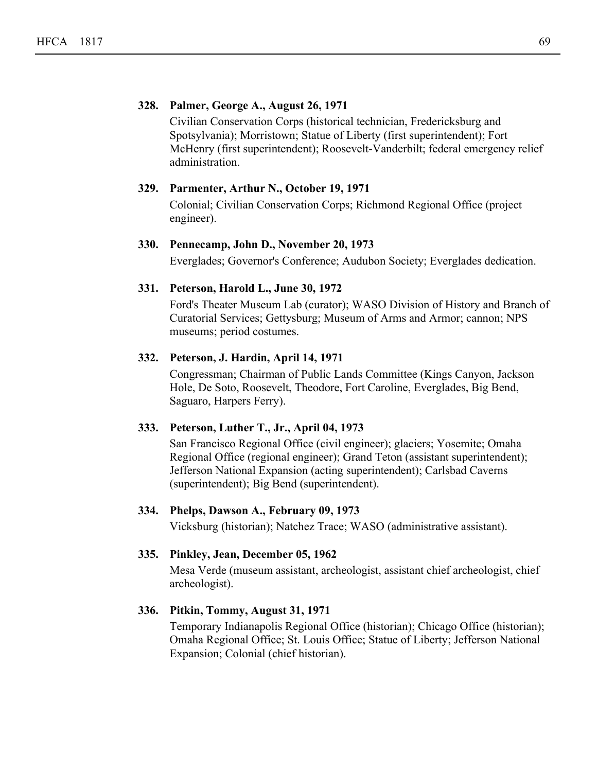#### **328. Palmer, George A., August 26, 1971**

Civilian Conservation Corps (historical technician, Fredericksburg and Spotsylvania); Morristown; Statue of Liberty (first superintendent); Fort McHenry (first superintendent); Roosevelt-Vanderbilt; federal emergency relief administration.

## **329. Parmenter, Arthur N., October 19, 1971**

Colonial; Civilian Conservation Corps; Richmond Regional Office (project engineer).

#### **330. Pennecamp, John D., November 20, 1973**

Everglades; Governor's Conference; Audubon Society; Everglades dedication.

## **331. Peterson, Harold L., June 30, 1972**

Ford's Theater Museum Lab (curator); WASO Division of History and Branch of Curatorial Services; Gettysburg; Museum of Arms and Armor; cannon; NPS museums; period costumes.

#### **332. Peterson, J. Hardin, April 14, 1971**

Congressman; Chairman of Public Lands Committee (Kings Canyon, Jackson Hole, De Soto, Roosevelt, Theodore, Fort Caroline, Everglades, Big Bend, Saguaro, Harpers Ferry).

#### **333. Peterson, Luther T., Jr., April 04, 1973**

San Francisco Regional Office (civil engineer); glaciers; Yosemite; Omaha Regional Office (regional engineer); Grand Teton (assistant superintendent); Jefferson National Expansion (acting superintendent); Carlsbad Caverns (superintendent); Big Bend (superintendent).

## **334. Phelps, Dawson A., February 09, 1973**

Vicksburg (historian); Natchez Trace; WASO (administrative assistant).

#### **335. Pinkley, Jean, December 05, 1962**

Mesa Verde (museum assistant, archeologist, assistant chief archeologist, chief archeologist).

## **336. Pitkin, Tommy, August 31, 1971**

Temporary Indianapolis Regional Office (historian); Chicago Office (historian); Omaha Regional Office; St. Louis Office; Statue of Liberty; Jefferson National Expansion; Colonial (chief historian).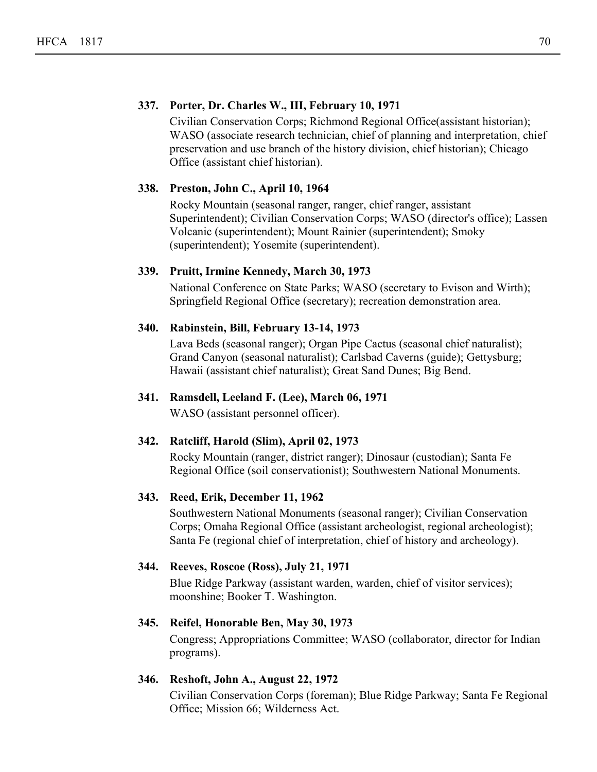## **337. Porter, Dr. Charles W., III, February 10, 1971**

Civilian Conservation Corps; Richmond Regional Office(assistant historian); WASO (associate research technician, chief of planning and interpretation, chief preservation and use branch of the history division, chief historian); Chicago Office (assistant chief historian).

## **338. Preston, John C., April 10, 1964**

Rocky Mountain (seasonal ranger, ranger, chief ranger, assistant Superintendent); Civilian Conservation Corps; WASO (director's office); Lassen Volcanic (superintendent); Mount Rainier (superintendent); Smoky (superintendent); Yosemite (superintendent).

#### **339. Pruitt, Irmine Kennedy, March 30, 1973**

National Conference on State Parks; WASO (secretary to Evison and Wirth); Springfield Regional Office (secretary); recreation demonstration area.

## **340. Rabinstein, Bill, February 13-14, 1973**

Lava Beds (seasonal ranger); Organ Pipe Cactus (seasonal chief naturalist); Grand Canyon (seasonal naturalist); Carlsbad Caverns (guide); Gettysburg; Hawaii (assistant chief naturalist); Great Sand Dunes; Big Bend.

## **341. Ramsdell, Leeland F. (Lee), March 06, 1971**

WASO (assistant personnel officer).

## **342. Ratcliff, Harold (Slim), April 02, 1973**

Rocky Mountain (ranger, district ranger); Dinosaur (custodian); Santa Fe Regional Office (soil conservationist); Southwestern National Monuments.

#### **343. Reed, Erik, December 11, 1962**

Southwestern National Monuments (seasonal ranger); Civilian Conservation Corps; Omaha Regional Office (assistant archeologist, regional archeologist); Santa Fe (regional chief of interpretation, chief of history and archeology).

## **344. Reeves, Roscoe (Ross), July 21, 1971**

Blue Ridge Parkway (assistant warden, warden, chief of visitor services); moonshine; Booker T. Washington.

#### **345. Reifel, Honorable Ben, May 30, 1973**

Congress; Appropriations Committee; WASO (collaborator, director for Indian programs).

## **346. Reshoft, John A., August 22, 1972**

Civilian Conservation Corps (foreman); Blue Ridge Parkway; Santa Fe Regional Office; Mission 66; Wilderness Act.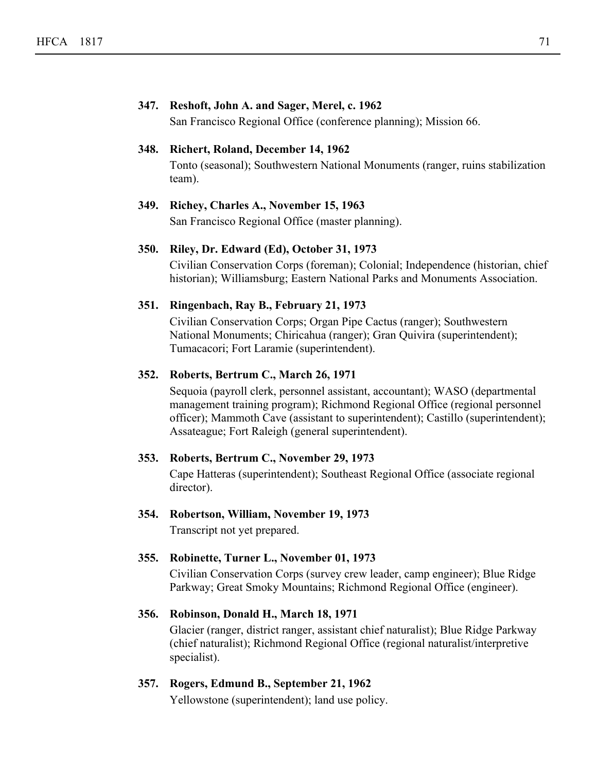## **347. Reshoft, John A. and Sager, Merel, c. 1962** San Francisco Regional Office (conference planning); Mission 66. **348. Richert, Roland, December 14, 1962** Tonto (seasonal); Southwestern National Monuments (ranger, ruins stabilization team).

## **349. Richey, Charles A., November 15, 1963** San Francisco Regional Office (master planning).

## **350. Riley, Dr. Edward (Ed), October 31, 1973**

Civilian Conservation Corps (foreman); Colonial; Independence (historian, chief historian); Williamsburg; Eastern National Parks and Monuments Association.

## **351. Ringenbach, Ray B., February 21, 1973**

Civilian Conservation Corps; Organ Pipe Cactus (ranger); Southwestern National Monuments; Chiricahua (ranger); Gran Quivira (superintendent); Tumacacori; Fort Laramie (superintendent).

## **352. Roberts, Bertrum C., March 26, 1971**

Sequoia (payroll clerk, personnel assistant, accountant); WASO (departmental management training program); Richmond Regional Office (regional personnel officer); Mammoth Cave (assistant to superintendent); Castillo (superintendent); Assateague; Fort Raleigh (general superintendent).

## **353. Roberts, Bertrum C., November 29, 1973**

Cape Hatteras (superintendent); Southeast Regional Office (associate regional director).

## **354. Robertson, William, November 19, 1973**

Transcript not yet prepared.

## **355. Robinette, Turner L., November 01, 1973**

Civilian Conservation Corps (survey crew leader, camp engineer); Blue Ridge Parkway; Great Smoky Mountains; Richmond Regional Office (engineer).

## **356. Robinson, Donald H., March 18, 1971**

Glacier (ranger, district ranger, assistant chief naturalist); Blue Ridge Parkway (chief naturalist); Richmond Regional Office (regional naturalist/interpretive specialist).

## **357. Rogers, Edmund B., September 21, 1962**

Yellowstone (superintendent); land use policy.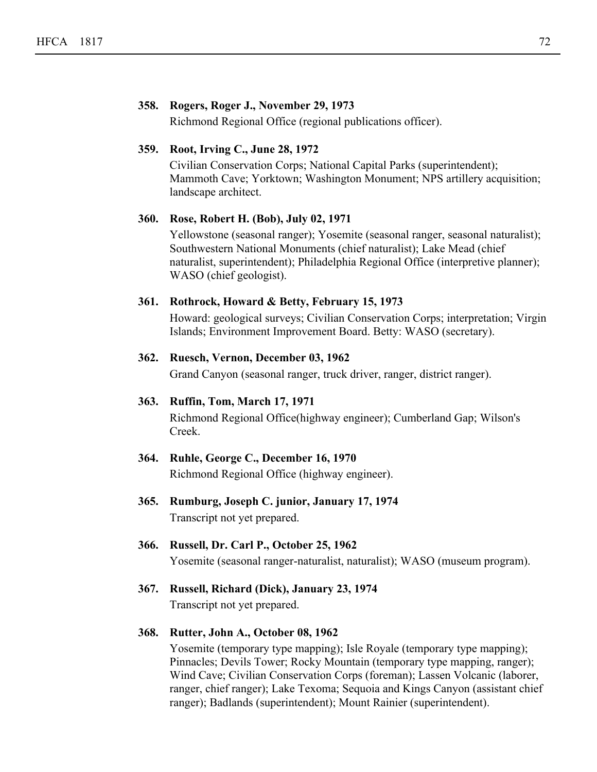# **358. Rogers, Roger J., November 29, 1973**

Richmond Regional Office (regional publications officer).

# **359. Root, Irving C., June 28, 1972**

Civilian Conservation Corps; National Capital Parks (superintendent); Mammoth Cave; Yorktown; Washington Monument; NPS artillery acquisition; landscape architect.

# **360. Rose, Robert H. (Bob), July 02, 1971**

Yellowstone (seasonal ranger); Yosemite (seasonal ranger, seasonal naturalist); Southwestern National Monuments (chief naturalist); Lake Mead (chief naturalist, superintendent); Philadelphia Regional Office (interpretive planner); WASO (chief geologist).

# **361. Rothrock, Howard & Betty, February 15, 1973**

Howard: geological surveys; Civilian Conservation Corps; interpretation; Virgin Islands; Environment Improvement Board. Betty: WASO (secretary).

# **362. Ruesch, Vernon, December 03, 1962**

Grand Canyon (seasonal ranger, truck driver, ranger, district ranger).

# **363. Ruffin, Tom, March 17, 1971**

Richmond Regional Office(highway engineer); Cumberland Gap; Wilson's Creek.

# **364. Ruhle, George C., December 16, 1970** Richmond Regional Office (highway engineer).

**365. Rumburg, Joseph C. junior, January 17, 1974** Transcript not yet prepared.

# **366. Russell, Dr. Carl P., October 25, 1962** Yosemite (seasonal ranger-naturalist, naturalist); WASO (museum program).

**367. Russell, Richard (Dick), January 23, 1974** Transcript not yet prepared.

# **368. Rutter, John A., October 08, 1962**

Yosemite (temporary type mapping); Isle Royale (temporary type mapping); Pinnacles; Devils Tower; Rocky Mountain (temporary type mapping, ranger); Wind Cave; Civilian Conservation Corps (foreman); Lassen Volcanic (laborer, ranger, chief ranger); Lake Texoma; Sequoia and Kings Canyon (assistant chief ranger); Badlands (superintendent); Mount Rainier (superintendent).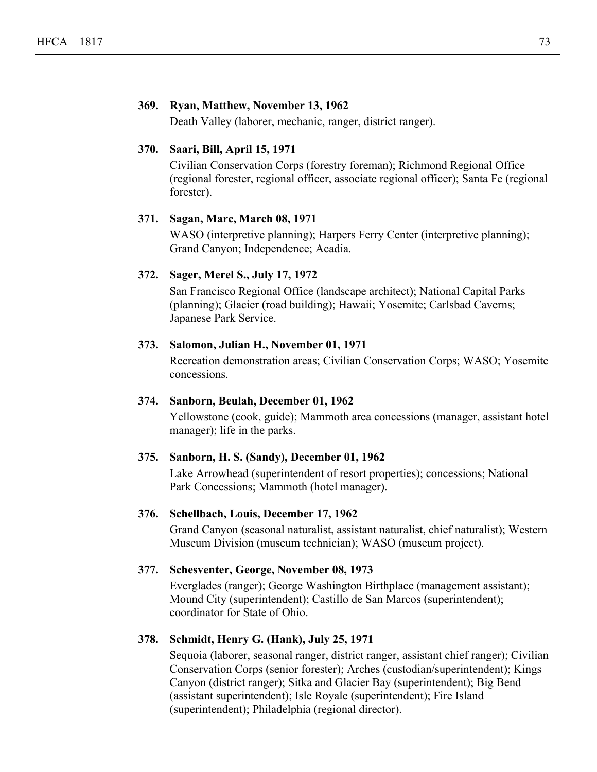# **369. Ryan, Matthew, November 13, 1962**

Death Valley (laborer, mechanic, ranger, district ranger).

# **370. Saari, Bill, April 15, 1971**

Civilian Conservation Corps (forestry foreman); Richmond Regional Office (regional forester, regional officer, associate regional officer); Santa Fe (regional forester).

#### **371. Sagan, Marc, March 08, 1971**

WASO (interpretive planning); Harpers Ferry Center (interpretive planning); Grand Canyon; Independence; Acadia.

# **372. Sager, Merel S., July 17, 1972**

San Francisco Regional Office (landscape architect); National Capital Parks (planning); Glacier (road building); Hawaii; Yosemite; Carlsbad Caverns; Japanese Park Service.

#### **373. Salomon, Julian H., November 01, 1971**

Recreation demonstration areas; Civilian Conservation Corps; WASO; Yosemite concessions.

# **374. Sanborn, Beulah, December 01, 1962**

Yellowstone (cook, guide); Mammoth area concessions (manager, assistant hotel manager); life in the parks.

#### **375. Sanborn, H. S. (Sandy), December 01, 1962**

Lake Arrowhead (superintendent of resort properties); concessions; National Park Concessions; Mammoth (hotel manager).

#### **376. Schellbach, Louis, December 17, 1962**

Grand Canyon (seasonal naturalist, assistant naturalist, chief naturalist); Western Museum Division (museum technician); WASO (museum project).

# **377. Schesventer, George, November 08, 1973**

Everglades (ranger); George Washington Birthplace (management assistant); Mound City (superintendent); Castillo de San Marcos (superintendent); coordinator for State of Ohio.

# **378. Schmidt, Henry G. (Hank), July 25, 1971**

Sequoia (laborer, seasonal ranger, district ranger, assistant chief ranger); Civilian Conservation Corps (senior forester); Arches (custodian/superintendent); Kings Canyon (district ranger); Sitka and Glacier Bay (superintendent); Big Bend (assistant superintendent); Isle Royale (superintendent); Fire Island (superintendent); Philadelphia (regional director).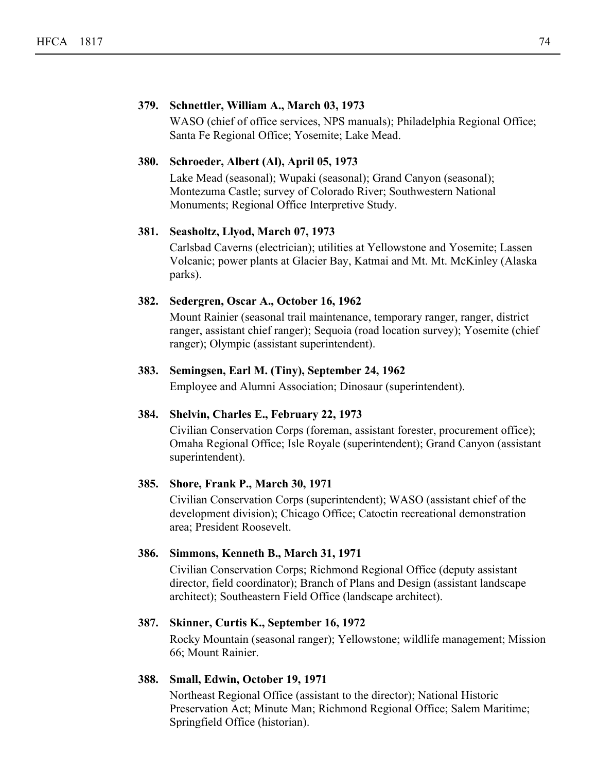# **379. Schnettler, William A., March 03, 1973**

WASO (chief of office services, NPS manuals); Philadelphia Regional Office; Santa Fe Regional Office; Yosemite; Lake Mead.

# **380. Schroeder, Albert (Al), April 05, 1973**

Lake Mead (seasonal); Wupaki (seasonal); Grand Canyon (seasonal); Montezuma Castle; survey of Colorado River; Southwestern National Monuments; Regional Office Interpretive Study.

# **381. Seasholtz, Llyod, March 07, 1973**

Carlsbad Caverns (electrician); utilities at Yellowstone and Yosemite; Lassen Volcanic; power plants at Glacier Bay, Katmai and Mt. Mt. McKinley (Alaska parks).

# **382. Sedergren, Oscar A., October 16, 1962**

Mount Rainier (seasonal trail maintenance, temporary ranger, ranger, district ranger, assistant chief ranger); Sequoia (road location survey); Yosemite (chief ranger); Olympic (assistant superintendent).

# **383. Semingsen, Earl M. (Tiny), September 24, 1962**

Employee and Alumni Association; Dinosaur (superintendent).

#### **384. Shelvin, Charles E., February 22, 1973**

Civilian Conservation Corps (foreman, assistant forester, procurement office); Omaha Regional Office; Isle Royale (superintendent); Grand Canyon (assistant superintendent).

#### **385. Shore, Frank P., March 30, 1971**

Civilian Conservation Corps (superintendent); WASO (assistant chief of the development division); Chicago Office; Catoctin recreational demonstration area; President Roosevelt.

# **386. Simmons, Kenneth B., March 31, 1971**

Civilian Conservation Corps; Richmond Regional Office (deputy assistant director, field coordinator); Branch of Plans and Design (assistant landscape architect); Southeastern Field Office (landscape architect).

### **387. Skinner, Curtis K., September 16, 1972**

Rocky Mountain (seasonal ranger); Yellowstone; wildlife management; Mission 66; Mount Rainier.

# **388. Small, Edwin, October 19, 1971**

Northeast Regional Office (assistant to the director); National Historic Preservation Act; Minute Man; Richmond Regional Office; Salem Maritime; Springfield Office (historian).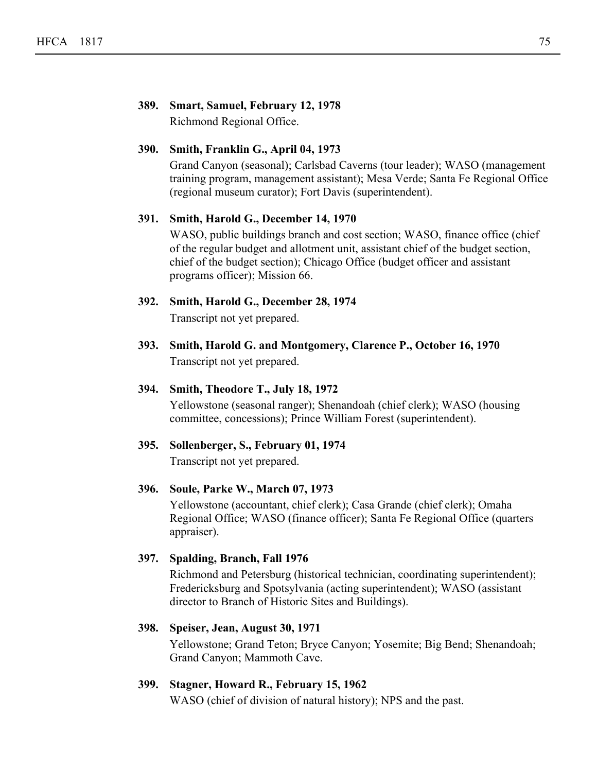# **389. Smart, Samuel, February 12, 1978** Richmond Regional Office.

# **390. Smith, Franklin G., April 04, 1973**

Grand Canyon (seasonal); Carlsbad Caverns (tour leader); WASO (management training program, management assistant); Mesa Verde; Santa Fe Regional Office (regional museum curator); Fort Davis (superintendent).

### **391. Smith, Harold G., December 14, 1970**

WASO, public buildings branch and cost section; WASO, finance office (chief of the regular budget and allotment unit, assistant chief of the budget section, chief of the budget section); Chicago Office (budget officer and assistant programs officer); Mission 66.

- **392. Smith, Harold G., December 28, 1974** Transcript not yet prepared.
- **393. Smith, Harold G. and Montgomery, Clarence P., October 16, 1970** Transcript not yet prepared.

# **394. Smith, Theodore T., July 18, 1972** Yellowstone (seasonal ranger); Shenandoah (chief clerk); WASO (housing committee, concessions); Prince William Forest (superintendent).

# **395. Sollenberger, S., February 01, 1974**

Transcript not yet prepared.

# **396. Soule, Parke W., March 07, 1973**

Yellowstone (accountant, chief clerk); Casa Grande (chief clerk); Omaha Regional Office; WASO (finance officer); Santa Fe Regional Office (quarters appraiser).

# **397. Spalding, Branch, Fall 1976**

Richmond and Petersburg (historical technician, coordinating superintendent); Fredericksburg and Spotsylvania (acting superintendent); WASO (assistant director to Branch of Historic Sites and Buildings).

# **398. Speiser, Jean, August 30, 1971**

Yellowstone; Grand Teton; Bryce Canyon; Yosemite; Big Bend; Shenandoah; Grand Canyon; Mammoth Cave.

# **399. Stagner, Howard R., February 15, 1962**

WASO (chief of division of natural history); NPS and the past.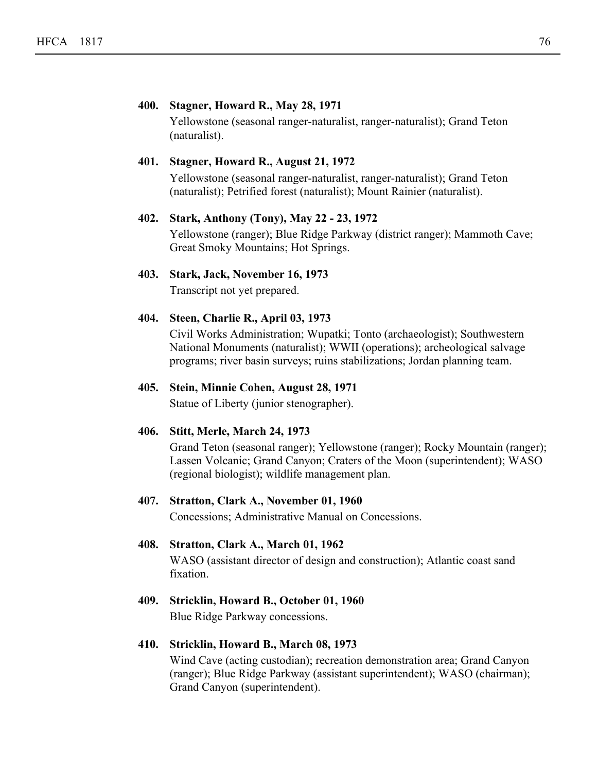# **400. Stagner, Howard R., May 28, 1971**

Yellowstone (seasonal ranger-naturalist, ranger-naturalist); Grand Teton (naturalist).

# **401. Stagner, Howard R., August 21, 1972**

Yellowstone (seasonal ranger-naturalist, ranger-naturalist); Grand Teton (naturalist); Petrified forest (naturalist); Mount Rainier (naturalist).

#### **402. Stark, Anthony (Tony), May 22 - 23, 1972**

Yellowstone (ranger); Blue Ridge Parkway (district ranger); Mammoth Cave; Great Smoky Mountains; Hot Springs.

# **403. Stark, Jack, November 16, 1973**

Transcript not yet prepared.

#### **404. Steen, Charlie R., April 03, 1973**

Civil Works Administration; Wupatki; Tonto (archaeologist); Southwestern National Monuments (naturalist); WWII (operations); archeological salvage programs; river basin surveys; ruins stabilizations; Jordan planning team.

# **405. Stein, Minnie Cohen, August 28, 1971**

Statue of Liberty (junior stenographer).

#### **406. Stitt, Merle, March 24, 1973**

Grand Teton (seasonal ranger); Yellowstone (ranger); Rocky Mountain (ranger); Lassen Volcanic; Grand Canyon; Craters of the Moon (superintendent); WASO (regional biologist); wildlife management plan.

#### **407. Stratton, Clark A., November 01, 1960**

Concessions; Administrative Manual on Concessions.

#### **408. Stratton, Clark A., March 01, 1962**

WASO (assistant director of design and construction); Atlantic coast sand fixation.

# **409. Stricklin, Howard B., October 01, 1960**

Blue Ridge Parkway concessions.

# **410. Stricklin, Howard B., March 08, 1973**

Wind Cave (acting custodian); recreation demonstration area; Grand Canyon (ranger); Blue Ridge Parkway (assistant superintendent); WASO (chairman); Grand Canyon (superintendent).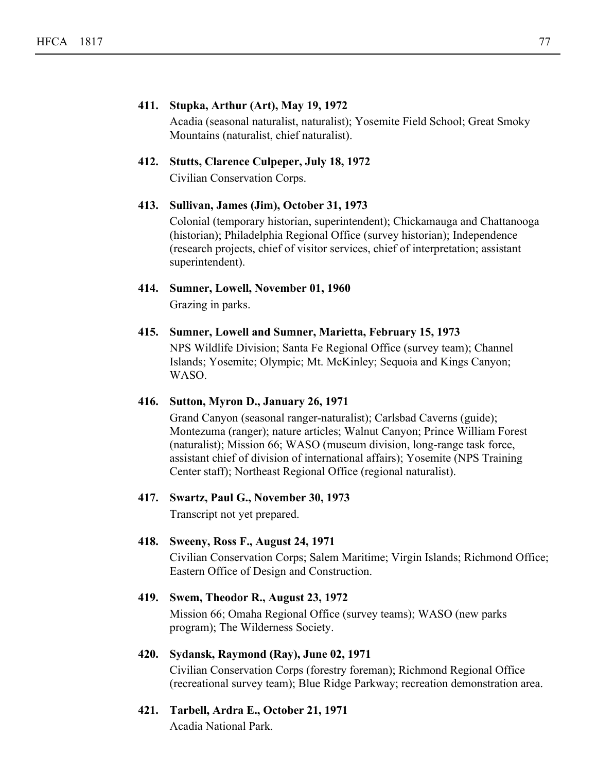# **411. Stupka, Arthur (Art), May 19, 1972**

Acadia (seasonal naturalist, naturalist); Yosemite Field School; Great Smoky Mountains (naturalist, chief naturalist).

# **412. Stutts, Clarence Culpeper, July 18, 1972**

Civilian Conservation Corps.

# **413. Sullivan, James (Jim), October 31, 1973**

Colonial (temporary historian, superintendent); Chickamauga and Chattanooga (historian); Philadelphia Regional Office (survey historian); Independence (research projects, chief of visitor services, chief of interpretation; assistant superintendent).

- **414. Sumner, Lowell, November 01, 1960** Grazing in parks.
- **415. Sumner, Lowell and Sumner, Marietta, February 15, 1973** NPS Wildlife Division; Santa Fe Regional Office (survey team); Channel Islands; Yosemite; Olympic; Mt. McKinley; Sequoia and Kings Canyon; WASO.

# **416. Sutton, Myron D., January 26, 1971**

Grand Canyon (seasonal ranger-naturalist); Carlsbad Caverns (guide); Montezuma (ranger); nature articles; Walnut Canyon; Prince William Forest (naturalist); Mission 66; WASO (museum division, long-range task force, assistant chief of division of international affairs); Yosemite (NPS Training Center staff); Northeast Regional Office (regional naturalist).

# **417. Swartz, Paul G., November 30, 1973**

Transcript not yet prepared.

# **418. Sweeny, Ross F., August 24, 1971**

Civilian Conservation Corps; Salem Maritime; Virgin Islands; Richmond Office; Eastern Office of Design and Construction.

# **419. Swem, Theodor R., August 23, 1972**

Mission 66; Omaha Regional Office (survey teams); WASO (new parks program); The Wilderness Society.

#### **420. Sydansk, Raymond (Ray), June 02, 1971**

Civilian Conservation Corps (forestry foreman); Richmond Regional Office (recreational survey team); Blue Ridge Parkway; recreation demonstration area.

**421. Tarbell, Ardra E., October 21, 1971** Acadia National Park.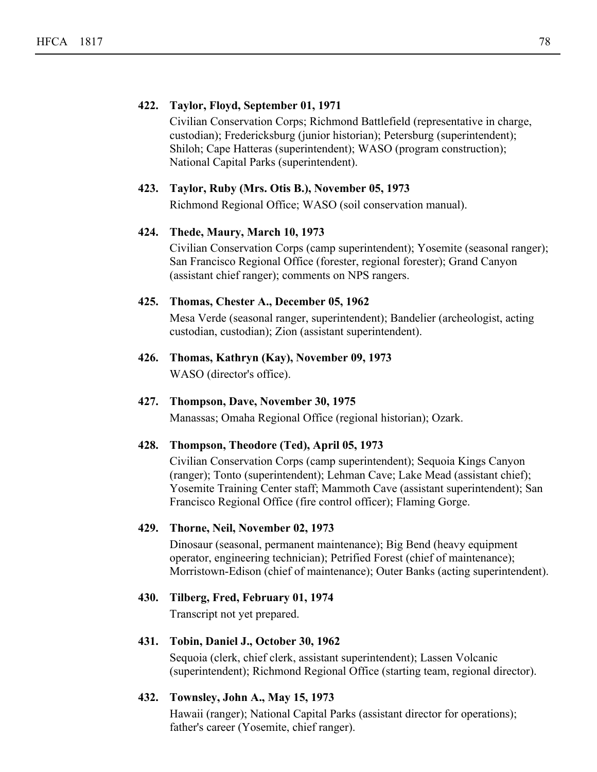# **422. Taylor, Floyd, September 01, 1971**

Civilian Conservation Corps; Richmond Battlefield (representative in charge, custodian); Fredericksburg (junior historian); Petersburg (superintendent); Shiloh; Cape Hatteras (superintendent); WASO (program construction); National Capital Parks (superintendent).

# **423. Taylor, Ruby (Mrs. Otis B.), November 05, 1973**

Richmond Regional Office; WASO (soil conservation manual).

# **424. Thede, Maury, March 10, 1973**

Civilian Conservation Corps (camp superintendent); Yosemite (seasonal ranger); San Francisco Regional Office (forester, regional forester); Grand Canyon (assistant chief ranger); comments on NPS rangers.

# **425. Thomas, Chester A., December 05, 1962**

Mesa Verde (seasonal ranger, superintendent); Bandelier (archeologist, acting custodian, custodian); Zion (assistant superintendent).

**426. Thomas, Kathryn (Kay), November 09, 1973** WASO (director's office).

# **427. Thompson, Dave, November 30, 1975**

Manassas; Omaha Regional Office (regional historian); Ozark.

# **428. Thompson, Theodore (Ted), April 05, 1973**

Civilian Conservation Corps (camp superintendent); Sequoia Kings Canyon (ranger); Tonto (superintendent); Lehman Cave; Lake Mead (assistant chief); Yosemite Training Center staff; Mammoth Cave (assistant superintendent); San Francisco Regional Office (fire control officer); Flaming Gorge.

# **429. Thorne, Neil, November 02, 1973**

Dinosaur (seasonal, permanent maintenance); Big Bend (heavy equipment operator, engineering technician); Petrified Forest (chief of maintenance); Morristown-Edison (chief of maintenance); Outer Banks (acting superintendent).

# **430. Tilberg, Fred, February 01, 1974**

Transcript not yet prepared.

#### **431. Tobin, Daniel J., October 30, 1962**

Sequoia (clerk, chief clerk, assistant superintendent); Lassen Volcanic (superintendent); Richmond Regional Office (starting team, regional director).

# **432. Townsley, John A., May 15, 1973**

Hawaii (ranger); National Capital Parks (assistant director for operations); father's career (Yosemite, chief ranger).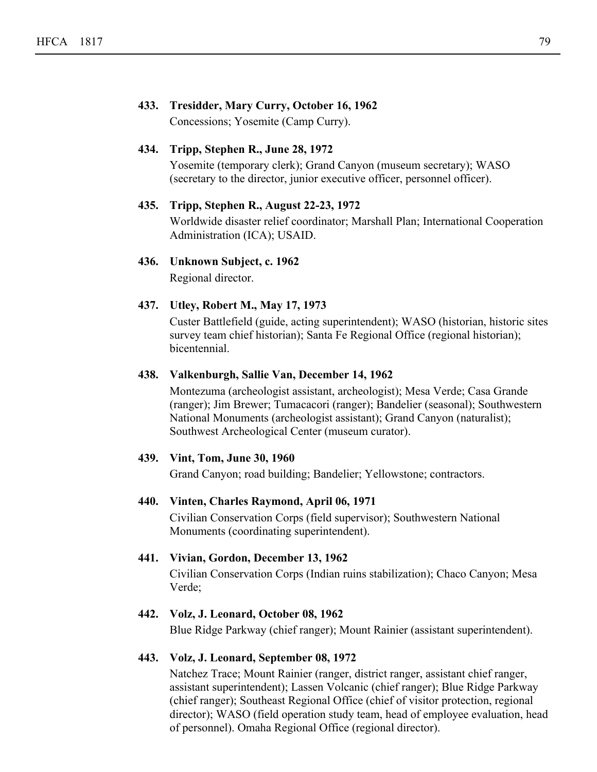# **433. Tresidder, Mary Curry, October 16, 1962**

Concessions; Yosemite (Camp Curry).

# **434. Tripp, Stephen R., June 28, 1972**

Yosemite (temporary clerk); Grand Canyon (museum secretary); WASO (secretary to the director, junior executive officer, personnel officer).

# **435. Tripp, Stephen R., August 22-23, 1972**

Worldwide disaster relief coordinator; Marshall Plan; International Cooperation Administration (ICA); USAID.

# **436. Unknown Subject, c. 1962**

Regional director.

# **437. Utley, Robert M., May 17, 1973**

Custer Battlefield (guide, acting superintendent); WASO (historian, historic sites survey team chief historian); Santa Fe Regional Office (regional historian); bicentennial.

# **438. Valkenburgh, Sallie Van, December 14, 1962**

Montezuma (archeologist assistant, archeologist); Mesa Verde; Casa Grande (ranger); Jim Brewer; Tumacacori (ranger); Bandelier (seasonal); Southwestern National Monuments (archeologist assistant); Grand Canyon (naturalist); Southwest Archeological Center (museum curator).

# **439. Vint, Tom, June 30, 1960**

Grand Canyon; road building; Bandelier; Yellowstone; contractors.

#### **440. Vinten, Charles Raymond, April 06, 1971**

Civilian Conservation Corps (field supervisor); Southwestern National Monuments (coordinating superintendent).

# **441. Vivian, Gordon, December 13, 1962**

Civilian Conservation Corps (Indian ruins stabilization); Chaco Canyon; Mesa Verde;

# **442. Volz, J. Leonard, October 08, 1962**

Blue Ridge Parkway (chief ranger); Mount Rainier (assistant superintendent).

#### **443. Volz, J. Leonard, September 08, 1972**

Natchez Trace; Mount Rainier (ranger, district ranger, assistant chief ranger, assistant superintendent); Lassen Volcanic (chief ranger); Blue Ridge Parkway (chief ranger); Southeast Regional Office (chief of visitor protection, regional director); WASO (field operation study team, head of employee evaluation, head of personnel). Omaha Regional Office (regional director).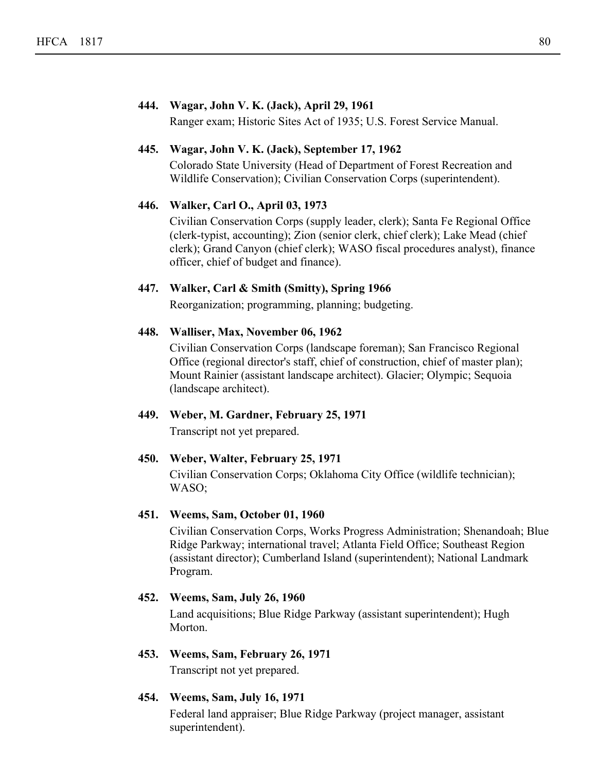# **444. Wagar, John V. K. (Jack), April 29, 1961**

Ranger exam; Historic Sites Act of 1935; U.S. Forest Service Manual.

# **445. Wagar, John V. K. (Jack), September 17, 1962**

Colorado State University (Head of Department of Forest Recreation and Wildlife Conservation); Civilian Conservation Corps (superintendent).

# **446. Walker, Carl O., April 03, 1973**

Civilian Conservation Corps (supply leader, clerk); Santa Fe Regional Office (clerk-typist, accounting); Zion (senior clerk, chief clerk); Lake Mead (chief clerk); Grand Canyon (chief clerk); WASO fiscal procedures analyst), finance officer, chief of budget and finance).

# **447. Walker, Carl & Smith (Smitty), Spring 1966**

Reorganization; programming, planning; budgeting.

# **448. Walliser, Max, November 06, 1962**

Civilian Conservation Corps (landscape foreman); San Francisco Regional Office (regional director's staff, chief of construction, chief of master plan); Mount Rainier (assistant landscape architect). Glacier; Olympic; Sequoia (landscape architect).

# **449. Weber, M. Gardner, February 25, 1971**

Transcript not yet prepared.

# **450. Weber, Walter, February 25, 1971**

Civilian Conservation Corps; Oklahoma City Office (wildlife technician); WASO;

# **451. Weems, Sam, October 01, 1960**

Civilian Conservation Corps, Works Progress Administration; Shenandoah; Blue Ridge Parkway; international travel; Atlanta Field Office; Southeast Region (assistant director); Cumberland Island (superintendent); National Landmark Program.

# **452. Weems, Sam, July 26, 1960**

Land acquisitions; Blue Ridge Parkway (assistant superintendent); Hugh Morton.

# **453. Weems, Sam, February 26, 1971**

Transcript not yet prepared.

# **454. Weems, Sam, July 16, 1971**

Federal land appraiser; Blue Ridge Parkway (project manager, assistant superintendent).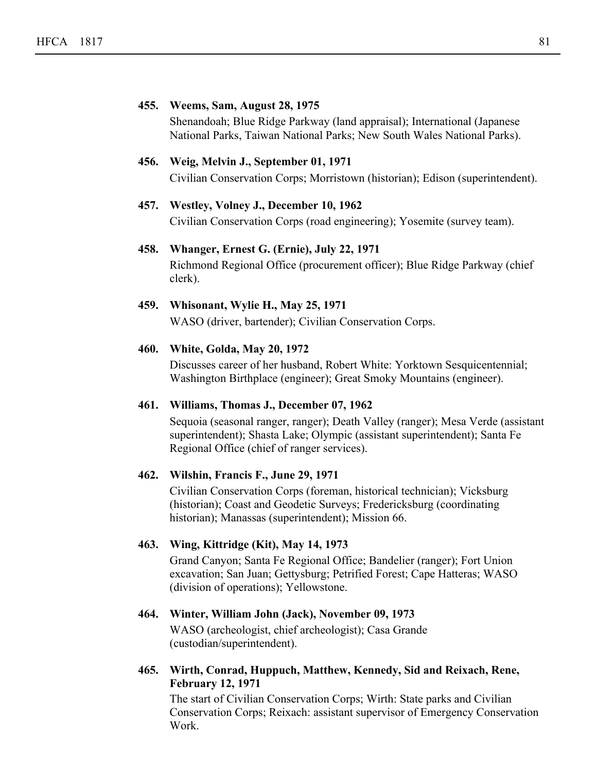# **455. Weems, Sam, August 28, 1975** Shenandoah; Blue Ridge Parkway (land appraisal); International (Japanese National Parks, Taiwan National Parks; New South Wales National Parks). **456. Weig, Melvin J., September 01, 1971** Civilian Conservation Corps; Morristown (historian); Edison (superintendent). **457. Westley, Volney J., December 10, 1962** Civilian Conservation Corps (road engineering); Yosemite (survey team). **458. Whanger, Ernest G. (Ernie), July 22, 1971** Richmond Regional Office (procurement officer); Blue Ridge Parkway (chief clerk). **459. Whisonant, Wylie H., May 25, 1971** WASO (driver, bartender); Civilian Conservation Corps. **460. White, Golda, May 20, 1972** Discusses career of her husband, Robert White: Yorktown Sesquicentennial; Washington Birthplace (engineer); Great Smoky Mountains (engineer). **461. Williams, Thomas J., December 07, 1962**

Sequoia (seasonal ranger, ranger); Death Valley (ranger); Mesa Verde (assistant superintendent); Shasta Lake; Olympic (assistant superintendent); Santa Fe Regional Office (chief of ranger services).

# **462. Wilshin, Francis F., June 29, 1971**

Civilian Conservation Corps (foreman, historical technician); Vicksburg (historian); Coast and Geodetic Surveys; Fredericksburg (coordinating historian); Manassas (superintendent); Mission 66.

# **463. Wing, Kittridge (Kit), May 14, 1973**

Grand Canyon; Santa Fe Regional Office; Bandelier (ranger); Fort Union excavation; San Juan; Gettysburg; Petrified Forest; Cape Hatteras; WASO (division of operations); Yellowstone.

# **464. Winter, William John (Jack), November 09, 1973**

WASO (archeologist, chief archeologist); Casa Grande (custodian/superintendent).

**Wirth, Conrad, Huppuch, Matthew, Kennedy, Sid and Reixach, Rene, 465. February 12, 1971**

The start of Civilian Conservation Corps; Wirth: State parks and Civilian Conservation Corps; Reixach: assistant supervisor of Emergency Conservation Work.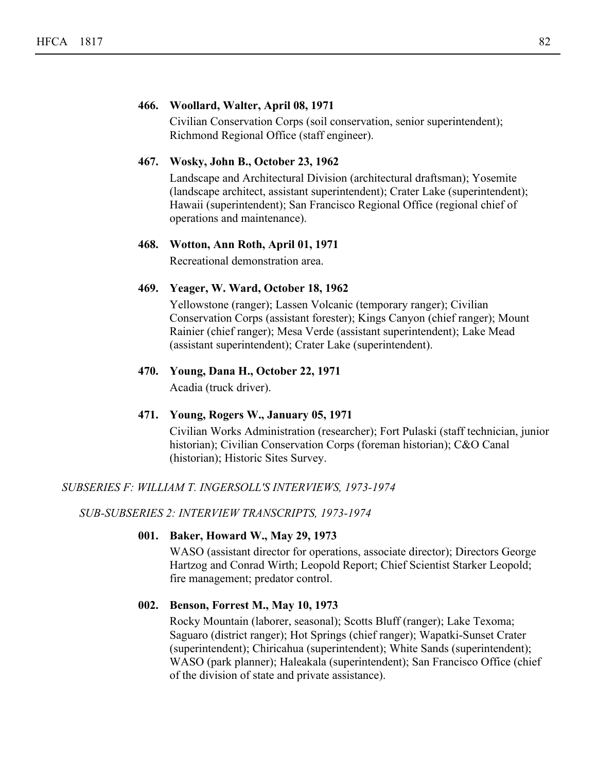# **466. Woollard, Walter, April 08, 1971**

Civilian Conservation Corps (soil conservation, senior superintendent); Richmond Regional Office (staff engineer).

# **467. Wosky, John B., October 23, 1962**

Landscape and Architectural Division (architectural draftsman); Yosemite (landscape architect, assistant superintendent); Crater Lake (superintendent); Hawaii (superintendent); San Francisco Regional Office (regional chief of operations and maintenance).

# **468. Wotton, Ann Roth, April 01, 1971**

Recreational demonstration area.

# **469. Yeager, W. Ward, October 18, 1962**

Yellowstone (ranger); Lassen Volcanic (temporary ranger); Civilian Conservation Corps (assistant forester); Kings Canyon (chief ranger); Mount Rainier (chief ranger); Mesa Verde (assistant superintendent); Lake Mead (assistant superintendent); Crater Lake (superintendent).

# **470. Young, Dana H., October 22, 1971**

Acadia (truck driver).

# **471. Young, Rogers W., January 05, 1971**

Civilian Works Administration (researcher); Fort Pulaski (staff technician, junior historian); Civilian Conservation Corps (foreman historian); C&O Canal (historian); Historic Sites Survey.

# *SUBSERIES F: WILLIAM T. INGERSOLL'S INTERVIEWS, 1973-1974*

*SUB-SUBSERIES 2: INTERVIEW TRANSCRIPTS, 1973-1974*

# **001. Baker, Howard W., May 29, 1973**

WASO (assistant director for operations, associate director); Directors George Hartzog and Conrad Wirth; Leopold Report; Chief Scientist Starker Leopold; fire management; predator control.

# **002. Benson, Forrest M., May 10, 1973**

Rocky Mountain (laborer, seasonal); Scotts Bluff (ranger); Lake Texoma; Saguaro (district ranger); Hot Springs (chief ranger); Wapatki-Sunset Crater (superintendent); Chiricahua (superintendent); White Sands (superintendent); WASO (park planner); Haleakala (superintendent); San Francisco Office (chief of the division of state and private assistance).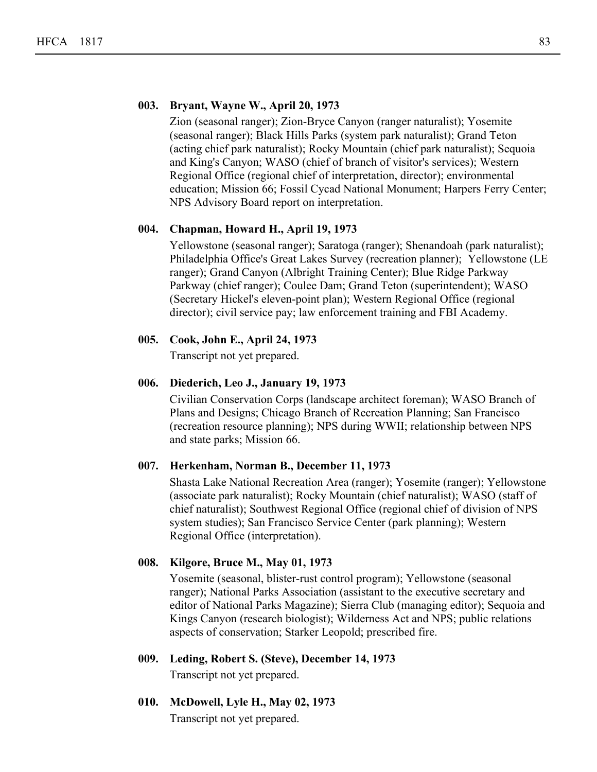# **003. Bryant, Wayne W., April 20, 1973**

Zion (seasonal ranger); Zion-Bryce Canyon (ranger naturalist); Yosemite (seasonal ranger); Black Hills Parks (system park naturalist); Grand Teton (acting chief park naturalist); Rocky Mountain (chief park naturalist); Sequoia and King's Canyon; WASO (chief of branch of visitor's services); Western Regional Office (regional chief of interpretation, director); environmental education; Mission 66; Fossil Cycad National Monument; Harpers Ferry Center; NPS Advisory Board report on interpretation.

# **004. Chapman, Howard H., April 19, 1973**

Yellowstone (seasonal ranger); Saratoga (ranger); Shenandoah (park naturalist); Philadelphia Office's Great Lakes Survey (recreation planner); Yellowstone (LE ranger); Grand Canyon (Albright Training Center); Blue Ridge Parkway Parkway (chief ranger); Coulee Dam; Grand Teton (superintendent); WASO (Secretary Hickel's eleven-point plan); Western Regional Office (regional director); civil service pay; law enforcement training and FBI Academy.

# **005. Cook, John E., April 24, 1973**

Transcript not yet prepared.

# **006. Diederich, Leo J., January 19, 1973**

Civilian Conservation Corps (landscape architect foreman); WASO Branch of Plans and Designs; Chicago Branch of Recreation Planning; San Francisco (recreation resource planning); NPS during WWII; relationship between NPS and state parks; Mission 66.

# **007. Herkenham, Norman B., December 11, 1973**

Shasta Lake National Recreation Area (ranger); Yosemite (ranger); Yellowstone (associate park naturalist); Rocky Mountain (chief naturalist); WASO (staff of chief naturalist); Southwest Regional Office (regional chief of division of NPS system studies); San Francisco Service Center (park planning); Western Regional Office (interpretation).

# **008. Kilgore, Bruce M., May 01, 1973**

Yosemite (seasonal, blister-rust control program); Yellowstone (seasonal ranger); National Parks Association (assistant to the executive secretary and editor of National Parks Magazine); Sierra Club (managing editor); Sequoia and Kings Canyon (research biologist); Wilderness Act and NPS; public relations aspects of conservation; Starker Leopold; prescribed fire.

**009. Leding, Robert S. (Steve), December 14, 1973**

Transcript not yet prepared.

**010. McDowell, Lyle H., May 02, 1973**

Transcript not yet prepared.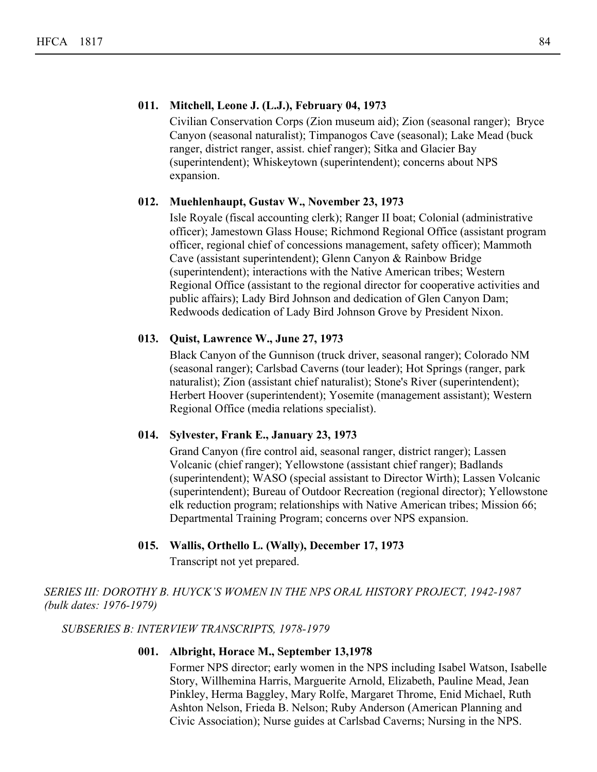# **011. Mitchell, Leone J. (L.J.), February 04, 1973**

Civilian Conservation Corps (Zion museum aid); Zion (seasonal ranger); Bryce Canyon (seasonal naturalist); Timpanogos Cave (seasonal); Lake Mead (buck ranger, district ranger, assist. chief ranger); Sitka and Glacier Bay (superintendent); Whiskeytown (superintendent); concerns about NPS expansion.

# **012. Muehlenhaupt, Gustav W., November 23, 1973**

Isle Royale (fiscal accounting clerk); Ranger II boat; Colonial (administrative officer); Jamestown Glass House; Richmond Regional Office (assistant program officer, regional chief of concessions management, safety officer); Mammoth Cave (assistant superintendent); Glenn Canyon & Rainbow Bridge (superintendent); interactions with the Native American tribes; Western Regional Office (assistant to the regional director for cooperative activities and public affairs); Lady Bird Johnson and dedication of Glen Canyon Dam; Redwoods dedication of Lady Bird Johnson Grove by President Nixon.

# **013. Quist, Lawrence W., June 27, 1973**

Black Canyon of the Gunnison (truck driver, seasonal ranger); Colorado NM (seasonal ranger); Carlsbad Caverns (tour leader); Hot Springs (ranger, park naturalist); Zion (assistant chief naturalist); Stone's River (superintendent); Herbert Hoover (superintendent); Yosemite (management assistant); Western Regional Office (media relations specialist).

# **014. Sylvester, Frank E., January 23, 1973**

Grand Canyon (fire control aid, seasonal ranger, district ranger); Lassen Volcanic (chief ranger); Yellowstone (assistant chief ranger); Badlands (superintendent); WASO (special assistant to Director Wirth); Lassen Volcanic (superintendent); Bureau of Outdoor Recreation (regional director); Yellowstone elk reduction program; relationships with Native American tribes; Mission 66; Departmental Training Program; concerns over NPS expansion.

# **015. Wallis, Orthello L. (Wally), December 17, 1973** Transcript not yet prepared.

# *SERIES III: DOROTHY B. HUYCK'S WOMEN IN THE NPS ORAL HISTORY PROJECT, 1942-1987 (bulk dates: 1976-1979)*

# *SUBSERIES B: INTERVIEW TRANSCRIPTS, 1978-1979*

# **001. Albright, Horace M., September 13,1978**

Former NPS director; early women in the NPS including Isabel Watson, Isabelle Story, Willhemina Harris, Marguerite Arnold, Elizabeth, Pauline Mead, Jean Pinkley, Herma Baggley, Mary Rolfe, Margaret Throme, Enid Michael, Ruth Ashton Nelson, Frieda B. Nelson; Ruby Anderson (American Planning and Civic Association); Nurse guides at Carlsbad Caverns; Nursing in the NPS.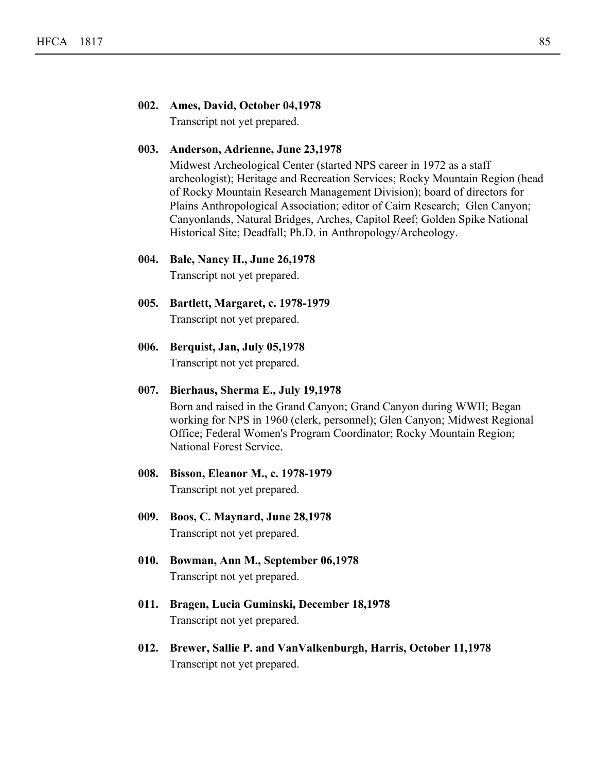# **002. Ames, David, October 04,1978**

Transcript not yet prepared.

# **003. Anderson, Adrienne, June 23,1978**

Midwest Archeological Center (started NPS career in 1972 as a staff archeologist); Heritage and Recreation Services; Rocky Mountain Region (head of Rocky Mountain Research Management Division); board of directors for Plains Anthropological Association; editor of Cairn Research; Glen Canyon; Canyonlands, Natural Bridges, Arches, Capitol Reef; Golden Spike National Historical Site; Deadfall; Ph.D. in Anthropology/Archeology.

#### **004. Bale, Nancy H., June 26,1978**

Transcript not yet prepared.

- **005. Bartlett, Margaret, c. 1978-1979** Transcript not yet prepared.
- **006. Berquist, Jan, July 05,1978**

Transcript not yet prepared.

# **007. Bierhaus, Sherma E., July 19,1978**

Born and raised in the Grand Canyon; Grand Canyon during WWII; Began working for NPS in 1960 (clerk, personnel); Glen Canyon; Midwest Regional Office; Federal Women's Program Coordinator; Rocky Mountain Region; National Forest Service.

# **008. Bisson, Eleanor M., c. 1978-1979**

Transcript not yet prepared.

- **009. Boos, C. Maynard, June 28,1978** Transcript not yet prepared.
- **010. Bowman, Ann M., September 06,1978** Transcript not yet prepared.
- **011. Bragen, Lucia Guminski, December 18,1978** Transcript not yet prepared.
- **012. Brewer, Sallie P. and VanValkenburgh, Harris, October 11,1978** Transcript not yet prepared.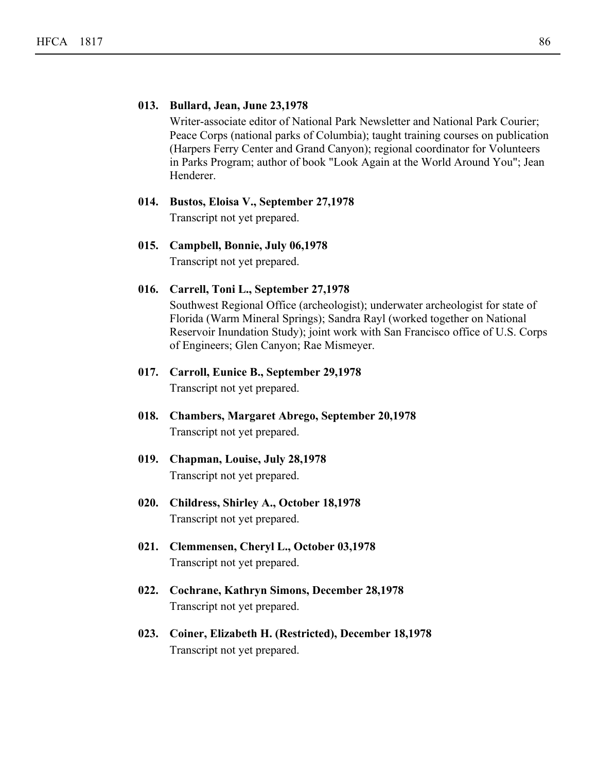# **013. Bullard, Jean, June 23,1978**

Writer-associate editor of National Park Newsletter and National Park Courier; Peace Corps (national parks of Columbia); taught training courses on publication (Harpers Ferry Center and Grand Canyon); regional coordinator for Volunteers in Parks Program; author of book "Look Again at the World Around You"; Jean Henderer.

# **014. Bustos, Eloisa V., September 27,1978**

Transcript not yet prepared.

# **015. Campbell, Bonnie, July 06,1978** Transcript not yet prepared.

**016. Carrell, Toni L., September 27,1978**

# Southwest Regional Office (archeologist); underwater archeologist for state of Florida (Warm Mineral Springs); Sandra Rayl (worked together on National Reservoir Inundation Study); joint work with San Francisco office of U.S. Corps of Engineers; Glen Canyon; Rae Mismeyer.

- **017. Carroll, Eunice B., September 29,1978** Transcript not yet prepared.
- **018. Chambers, Margaret Abrego, September 20,1978** Transcript not yet prepared.
- **019. Chapman, Louise, July 28,1978** Transcript not yet prepared.
- **020. Childress, Shirley A., October 18,1978** Transcript not yet prepared.
- **021. Clemmensen, Cheryl L., October 03,1978** Transcript not yet prepared.
- **022. Cochrane, Kathryn Simons, December 28,1978** Transcript not yet prepared.
- **023. Coiner, Elizabeth H. (Restricted), December 18,1978** Transcript not yet prepared.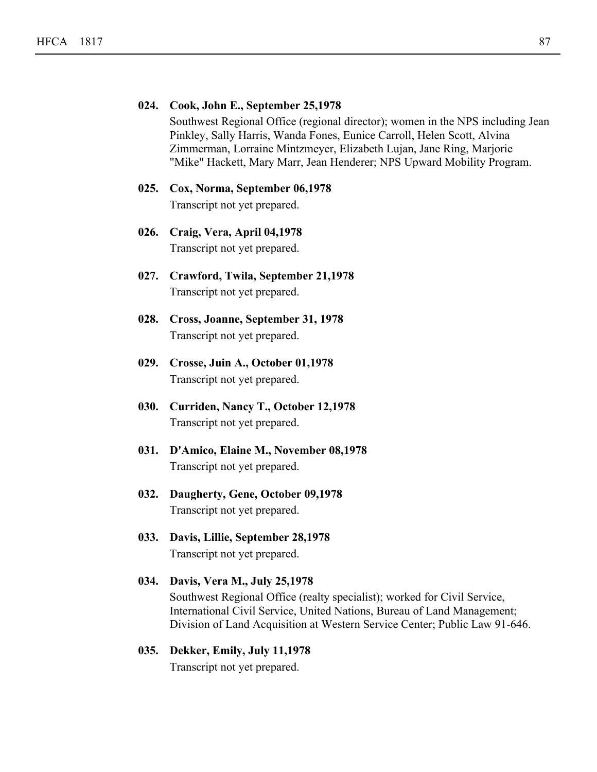# **024. Cook, John E., September 25,1978** Southwest Regional Office (regional director); women in the NPS including Jean Pinkley, Sally Harris, Wanda Fones, Eunice Carroll, Helen Scott, Alvina Zimmerman, Lorraine Mintzmeyer, Elizabeth Lujan, Jane Ring, Marjorie "Mike" Hackett, Mary Marr, Jean Henderer; NPS Upward Mobility Program.

- **025. Cox, Norma, September 06,1978** Transcript not yet prepared.
- **026. Craig, Vera, April 04,1978** Transcript not yet prepared.
- **027. Crawford, Twila, September 21,1978** Transcript not yet prepared.
- **028. Cross, Joanne, September 31, 1978** Transcript not yet prepared.
- **029. Crosse, Juin A., October 01,1978** Transcript not yet prepared.
- **030. Curriden, Nancy T., October 12,1978** Transcript not yet prepared.
- **031. D'Amico, Elaine M., November 08,1978** Transcript not yet prepared.
- **032. Daugherty, Gene, October 09,1978** Transcript not yet prepared.
- **033. Davis, Lillie, September 28,1978** Transcript not yet prepared.

```
034. Davis, Vera M., July 25,1978
Southwest Regional Office (realty specialist); worked for Civil Service,
International Civil Service, United Nations, Bureau of Land Management;
Division of Land Acquisition at Western Service Center; Public Law 91-646.
```

```
035. Dekker, Emily, July 11,1978
Transcript not yet prepared.
```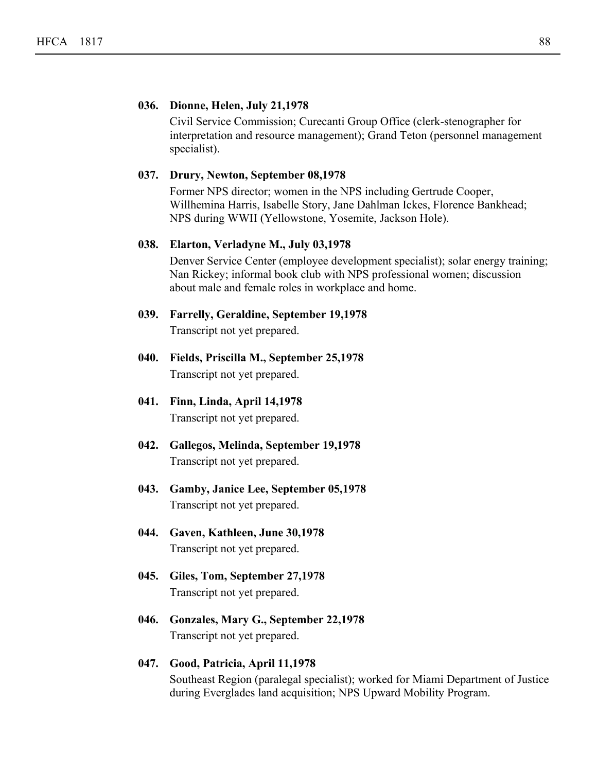# **036. Dionne, Helen, July 21,1978**

Civil Service Commission; Curecanti Group Office (clerk-stenographer for interpretation and resource management); Grand Teton (personnel management specialist).

#### **037. Drury, Newton, September 08,1978**

Former NPS director; women in the NPS including Gertrude Cooper, Willhemina Harris, Isabelle Story, Jane Dahlman Ickes, Florence Bankhead; NPS during WWII (Yellowstone, Yosemite, Jackson Hole).

#### **038. Elarton, Verladyne M., July 03,1978**

Denver Service Center (employee development specialist); solar energy training; Nan Rickey; informal book club with NPS professional women; discussion about male and female roles in workplace and home.

# **039. Farrelly, Geraldine, September 19,1978** Transcript not yet prepared.

- **040. Fields, Priscilla M., September 25,1978** Transcript not yet prepared.
- **041. Finn, Linda, April 14,1978** Transcript not yet prepared.
- **042. Gallegos, Melinda, September 19,1978** Transcript not yet prepared.
- **043. Gamby, Janice Lee, September 05,1978** Transcript not yet prepared.
- **044. Gaven, Kathleen, June 30,1978** Transcript not yet prepared.
- **045. Giles, Tom, September 27,1978** Transcript not yet prepared.
- **046. Gonzales, Mary G., September 22,1978** Transcript not yet prepared.

# **047. Good, Patricia, April 11,1978** Southeast Region (paralegal specialist); worked for Miami Department of Justice during Everglades land acquisition; NPS Upward Mobility Program.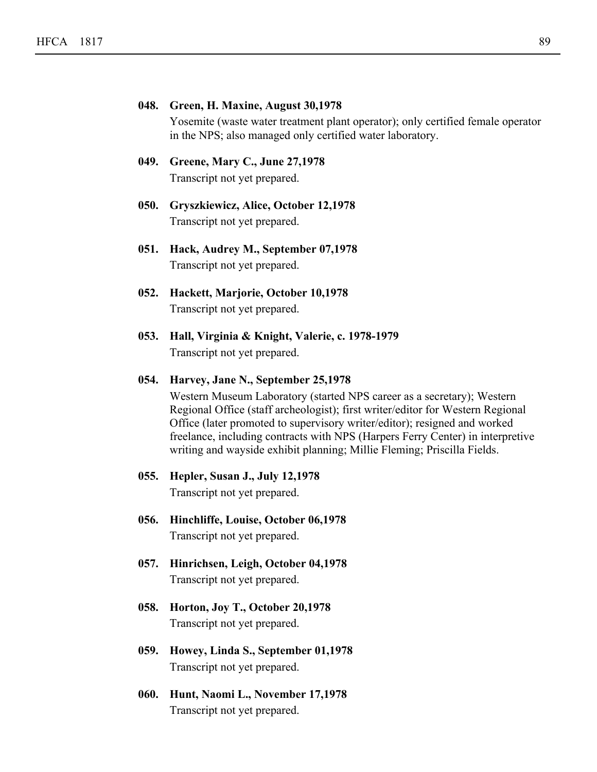# **048. Green, H. Maxine, August 30,1978**

Yosemite (waste water treatment plant operator); only certified female operator in the NPS; also managed only certified water laboratory.

# **049. Greene, Mary C., June 27,1978** Transcript not yet prepared.

- **050. Gryszkiewicz, Alice, October 12,1978** Transcript not yet prepared.
- **051. Hack, Audrey M., September 07,1978** Transcript not yet prepared.
- **052. Hackett, Marjorie, October 10,1978** Transcript not yet prepared.
- **053. Hall, Virginia & Knight, Valerie, c. 1978-1979** Transcript not yet prepared.

#### **054. Harvey, Jane N., September 25,1978**

Western Museum Laboratory (started NPS career as a secretary); Western Regional Office (staff archeologist); first writer/editor for Western Regional Office (later promoted to supervisory writer/editor); resigned and worked freelance, including contracts with NPS (Harpers Ferry Center) in interpretive writing and wayside exhibit planning; Millie Fleming; Priscilla Fields.

# **055. Hepler, Susan J., July 12,1978**

Transcript not yet prepared.

- **056. Hinchliffe, Louise, October 06,1978** Transcript not yet prepared.
- **057. Hinrichsen, Leigh, October 04,1978** Transcript not yet prepared.
- **058. Horton, Joy T., October 20,1978** Transcript not yet prepared.
- **059. Howey, Linda S., September 01,1978** Transcript not yet prepared.
- **060. Hunt, Naomi L., November 17,1978** Transcript not yet prepared.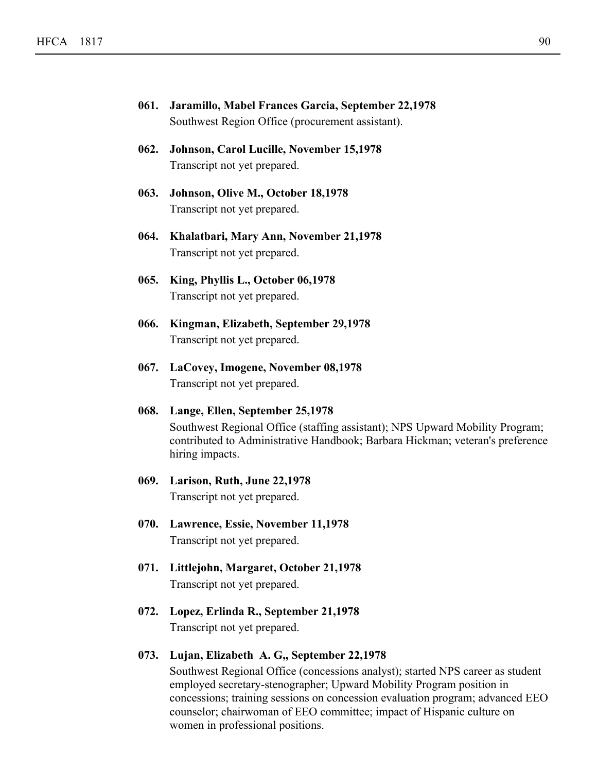| 061. Jaramillo, Mabel Frances Garcia, September 22,1978 |
|---------------------------------------------------------|
| Southwest Region Office (procurement assistant).        |

- **062. Johnson, Carol Lucille, November 15,1978** Transcript not yet prepared.
- **063. Johnson, Olive M., October 18,1978** Transcript not yet prepared.
- **064. Khalatbari, Mary Ann, November 21,1978** Transcript not yet prepared.
- **065. King, Phyllis L., October 06,1978** Transcript not yet prepared.
- **066. Kingman, Elizabeth, September 29,1978** Transcript not yet prepared.
- **067. LaCovey, Imogene, November 08,1978** Transcript not yet prepared.
- **068. Lange, Ellen, September 25,1978** Southwest Regional Office (staffing assistant); NPS Upward Mobility Program; contributed to Administrative Handbook; Barbara Hickman; veteran's preference hiring impacts.
- **069. Larison, Ruth, June 22,1978** Transcript not yet prepared.
- **070. Lawrence, Essie, November 11,1978** Transcript not yet prepared.
- **071. Littlejohn, Margaret, October 21,1978** Transcript not yet prepared.
- **072. Lopez, Erlinda R., September 21,1978** Transcript not yet prepared.
- **073. Lujan, Elizabeth A. G,, September 22,1978**

Southwest Regional Office (concessions analyst); started NPS career as student employed secretary-stenographer; Upward Mobility Program position in concessions; training sessions on concession evaluation program; advanced EEO counselor; chairwoman of EEO committee; impact of Hispanic culture on women in professional positions.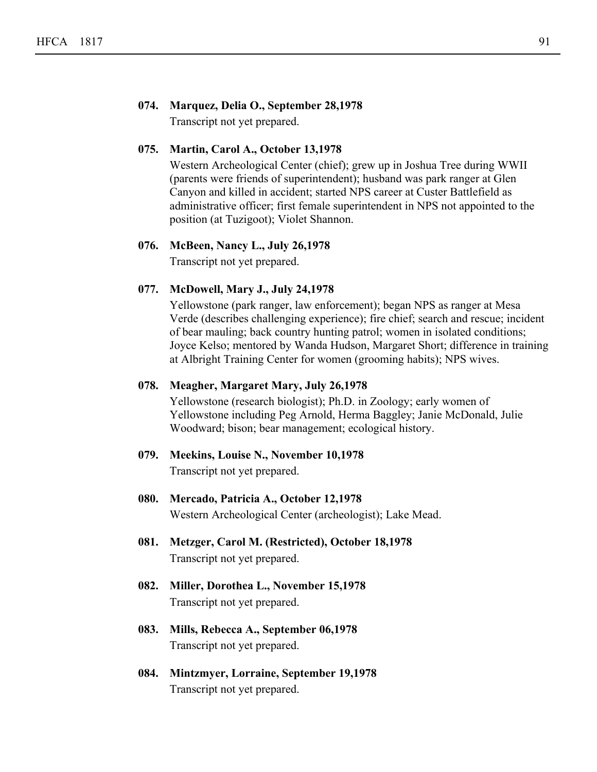# **074. Marquez, Delia O., September 28,1978**

Transcript not yet prepared.

# **075. Martin, Carol A., October 13,1978**

Western Archeological Center (chief); grew up in Joshua Tree during WWII (parents were friends of superintendent); husband was park ranger at Glen Canyon and killed in accident; started NPS career at Custer Battlefield as administrative officer; first female superintendent in NPS not appointed to the position (at Tuzigoot); Violet Shannon.

# **076. McBeen, Nancy L., July 26,1978**

Transcript not yet prepared.

# **077. McDowell, Mary J., July 24,1978**

Yellowstone (park ranger, law enforcement); began NPS as ranger at Mesa Verde (describes challenging experience); fire chief; search and rescue; incident of bear mauling; back country hunting patrol; women in isolated conditions; Joyce Kelso; mentored by Wanda Hudson, Margaret Short; difference in training at Albright Training Center for women (grooming habits); NPS wives.

# **078. Meagher, Margaret Mary, July 26,1978**

Yellowstone (research biologist); Ph.D. in Zoology; early women of Yellowstone including Peg Arnold, Herma Baggley; Janie McDonald, Julie Woodward; bison; bear management; ecological history.

- **079. Meekins, Louise N., November 10,1978** Transcript not yet prepared.
- **080. Mercado, Patricia A., October 12,1978** Western Archeological Center (archeologist); Lake Mead.
- **081. Metzger, Carol M. (Restricted), October 18,1978** Transcript not yet prepared.
- **082. Miller, Dorothea L., November 15,1978** Transcript not yet prepared.
- **083. Mills, Rebecca A., September 06,1978** Transcript not yet prepared.
- **084. Mintzmyer, Lorraine, September 19,1978** Transcript not yet prepared.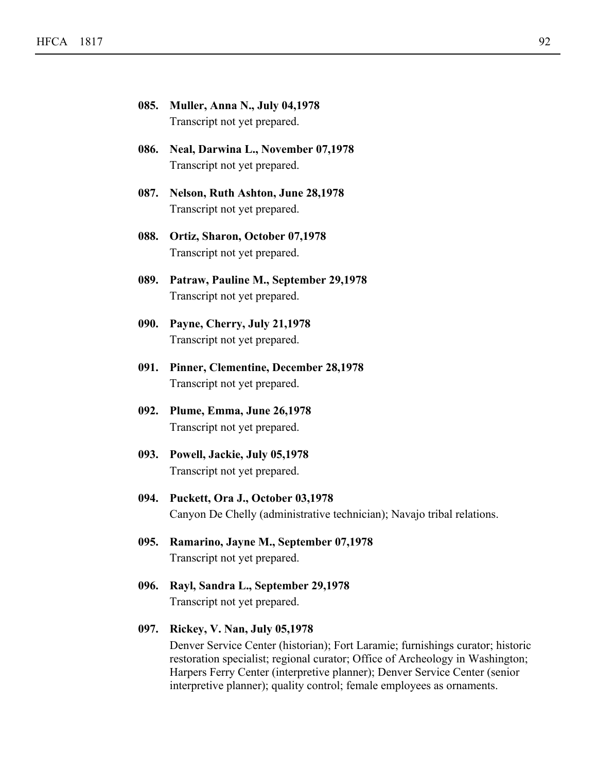| 085. | Muller, Anna N., July 04,1978<br>Transcript not yet prepared.         |
|------|-----------------------------------------------------------------------|
| 086. | Neal, Darwina L., November 07,1978<br>Transcript not yet prepared.    |
| 087. | Nelson, Ruth Ashton, June 28,1978<br>Transcript not yet prepared.     |
|      | 088. Ortiz, Sharon, October 07,1978<br>Transcript not yet prepared.   |
| 089. | Patraw, Pauline M., September 29,1978<br>Transcript not yet prepared. |
|      | 090. Payne, Cherry, July 21,1978<br>Transcript not yet prepared.      |
| 091. | Pinner, Clementine, December 28,1978<br>Transcript not yet prepared.  |
| 092. | Plume, Emma, June 26,1978<br>Transcript not yet prepared.             |
| 093. | Powell, Jackie, July 05,1978<br>Transcript not yet prepared.          |

- **094. Puckett, Ora J., October 03,1978** Canyon De Chelly (administrative technician); Navajo tribal relations.
- **095. Ramarino, Jayne M., September 07,1978** Transcript not yet prepared.
- **096. Rayl, Sandra L., September 29,1978** Transcript not yet prepared.

# **097. Rickey, V. Nan, July 05,1978**

Denver Service Center (historian); Fort Laramie; furnishings curator; historic restoration specialist; regional curator; Office of Archeology in Washington; Harpers Ferry Center (interpretive planner); Denver Service Center (senior interpretive planner); quality control; female employees as ornaments.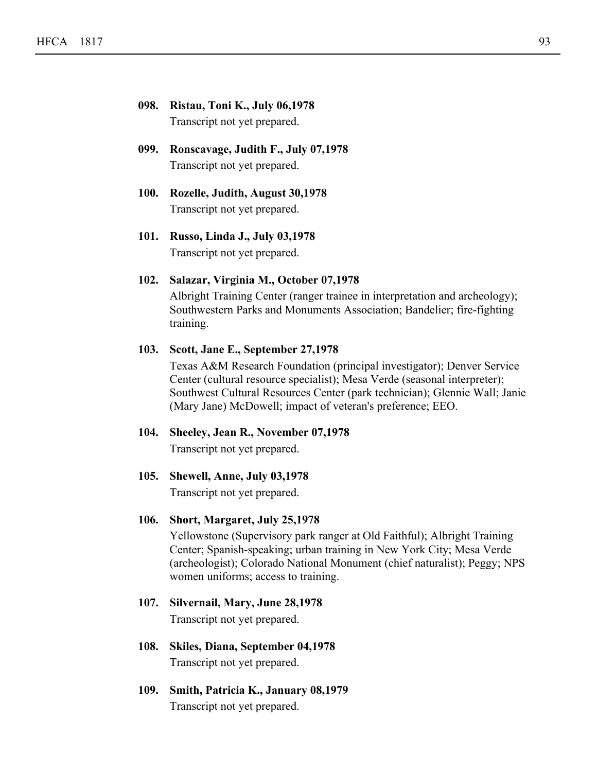# **098. Ristau, Toni K., July 06,1978** Transcript not yet prepared.

- **099. Ronscavage, Judith F., July 07,1978** Transcript not yet prepared.
- **100. Rozelle, Judith, August 30,1978** Transcript not yet prepared.
- **101. Russo, Linda J., July 03,1978** Transcript not yet prepared.

# **102. Salazar, Virginia M., October 07,1978**

Albright Training Center (ranger trainee in interpretation and archeology); Southwestern Parks and Monuments Association; Bandelier; fire-fighting training.

# **103. Scott, Jane E., September 27,1978**

Texas A&M Research Foundation (principal investigator); Denver Service Center (cultural resource specialist); Mesa Verde (seasonal interpreter); Southwest Cultural Resources Center (park technician); Glennie Wall; Janie (Mary Jane) McDowell; impact of veteran's preference; EEO.

**104. Sheeley, Jean R., November 07,1978** Transcript not yet prepared.

# **105. Shewell, Anne, July 03,1978**

Transcript not yet prepared.

# **106. Short, Margaret, July 25,1978**

Yellowstone (Supervisory park ranger at Old Faithful); Albright Training Center; Spanish-speaking; urban training in New York City; Mesa Verde (archeologist); Colorado National Monument (chief naturalist); Peggy; NPS women uniforms; access to training.

# **107. Silvernail, Mary, June 28,1978**

Transcript not yet prepared.

- **108. Skiles, Diana, September 04,1978** Transcript not yet prepared.
- **109. Smith, Patricia K., January 08,1979** Transcript not yet prepared.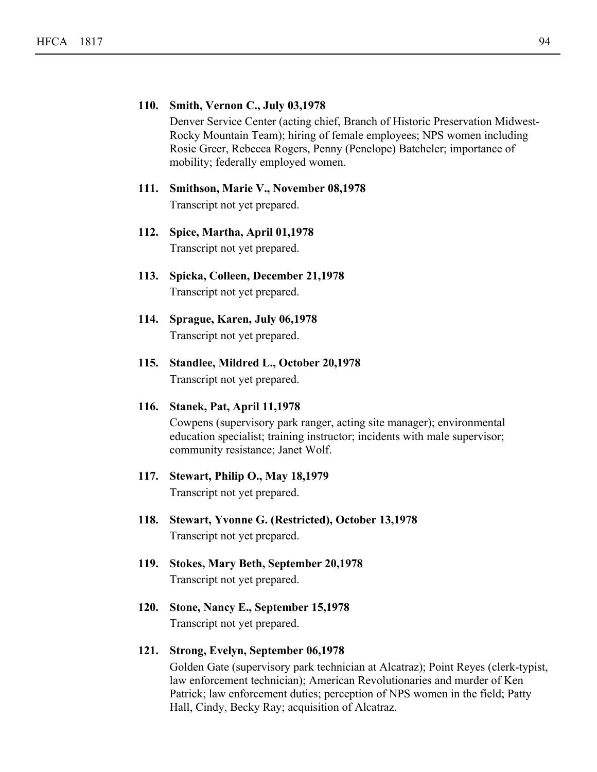# **110. Smith, Vernon C., July 03,1978**

Denver Service Center (acting chief, Branch of Historic Preservation Midwest-Rocky Mountain Team); hiring of female employees; NPS women including Rosie Greer, Rebecca Rogers, Penny (Penelope) Batcheler; importance of mobility; federally employed women.

# **111. Smithson, Marie V., November 08,1978** Transcript not yet prepared.

- **112. Spice, Martha, April 01,1978** Transcript not yet prepared.
- **113. Spicka, Colleen, December 21,1978** Transcript not yet prepared.
- **114. Sprague, Karen, July 06,1978** Transcript not yet prepared.
- **115. Standlee, Mildred L., October 20,1978** Transcript not yet prepared.

# **116. Stanek, Pat, April 11,1978**

Cowpens (supervisory park ranger, acting site manager); environmental education specialist; training instructor; incidents with male supervisor; community resistance; Janet Wolf.

# **117. Stewart, Philip O., May 18,1979**

Transcript not yet prepared.

- **118. Stewart, Yvonne G. (Restricted), October 13,1978** Transcript not yet prepared.
- **119. Stokes, Mary Beth, September 20,1978** Transcript not yet prepared.
- **120. Stone, Nancy E., September 15,1978** Transcript not yet prepared.

# **121. Strong, Evelyn, September 06,1978**

Golden Gate (supervisory park technician at Alcatraz); Point Reyes (clerk-typist, law enforcement technician); American Revolutionaries and murder of Ken Patrick; law enforcement duties; perception of NPS women in the field; Patty Hall, Cindy, Becky Ray; acquisition of Alcatraz.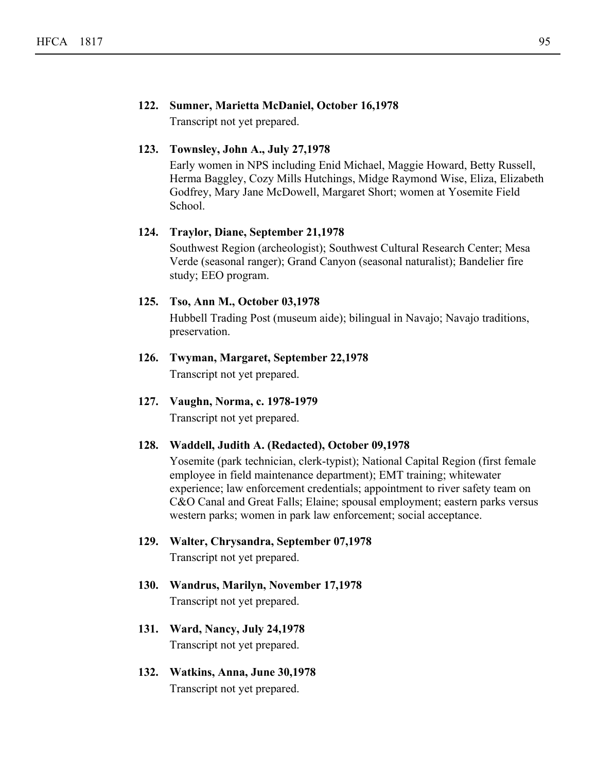# **122. Sumner, Marietta McDaniel, October 16,1978**

Transcript not yet prepared.

# **123. Townsley, John A., July 27,1978**

Early women in NPS including Enid Michael, Maggie Howard, Betty Russell, Herma Baggley, Cozy Mills Hutchings, Midge Raymond Wise, Eliza, Elizabeth Godfrey, Mary Jane McDowell, Margaret Short; women at Yosemite Field School.

# **124. Traylor, Diane, September 21,1978**

Southwest Region (archeologist); Southwest Cultural Research Center; Mesa Verde (seasonal ranger); Grand Canyon (seasonal naturalist); Bandelier fire study; EEO program.

# **125. Tso, Ann M., October 03,1978**

Hubbell Trading Post (museum aide); bilingual in Navajo; Navajo traditions, preservation.

- **126. Twyman, Margaret, September 22,1978** Transcript not yet prepared.
- **127. Vaughn, Norma, c. 1978-1979** Transcript not yet prepared.

**128. Waddell, Judith A. (Redacted), October 09,1978**

Yosemite (park technician, clerk-typist); National Capital Region (first female employee in field maintenance department); EMT training; whitewater experience; law enforcement credentials; appointment to river safety team on C&O Canal and Great Falls; Elaine; spousal employment; eastern parks versus western parks; women in park law enforcement; social acceptance.

- **129. Walter, Chrysandra, September 07,1978** Transcript not yet prepared.
- **130. Wandrus, Marilyn, November 17,1978** Transcript not yet prepared.
- **131. Ward, Nancy, July 24,1978** Transcript not yet prepared.
- **132. Watkins, Anna, June 30,1978** Transcript not yet prepared.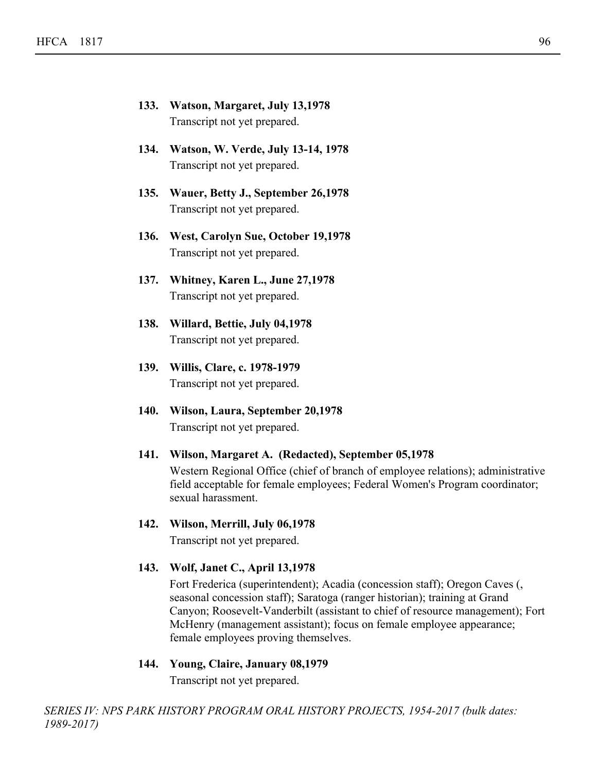- **133. Watson, Margaret, July 13,1978** Transcript not yet prepared.
- **134. Watson, W. Verde, July 13-14, 1978** Transcript not yet prepared.
- **135. Wauer, Betty J., September 26,1978** Transcript not yet prepared.
- **136. West, Carolyn Sue, October 19,1978** Transcript not yet prepared.
- **137. Whitney, Karen L., June 27,1978** Transcript not yet prepared.
- **138. Willard, Bettie, July 04,1978** Transcript not yet prepared.
- **139. Willis, Clare, c. 1978-1979** Transcript not yet prepared.
- **140. Wilson, Laura, September 20,1978** Transcript not yet prepared.
- **141. Wilson, Margaret A. (Redacted), September 05,1978** Western Regional Office (chief of branch of employee relations); administrative field acceptable for female employees; Federal Women's Program coordinator; sexual harassment.

# **142. Wilson, Merrill, July 06,1978**

Transcript not yet prepared.

# **143. Wolf, Janet C., April 13,1978**

Fort Frederica (superintendent); Acadia (concession staff); Oregon Caves (, seasonal concession staff); Saratoga (ranger historian); training at Grand Canyon; Roosevelt-Vanderbilt (assistant to chief of resource management); Fort McHenry (management assistant); focus on female employee appearance; female employees proving themselves.

# **144. Young, Claire, January 08,1979**

Transcript not yet prepared.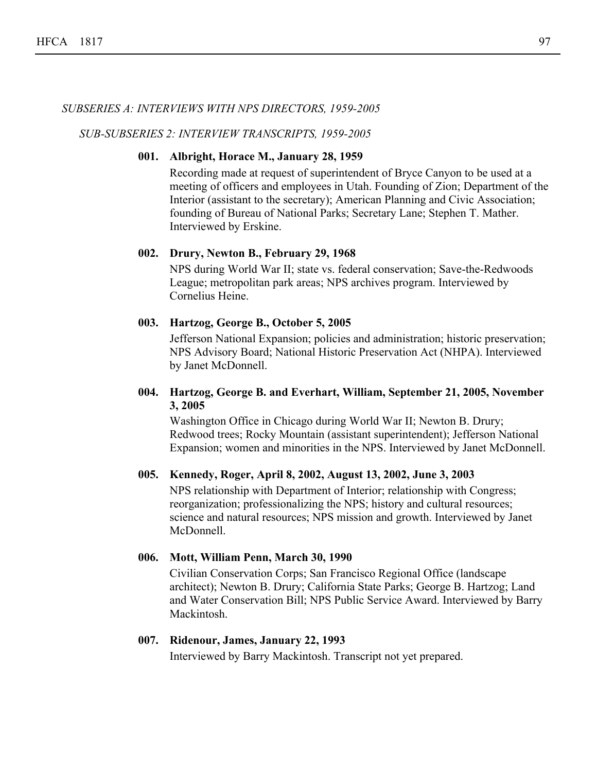# *SUBSERIES A: INTERVIEWS WITH NPS DIRECTORS, 1959-2005*

*SUB-SUBSERIES 2: INTERVIEW TRANSCRIPTS, 1959-2005*

# **001. Albright, Horace M., January 28, 1959**

Recording made at request of superintendent of Bryce Canyon to be used at a meeting of officers and employees in Utah. Founding of Zion; Department of the Interior (assistant to the secretary); American Planning and Civic Association; founding of Bureau of National Parks; Secretary Lane; Stephen T. Mather. Interviewed by Erskine.

# **002. Drury, Newton B., February 29, 1968**

NPS during World War II; state vs. federal conservation; Save-the-Redwoods League; metropolitan park areas; NPS archives program. Interviewed by Cornelius Heine.

# **003. Hartzog, George B., October 5, 2005**

Jefferson National Expansion; policies and administration; historic preservation; NPS Advisory Board; National Historic Preservation Act (NHPA). Interviewed by Janet McDonnell.

# **Hartzog, George B. and Everhart, William, September 21, 2005, November 004. 3, 2005**

Washington Office in Chicago during World War II; Newton B. Drury; Redwood trees; Rocky Mountain (assistant superintendent); Jefferson National Expansion; women and minorities in the NPS. Interviewed by Janet McDonnell.

# **005. Kennedy, Roger, April 8, 2002, August 13, 2002, June 3, 2003**

NPS relationship with Department of Interior; relationship with Congress; reorganization; professionalizing the NPS; history and cultural resources; science and natural resources; NPS mission and growth. Interviewed by Janet McDonnell.

#### **006. Mott, William Penn, March 30, 1990**

Civilian Conservation Corps; San Francisco Regional Office (landscape architect); Newton B. Drury; California State Parks; George B. Hartzog; Land and Water Conservation Bill; NPS Public Service Award. Interviewed by Barry **Mackintosh** 

#### **007. Ridenour, James, January 22, 1993**

Interviewed by Barry Mackintosh. Transcript not yet prepared.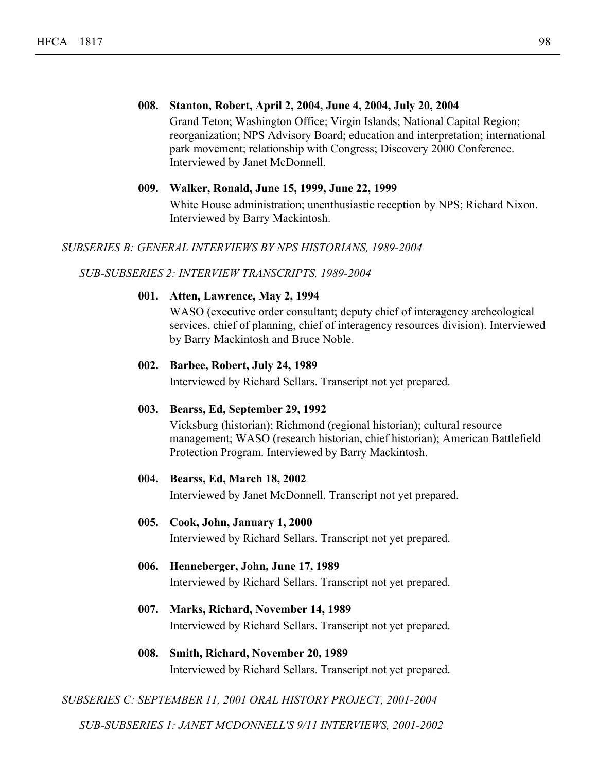**008. Stanton, Robert, April 2, 2004, June 4, 2004, July 20, 2004** Grand Teton; Washington Office; Virgin Islands; National Capital Region; reorganization; NPS Advisory Board; education and interpretation; international park movement; relationship with Congress; Discovery 2000 Conference. Interviewed by Janet McDonnell.

#### **009. Walker, Ronald, June 15, 1999, June 22, 1999**

White House administration; unenthusiastic reception by NPS; Richard Nixon. Interviewed by Barry Mackintosh.

# *SUBSERIES B: GENERAL INTERVIEWS BY NPS HISTORIANS, 1989-2004*

# *SUB-SUBSERIES 2: INTERVIEW TRANSCRIPTS, 1989-2004*

# **001. Atten, Lawrence, May 2, 1994**

WASO (executive order consultant; deputy chief of interagency archeological services, chief of planning, chief of interagency resources division). Interviewed by Barry Mackintosh and Bruce Noble.

# **002. Barbee, Robert, July 24, 1989**

Interviewed by Richard Sellars. Transcript not yet prepared.

#### **003. Bearss, Ed, September 29, 1992**

Vicksburg (historian); Richmond (regional historian); cultural resource management; WASO (research historian, chief historian); American Battlefield Protection Program. Interviewed by Barry Mackintosh.

#### **004. Bearss, Ed, March 18, 2002**

Interviewed by Janet McDonnell. Transcript not yet prepared.

# **005. Cook, John, January 1, 2000**

Interviewed by Richard Sellars. Transcript not yet prepared.

- **006. Henneberger, John, June 17, 1989** Interviewed by Richard Sellars. Transcript not yet prepared.
- **007. Marks, Richard, November 14, 1989** Interviewed by Richard Sellars. Transcript not yet prepared.
- **008. Smith, Richard, November 20, 1989** Interviewed by Richard Sellars. Transcript not yet prepared.

# *SUBSERIES C: SEPTEMBER 11, 2001 ORAL HISTORY PROJECT, 2001-2004*

*SUB-SUBSERIES 1: JANET MCDONNELL'S 9/11 INTERVIEWS, 2001-2002*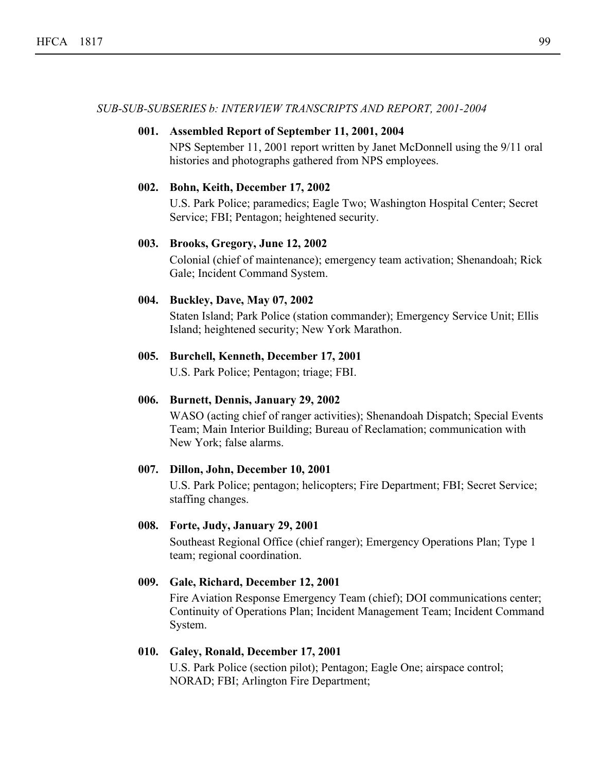*SUB-SUB-SUBSERIES b: INTERVIEW TRANSCRIPTS AND REPORT, 2001-2004*

# **001. Assembled Report of September 11, 2001, 2004**

NPS September 11, 2001 report written by Janet McDonnell using the 9/11 oral histories and photographs gathered from NPS employees.

# **002. Bohn, Keith, December 17, 2002**

U.S. Park Police; paramedics; Eagle Two; Washington Hospital Center; Secret Service; FBI; Pentagon; heightened security.

# **003. Brooks, Gregory, June 12, 2002**

Colonial (chief of maintenance); emergency team activation; Shenandoah; Rick Gale; Incident Command System.

# **004. Buckley, Dave, May 07, 2002**

Staten Island; Park Police (station commander); Emergency Service Unit; Ellis Island; heightened security; New York Marathon.

# **005. Burchell, Kenneth, December 17, 2001**

U.S. Park Police; Pentagon; triage; FBI.

#### **006. Burnett, Dennis, January 29, 2002**

WASO (acting chief of ranger activities); Shenandoah Dispatch; Special Events Team; Main Interior Building; Bureau of Reclamation; communication with New York; false alarms.

# **007. Dillon, John, December 10, 2001**

U.S. Park Police; pentagon; helicopters; Fire Department; FBI; Secret Service; staffing changes.

# **008. Forte, Judy, January 29, 2001**

Southeast Regional Office (chief ranger); Emergency Operations Plan; Type 1 team; regional coordination.

# **009. Gale, Richard, December 12, 2001**

Fire Aviation Response Emergency Team (chief); DOI communications center; Continuity of Operations Plan; Incident Management Team; Incident Command System.

# **010. Galey, Ronald, December 17, 2001**

U.S. Park Police (section pilot); Pentagon; Eagle One; airspace control; NORAD; FBI; Arlington Fire Department;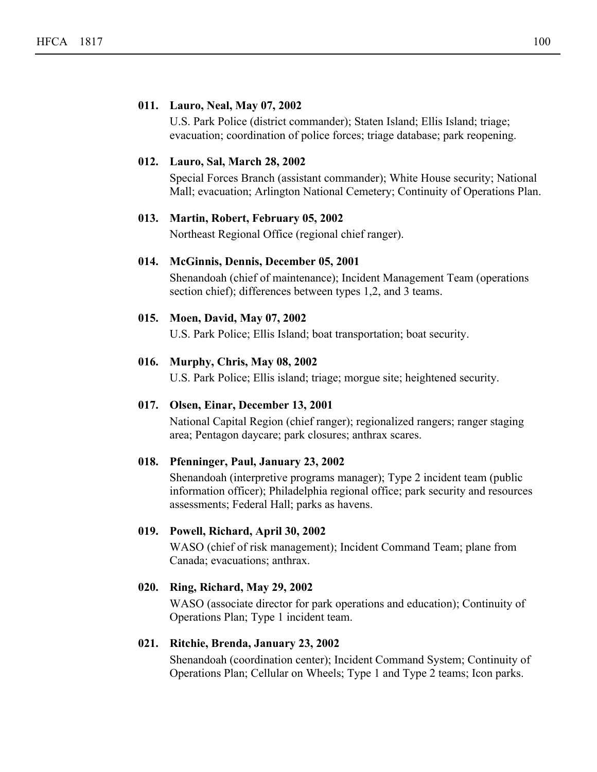# **011. Lauro, Neal, May 07, 2002**

U.S. Park Police (district commander); Staten Island; Ellis Island; triage; evacuation; coordination of police forces; triage database; park reopening.

# **012. Lauro, Sal, March 28, 2002**

Special Forces Branch (assistant commander); White House security; National Mall; evacuation; Arlington National Cemetery; Continuity of Operations Plan.

#### **013. Martin, Robert, February 05, 2002**

Northeast Regional Office (regional chief ranger).

# **014. McGinnis, Dennis, December 05, 2001**

Shenandoah (chief of maintenance); Incident Management Team (operations section chief); differences between types 1,2, and 3 teams.

# **015. Moen, David, May 07, 2002**

U.S. Park Police; Ellis Island; boat transportation; boat security.

#### **016. Murphy, Chris, May 08, 2002**

U.S. Park Police; Ellis island; triage; morgue site; heightened security.

### **017. Olsen, Einar, December 13, 2001**

National Capital Region (chief ranger); regionalized rangers; ranger staging area; Pentagon daycare; park closures; anthrax scares.

# **018. Pfenninger, Paul, January 23, 2002**

Shenandoah (interpretive programs manager); Type 2 incident team (public information officer); Philadelphia regional office; park security and resources assessments; Federal Hall; parks as havens.

# **019. Powell, Richard, April 30, 2002**

WASO (chief of risk management); Incident Command Team; plane from Canada; evacuations; anthrax.

# **020. Ring, Richard, May 29, 2002**

WASO (associate director for park operations and education); Continuity of Operations Plan; Type 1 incident team.

# **021. Ritchie, Brenda, January 23, 2002**

Shenandoah (coordination center); Incident Command System; Continuity of Operations Plan; Cellular on Wheels; Type 1 and Type 2 teams; Icon parks.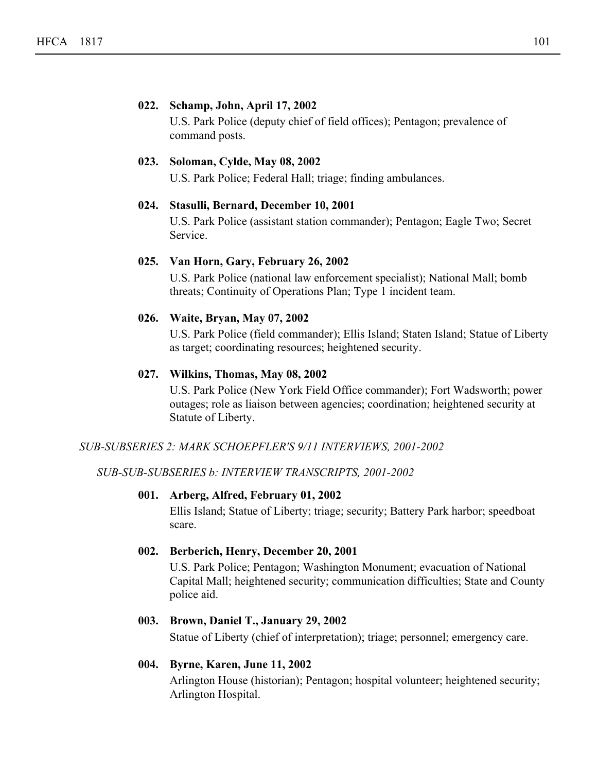# **022. Schamp, John, April 17, 2002**

U.S. Park Police (deputy chief of field offices); Pentagon; prevalence of command posts.

# **023. Soloman, Cylde, May 08, 2002**

U.S. Park Police; Federal Hall; triage; finding ambulances.

# **024. Stasulli, Bernard, December 10, 2001**

U.S. Park Police (assistant station commander); Pentagon; Eagle Two; Secret Service.

# **025. Van Horn, Gary, February 26, 2002**

U.S. Park Police (national law enforcement specialist); National Mall; bomb threats; Continuity of Operations Plan; Type 1 incident team.

# **026. Waite, Bryan, May 07, 2002**

U.S. Park Police (field commander); Ellis Island; Staten Island; Statue of Liberty as target; coordinating resources; heightened security.

# **027. Wilkins, Thomas, May 08, 2002**

U.S. Park Police (New York Field Office commander); Fort Wadsworth; power outages; role as liaison between agencies; coordination; heightened security at Statute of Liberty.

# *SUB-SUBSERIES 2: MARK SCHOEPFLER'S 9/11 INTERVIEWS, 2001-2002*

*SUB-SUB-SUBSERIES b: INTERVIEW TRANSCRIPTS, 2001-2002*

# **001. Arberg, Alfred, February 01, 2002**

Ellis Island; Statue of Liberty; triage; security; Battery Park harbor; speedboat scare.

# **002. Berberich, Henry, December 20, 2001**

U.S. Park Police; Pentagon; Washington Monument; evacuation of National Capital Mall; heightened security; communication difficulties; State and County police aid.

# **003. Brown, Daniel T., January 29, 2002**

Statue of Liberty (chief of interpretation); triage; personnel; emergency care.

# **004. Byrne, Karen, June 11, 2002**

Arlington House (historian); Pentagon; hospital volunteer; heightened security; Arlington Hospital.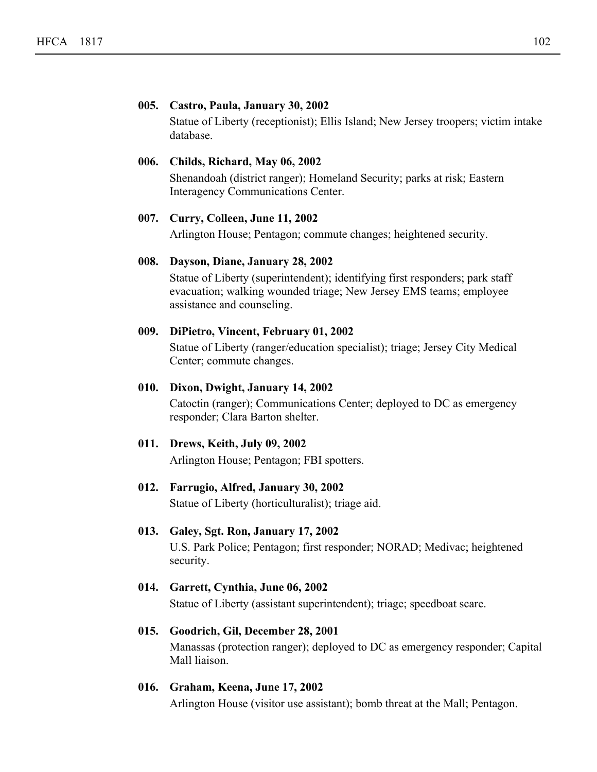# **005. Castro, Paula, January 30, 2002**

Statue of Liberty (receptionist); Ellis Island; New Jersey troopers; victim intake database.

# **006. Childs, Richard, May 06, 2002**

Shenandoah (district ranger); Homeland Security; parks at risk; Eastern Interagency Communications Center.

#### **007. Curry, Colleen, June 11, 2002**

Arlington House; Pentagon; commute changes; heightened security.

# **008. Dayson, Diane, January 28, 2002**

Statue of Liberty (superintendent); identifying first responders; park staff evacuation; walking wounded triage; New Jersey EMS teams; employee assistance and counseling.

#### **009. DiPietro, Vincent, February 01, 2002**

Statue of Liberty (ranger/education specialist); triage; Jersey City Medical Center; commute changes.

# **010. Dixon, Dwight, January 14, 2002**

Catoctin (ranger); Communications Center; deployed to DC as emergency responder; Clara Barton shelter.

#### **011. Drews, Keith, July 09, 2002**

Arlington House; Pentagon; FBI spotters.

# **012. Farrugio, Alfred, January 30, 2002**

Statue of Liberty (horticulturalist); triage aid.

# **013. Galey, Sgt. Ron, January 17, 2002**

U.S. Park Police; Pentagon; first responder; NORAD; Medivac; heightened security.

# **014. Garrett, Cynthia, June 06, 2002** Statue of Liberty (assistant superintendent); triage; speedboat scare.

# **015. Goodrich, Gil, December 28, 2001** Manassas (protection ranger); deployed to DC as emergency responder; Capital Mall liaison.

# **016. Graham, Keena, June 17, 2002** Arlington House (visitor use assistant); bomb threat at the Mall; Pentagon.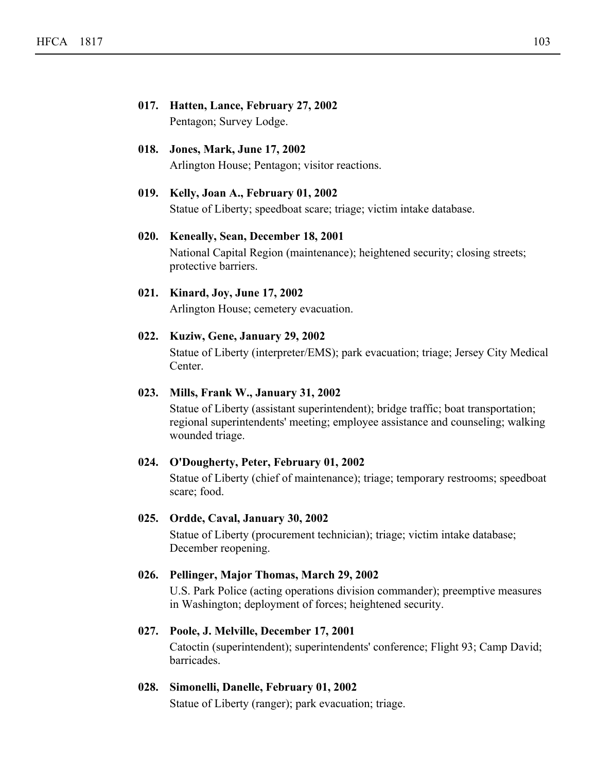- **017. Hatten, Lance, February 27, 2002** Pentagon; Survey Lodge.
- **018. Jones, Mark, June 17, 2002** Arlington House; Pentagon; visitor reactions.
- **019. Kelly, Joan A., February 01, 2002** Statue of Liberty; speedboat scare; triage; victim intake database.
- **020. Keneally, Sean, December 18, 2001** National Capital Region (maintenance); heightened security; closing streets; protective barriers.
- **021. Kinard, Joy, June 17, 2002** Arlington House; cemetery evacuation.
- **022. Kuziw, Gene, January 29, 2002** Statue of Liberty (interpreter/EMS); park evacuation; triage; Jersey City Medical Center.

# **023. Mills, Frank W., January 31, 2002**

Statue of Liberty (assistant superintendent); bridge traffic; boat transportation; regional superintendents' meeting; employee assistance and counseling; walking wounded triage.

# **024. O'Dougherty, Peter, February 01, 2002**

Statue of Liberty (chief of maintenance); triage; temporary restrooms; speedboat scare; food.

# **025. Ordde, Caval, January 30, 2002**

Statue of Liberty (procurement technician); triage; victim intake database; December reopening.

# **026. Pellinger, Major Thomas, March 29, 2002**

U.S. Park Police (acting operations division commander); preemptive measures in Washington; deployment of forces; heightened security.

# **027. Poole, J. Melville, December 17, 2001**

Catoctin (superintendent); superintendents' conference; Flight 93; Camp David; barricades.

# **028. Simonelli, Danelle, February 01, 2002**

Statue of Liberty (ranger); park evacuation; triage.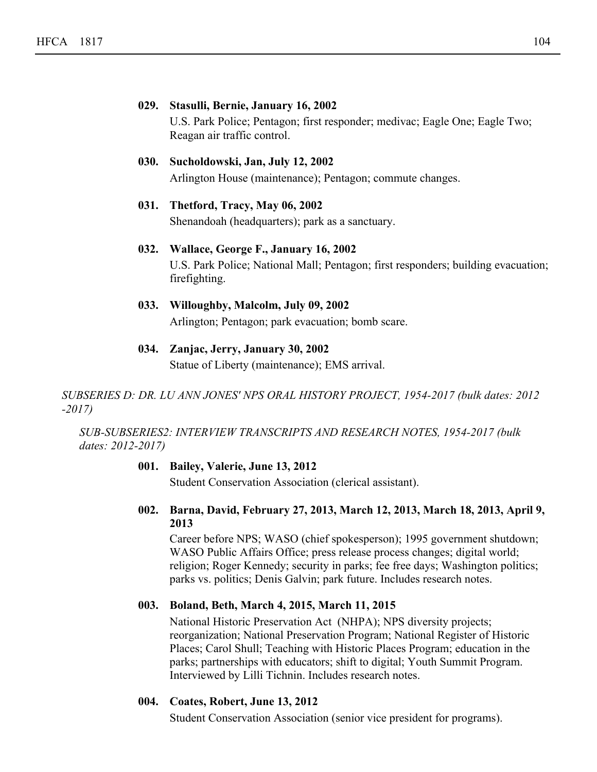|      | 029. Stasulli, Bernie, January 16, 2002                                     |
|------|-----------------------------------------------------------------------------|
|      | U.S. Park Police: Pentagon; first responder; medivac; Eagle One; Eagle Two; |
|      | Reagan air traffic control.                                                 |
| 030. | Sucholdowski, Jan, July 12, 2002                                            |

Arlington House (maintenance); Pentagon; commute changes.

- **031. Thetford, Tracy, May 06, 2002** Shenandoah (headquarters); park as a sanctuary.
- **032. Wallace, George F., January 16, 2002** U.S. Park Police; National Mall; Pentagon; first responders; building evacuation; firefighting.
- **033. Willoughby, Malcolm, July 09, 2002** Arlington; Pentagon; park evacuation; bomb scare.
- **034. Zanjac, Jerry, January 30, 2002** Statue of Liberty (maintenance); EMS arrival.

*SUBSERIES D: DR. LU ANN JONES' NPS ORAL HISTORY PROJECT, 1954-2017 (bulk dates: 2012 -2017)*

*SUB-SUBSERIES2: INTERVIEW TRANSCRIPTS AND RESEARCH NOTES, 1954-2017 (bulk dates: 2012-2017)*

# **001. Bailey, Valerie, June 13, 2012**

Student Conservation Association (clerical assistant).

**Barna, David, February 27, 2013, March 12, 2013, March 18, 2013, April 9, 002. 2013**

Career before NPS; WASO (chief spokesperson); 1995 government shutdown; WASO Public Affairs Office; press release process changes; digital world; religion; Roger Kennedy; security in parks; fee free days; Washington politics; parks vs. politics; Denis Galvin; park future. Includes research notes.

# **003. Boland, Beth, March 4, 2015, March 11, 2015**

National Historic Preservation Act (NHPA); NPS diversity projects; reorganization; National Preservation Program; National Register of Historic Places; Carol Shull; Teaching with Historic Places Program; education in the parks; partnerships with educators; shift to digital; Youth Summit Program. Interviewed by Lilli Tichnin. Includes research notes.

# **004. Coates, Robert, June 13, 2012**

Student Conservation Association (senior vice president for programs).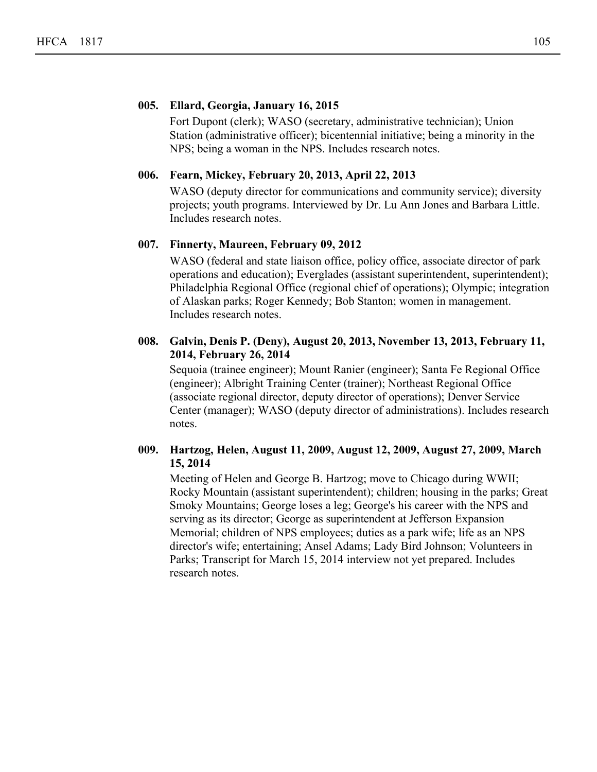# **005. Ellard, Georgia, January 16, 2015**

Fort Dupont (clerk); WASO (secretary, administrative technician); Union Station (administrative officer); bicentennial initiative; being a minority in the NPS; being a woman in the NPS. Includes research notes.

#### **006. Fearn, Mickey, February 20, 2013, April 22, 2013**

WASO (deputy director for communications and community service); diversity projects; youth programs. Interviewed by Dr. Lu Ann Jones and Barbara Little. Includes research notes.

# **007. Finnerty, Maureen, February 09, 2012**

WASO (federal and state liaison office, policy office, associate director of park operations and education); Everglades (assistant superintendent, superintendent); Philadelphia Regional Office (regional chief of operations); Olympic; integration of Alaskan parks; Roger Kennedy; Bob Stanton; women in management. Includes research notes.

# **Galvin, Denis P. (Deny), August 20, 2013, November 13, 2013, February 11, 008. 2014, February 26, 2014**

Sequoia (trainee engineer); Mount Ranier (engineer); Santa Fe Regional Office (engineer); Albright Training Center (trainer); Northeast Regional Office (associate regional director, deputy director of operations); Denver Service Center (manager); WASO (deputy director of administrations). Includes research notes.

# **Hartzog, Helen, August 11, 2009, August 12, 2009, August 27, 2009, March 009. 15, 2014**

Meeting of Helen and George B. Hartzog; move to Chicago during WWII; Rocky Mountain (assistant superintendent); children; housing in the parks; Great Smoky Mountains; George loses a leg; George's his career with the NPS and serving as its director; George as superintendent at Jefferson Expansion Memorial; children of NPS employees; duties as a park wife; life as an NPS director's wife; entertaining; Ansel Adams; Lady Bird Johnson; Volunteers in Parks; Transcript for March 15, 2014 interview not yet prepared. Includes research notes.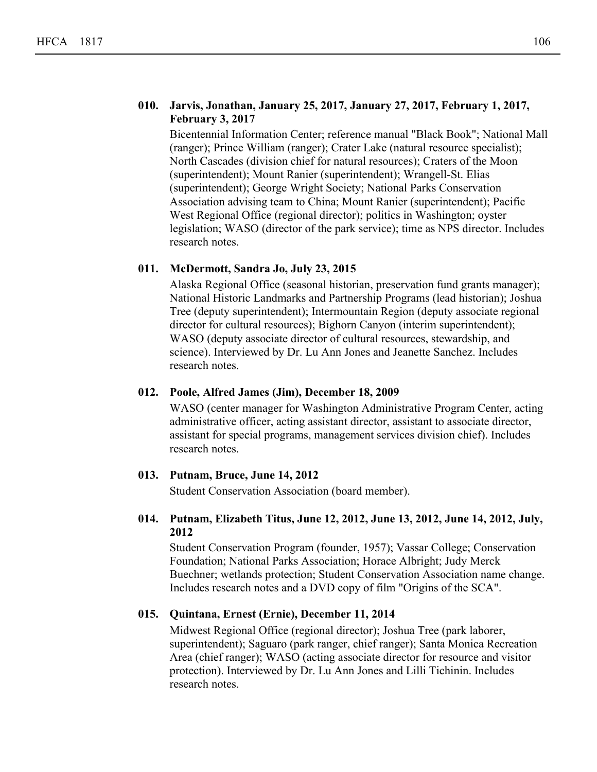# **Jarvis, Jonathan, January 25, 2017, January 27, 2017, February 1, 2017, 010. February 3, 2017**

Bicentennial Information Center; reference manual "Black Book"; National Mall (ranger); Prince William (ranger); Crater Lake (natural resource specialist); North Cascades (division chief for natural resources); Craters of the Moon (superintendent); Mount Ranier (superintendent); Wrangell-St. Elias (superintendent); George Wright Society; National Parks Conservation Association advising team to China; Mount Ranier (superintendent); Pacific West Regional Office (regional director); politics in Washington; oyster legislation; WASO (director of the park service); time as NPS director. Includes research notes.

# **011. McDermott, Sandra Jo, July 23, 2015**

Alaska Regional Office (seasonal historian, preservation fund grants manager); National Historic Landmarks and Partnership Programs (lead historian); Joshua Tree (deputy superintendent); Intermountain Region (deputy associate regional director for cultural resources); Bighorn Canyon (interim superintendent); WASO (deputy associate director of cultural resources, stewardship, and science). Interviewed by Dr. Lu Ann Jones and Jeanette Sanchez. Includes research notes.

# **012. Poole, Alfred James (Jim), December 18, 2009**

WASO (center manager for Washington Administrative Program Center, acting administrative officer, acting assistant director, assistant to associate director, assistant for special programs, management services division chief). Includes research notes.

# **013. Putnam, Bruce, June 14, 2012**

Student Conservation Association (board member).

# **Putnam, Elizabeth Titus, June 12, 2012, June 13, 2012, June 14, 2012, July, 014. 2012**

Student Conservation Program (founder, 1957); Vassar College; Conservation Foundation; National Parks Association; Horace Albright; Judy Merck Buechner; wetlands protection; Student Conservation Association name change. Includes research notes and a DVD copy of film "Origins of the SCA".

# **015. Quintana, Ernest (Ernie), December 11, 2014**

Midwest Regional Office (regional director); Joshua Tree (park laborer, superintendent); Saguaro (park ranger, chief ranger); Santa Monica Recreation Area (chief ranger); WASO (acting associate director for resource and visitor protection). Interviewed by Dr. Lu Ann Jones and Lilli Tichinin. Includes research notes.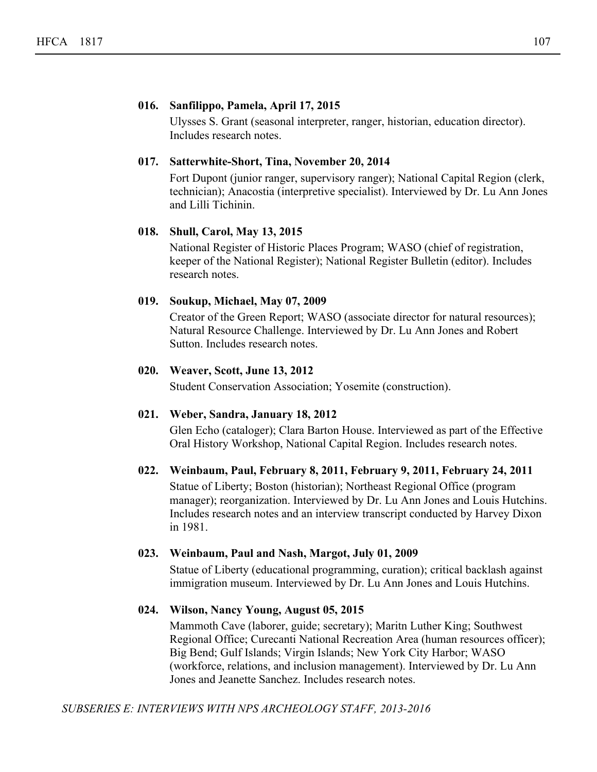# **016. Sanfilippo, Pamela, April 17, 2015**

Ulysses S. Grant (seasonal interpreter, ranger, historian, education director). Includes research notes.

# **017. Satterwhite-Short, Tina, November 20, 2014**

Fort Dupont (junior ranger, supervisory ranger); National Capital Region (clerk, technician); Anacostia (interpretive specialist). Interviewed by Dr. Lu Ann Jones and Lilli Tichinin.

# **018. Shull, Carol, May 13, 2015**

National Register of Historic Places Program; WASO (chief of registration, keeper of the National Register); National Register Bulletin (editor). Includes research notes.

# **019. Soukup, Michael, May 07, 2009**

Creator of the Green Report; WASO (associate director for natural resources); Natural Resource Challenge. Interviewed by Dr. Lu Ann Jones and Robert Sutton. Includes research notes.

# **020. Weaver, Scott, June 13, 2012**

Student Conservation Association; Yosemite (construction).

#### **021. Weber, Sandra, January 18, 2012**

Glen Echo (cataloger); Clara Barton House. Interviewed as part of the Effective Oral History Workshop, National Capital Region. Includes research notes.

#### **022. Weinbaum, Paul, February 8, 2011, February 9, 2011, February 24, 2011**

Statue of Liberty; Boston (historian); Northeast Regional Office (program manager); reorganization. Interviewed by Dr. Lu Ann Jones and Louis Hutchins. Includes research notes and an interview transcript conducted by Harvey Dixon in 1981.

# **023. Weinbaum, Paul and Nash, Margot, July 01, 2009**

Statue of Liberty (educational programming, curation); critical backlash against immigration museum. Interviewed by Dr. Lu Ann Jones and Louis Hutchins.

#### **024. Wilson, Nancy Young, August 05, 2015**

Mammoth Cave (laborer, guide; secretary); Maritn Luther King; Southwest Regional Office; Curecanti National Recreation Area (human resources officer); Big Bend; Gulf Islands; Virgin Islands; New York City Harbor; WASO (workforce, relations, and inclusion management). Interviewed by Dr. Lu Ann Jones and Jeanette Sanchez. Includes research notes.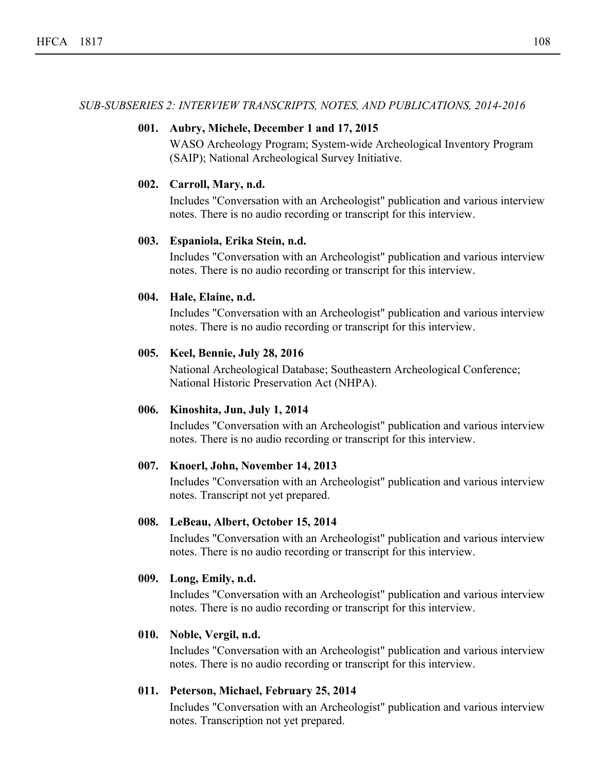#### *SUB-SUBSERIES 2: INTERVIEW TRANSCRIPTS, NOTES, AND PUBLICATIONS, 2014-2016*

#### **001. Aubry, Michele, December 1 and 17, 2015**

WASO Archeology Program; System-wide Archeological Inventory Program (SAIP); National Archeological Survey Initiative.

#### **002. Carroll, Mary, n.d.**

Includes "Conversation with an Archeologist" publication and various interview notes. There is no audio recording or transcript for this interview.

#### **003. Espaniola, Erika Stein, n.d.**

Includes "Conversation with an Archeologist" publication and various interview notes. There is no audio recording or transcript for this interview.

#### **004. Hale, Elaine, n.d.**

Includes "Conversation with an Archeologist" publication and various interview notes. There is no audio recording or transcript for this interview.

#### **005. Keel, Bennie, July 28, 2016**

National Archeological Database; Southeastern Archeological Conference; National Historic Preservation Act (NHPA).

#### **006. Kinoshita, Jun, July 1, 2014**

Includes "Conversation with an Archeologist" publication and various interview notes. There is no audio recording or transcript for this interview.

#### **007. Knoerl, John, November 14, 2013**

Includes "Conversation with an Archeologist" publication and various interview notes. Transcript not yet prepared.

#### **008. LeBeau, Albert, October 15, 2014**

Includes "Conversation with an Archeologist" publication and various interview notes. There is no audio recording or transcript for this interview.

#### **009. Long, Emily, n.d.**

Includes "Conversation with an Archeologist" publication and various interview notes. There is no audio recording or transcript for this interview.

#### **010. Noble, Vergil, n.d.**

Includes "Conversation with an Archeologist" publication and various interview notes. There is no audio recording or transcript for this interview.

#### **011. Peterson, Michael, February 25, 2014**

Includes "Conversation with an Archeologist" publication and various interview notes. Transcription not yet prepared.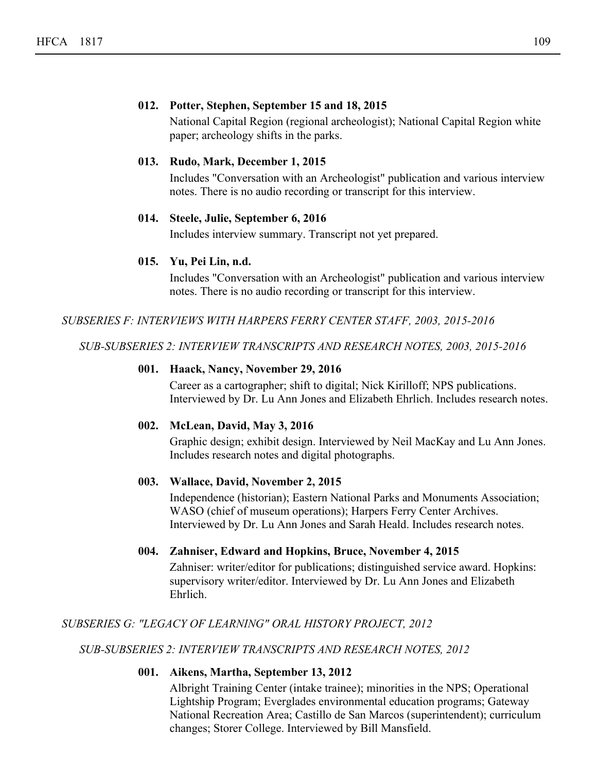### **012. Potter, Stephen, September 15 and 18, 2015**

National Capital Region (regional archeologist); National Capital Region white paper; archeology shifts in the parks.

#### **013. Rudo, Mark, December 1, 2015**

Includes "Conversation with an Archeologist" publication and various interview notes. There is no audio recording or transcript for this interview.

#### **014. Steele, Julie, September 6, 2016**

Includes interview summary. Transcript not yet prepared.

#### **015. Yu, Pei Lin, n.d.**

Includes "Conversation with an Archeologist" publication and various interview notes. There is no audio recording or transcript for this interview.

*SUBSERIES F: INTERVIEWS WITH HARPERS FERRY CENTER STAFF, 2003, 2015-2016*

*SUB-SUBSERIES 2: INTERVIEW TRANSCRIPTS AND RESEARCH NOTES, 2003, 2015-2016*

#### **001. Haack, Nancy, November 29, 2016**

Career as a cartographer; shift to digital; Nick Kirilloff; NPS publications. Interviewed by Dr. Lu Ann Jones and Elizabeth Ehrlich. Includes research notes.

#### **002. McLean, David, May 3, 2016**

Graphic design; exhibit design. Interviewed by Neil MacKay and Lu Ann Jones. Includes research notes and digital photographs.

#### **003. Wallace, David, November 2, 2015**

Independence (historian); Eastern National Parks and Monuments Association; WASO (chief of museum operations); Harpers Ferry Center Archives. Interviewed by Dr. Lu Ann Jones and Sarah Heald. Includes research notes.

#### **004. Zahniser, Edward and Hopkins, Bruce, November 4, 2015**

Zahniser: writer/editor for publications; distinguished service award. Hopkins: supervisory writer/editor. Interviewed by Dr. Lu Ann Jones and Elizabeth Ehrlich.

#### *SUBSERIES G: "LEGACY OF LEARNING" ORAL HISTORY PROJECT, 2012*

*SUB-SUBSERIES 2: INTERVIEW TRANSCRIPTS AND RESEARCH NOTES, 2012*

#### **001. Aikens, Martha, September 13, 2012**

Albright Training Center (intake trainee); minorities in the NPS; Operational Lightship Program; Everglades environmental education programs; Gateway National Recreation Area; Castillo de San Marcos (superintendent); curriculum changes; Storer College. Interviewed by Bill Mansfield.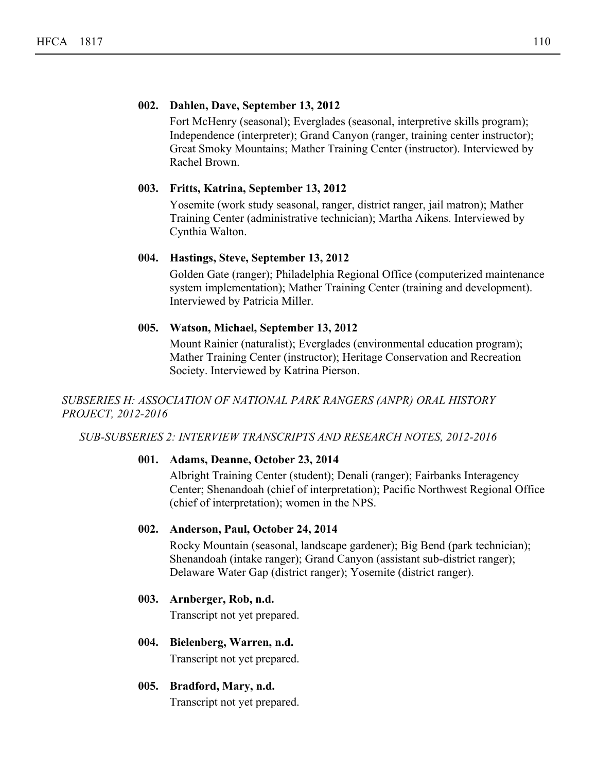#### **002. Dahlen, Dave, September 13, 2012**

Fort McHenry (seasonal); Everglades (seasonal, interpretive skills program); Independence (interpreter); Grand Canyon (ranger, training center instructor); Great Smoky Mountains; Mather Training Center (instructor). Interviewed by Rachel Brown.

#### **003. Fritts, Katrina, September 13, 2012**

Yosemite (work study seasonal, ranger, district ranger, jail matron); Mather Training Center (administrative technician); Martha Aikens. Interviewed by Cynthia Walton.

#### **004. Hastings, Steve, September 13, 2012**

Golden Gate (ranger); Philadelphia Regional Office (computerized maintenance system implementation); Mather Training Center (training and development). Interviewed by Patricia Miller.

#### **005. Watson, Michael, September 13, 2012**

Mount Rainier (naturalist); Everglades (environmental education program); Mather Training Center (instructor); Heritage Conservation and Recreation Society. Interviewed by Katrina Pierson.

#### *SUBSERIES H: ASSOCIATION OF NATIONAL PARK RANGERS (ANPR) ORAL HISTORY PROJECT, 2012-2016*

*SUB-SUBSERIES 2: INTERVIEW TRANSCRIPTS AND RESEARCH NOTES, 2012-2016*

#### **001. Adams, Deanne, October 23, 2014**

Albright Training Center (student); Denali (ranger); Fairbanks Interagency Center; Shenandoah (chief of interpretation); Pacific Northwest Regional Office (chief of interpretation); women in the NPS.

#### **002. Anderson, Paul, October 24, 2014**

Rocky Mountain (seasonal, landscape gardener); Big Bend (park technician); Shenandoah (intake ranger); Grand Canyon (assistant sub-district ranger); Delaware Water Gap (district ranger); Yosemite (district ranger).

#### **003. Arnberger, Rob, n.d.**

Transcript not yet prepared.

# **004. Bielenberg, Warren, n.d.**

Transcript not yet prepared.

#### **005. Bradford, Mary, n.d.**

Transcript not yet prepared.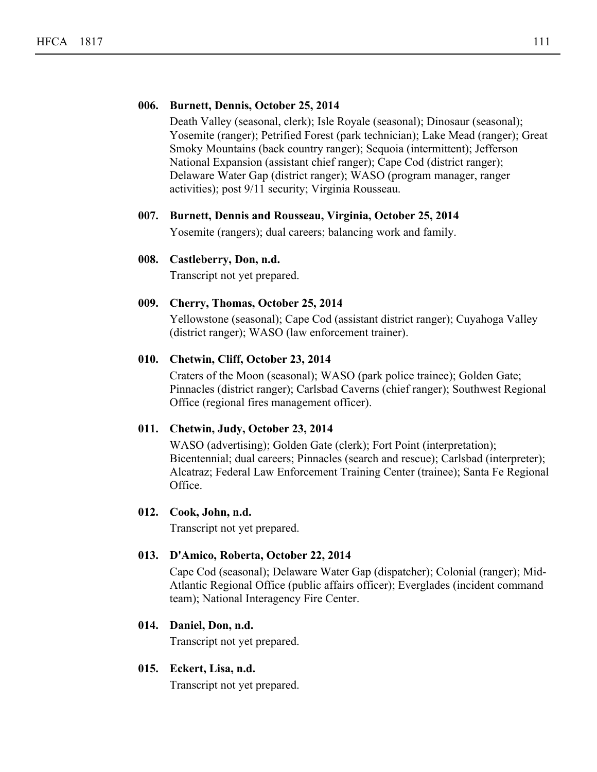#### **006. Burnett, Dennis, October 25, 2014**

Death Valley (seasonal, clerk); Isle Royale (seasonal); Dinosaur (seasonal); Yosemite (ranger); Petrified Forest (park technician); Lake Mead (ranger); Great Smoky Mountains (back country ranger); Sequoia (intermittent); Jefferson National Expansion (assistant chief ranger); Cape Cod (district ranger); Delaware Water Gap (district ranger); WASO (program manager, ranger activities); post 9/11 security; Virginia Rousseau.

#### **007. Burnett, Dennis and Rousseau, Virginia, October 25, 2014**

Yosemite (rangers); dual careers; balancing work and family.

#### **008. Castleberry, Don, n.d.**

Transcript not yet prepared.

#### **009. Cherry, Thomas, October 25, 2014**

Yellowstone (seasonal); Cape Cod (assistant district ranger); Cuyahoga Valley (district ranger); WASO (law enforcement trainer).

#### **010. Chetwin, Cliff, October 23, 2014**

Craters of the Moon (seasonal); WASO (park police trainee); Golden Gate; Pinnacles (district ranger); Carlsbad Caverns (chief ranger); Southwest Regional Office (regional fires management officer).

#### **011. Chetwin, Judy, October 23, 2014**

WASO (advertising); Golden Gate (clerk); Fort Point (interpretation); Bicentennial; dual careers; Pinnacles (search and rescue); Carlsbad (interpreter); Alcatraz; Federal Law Enforcement Training Center (trainee); Santa Fe Regional Office.

#### **012. Cook, John, n.d.**

Transcript not yet prepared.

#### **013. D'Amico, Roberta, October 22, 2014**

Cape Cod (seasonal); Delaware Water Gap (dispatcher); Colonial (ranger); Mid-Atlantic Regional Office (public affairs officer); Everglades (incident command team); National Interagency Fire Center.

#### **014. Daniel, Don, n.d.**

Transcript not yet prepared.

#### **015. Eckert, Lisa, n.d.**

Transcript not yet prepared.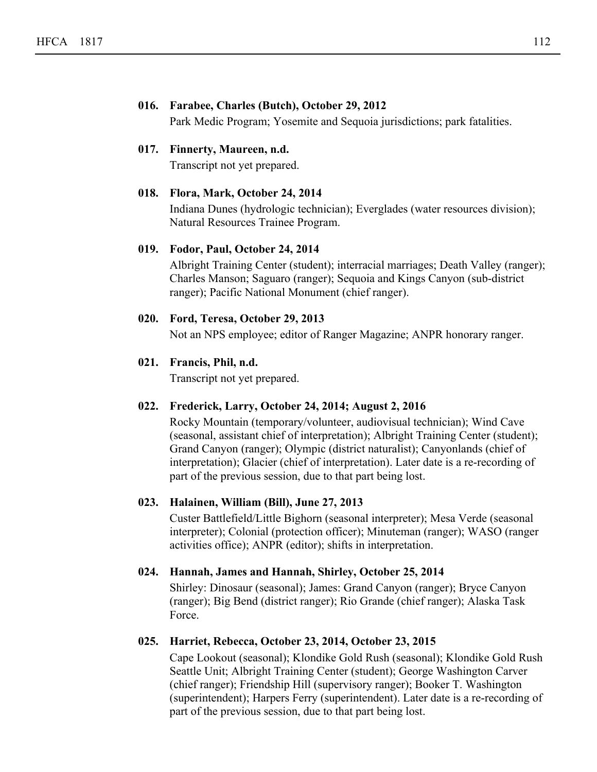#### **016. Farabee, Charles (Butch), October 29, 2012**

Park Medic Program; Yosemite and Sequoia jurisdictions; park fatalities.

#### **017. Finnerty, Maureen, n.d.**

Transcript not yet prepared.

#### **018. Flora, Mark, October 24, 2014**

Indiana Dunes (hydrologic technician); Everglades (water resources division); Natural Resources Trainee Program.

#### **019. Fodor, Paul, October 24, 2014**

Albright Training Center (student); interracial marriages; Death Valley (ranger); Charles Manson; Saguaro (ranger); Sequoia and Kings Canyon (sub-district ranger); Pacific National Monument (chief ranger).

#### **020. Ford, Teresa, October 29, 2013**

Not an NPS employee; editor of Ranger Magazine; ANPR honorary ranger.

#### **021. Francis, Phil, n.d.**

Transcript not yet prepared.

#### **022. Frederick, Larry, October 24, 2014; August 2, 2016**

Rocky Mountain (temporary/volunteer, audiovisual technician); Wind Cave (seasonal, assistant chief of interpretation); Albright Training Center (student); Grand Canyon (ranger); Olympic (district naturalist); Canyonlands (chief of interpretation); Glacier (chief of interpretation). Later date is a re-recording of part of the previous session, due to that part being lost.

#### **023. Halainen, William (Bill), June 27, 2013**

Custer Battlefield/Little Bighorn (seasonal interpreter); Mesa Verde (seasonal interpreter); Colonial (protection officer); Minuteman (ranger); WASO (ranger activities office); ANPR (editor); shifts in interpretation.

#### **024. Hannah, James and Hannah, Shirley, October 25, 2014**

Shirley: Dinosaur (seasonal); James: Grand Canyon (ranger); Bryce Canyon (ranger); Big Bend (district ranger); Rio Grande (chief ranger); Alaska Task Force.

#### **025. Harriet, Rebecca, October 23, 2014, October 23, 2015**

Cape Lookout (seasonal); Klondike Gold Rush (seasonal); Klondike Gold Rush Seattle Unit; Albright Training Center (student); George Washington Carver (chief ranger); Friendship Hill (supervisory ranger); Booker T. Washington (superintendent); Harpers Ferry (superintendent). Later date is a re-recording of part of the previous session, due to that part being lost.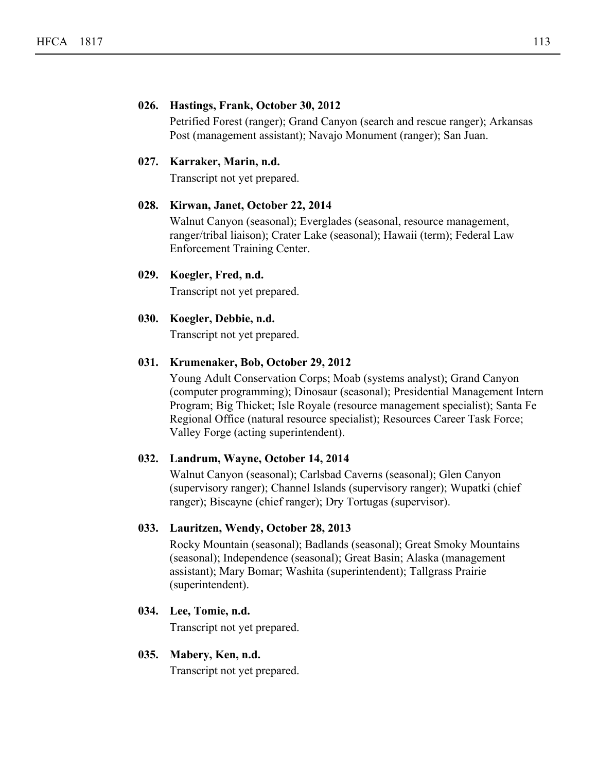#### **026. Hastings, Frank, October 30, 2012**

Petrified Forest (ranger); Grand Canyon (search and rescue ranger); Arkansas Post (management assistant); Navajo Monument (ranger); San Juan.

#### **027. Karraker, Marin, n.d.**

Transcript not yet prepared.

#### **028. Kirwan, Janet, October 22, 2014**

Walnut Canyon (seasonal); Everglades (seasonal, resource management, ranger/tribal liaison); Crater Lake (seasonal); Hawaii (term); Federal Law Enforcement Training Center.

#### **029. Koegler, Fred, n.d.**

Transcript not yet prepared.

#### **030. Koegler, Debbie, n.d.**

Transcript not yet prepared.

#### **031. Krumenaker, Bob, October 29, 2012**

Young Adult Conservation Corps; Moab (systems analyst); Grand Canyon (computer programming); Dinosaur (seasonal); Presidential Management Intern Program; Big Thicket; Isle Royale (resource management specialist); Santa Fe Regional Office (natural resource specialist); Resources Career Task Force; Valley Forge (acting superintendent).

#### **032. Landrum, Wayne, October 14, 2014**

Walnut Canyon (seasonal); Carlsbad Caverns (seasonal); Glen Canyon (supervisory ranger); Channel Islands (supervisory ranger); Wupatki (chief ranger); Biscayne (chief ranger); Dry Tortugas (supervisor).

#### **033. Lauritzen, Wendy, October 28, 2013**

Rocky Mountain (seasonal); Badlands (seasonal); Great Smoky Mountains (seasonal); Independence (seasonal); Great Basin; Alaska (management assistant); Mary Bomar; Washita (superintendent); Tallgrass Prairie (superintendent).

#### **034. Lee, Tomie, n.d.**

Transcript not yet prepared.

#### **035. Mabery, Ken, n.d.**

Transcript not yet prepared.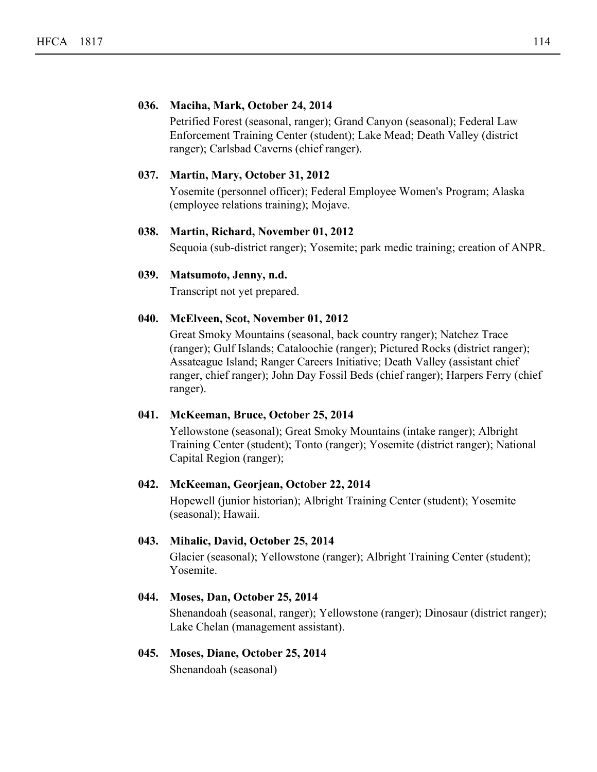#### **036. Maciha, Mark, October 24, 2014**

Petrified Forest (seasonal, ranger); Grand Canyon (seasonal); Federal Law Enforcement Training Center (student); Lake Mead; Death Valley (district ranger); Carlsbad Caverns (chief ranger).

#### **037. Martin, Mary, October 31, 2012**

Yosemite (personnel officer); Federal Employee Women's Program; Alaska (employee relations training); Mojave.

#### **038. Martin, Richard, November 01, 2012**

Sequoia (sub-district ranger); Yosemite; park medic training; creation of ANPR.

#### **039. Matsumoto, Jenny, n.d.**

Transcript not yet prepared.

#### **040. McElveen, Scot, November 01, 2012**

Great Smoky Mountains (seasonal, back country ranger); Natchez Trace (ranger); Gulf Islands; Cataloochie (ranger); Pictured Rocks (district ranger); Assateague Island; Ranger Careers Initiative; Death Valley (assistant chief ranger, chief ranger); John Day Fossil Beds (chief ranger); Harpers Ferry (chief ranger).

#### **041. McKeeman, Bruce, October 25, 2014**

Yellowstone (seasonal); Great Smoky Mountains (intake ranger); Albright Training Center (student); Tonto (ranger); Yosemite (district ranger); National Capital Region (ranger);

#### **042. McKeeman, Georjean, October 22, 2014**

Hopewell (junior historian); Albright Training Center (student); Yosemite (seasonal); Hawaii.

#### **043. Mihalic, David, October 25, 2014**

Glacier (seasonal); Yellowstone (ranger); Albright Training Center (student); Yosemite.

#### **044. Moses, Dan, October 25, 2014**

Shenandoah (seasonal, ranger); Yellowstone (ranger); Dinosaur (district ranger); Lake Chelan (management assistant).

#### **045. Moses, Diane, October 25, 2014**

Shenandoah (seasonal)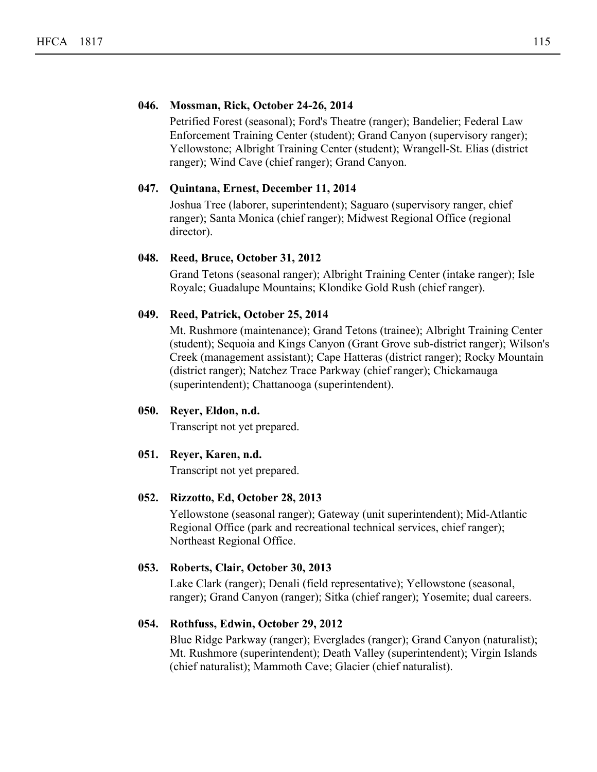#### **046. Mossman, Rick, October 24-26, 2014**

Petrified Forest (seasonal); Ford's Theatre (ranger); Bandelier; Federal Law Enforcement Training Center (student); Grand Canyon (supervisory ranger); Yellowstone; Albright Training Center (student); Wrangell-St. Elias (district ranger); Wind Cave (chief ranger); Grand Canyon.

#### **047. Quintana, Ernest, December 11, 2014**

Joshua Tree (laborer, superintendent); Saguaro (supervisory ranger, chief ranger); Santa Monica (chief ranger); Midwest Regional Office (regional director).

#### **048. Reed, Bruce, October 31, 2012**

Grand Tetons (seasonal ranger); Albright Training Center (intake ranger); Isle Royale; Guadalupe Mountains; Klondike Gold Rush (chief ranger).

#### **049. Reed, Patrick, October 25, 2014**

Mt. Rushmore (maintenance); Grand Tetons (trainee); Albright Training Center (student); Sequoia and Kings Canyon (Grant Grove sub-district ranger); Wilson's Creek (management assistant); Cape Hatteras (district ranger); Rocky Mountain (district ranger); Natchez Trace Parkway (chief ranger); Chickamauga (superintendent); Chattanooga (superintendent).

#### **050. Reyer, Eldon, n.d.**

Transcript not yet prepared.

#### **051. Reyer, Karen, n.d.**

Transcript not yet prepared.

#### **052. Rizzotto, Ed, October 28, 2013**

Yellowstone (seasonal ranger); Gateway (unit superintendent); Mid-Atlantic Regional Office (park and recreational technical services, chief ranger); Northeast Regional Office.

#### **053. Roberts, Clair, October 30, 2013**

Lake Clark (ranger); Denali (field representative); Yellowstone (seasonal, ranger); Grand Canyon (ranger); Sitka (chief ranger); Yosemite; dual careers.

#### **054. Rothfuss, Edwin, October 29, 2012**

Blue Ridge Parkway (ranger); Everglades (ranger); Grand Canyon (naturalist); Mt. Rushmore (superintendent); Death Valley (superintendent); Virgin Islands (chief naturalist); Mammoth Cave; Glacier (chief naturalist).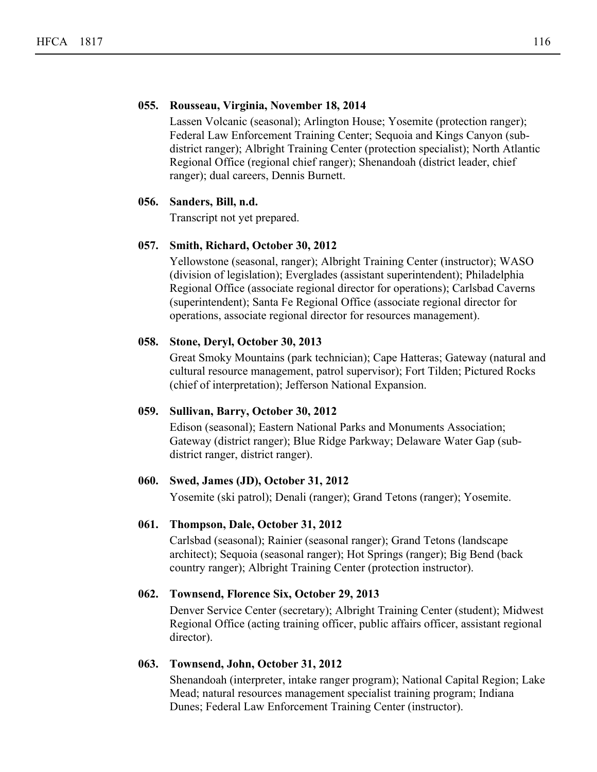#### **055. Rousseau, Virginia, November 18, 2014**

Lassen Volcanic (seasonal); Arlington House; Yosemite (protection ranger); Federal Law Enforcement Training Center; Sequoia and Kings Canyon (subdistrict ranger); Albright Training Center (protection specialist); North Atlantic Regional Office (regional chief ranger); Shenandoah (district leader, chief ranger); dual careers, Dennis Burnett.

#### **056. Sanders, Bill, n.d.**

Transcript not yet prepared.

#### **057. Smith, Richard, October 30, 2012**

Yellowstone (seasonal, ranger); Albright Training Center (instructor); WASO (division of legislation); Everglades (assistant superintendent); Philadelphia Regional Office (associate regional director for operations); Carlsbad Caverns (superintendent); Santa Fe Regional Office (associate regional director for operations, associate regional director for resources management).

#### **058. Stone, Deryl, October 30, 2013**

Great Smoky Mountains (park technician); Cape Hatteras; Gateway (natural and cultural resource management, patrol supervisor); Fort Tilden; Pictured Rocks (chief of interpretation); Jefferson National Expansion.

#### **059. Sullivan, Barry, October 30, 2012**

Edison (seasonal); Eastern National Parks and Monuments Association; Gateway (district ranger); Blue Ridge Parkway; Delaware Water Gap (subdistrict ranger, district ranger).

#### **060. Swed, James (JD), October 31, 2012**

Yosemite (ski patrol); Denali (ranger); Grand Tetons (ranger); Yosemite.

#### **061. Thompson, Dale, October 31, 2012**

Carlsbad (seasonal); Rainier (seasonal ranger); Grand Tetons (landscape architect); Sequoia (seasonal ranger); Hot Springs (ranger); Big Bend (back country ranger); Albright Training Center (protection instructor).

#### **062. Townsend, Florence Six, October 29, 2013**

Denver Service Center (secretary); Albright Training Center (student); Midwest Regional Office (acting training officer, public affairs officer, assistant regional director).

#### **063. Townsend, John, October 31, 2012**

Shenandoah (interpreter, intake ranger program); National Capital Region; Lake Mead; natural resources management specialist training program; Indiana Dunes; Federal Law Enforcement Training Center (instructor).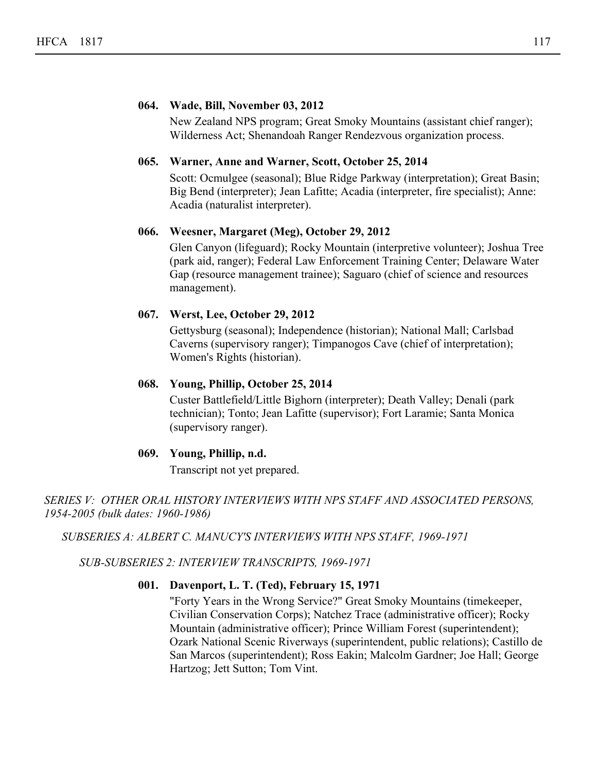#### **064. Wade, Bill, November 03, 2012**

New Zealand NPS program; Great Smoky Mountains (assistant chief ranger); Wilderness Act; Shenandoah Ranger Rendezvous organization process.

#### **065. Warner, Anne and Warner, Scott, October 25, 2014**

Scott: Ocmulgee (seasonal); Blue Ridge Parkway (interpretation); Great Basin; Big Bend (interpreter); Jean Lafitte; Acadia (interpreter, fire specialist); Anne: Acadia (naturalist interpreter).

#### **066. Weesner, Margaret (Meg), October 29, 2012**

Glen Canyon (lifeguard); Rocky Mountain (interpretive volunteer); Joshua Tree (park aid, ranger); Federal Law Enforcement Training Center; Delaware Water Gap (resource management trainee); Saguaro (chief of science and resources management).

#### **067. Werst, Lee, October 29, 2012**

Gettysburg (seasonal); Independence (historian); National Mall; Carlsbad Caverns (supervisory ranger); Timpanogos Cave (chief of interpretation); Women's Rights (historian).

#### **068. Young, Phillip, October 25, 2014**

Custer Battlefield/Little Bighorn (interpreter); Death Valley; Denali (park technician); Tonto; Jean Lafitte (supervisor); Fort Laramie; Santa Monica (supervisory ranger).

#### **069. Young, Phillip, n.d.**

Transcript not yet prepared.

*SERIES V: OTHER ORAL HISTORY INTERVIEWS WITH NPS STAFF AND ASSOCIATED PERSONS, 1954-2005 (bulk dates: 1960-1986)*

*SUBSERIES A: ALBERT C. MANUCY'S INTERVIEWS WITH NPS STAFF, 1969-1971*

*SUB-SUBSERIES 2: INTERVIEW TRANSCRIPTS, 1969-1971*

#### **001. Davenport, L. T. (Ted), February 15, 1971**

"Forty Years in the Wrong Service?" Great Smoky Mountains (timekeeper, Civilian Conservation Corps); Natchez Trace (administrative officer); Rocky Mountain (administrative officer); Prince William Forest (superintendent); Ozark National Scenic Riverways (superintendent, public relations); Castillo de San Marcos (superintendent); Ross Eakin; Malcolm Gardner; Joe Hall; George Hartzog; Jett Sutton; Tom Vint.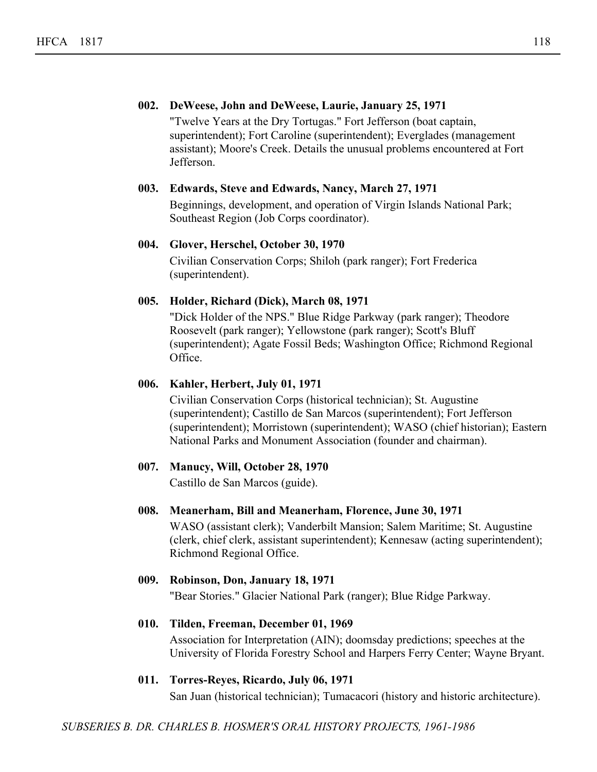#### **002. DeWeese, John and DeWeese, Laurie, January 25, 1971**

"Twelve Years at the Dry Tortugas." Fort Jefferson (boat captain, superintendent); Fort Caroline (superintendent); Everglades (management assistant); Moore's Creek. Details the unusual problems encountered at Fort Jefferson.

#### **003. Edwards, Steve and Edwards, Nancy, March 27, 1971**

Beginnings, development, and operation of Virgin Islands National Park; Southeast Region (Job Corps coordinator).

#### **004. Glover, Herschel, October 30, 1970**

Civilian Conservation Corps; Shiloh (park ranger); Fort Frederica (superintendent).

#### **005. Holder, Richard (Dick), March 08, 1971**

"Dick Holder of the NPS." Blue Ridge Parkway (park ranger); Theodore Roosevelt (park ranger); Yellowstone (park ranger); Scott's Bluff (superintendent); Agate Fossil Beds; Washington Office; Richmond Regional Office.

#### **006. Kahler, Herbert, July 01, 1971**

Civilian Conservation Corps (historical technician); St. Augustine (superintendent); Castillo de San Marcos (superintendent); Fort Jefferson (superintendent); Morristown (superintendent); WASO (chief historian); Eastern National Parks and Monument Association (founder and chairman).

#### **007. Manucy, Will, October 28, 1970**

Castillo de San Marcos (guide).

#### **008. Meanerham, Bill and Meanerham, Florence, June 30, 1971**

WASO (assistant clerk); Vanderbilt Mansion; Salem Maritime; St. Augustine (clerk, chief clerk, assistant superintendent); Kennesaw (acting superintendent); Richmond Regional Office.

#### **009. Robinson, Don, January 18, 1971**

"Bear Stories." Glacier National Park (ranger); Blue Ridge Parkway.

#### **010. Tilden, Freeman, December 01, 1969**

Association for Interpretation (AIN); doomsday predictions; speeches at the University of Florida Forestry School and Harpers Ferry Center; Wayne Bryant.

#### **011. Torres-Reyes, Ricardo, July 06, 1971**

San Juan (historical technician); Tumacacori (history and historic architecture).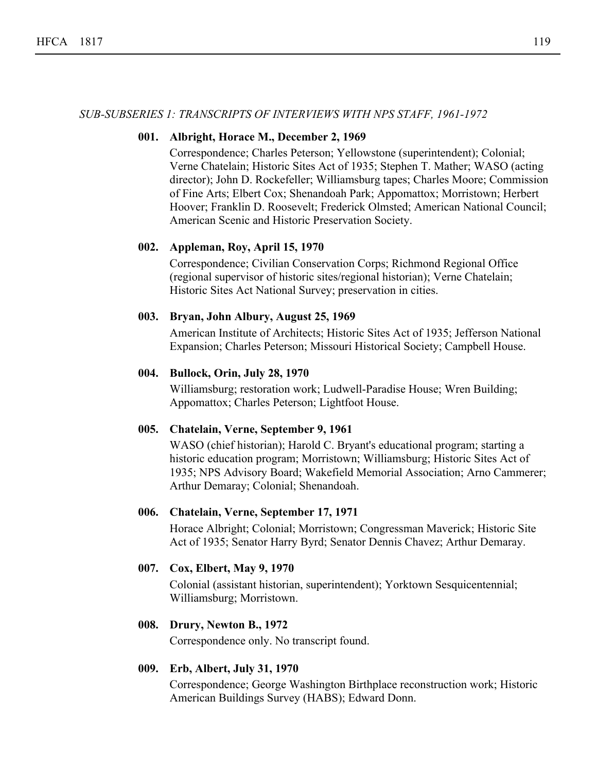#### *SUB-SUBSERIES 1: TRANSCRIPTS OF INTERVIEWS WITH NPS STAFF, 1961-1972*

#### **001. Albright, Horace M., December 2, 1969**

Correspondence; Charles Peterson; Yellowstone (superintendent); Colonial; Verne Chatelain; Historic Sites Act of 1935; Stephen T. Mather; WASO (acting director); John D. Rockefeller; Williamsburg tapes; Charles Moore; Commission of Fine Arts; Elbert Cox; Shenandoah Park; Appomattox; Morristown; Herbert Hoover; Franklin D. Roosevelt; Frederick Olmsted; American National Council; American Scenic and Historic Preservation Society.

#### **002. Appleman, Roy, April 15, 1970**

Correspondence; Civilian Conservation Corps; Richmond Regional Office (regional supervisor of historic sites/regional historian); Verne Chatelain; Historic Sites Act National Survey; preservation in cities.

#### **003. Bryan, John Albury, August 25, 1969**

American Institute of Architects; Historic Sites Act of 1935; Jefferson National Expansion; Charles Peterson; Missouri Historical Society; Campbell House.

#### **004. Bullock, Orin, July 28, 1970**

Williamsburg; restoration work; Ludwell-Paradise House; Wren Building; Appomattox; Charles Peterson; Lightfoot House.

#### **005. Chatelain, Verne, September 9, 1961**

WASO (chief historian); Harold C. Bryant's educational program; starting a historic education program; Morristown; Williamsburg; Historic Sites Act of 1935; NPS Advisory Board; Wakefield Memorial Association; Arno Cammerer; Arthur Demaray; Colonial; Shenandoah.

#### **006. Chatelain, Verne, September 17, 1971**

Horace Albright; Colonial; Morristown; Congressman Maverick; Historic Site Act of 1935; Senator Harry Byrd; Senator Dennis Chavez; Arthur Demaray.

#### **007. Cox, Elbert, May 9, 1970**

Colonial (assistant historian, superintendent); Yorktown Sesquicentennial; Williamsburg; Morristown.

#### **008. Drury, Newton B., 1972**

Correspondence only. No transcript found.

#### **009. Erb, Albert, July 31, 1970**

Correspondence; George Washington Birthplace reconstruction work; Historic American Buildings Survey (HABS); Edward Donn.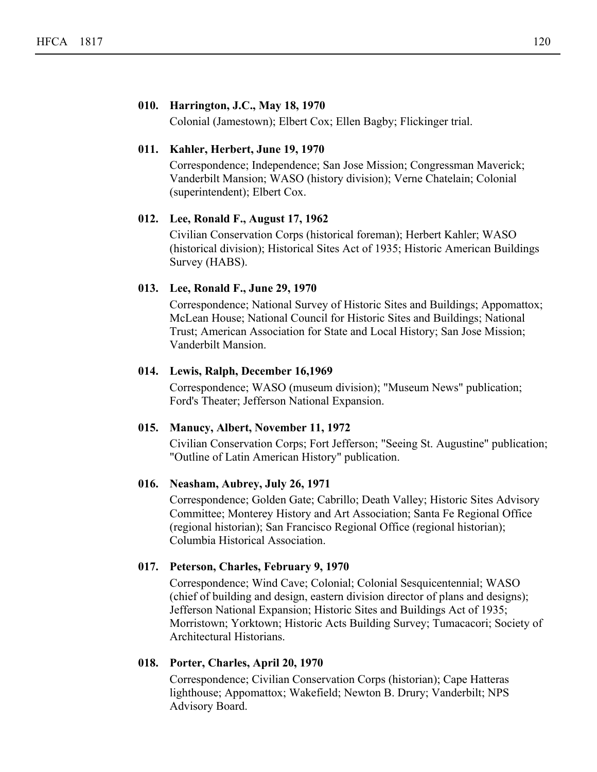#### **010. Harrington, J.C., May 18, 1970**

Colonial (Jamestown); Elbert Cox; Ellen Bagby; Flickinger trial.

#### **011. Kahler, Herbert, June 19, 1970**

Correspondence; Independence; San Jose Mission; Congressman Maverick; Vanderbilt Mansion; WASO (history division); Verne Chatelain; Colonial (superintendent); Elbert Cox.

#### **012. Lee, Ronald F., August 17, 1962**

Civilian Conservation Corps (historical foreman); Herbert Kahler; WASO (historical division); Historical Sites Act of 1935; Historic American Buildings Survey (HABS).

#### **013. Lee, Ronald F., June 29, 1970**

Correspondence; National Survey of Historic Sites and Buildings; Appomattox; McLean House; National Council for Historic Sites and Buildings; National Trust; American Association for State and Local History; San Jose Mission; Vanderbilt Mansion.

#### **014. Lewis, Ralph, December 16,1969**

Correspondence; WASO (museum division); "Museum News" publication; Ford's Theater; Jefferson National Expansion.

#### **015. Manucy, Albert, November 11, 1972**

Civilian Conservation Corps; Fort Jefferson; "Seeing St. Augustine" publication; "Outline of Latin American History" publication.

#### **016. Neasham, Aubrey, July 26, 1971**

Correspondence; Golden Gate; Cabrillo; Death Valley; Historic Sites Advisory Committee; Monterey History and Art Association; Santa Fe Regional Office (regional historian); San Francisco Regional Office (regional historian); Columbia Historical Association.

#### **017. Peterson, Charles, February 9, 1970**

Correspondence; Wind Cave; Colonial; Colonial Sesquicentennial; WASO (chief of building and design, eastern division director of plans and designs); Jefferson National Expansion; Historic Sites and Buildings Act of 1935; Morristown; Yorktown; Historic Acts Building Survey; Tumacacori; Society of Architectural Historians.

#### **018. Porter, Charles, April 20, 1970**

Correspondence; Civilian Conservation Corps (historian); Cape Hatteras lighthouse; Appomattox; Wakefield; Newton B. Drury; Vanderbilt; NPS Advisory Board.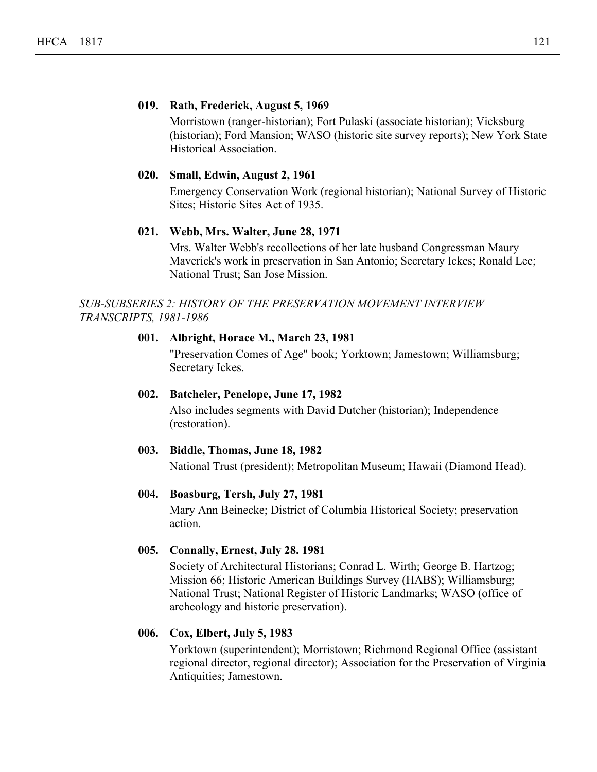#### **019. Rath, Frederick, August 5, 1969**

Morristown (ranger-historian); Fort Pulaski (associate historian); Vicksburg (historian); Ford Mansion; WASO (historic site survey reports); New York State Historical Association.

#### **020. Small, Edwin, August 2, 1961**

Emergency Conservation Work (regional historian); National Survey of Historic Sites; Historic Sites Act of 1935.

#### **021. Webb, Mrs. Walter, June 28, 1971**

Mrs. Walter Webb's recollections of her late husband Congressman Maury Maverick's work in preservation in San Antonio; Secretary Ickes; Ronald Lee; National Trust; San Jose Mission.

#### *SUB-SUBSERIES 2: HISTORY OF THE PRESERVATION MOVEMENT INTERVIEW TRANSCRIPTS, 1981-1986*

#### **001. Albright, Horace M., March 23, 1981**

"Preservation Comes of Age" book; Yorktown; Jamestown; Williamsburg; Secretary Ickes.

#### **002. Batcheler, Penelope, June 17, 1982**

Also includes segments with David Dutcher (historian); Independence (restoration).

#### **003. Biddle, Thomas, June 18, 1982**

National Trust (president); Metropolitan Museum; Hawaii (Diamond Head).

#### **004. Boasburg, Tersh, July 27, 1981**

Mary Ann Beinecke; District of Columbia Historical Society; preservation action.

#### **005. Connally, Ernest, July 28. 1981**

Society of Architectural Historians; Conrad L. Wirth; George B. Hartzog; Mission 66; Historic American Buildings Survey (HABS); Williamsburg; National Trust; National Register of Historic Landmarks; WASO (office of archeology and historic preservation).

#### **006. Cox, Elbert, July 5, 1983**

Yorktown (superintendent); Morristown; Richmond Regional Office (assistant regional director, regional director); Association for the Preservation of Virginia Antiquities; Jamestown.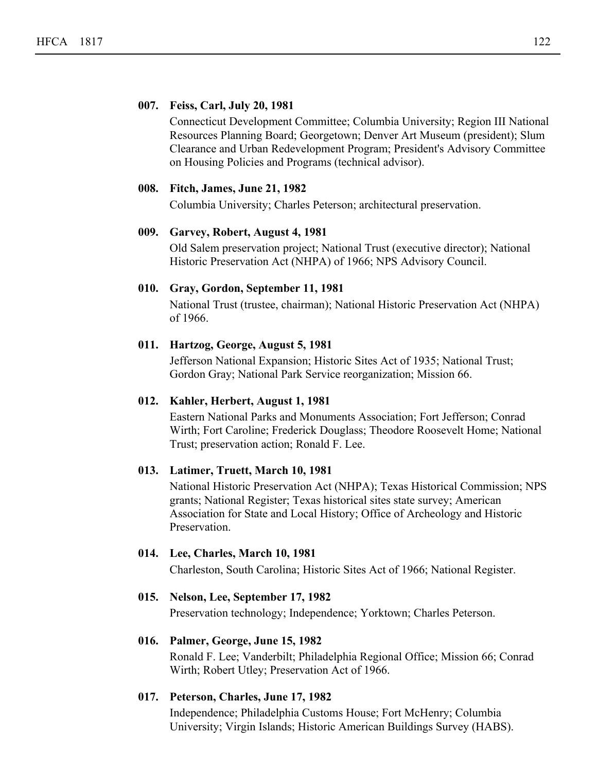#### **007. Feiss, Carl, July 20, 1981**

Connecticut Development Committee; Columbia University; Region III National Resources Planning Board; Georgetown; Denver Art Museum (president); Slum Clearance and Urban Redevelopment Program; President's Advisory Committee on Housing Policies and Programs (technical advisor).

#### **008. Fitch, James, June 21, 1982**

Columbia University; Charles Peterson; architectural preservation.

#### **009. Garvey, Robert, August 4, 1981**

Old Salem preservation project; National Trust (executive director); National Historic Preservation Act (NHPA) of 1966; NPS Advisory Council.

#### **010. Gray, Gordon, September 11, 1981**

National Trust (trustee, chairman); National Historic Preservation Act (NHPA) of 1966.

#### **011. Hartzog, George, August 5, 1981**

Jefferson National Expansion; Historic Sites Act of 1935; National Trust; Gordon Gray; National Park Service reorganization; Mission 66.

#### **012. Kahler, Herbert, August 1, 1981**

Eastern National Parks and Monuments Association; Fort Jefferson; Conrad Wirth; Fort Caroline; Frederick Douglass; Theodore Roosevelt Home; National Trust; preservation action; Ronald F. Lee.

#### **013. Latimer, Truett, March 10, 1981**

National Historic Preservation Act (NHPA); Texas Historical Commission; NPS grants; National Register; Texas historical sites state survey; American Association for State and Local History; Office of Archeology and Historic Preservation.

#### **014. Lee, Charles, March 10, 1981**

Charleston, South Carolina; Historic Sites Act of 1966; National Register.

#### **015. Nelson, Lee, September 17, 1982**

Preservation technology; Independence; Yorktown; Charles Peterson.

#### **016. Palmer, George, June 15, 1982**

Ronald F. Lee; Vanderbilt; Philadelphia Regional Office; Mission 66; Conrad Wirth; Robert Utley; Preservation Act of 1966.

#### **017. Peterson, Charles, June 17, 1982**

Independence; Philadelphia Customs House; Fort McHenry; Columbia University; Virgin Islands; Historic American Buildings Survey (HABS).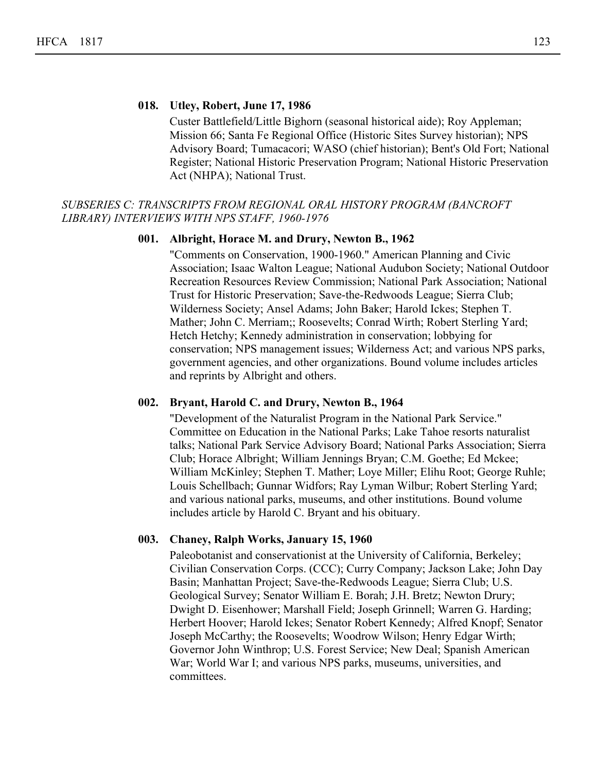#### **018. Utley, Robert, June 17, 1986**

Custer Battlefield/Little Bighorn (seasonal historical aide); Roy Appleman; Mission 66; Santa Fe Regional Office (Historic Sites Survey historian); NPS Advisory Board; Tumacacori; WASO (chief historian); Bent's Old Fort; National Register; National Historic Preservation Program; National Historic Preservation Act (NHPA); National Trust.

#### *SUBSERIES C: TRANSCRIPTS FROM REGIONAL ORAL HISTORY PROGRAM (BANCROFT LIBRARY) INTERVIEWS WITH NPS STAFF, 1960-1976*

#### **001. Albright, Horace M. and Drury, Newton B., 1962**

"Comments on Conservation, 1900-1960." American Planning and Civic Association; Isaac Walton League; National Audubon Society; National Outdoor Recreation Resources Review Commission; National Park Association; National Trust for Historic Preservation; Save-the-Redwoods League; Sierra Club; Wilderness Society; Ansel Adams; John Baker; Harold Ickes; Stephen T. Mather; John C. Merriam;; Roosevelts; Conrad Wirth; Robert Sterling Yard; Hetch Hetchy; Kennedy administration in conservation; lobbying for conservation; NPS management issues; Wilderness Act; and various NPS parks, government agencies, and other organizations. Bound volume includes articles and reprints by Albright and others.

#### **002. Bryant, Harold C. and Drury, Newton B., 1964**

"Development of the Naturalist Program in the National Park Service." Committee on Education in the National Parks; Lake Tahoe resorts naturalist talks; National Park Service Advisory Board; National Parks Association; Sierra Club; Horace Albright; William Jennings Bryan; C.M. Goethe; Ed Mckee; William McKinley; Stephen T. Mather; Loye Miller; Elihu Root; George Ruhle; Louis Schellbach; Gunnar Widfors; Ray Lyman Wilbur; Robert Sterling Yard; and various national parks, museums, and other institutions. Bound volume includes article by Harold C. Bryant and his obituary.

#### **003. Chaney, Ralph Works, January 15, 1960**

Paleobotanist and conservationist at the University of California, Berkeley; Civilian Conservation Corps. (CCC); Curry Company; Jackson Lake; John Day Basin; Manhattan Project; Save-the-Redwoods League; Sierra Club; U.S. Geological Survey; Senator William E. Borah; J.H. Bretz; Newton Drury; Dwight D. Eisenhower; Marshall Field; Joseph Grinnell; Warren G. Harding; Herbert Hoover; Harold Ickes; Senator Robert Kennedy; Alfred Knopf; Senator Joseph McCarthy; the Roosevelts; Woodrow Wilson; Henry Edgar Wirth; Governor John Winthrop; U.S. Forest Service; New Deal; Spanish American War; World War I; and various NPS parks, museums, universities, and committees.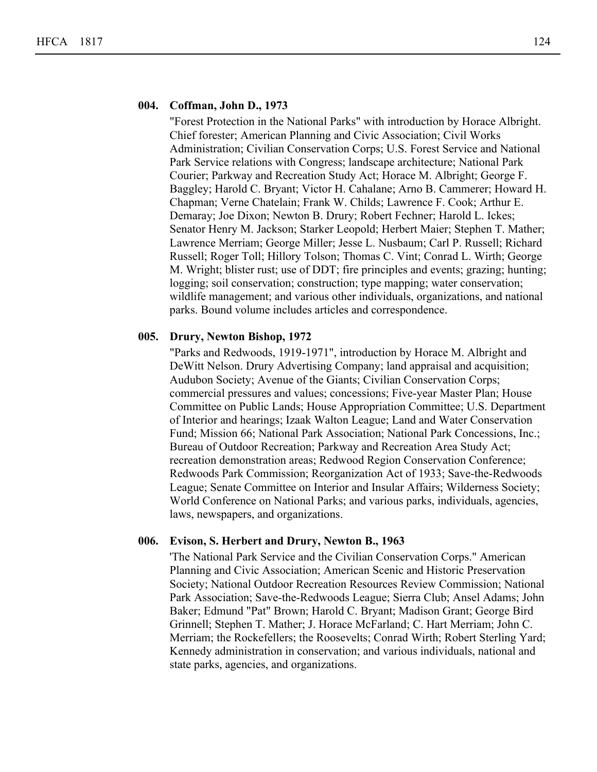#### **004. Coffman, John D., 1973**

"Forest Protection in the National Parks" with introduction by Horace Albright. Chief forester; American Planning and Civic Association; Civil Works Administration; Civilian Conservation Corps; U.S. Forest Service and National Park Service relations with Congress; landscape architecture; National Park Courier; Parkway and Recreation Study Act; Horace M. Albright; George F. Baggley; Harold C. Bryant; Victor H. Cahalane; Arno B. Cammerer; Howard H. Chapman; Verne Chatelain; Frank W. Childs; Lawrence F. Cook; Arthur E. Demaray; Joe Dixon; Newton B. Drury; Robert Fechner; Harold L. Ickes; Senator Henry M. Jackson; Starker Leopold; Herbert Maier; Stephen T. Mather; Lawrence Merriam; George Miller; Jesse L. Nusbaum; Carl P. Russell; Richard Russell; Roger Toll; Hillory Tolson; Thomas C. Vint; Conrad L. Wirth; George M. Wright; blister rust; use of DDT; fire principles and events; grazing; hunting; logging; soil conservation; construction; type mapping; water conservation; wildlife management; and various other individuals, organizations, and national parks. Bound volume includes articles and correspondence.

#### **005. Drury, Newton Bishop, 1972**

"Parks and Redwoods, 1919-1971", introduction by Horace M. Albright and DeWitt Nelson. Drury Advertising Company; land appraisal and acquisition; Audubon Society; Avenue of the Giants; Civilian Conservation Corps; commercial pressures and values; concessions; Five-year Master Plan; House Committee on Public Lands; House Appropriation Committee; U.S. Department of Interior and hearings; Izaak Walton League; Land and Water Conservation Fund; Mission 66; National Park Association; National Park Concessions, Inc.; Bureau of Outdoor Recreation; Parkway and Recreation Area Study Act; recreation demonstration areas; Redwood Region Conservation Conference; Redwoods Park Commission; Reorganization Act of 1933; Save-the-Redwoods League; Senate Committee on Interior and Insular Affairs; Wilderness Society; World Conference on National Parks; and various parks, individuals, agencies, laws, newspapers, and organizations.

#### **006. Evison, S. Herbert and Drury, Newton B., 1963**

'The National Park Service and the Civilian Conservation Corps." American Planning and Civic Association; American Scenic and Historic Preservation Society; National Outdoor Recreation Resources Review Commission; National Park Association; Save-the-Redwoods League; Sierra Club; Ansel Adams; John Baker; Edmund "Pat" Brown; Harold C. Bryant; Madison Grant; George Bird Grinnell; Stephen T. Mather; J. Horace McFarland; C. Hart Merriam; John C. Merriam; the Rockefellers; the Roosevelts; Conrad Wirth; Robert Sterling Yard; Kennedy administration in conservation; and various individuals, national and state parks, agencies, and organizations.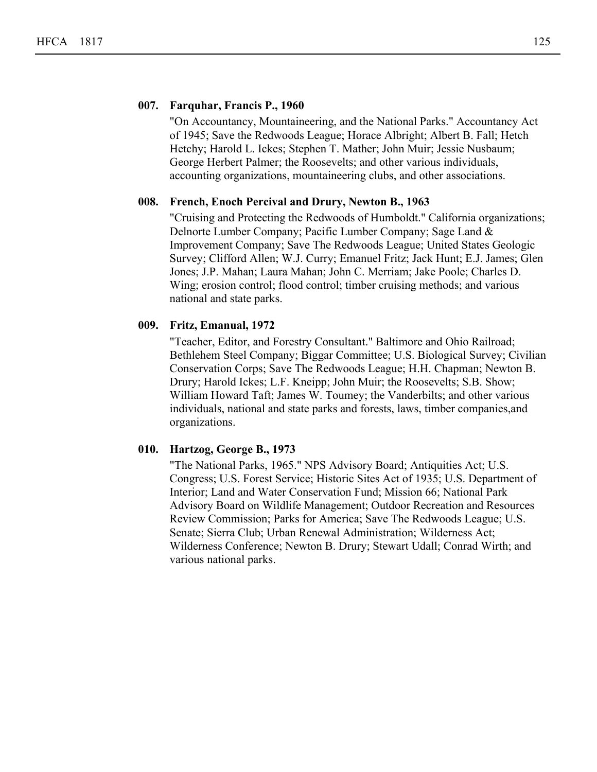#### **007. Farquhar, Francis P., 1960**

"On Accountancy, Mountaineering, and the National Parks." Accountancy Act of 1945; Save the Redwoods League; Horace Albright; Albert B. Fall; Hetch Hetchy; Harold L. Ickes; Stephen T. Mather; John Muir; Jessie Nusbaum; George Herbert Palmer; the Roosevelts; and other various individuals, accounting organizations, mountaineering clubs, and other associations.

#### **008. French, Enoch Percival and Drury, Newton B., 1963**

"Cruising and Protecting the Redwoods of Humboldt." California organizations; Delnorte Lumber Company; Pacific Lumber Company; Sage Land & Improvement Company; Save The Redwoods League; United States Geologic Survey; Clifford Allen; W.J. Curry; Emanuel Fritz; Jack Hunt; E.J. James; Glen Jones; J.P. Mahan; Laura Mahan; John C. Merriam; Jake Poole; Charles D. Wing; erosion control; flood control; timber cruising methods; and various national and state parks.

#### **009. Fritz, Emanual, 1972**

"Teacher, Editor, and Forestry Consultant." Baltimore and Ohio Railroad; Bethlehem Steel Company; Biggar Committee; U.S. Biological Survey; Civilian Conservation Corps; Save The Redwoods League; H.H. Chapman; Newton B. Drury; Harold Ickes; L.F. Kneipp; John Muir; the Roosevelts; S.B. Show; William Howard Taft; James W. Toumey; the Vanderbilts; and other various individuals, national and state parks and forests, laws, timber companies,and organizations.

#### **010. Hartzog, George B., 1973**

"The National Parks, 1965." NPS Advisory Board; Antiquities Act; U.S. Congress; U.S. Forest Service; Historic Sites Act of 1935; U.S. Department of Interior; Land and Water Conservation Fund; Mission 66; National Park Advisory Board on Wildlife Management; Outdoor Recreation and Resources Review Commission; Parks for America; Save The Redwoods League; U.S. Senate; Sierra Club; Urban Renewal Administration; Wilderness Act; Wilderness Conference; Newton B. Drury; Stewart Udall; Conrad Wirth; and various national parks.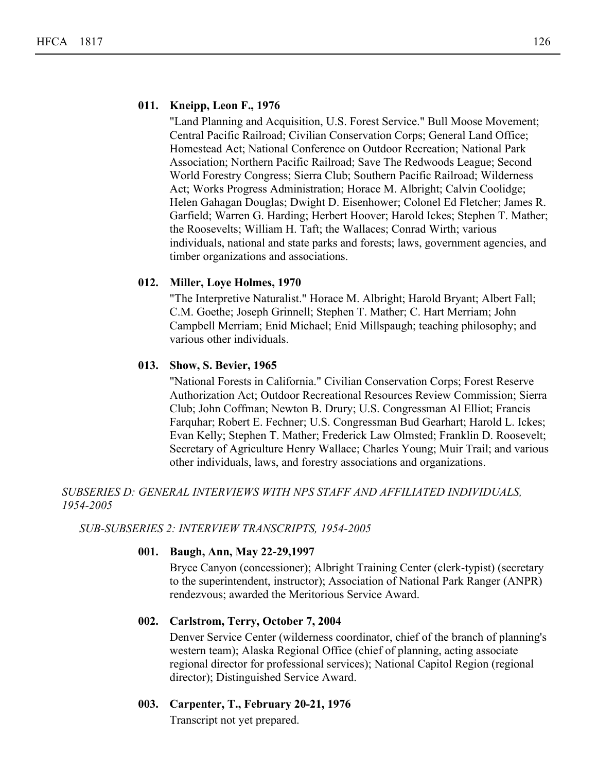#### **011. Kneipp, Leon F., 1976**

"Land Planning and Acquisition, U.S. Forest Service." Bull Moose Movement; Central Pacific Railroad; Civilian Conservation Corps; General Land Office; Homestead Act; National Conference on Outdoor Recreation; National Park Association; Northern Pacific Railroad; Save The Redwoods League; Second World Forestry Congress; Sierra Club; Southern Pacific Railroad; Wilderness Act; Works Progress Administration; Horace M. Albright; Calvin Coolidge; Helen Gahagan Douglas; Dwight D. Eisenhower; Colonel Ed Fletcher; James R. Garfield; Warren G. Harding; Herbert Hoover; Harold Ickes; Stephen T. Mather; the Roosevelts; William H. Taft; the Wallaces; Conrad Wirth; various individuals, national and state parks and forests; laws, government agencies, and timber organizations and associations.

#### **012. Miller, Loye Holmes, 1970**

"The Interpretive Naturalist." Horace M. Albright; Harold Bryant; Albert Fall; C.M. Goethe; Joseph Grinnell; Stephen T. Mather; C. Hart Merriam; John Campbell Merriam; Enid Michael; Enid Millspaugh; teaching philosophy; and various other individuals.

#### **013. Show, S. Bevier, 1965**

"National Forests in California." Civilian Conservation Corps; Forest Reserve Authorization Act; Outdoor Recreational Resources Review Commission; Sierra Club; John Coffman; Newton B. Drury; U.S. Congressman Al Elliot; Francis Farquhar; Robert E. Fechner; U.S. Congressman Bud Gearhart; Harold L. Ickes; Evan Kelly; Stephen T. Mather; Frederick Law Olmsted; Franklin D. Roosevelt; Secretary of Agriculture Henry Wallace; Charles Young; Muir Trail; and various other individuals, laws, and forestry associations and organizations.

#### *SUBSERIES D: GENERAL INTERVIEWS WITH NPS STAFF AND AFFILIATED INDIVIDUALS, 1954-2005*

#### *SUB-SUBSERIES 2: INTERVIEW TRANSCRIPTS, 1954-2005*

#### **001. Baugh, Ann, May 22-29,1997**

Bryce Canyon (concessioner); Albright Training Center (clerk-typist) (secretary to the superintendent, instructor); Association of National Park Ranger (ANPR) rendezvous; awarded the Meritorious Service Award.

#### **002. Carlstrom, Terry, October 7, 2004**

Denver Service Center (wilderness coordinator, chief of the branch of planning's western team); Alaska Regional Office (chief of planning, acting associate regional director for professional services); National Capitol Region (regional director); Distinguished Service Award.

#### **003. Carpenter, T., February 20-21, 1976**

Transcript not yet prepared.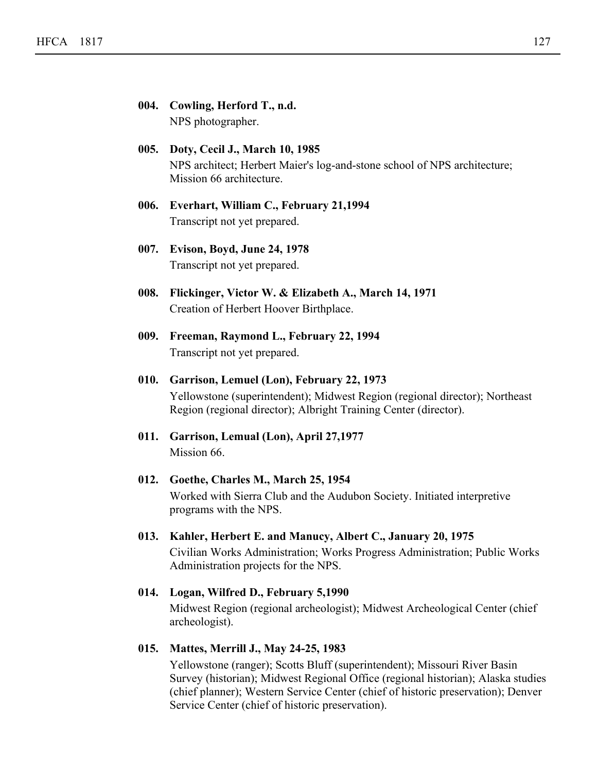|      | 004. Cowling, Herford T., n.d.<br>NPS photographer.                                                                                                                                          |
|------|----------------------------------------------------------------------------------------------------------------------------------------------------------------------------------------------|
|      | 005. Doty, Cecil J., March 10, 1985<br>NPS architect; Herbert Maier's log-and-stone school of NPS architecture;<br>Mission 66 architecture.                                                  |
|      | 006. Everhart, William C., February 21,1994<br>Transcript not yet prepared.                                                                                                                  |
| 007. | Evison, Boyd, June 24, 1978<br>Transcript not yet prepared.                                                                                                                                  |
| 008. | Flickinger, Victor W. & Elizabeth A., March 14, 1971<br>Creation of Herbert Hoover Birthplace.                                                                                               |
| 009. | Freeman, Raymond L., February 22, 1994<br>Transcript not yet prepared.                                                                                                                       |
| 010. | Garrison, Lemuel (Lon), February 22, 1973<br>Yellowstone (superintendent); Midwest Region (regional director); Northeast<br>Region (regional director); Albright Training Center (director). |
| 011. | Garrison, Lemual (Lon), April 27,1977<br>Mission 66.                                                                                                                                         |
| 012. | Goethe, Charles M., March 25, 1954<br>Worked with Sierra Club and the Audubon Society. Initiated interpretive<br>programs with the NPS.                                                      |
| 013. | Kahler, Herbert E. and Manucy, Albert C., January 20, 1975<br>Civilian Works Administration; Works Progress Administration; Public Works<br>Administration projects for the NPS.             |
| 014. | Logan, Wilfred D., February 5,1990<br>Midwest Region (regional archeologist); Midwest Archeological Center (chief<br>archeologist).                                                          |

#### **015. Mattes, Merrill J., May 24-25, 1983**

Yellowstone (ranger); Scotts Bluff (superintendent); Missouri River Basin Survey (historian); Midwest Regional Office (regional historian); Alaska studies (chief planner); Western Service Center (chief of historic preservation); Denver Service Center (chief of historic preservation).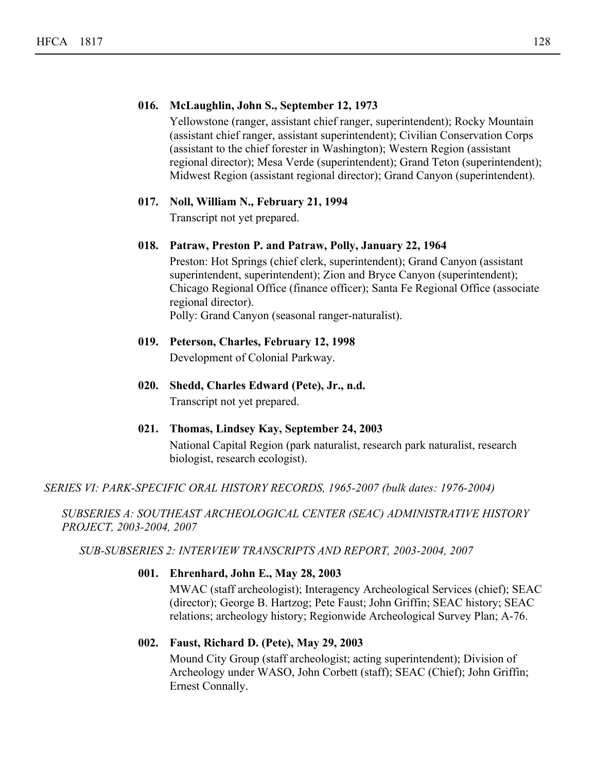#### **016. McLaughlin, John S., September 12, 1973**

Yellowstone (ranger, assistant chief ranger, superintendent); Rocky Mountain (assistant chief ranger, assistant superintendent); Civilian Conservation Corps (assistant to the chief forester in Washington); Western Region (assistant regional director); Mesa Verde (superintendent); Grand Teton (superintendent); Midwest Region (assistant regional director); Grand Canyon (superintendent).

#### **017. Noll, William N., February 21, 1994**

Transcript not yet prepared.

#### **018. Patraw, Preston P. and Patraw, Polly, January 22, 1964**

Preston: Hot Springs (chief clerk, superintendent); Grand Canyon (assistant superintendent, superintendent); Zion and Bryce Canyon (superintendent); Chicago Regional Office (finance officer); Santa Fe Regional Office (associate regional director).

Polly: Grand Canyon (seasonal ranger-naturalist).

#### **019. Peterson, Charles, February 12, 1998** Development of Colonial Parkway.

# **020. Shedd, Charles Edward (Pete), Jr., n.d.** Transcript not yet prepared.

#### **021. Thomas, Lindsey Kay, September 24, 2003** National Capital Region (park naturalist, research park naturalist, research biologist, research ecologist).

*SERIES VI: PARK-SPECIFIC ORAL HISTORY RECORDS, 1965-2007 (bulk dates: 1976-2004)*

*SUBSERIES A: SOUTHEAST ARCHEOLOGICAL CENTER (SEAC) ADMINISTRATIVE HISTORY PROJECT, 2003-2004, 2007*

*SUB-SUBSERIES 2: INTERVIEW TRANSCRIPTS AND REPORT, 2003-2004, 2007*

#### **001. Ehrenhard, John E., May 28, 2003**

MWAC (staff archeologist); Interagency Archeological Services (chief); SEAC (director); George B. Hartzog; Pete Faust; John Griffin; SEAC history; SEAC relations; archeology history; Regionwide Archeological Survey Plan; A-76.

#### **002. Faust, Richard D. (Pete), May 29, 2003**

Mound City Group (staff archeologist; acting superintendent); Division of Archeology under WASO, John Corbett (staff); SEAC (Chief); John Griffin; Ernest Connally.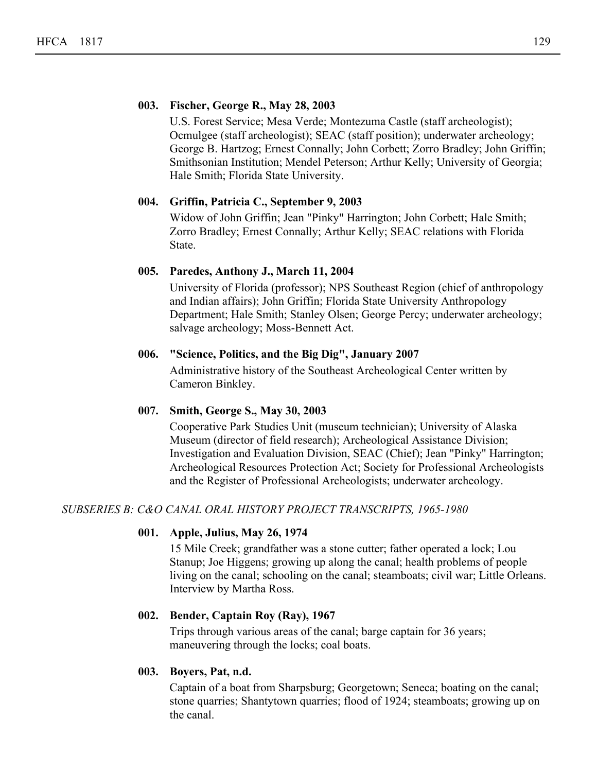#### **003. Fischer, George R., May 28, 2003**

U.S. Forest Service; Mesa Verde; Montezuma Castle (staff archeologist); Ocmulgee (staff archeologist); SEAC (staff position); underwater archeology; George B. Hartzog; Ernest Connally; John Corbett; Zorro Bradley; John Griffin; Smithsonian Institution; Mendel Peterson; Arthur Kelly; University of Georgia; Hale Smith; Florida State University.

#### **004. Griffin, Patricia C., September 9, 2003**

Widow of John Griffin; Jean "Pinky" Harrington; John Corbett; Hale Smith; Zorro Bradley; Ernest Connally; Arthur Kelly; SEAC relations with Florida State.

#### **005. Paredes, Anthony J., March 11, 2004**

University of Florida (professor); NPS Southeast Region (chief of anthropology and Indian affairs); John Griffin; Florida State University Anthropology Department; Hale Smith; Stanley Olsen; George Percy; underwater archeology; salvage archeology; Moss-Bennett Act.

#### **006. "Science, Politics, and the Big Dig", January 2007**

Administrative history of the Southeast Archeological Center written by Cameron Binkley.

#### **007. Smith, George S., May 30, 2003**

Cooperative Park Studies Unit (museum technician); University of Alaska Museum (director of field research); Archeological Assistance Division; Investigation and Evaluation Division, SEAC (Chief); Jean "Pinky" Harrington; Archeological Resources Protection Act; Society for Professional Archeologists and the Register of Professional Archeologists; underwater archeology.

#### *SUBSERIES B: C&O CANAL ORAL HISTORY PROJECT TRANSCRIPTS, 1965-1980*

#### **001. Apple, Julius, May 26, 1974**

15 Mile Creek; grandfather was a stone cutter; father operated a lock; Lou Stanup; Joe Higgens; growing up along the canal; health problems of people living on the canal; schooling on the canal; steamboats; civil war; Little Orleans. Interview by Martha Ross.

#### **002. Bender, Captain Roy (Ray), 1967**

Trips through various areas of the canal; barge captain for 36 years; maneuvering through the locks; coal boats.

#### **003. Boyers, Pat, n.d.**

Captain of a boat from Sharpsburg; Georgetown; Seneca; boating on the canal; stone quarries; Shantytown quarries; flood of 1924; steamboats; growing up on the canal.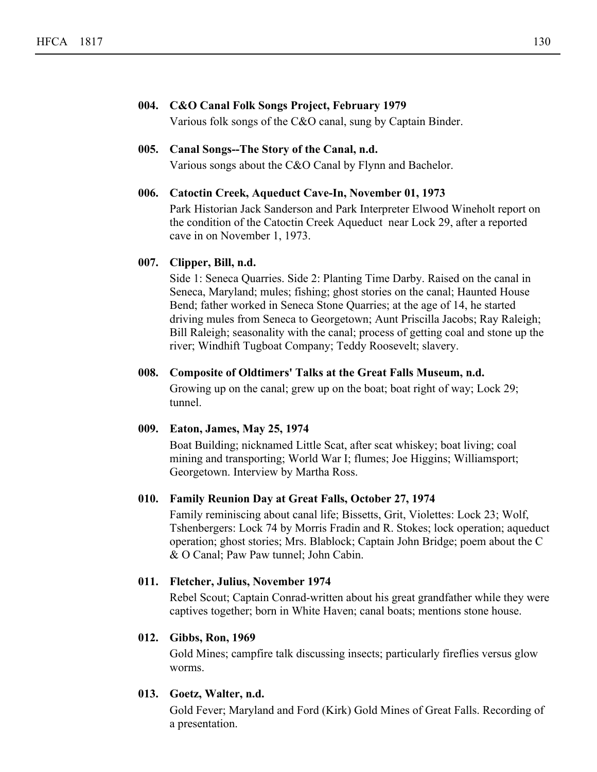#### **004. C&O Canal Folk Songs Project, February 1979**

Various folk songs of the C&O canal, sung by Captain Binder.

#### **005. Canal Songs--The Story of the Canal, n.d.**

Various songs about the C&O Canal by Flynn and Bachelor.

#### **006. Catoctin Creek, Aqueduct Cave-In, November 01, 1973**

Park Historian Jack Sanderson and Park Interpreter Elwood Wineholt report on the condition of the Catoctin Creek Aqueduct near Lock 29, after a reported cave in on November 1, 1973.

#### **007. Clipper, Bill, n.d.**

Side 1: Seneca Quarries. Side 2: Planting Time Darby. Raised on the canal in Seneca, Maryland; mules; fishing; ghost stories on the canal; Haunted House Bend; father worked in Seneca Stone Quarries; at the age of 14, he started driving mules from Seneca to Georgetown; Aunt Priscilla Jacobs; Ray Raleigh; Bill Raleigh; seasonality with the canal; process of getting coal and stone up the river; Windhift Tugboat Company; Teddy Roosevelt; slavery.

#### **008. Composite of Oldtimers' Talks at the Great Falls Museum, n.d.**

Growing up on the canal; grew up on the boat; boat right of way; Lock 29; tunnel.

#### **009. Eaton, James, May 25, 1974**

Boat Building; nicknamed Little Scat, after scat whiskey; boat living; coal mining and transporting; World War I; flumes; Joe Higgins; Williamsport; Georgetown. Interview by Martha Ross.

#### **010. Family Reunion Day at Great Falls, October 27, 1974**

Family reminiscing about canal life; Bissetts, Grit, Violettes: Lock 23; Wolf, Tshenbergers: Lock 74 by Morris Fradin and R. Stokes; lock operation; aqueduct operation; ghost stories; Mrs. Blablock; Captain John Bridge; poem about the C & O Canal; Paw Paw tunnel; John Cabin.

#### **011. Fletcher, Julius, November 1974**

Rebel Scout; Captain Conrad-written about his great grandfather while they were captives together; born in White Haven; canal boats; mentions stone house.

#### **012. Gibbs, Ron, 1969**

Gold Mines; campfire talk discussing insects; particularly fireflies versus glow worms.

#### **013. Goetz, Walter, n.d.**

Gold Fever; Maryland and Ford (Kirk) Gold Mines of Great Falls. Recording of a presentation.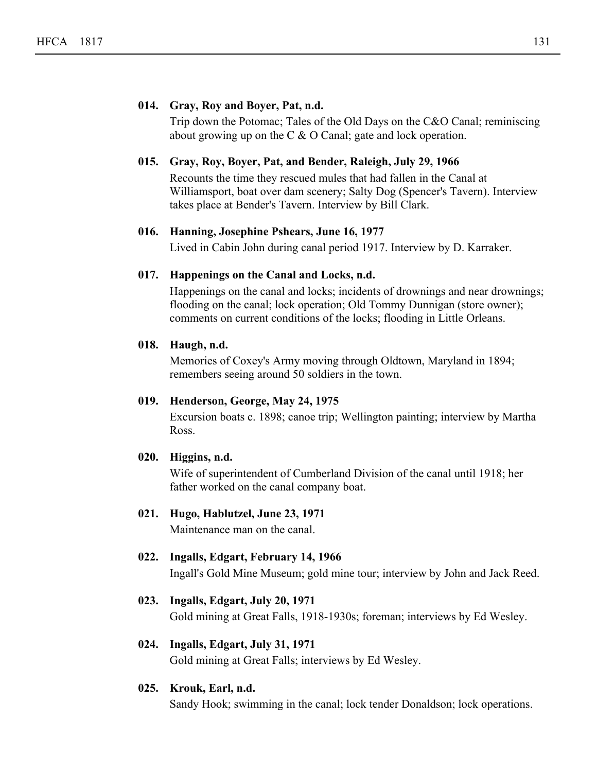#### **014. Gray, Roy and Boyer, Pat, n.d.**

Trip down the Potomac; Tales of the Old Days on the C&O Canal; reminiscing about growing up on the C & O Canal; gate and lock operation.

#### **015. Gray, Roy, Boyer, Pat, and Bender, Raleigh, July 29, 1966**

Recounts the time they rescued mules that had fallen in the Canal at Williamsport, boat over dam scenery; Salty Dog (Spencer's Tavern). Interview takes place at Bender's Tavern. Interview by Bill Clark.

#### **016. Hanning, Josephine Pshears, June 16, 1977**

Lived in Cabin John during canal period 1917. Interview by D. Karraker.

#### **017. Happenings on the Canal and Locks, n.d.**

Happenings on the canal and locks; incidents of drownings and near drownings; flooding on the canal; lock operation; Old Tommy Dunnigan (store owner); comments on current conditions of the locks; flooding in Little Orleans.

#### **018. Haugh, n.d.**

Memories of Coxey's Army moving through Oldtown, Maryland in 1894; remembers seeing around 50 soldiers in the town.

#### **019. Henderson, George, May 24, 1975**

Excursion boats c. 1898; canoe trip; Wellington painting; interview by Martha Ross.

#### **020. Higgins, n.d.**

Wife of superintendent of Cumberland Division of the canal until 1918; her father worked on the canal company boat.

#### **021. Hugo, Hablutzel, June 23, 1971**

Maintenance man on the canal.

#### **022. Ingalls, Edgart, February 14, 1966**

Ingall's Gold Mine Museum; gold mine tour; interview by John and Jack Reed.

#### **023. Ingalls, Edgart, July 20, 1971**

Gold mining at Great Falls, 1918-1930s; foreman; interviews by Ed Wesley.

#### **024. Ingalls, Edgart, July 31, 1971**

Gold mining at Great Falls; interviews by Ed Wesley.

#### **025. Krouk, Earl, n.d.**

Sandy Hook; swimming in the canal; lock tender Donaldson; lock operations.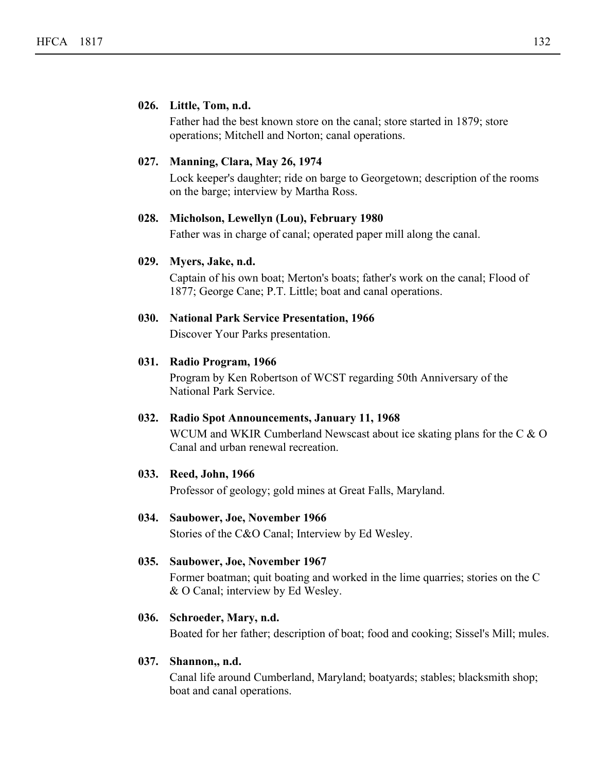#### **026. Little, Tom, n.d.**

Father had the best known store on the canal; store started in 1879; store operations; Mitchell and Norton; canal operations.

#### **027. Manning, Clara, May 26, 1974**

Lock keeper's daughter; ride on barge to Georgetown; description of the rooms on the barge; interview by Martha Ross.

#### **028. Micholson, Lewellyn (Lou), February 1980**

Father was in charge of canal; operated paper mill along the canal.

#### **029. Myers, Jake, n.d.**

Captain of his own boat; Merton's boats; father's work on the canal; Flood of 1877; George Cane; P.T. Little; boat and canal operations.

#### **030. National Park Service Presentation, 1966**

Discover Your Parks presentation.

#### **031. Radio Program, 1966**

Program by Ken Robertson of WCST regarding 50th Anniversary of the National Park Service.

#### **032. Radio Spot Announcements, January 11, 1968**

WCUM and WKIR Cumberland Newscast about ice skating plans for the C & O Canal and urban renewal recreation.

#### **033. Reed, John, 1966**

Professor of geology; gold mines at Great Falls, Maryland.

#### **034. Saubower, Joe, November 1966**

Stories of the C&O Canal; Interview by Ed Wesley.

#### **035. Saubower, Joe, November 1967**

Former boatman; quit boating and worked in the lime quarries; stories on the C & O Canal; interview by Ed Wesley.

#### **036. Schroeder, Mary, n.d.**

Boated for her father; description of boat; food and cooking; Sissel's Mill; mules.

#### **037. Shannon,, n.d.**

Canal life around Cumberland, Maryland; boatyards; stables; blacksmith shop; boat and canal operations.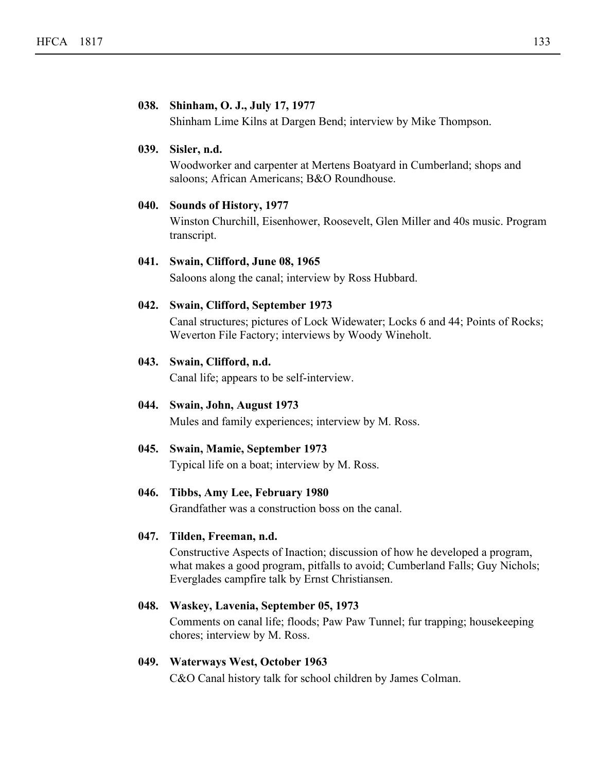#### **038. Shinham, O. J., July 17, 1977**

Shinham Lime Kilns at Dargen Bend; interview by Mike Thompson.

#### **039. Sisler, n.d.**

Woodworker and carpenter at Mertens Boatyard in Cumberland; shops and saloons; African Americans; B&O Roundhouse.

#### **040. Sounds of History, 1977**

Winston Churchill, Eisenhower, Roosevelt, Glen Miller and 40s music. Program transcript.

#### **041. Swain, Clifford, June 08, 1965**

Saloons along the canal; interview by Ross Hubbard.

#### **042. Swain, Clifford, September 1973**

Canal structures; pictures of Lock Widewater; Locks 6 and 44; Points of Rocks; Weverton File Factory; interviews by Woody Wineholt.

#### **043. Swain, Clifford, n.d.**

Canal life; appears to be self-interview.

#### **044. Swain, John, August 1973**

Mules and family experiences; interview by M. Ross.

#### **045. Swain, Mamie, September 1973**

Typical life on a boat; interview by M. Ross.

#### **046. Tibbs, Amy Lee, February 1980**

Grandfather was a construction boss on the canal.

#### **047. Tilden, Freeman, n.d.**

Constructive Aspects of Inaction; discussion of how he developed a program, what makes a good program, pitfalls to avoid; Cumberland Falls; Guy Nichols; Everglades campfire talk by Ernst Christiansen.

#### **048. Waskey, Lavenia, September 05, 1973**

Comments on canal life; floods; Paw Paw Tunnel; fur trapping; housekeeping chores; interview by M. Ross.

#### **049. Waterways West, October 1963**

C&O Canal history talk for school children by James Colman.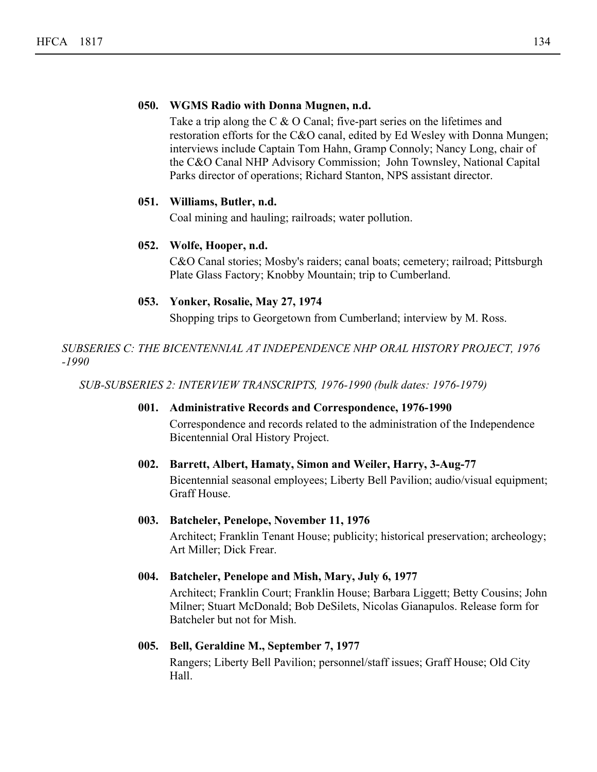#### **050. WGMS Radio with Donna Mugnen, n.d.**

Take a trip along the C & O Canal; five-part series on the lifetimes and restoration efforts for the C&O canal, edited by Ed Wesley with Donna Mungen; interviews include Captain Tom Hahn, Gramp Connoly; Nancy Long, chair of the C&O Canal NHP Advisory Commission; John Townsley, National Capital Parks director of operations; Richard Stanton, NPS assistant director.

#### **051. Williams, Butler, n.d.**

Coal mining and hauling; railroads; water pollution.

#### **052. Wolfe, Hooper, n.d.**

C&O Canal stories; Mosby's raiders; canal boats; cemetery; railroad; Pittsburgh Plate Glass Factory; Knobby Mountain; trip to Cumberland.

#### **053. Yonker, Rosalie, May 27, 1974**

Shopping trips to Georgetown from Cumberland; interview by M. Ross.

*SUBSERIES C: THE BICENTENNIAL AT INDEPENDENCE NHP ORAL HISTORY PROJECT, 1976 -1990*

*SUB-SUBSERIES 2: INTERVIEW TRANSCRIPTS, 1976-1990 (bulk dates: 1976-1979)*

#### **001. Administrative Records and Correspondence, 1976-1990**

Correspondence and records related to the administration of the Independence Bicentennial Oral History Project.

#### **002. Barrett, Albert, Hamaty, Simon and Weiler, Harry, 3-Aug-77**

Bicentennial seasonal employees; Liberty Bell Pavilion; audio/visual equipment; Graff House.

#### **003. Batcheler, Penelope, November 11, 1976**

Architect; Franklin Tenant House; publicity; historical preservation; archeology; Art Miller; Dick Frear.

#### **004. Batcheler, Penelope and Mish, Mary, July 6, 1977**

Architect; Franklin Court; Franklin House; Barbara Liggett; Betty Cousins; John Milner; Stuart McDonald; Bob DeSilets, Nicolas Gianapulos. Release form for Batcheler but not for Mish.

#### **005. Bell, Geraldine M., September 7, 1977**

Rangers; Liberty Bell Pavilion; personnel/staff issues; Graff House; Old City Hall.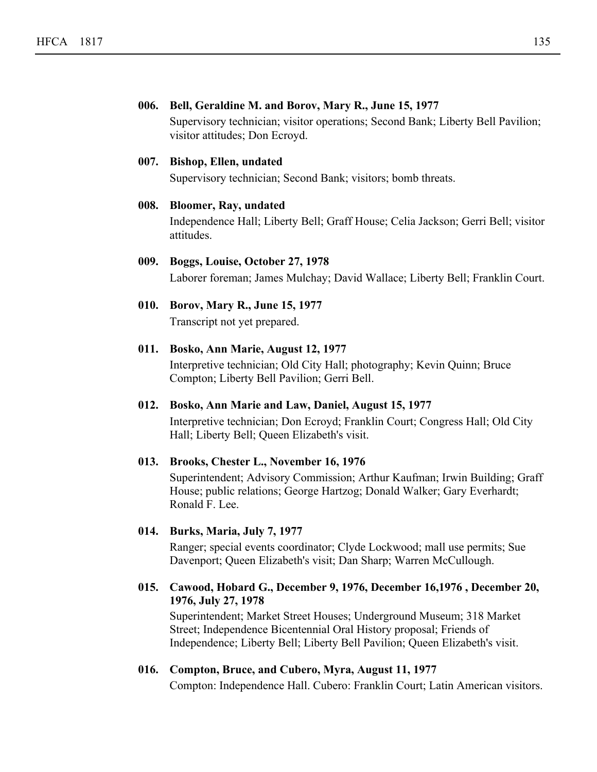#### **006. Bell, Geraldine M. and Borov, Mary R., June 15, 1977**

Supervisory technician; visitor operations; Second Bank; Liberty Bell Pavilion; visitor attitudes; Don Ecroyd.

#### **007. Bishop, Ellen, undated**

Supervisory technician; Second Bank; visitors; bomb threats.

#### **008. Bloomer, Ray, undated**

Independence Hall; Liberty Bell; Graff House; Celia Jackson; Gerri Bell; visitor attitudes.

#### **009. Boggs, Louise, October 27, 1978** Laborer foreman; James Mulchay; David Wallace; Liberty Bell; Franklin Court.

**010. Borov, Mary R., June 15, 1977** Transcript not yet prepared.

#### **011. Bosko, Ann Marie, August 12, 1977**

Interpretive technician; Old City Hall; photography; Kevin Quinn; Bruce Compton; Liberty Bell Pavilion; Gerri Bell.

#### **012. Bosko, Ann Marie and Law, Daniel, August 15, 1977**

Interpretive technician; Don Ecroyd; Franklin Court; Congress Hall; Old City Hall; Liberty Bell; Queen Elizabeth's visit.

#### **013. Brooks, Chester L., November 16, 1976**

Superintendent; Advisory Commission; Arthur Kaufman; Irwin Building; Graff House; public relations; George Hartzog; Donald Walker; Gary Everhardt; Ronald F. Lee.

#### **014. Burks, Maria, July 7, 1977**

Ranger; special events coordinator; Clyde Lockwood; mall use permits; Sue Davenport; Queen Elizabeth's visit; Dan Sharp; Warren McCullough.

#### **Cawood, Hobard G., December 9, 1976, December 16,1976 , December 20, 015. 1976, July 27, 1978**

Superintendent; Market Street Houses; Underground Museum; 318 Market Street; Independence Bicentennial Oral History proposal; Friends of Independence; Liberty Bell; Liberty Bell Pavilion; Queen Elizabeth's visit.

#### **016. Compton, Bruce, and Cubero, Myra, August 11, 1977**

Compton: Independence Hall. Cubero: Franklin Court; Latin American visitors.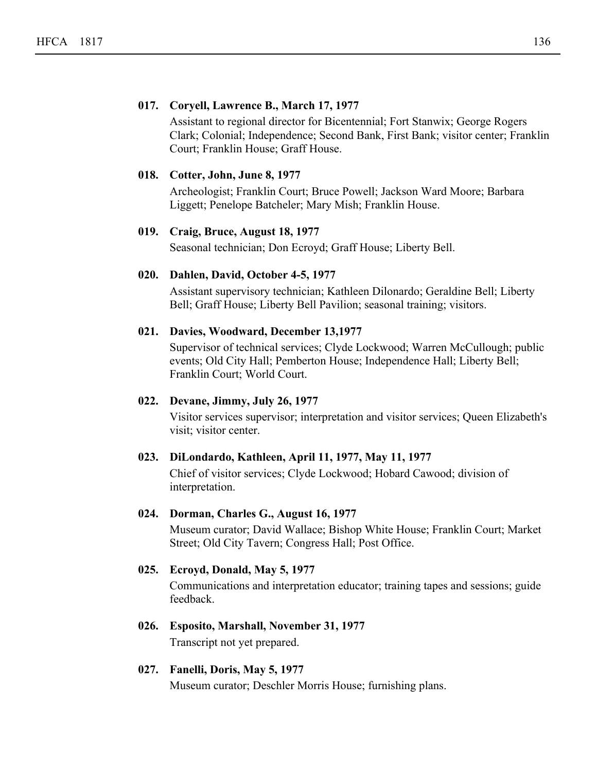#### **017. Coryell, Lawrence B., March 17, 1977**

Assistant to regional director for Bicentennial; Fort Stanwix; George Rogers Clark; Colonial; Independence; Second Bank, First Bank; visitor center; Franklin Court; Franklin House; Graff House.

#### **018. Cotter, John, June 8, 1977**

Archeologist; Franklin Court; Bruce Powell; Jackson Ward Moore; Barbara Liggett; Penelope Batcheler; Mary Mish; Franklin House.

#### **019. Craig, Bruce, August 18, 1977**

Seasonal technician; Don Ecroyd; Graff House; Liberty Bell.

#### **020. Dahlen, David, October 4-5, 1977**

Assistant supervisory technician; Kathleen Dilonardo; Geraldine Bell; Liberty Bell; Graff House; Liberty Bell Pavilion; seasonal training; visitors.

#### **021. Davies, Woodward, December 13,1977**

Supervisor of technical services; Clyde Lockwood; Warren McCullough; public events; Old City Hall; Pemberton House; Independence Hall; Liberty Bell; Franklin Court; World Court.

#### **022. Devane, Jimmy, July 26, 1977**

Visitor services supervisor; interpretation and visitor services; Queen Elizabeth's visit; visitor center.

#### **023. DiLondardo, Kathleen, April 11, 1977, May 11, 1977**

Chief of visitor services; Clyde Lockwood; Hobard Cawood; division of interpretation.

#### **024. Dorman, Charles G., August 16, 1977**

Museum curator; David Wallace; Bishop White House; Franklin Court; Market Street; Old City Tavern; Congress Hall; Post Office.

#### **025. Ecroyd, Donald, May 5, 1977**

Communications and interpretation educator; training tapes and sessions; guide feedback.

#### **026. Esposito, Marshall, November 31, 1977**

Transcript not yet prepared.

#### **027. Fanelli, Doris, May 5, 1977**

Museum curator; Deschler Morris House; furnishing plans.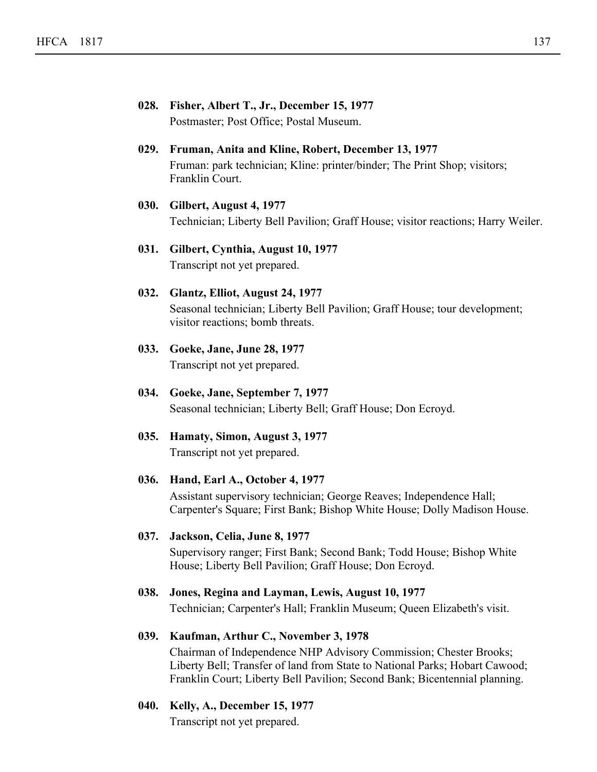| 028. Fisher, Albert T., Jr., December 15, 1977 |
|------------------------------------------------|
| Postmaster; Post Office; Postal Museum.        |

#### **029. Fruman, Anita and Kline, Robert, December 13, 1977** Fruman: park technician; Kline: printer/binder; The Print Shop; visitors; Franklin Court.

**030. Gilbert, August 4, 1977** Technician; Liberty Bell Pavilion; Graff House; visitor reactions; Harry Weiler.

#### **031. Gilbert, Cynthia, August 10, 1977** Transcript not yet prepared.

- **032. Glantz, Elliot, August 24, 1977** Seasonal technician; Liberty Bell Pavilion; Graff House; tour development; visitor reactions; bomb threats.
- **033. Goeke, Jane, June 28, 1977** Transcript not yet prepared.
- **034. Goeke, Jane, September 7, 1977** Seasonal technician; Liberty Bell; Graff House; Don Ecroyd.
- **035. Hamaty, Simon, August 3, 1977** Transcript not yet prepared.

#### **036. Hand, Earl A., October 4, 1977**

Assistant supervisory technician; George Reaves; Independence Hall; Carpenter's Square; First Bank; Bishop White House; Dolly Madison House.

#### **037. Jackson, Celia, June 8, 1977**

Supervisory ranger; First Bank; Second Bank; Todd House; Bishop White House; Liberty Bell Pavilion; Graff House; Don Ecroyd.

#### **038. Jones, Regina and Layman, Lewis, August 10, 1977**

Technician; Carpenter's Hall; Franklin Museum; Queen Elizabeth's visit.

#### **039. Kaufman, Arthur C., November 3, 1978**

Chairman of Independence NHP Advisory Commission; Chester Brooks; Liberty Bell; Transfer of land from State to National Parks; Hobart Cawood; Franklin Court; Liberty Bell Pavilion; Second Bank; Bicentennial planning.

**040. Kelly, A., December 15, 1977** Transcript not yet prepared.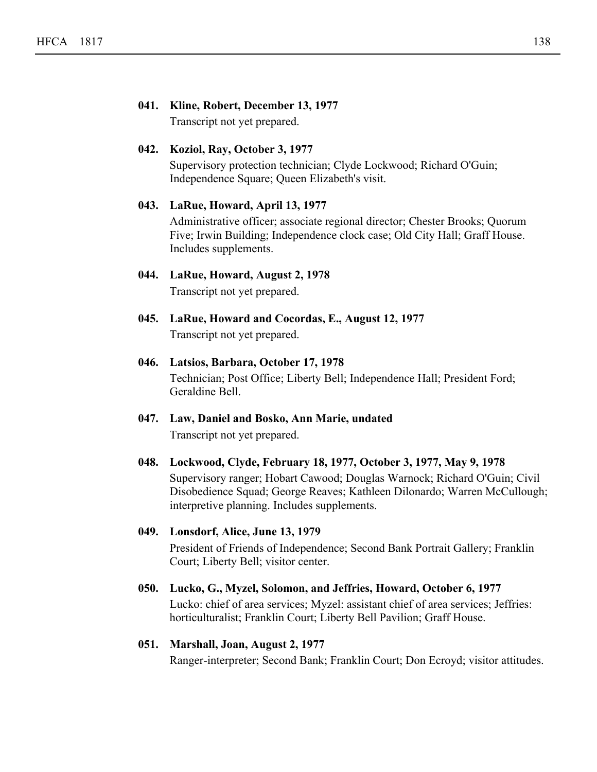# **041. Kline, Robert, December 13, 1977**

Transcript not yet prepared.

#### **042. Koziol, Ray, October 3, 1977**

Supervisory protection technician; Clyde Lockwood; Richard O'Guin; Independence Square; Queen Elizabeth's visit.

#### **043. LaRue, Howard, April 13, 1977**

Administrative officer; associate regional director; Chester Brooks; Quorum Five; Irwin Building; Independence clock case; Old City Hall; Graff House. Includes supplements.

# **044. LaRue, Howard, August 2, 1978**

Transcript not yet prepared.

**045. LaRue, Howard and Cocordas, E., August 12, 1977** Transcript not yet prepared.

#### **046. Latsios, Barbara, October 17, 1978**

Technician; Post Office; Liberty Bell; Independence Hall; President Ford; Geraldine Bell.

**047. Law, Daniel and Bosko, Ann Marie, undated** Transcript not yet prepared.

#### **048. Lockwood, Clyde, February 18, 1977, October 3, 1977, May 9, 1978**

Supervisory ranger; Hobart Cawood; Douglas Warnock; Richard O'Guin; Civil Disobedience Squad; George Reaves; Kathleen Dilonardo; Warren McCullough; interpretive planning. Includes supplements.

## **049. Lonsdorf, Alice, June 13, 1979** President of Friends of Independence; Second Bank Portrait Gallery; Franklin

Court; Liberty Bell; visitor center.

#### **050. Lucko, G., Myzel, Solomon, and Jeffries, Howard, October 6, 1977**

Lucko: chief of area services; Myzel: assistant chief of area services; Jeffries: horticulturalist; Franklin Court; Liberty Bell Pavilion; Graff House.

#### **051. Marshall, Joan, August 2, 1977**

Ranger-interpreter; Second Bank; Franklin Court; Don Ecroyd; visitor attitudes.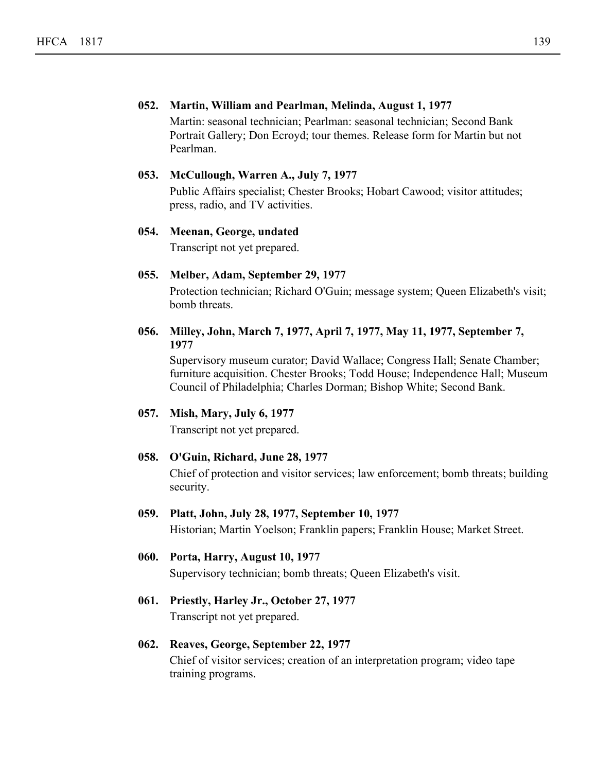#### **052. Martin, William and Pearlman, Melinda, August 1, 1977**

Martin: seasonal technician; Pearlman: seasonal technician; Second Bank Portrait Gallery; Don Ecroyd; tour themes. Release form for Martin but not Pearlman.

#### **053. McCullough, Warren A., July 7, 1977**

Public Affairs specialist; Chester Brooks; Hobart Cawood; visitor attitudes; press, radio, and TV activities.

#### **054. Meenan, George, undated**

Transcript not yet prepared.

#### **055. Melber, Adam, September 29, 1977**

Protection technician; Richard O'Guin; message system; Queen Elizabeth's visit; bomb threats.

#### **Milley, John, March 7, 1977, April 7, 1977, May 11, 1977, September 7, 056. 1977**

Supervisory museum curator; David Wallace; Congress Hall; Senate Chamber; furniture acquisition. Chester Brooks; Todd House; Independence Hall; Museum Council of Philadelphia; Charles Dorman; Bishop White; Second Bank.

#### **057. Mish, Mary, July 6, 1977**

Transcript not yet prepared.

#### **058. O'Guin, Richard, June 28, 1977**

Chief of protection and visitor services; law enforcement; bomb threats; building security.

#### **059. Platt, John, July 28, 1977, September 10, 1977**

Historian; Martin Yoelson; Franklin papers; Franklin House; Market Street.

#### **060. Porta, Harry, August 10, 1977**

Supervisory technician; bomb threats; Queen Elizabeth's visit.

**061. Priestly, Harley Jr., October 27, 1977** Transcript not yet prepared.

#### **062. Reaves, George, September 22, 1977**

Chief of visitor services; creation of an interpretation program; video tape training programs.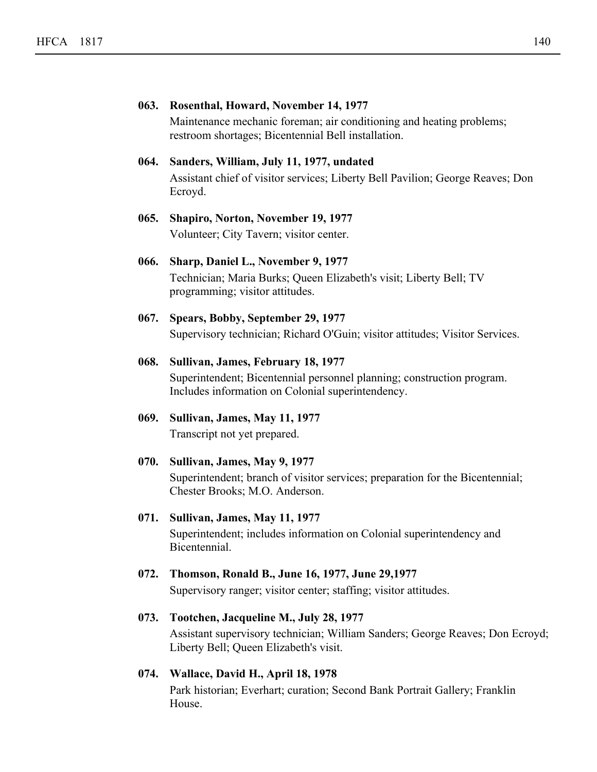|      | 063. Rosenthal, Howard, November 14, 1977<br>Maintenance mechanic foreman; air conditioning and heating problems;<br>restroom shortages; Bicentennial Bell installation. |
|------|--------------------------------------------------------------------------------------------------------------------------------------------------------------------------|
| 064. | Sanders, William, July 11, 1977, undated<br>Assistant chief of visitor services; Liberty Bell Pavilion; George Reaves; Don<br>Ecroyd.                                    |
| 065. | Shapiro, Norton, November 19, 1977<br>Volunteer; City Tavern; visitor center.                                                                                            |
| 066. | Sharp, Daniel L., November 9, 1977<br>Technician; Maria Burks; Queen Elizabeth's visit; Liberty Bell; TV<br>programming; visitor attitudes.                              |
| 067. | Spears, Bobby, September 29, 1977<br>Supervisory technician; Richard O'Guin; visitor attitudes; Visitor Services.                                                        |
| 068. | Sullivan, James, February 18, 1977<br>Superintendent; Bicentennial personnel planning; construction program.<br>Includes information on Colonial superintendency.        |
| 069. | Sullivan, James, May 11, 1977<br>Transcript not yet prepared.                                                                                                            |
| 070. | Sullivan, James, May 9, 1977<br>Superintendent; branch of visitor services; preparation for the Bicentennial;<br>Chester Brooks; M.O. Anderson.                          |
| 071. | Sullivan, James, May 11, 1977<br>Superintendent; includes information on Colonial superintendency and<br>Bicentennial.                                                   |
| 072. | Thomson, Ronald B., June 16, 1977, June 29, 1977<br>Supervisory ranger; visitor center; staffing; visitor attitudes.                                                     |
| 073. | Tootchen, Jacqueline M., July 28, 1977<br>Assistant supervisory technician; William Sanders; George Reaves; Don Ecroyd;<br>Liberty Bell; Queen Elizabeth's visit.        |

**074. Wallace, David H., April 18, 1978**

Park historian; Everhart; curation; Second Bank Portrait Gallery; Franklin House.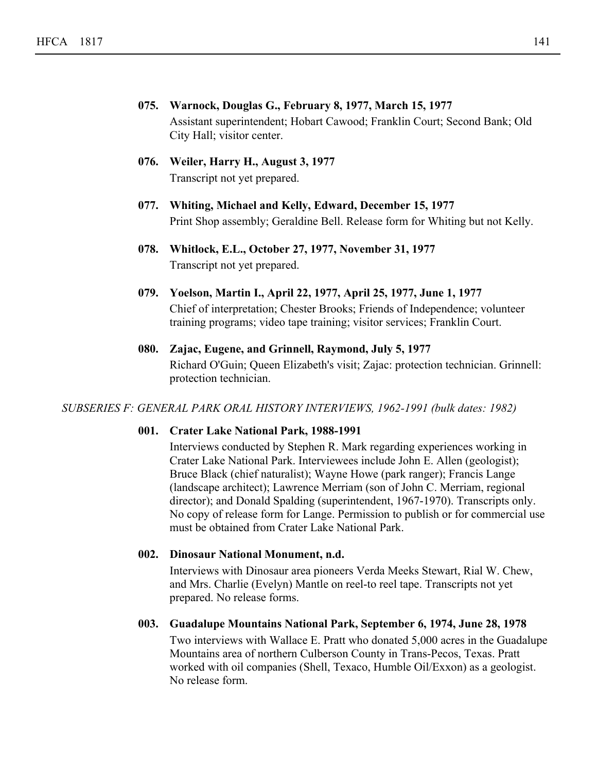- **075. Warnock, Douglas G., February 8, 1977, March 15, 1977** Assistant superintendent; Hobart Cawood; Franklin Court; Second Bank; Old City Hall; visitor center.
- **076. Weiler, Harry H., August 3, 1977** Transcript not yet prepared.
- **077. Whiting, Michael and Kelly, Edward, December 15, 1977** Print Shop assembly; Geraldine Bell. Release form for Whiting but not Kelly.
- **078. Whitlock, E.L., October 27, 1977, November 31, 1977** Transcript not yet prepared.
- **079. Yoelson, Martin I., April 22, 1977, April 25, 1977, June 1, 1977** Chief of interpretation; Chester Brooks; Friends of Independence; volunteer training programs; video tape training; visitor services; Franklin Court.
- **080. Zajac, Eugene, and Grinnell, Raymond, July 5, 1977** Richard O'Guin; Queen Elizabeth's visit; Zajac: protection technician. Grinnell: protection technician.

#### *SUBSERIES F: GENERAL PARK ORAL HISTORY INTERVIEWS, 1962-1991 (bulk dates: 1982)*

#### **001. Crater Lake National Park, 1988-1991**

Interviews conducted by Stephen R. Mark regarding experiences working in Crater Lake National Park. Interviewees include John E. Allen (geologist); Bruce Black (chief naturalist); Wayne Howe (park ranger); Francis Lange (landscape architect); Lawrence Merriam (son of John C. Merriam, regional director); and Donald Spalding (superintendent, 1967-1970). Transcripts only. No copy of release form for Lange. Permission to publish or for commercial use must be obtained from Crater Lake National Park.

#### **002. Dinosaur National Monument, n.d.**

Interviews with Dinosaur area pioneers Verda Meeks Stewart, Rial W. Chew, and Mrs. Charlie (Evelyn) Mantle on reel-to reel tape. Transcripts not yet prepared. No release forms.

#### **003. Guadalupe Mountains National Park, September 6, 1974, June 28, 1978**

Two interviews with Wallace E. Pratt who donated 5,000 acres in the Guadalupe Mountains area of northern Culberson County in Trans-Pecos, Texas. Pratt worked with oil companies (Shell, Texaco, Humble Oil/Exxon) as a geologist. No release form.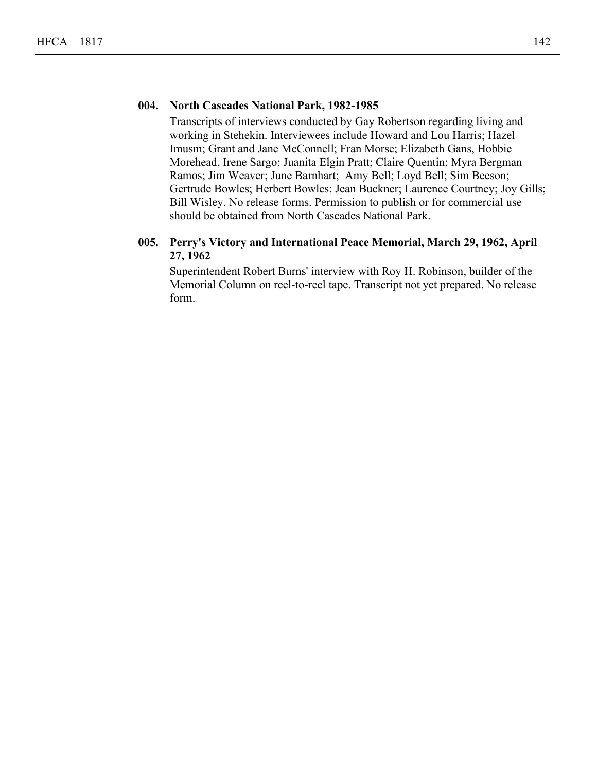#### **004. North Cascades National Park, 1982-1985**

Transcripts of interviews conducted by Gay Robertson regarding living and working in Stehekin. Interviewees include Howard and Lou Harris; Hazel Imusm; Grant and Jane McConnell; Fran Morse; Elizabeth Gans, Hobbie Morehead, Irene Sargo; Juanita Elgin Pratt; Claire Quentin; Myra Bergman Ramos; Jim Weaver; June Barnhart; Amy Bell; Loyd Bell; Sim Beeson; Gertrude Bowles; Herbert Bowles; Jean Buckner; Laurence Courtney; Joy Gills; Bill Wisley. No release forms. Permission to publish or for commercial use should be obtained from North Cascades National Park.

#### **Perry's Victory and International Peace Memorial, March 29, 1962, April 005. 27, 1962**

Superintendent Robert Burns' interview with Roy H. Robinson, builder of the Memorial Column on reel-to-reel tape. Transcript not yet prepared. No release form.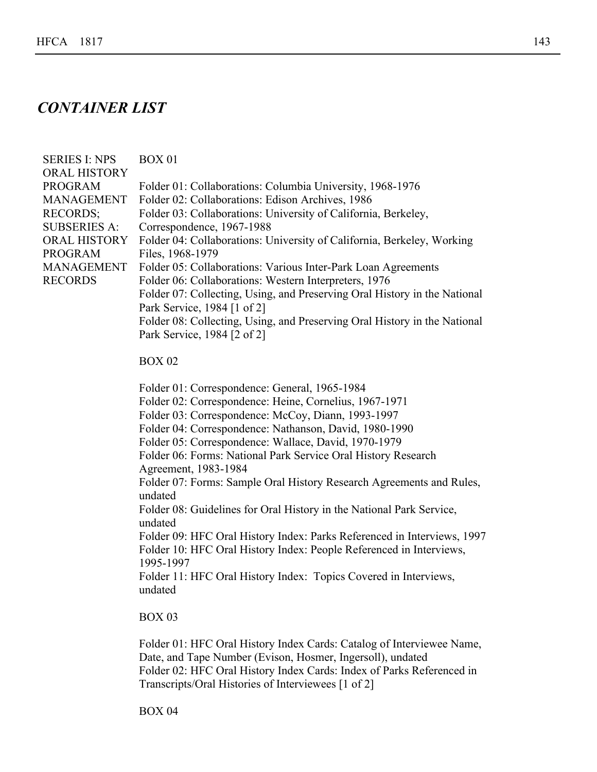# *CONTAINER LIST*

| <b>SERIES I: NPS</b><br><b>ORAL HISTORY</b><br><b>PROGRAM</b><br><b>MANAGEMENT</b><br><b>RECORDS;</b><br><b>SUBSERIES A:</b><br><b>ORAL HISTORY</b><br><b>PROGRAM</b><br><b>MANAGEMENT</b><br><b>RECORDS</b> | <b>BOX 01</b><br>Folder 01: Collaborations: Columbia University, 1968-1976<br>Folder 02: Collaborations: Edison Archives, 1986<br>Folder 03: Collaborations: University of California, Berkeley,<br>Correspondence, 1967-1988<br>Folder 04: Collaborations: University of California, Berkeley, Working<br>Files, 1968-1979<br>Folder 05: Collaborations: Various Inter-Park Loan Agreements<br>Folder 06: Collaborations: Western Interpreters, 1976<br>Folder 07: Collecting, Using, and Preserving Oral History in the National<br>Park Service, 1984 [1 of 2]<br>Folder 08: Collecting, Using, and Preserving Oral History in the National<br>Park Service, 1984 [2 of 2]                                 |
|--------------------------------------------------------------------------------------------------------------------------------------------------------------------------------------------------------------|---------------------------------------------------------------------------------------------------------------------------------------------------------------------------------------------------------------------------------------------------------------------------------------------------------------------------------------------------------------------------------------------------------------------------------------------------------------------------------------------------------------------------------------------------------------------------------------------------------------------------------------------------------------------------------------------------------------|
|                                                                                                                                                                                                              | <b>BOX 02</b>                                                                                                                                                                                                                                                                                                                                                                                                                                                                                                                                                                                                                                                                                                 |
|                                                                                                                                                                                                              | Folder 01: Correspondence: General, 1965-1984<br>Folder 02: Correspondence: Heine, Cornelius, 1967-1971<br>Folder 03: Correspondence: McCoy, Diann, 1993-1997<br>Folder 04: Correspondence: Nathanson, David, 1980-1990<br>Folder 05: Correspondence: Wallace, David, 1970-1979<br>Folder 06: Forms: National Park Service Oral History Research<br>Agreement, 1983-1984<br>Folder 07: Forms: Sample Oral History Research Agreements and Rules,<br>undated<br>Folder 08: Guidelines for Oral History in the National Park Service,<br>undated<br>Folder 09: HFC Oral History Index: Parks Referenced in Interviews, 1997<br>Folder 10: HFC Oral History Index: People Referenced in Interviews,<br>1995-1997 |

Folder 11: HFC Oral History Index: Topics Covered in Interviews, undated

#### BOX 03

Folder 01: HFC Oral History Index Cards: Catalog of Interviewee Name, Date, and Tape Number (Evison, Hosmer, Ingersoll), undated Folder 02: HFC Oral History Index Cards: Index of Parks Referenced in Transcripts/Oral Histories of Interviewees [1 of 2]

BOX 04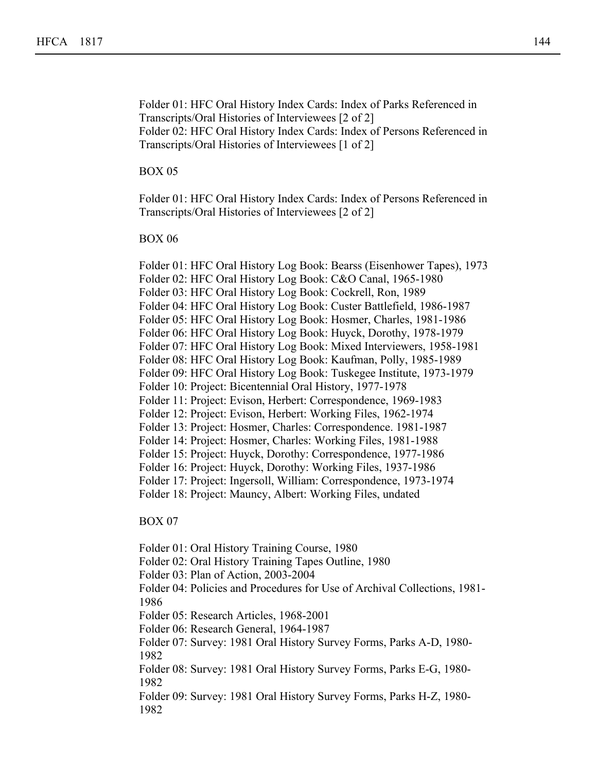Folder 01: HFC Oral History Index Cards: Index of Parks Referenced in Transcripts/Oral Histories of Interviewees [2 of 2] Folder 02: HFC Oral History Index Cards: Index of Persons Referenced in Transcripts/Oral Histories of Interviewees [1 of 2]

Transcripts/Oral Histories of Interviewees [1 of 2]

BOX 05

Folder 01: HFC Oral History Index Cards: Index of Persons Referenced in Transcripts/Oral Histories of Interviewees [2 of 2]

BOX 06

Folder 01: HFC Oral History Log Book: Bearss (Eisenhower Tapes), 1973 Folder 02: HFC Oral History Log Book: C&O Canal, 1965-1980 Folder 03: HFC Oral History Log Book: Cockrell, Ron, 1989 Folder 04: HFC Oral History Log Book: Custer Battlefield, 1986-1987 Folder 05: HFC Oral History Log Book: Hosmer, Charles, 1981-1986 Folder 06: HFC Oral History Log Book: Huyck, Dorothy, 1978-1979 Folder 07: HFC Oral History Log Book: Mixed Interviewers, 1958-1981 Folder 08: HFC Oral History Log Book: Kaufman, Polly, 1985-1989 Folder 09: HFC Oral History Log Book: Tuskegee Institute, 1973-1979 Folder 10: Project: Bicentennial Oral History, 1977-1978 Folder 11: Project: Evison, Herbert: Correspondence, 1969-1983 Folder 12: Project: Evison, Herbert: Working Files, 1962-1974 Folder 13: Project: Hosmer, Charles: Correspondence. 1981-1987 Folder 14: Project: Hosmer, Charles: Working Files, 1981-1988 Folder 15: Project: Huyck, Dorothy: Correspondence, 1977-1986 Folder 16: Project: Huyck, Dorothy: Working Files, 1937-1986 Folder 17: Project: Ingersoll, William: Correspondence, 1973-1974 Folder 18: Project: Mauncy, Albert: Working Files, undated BOX 07 Folder 01: Oral History Training Course, 1980 Folder 02: Oral History Training Tapes Outline, 1980 Folder 03: Plan of Action, 2003-2004 Folder 04: Policies and Procedures for Use of Archival Collections, 1981- 1986 Folder 05: Research Articles, 1968-2001 Folder 06: Research General, 1964-1987 Folder 07: Survey: 1981 Oral History Survey Forms, Parks A-D, 1980- 1982 Folder 08: Survey: 1981 Oral History Survey Forms, Parks E-G, 1980- 1982 Folder 09: Survey: 1981 Oral History Survey Forms, Parks H-Z, 1980- 1982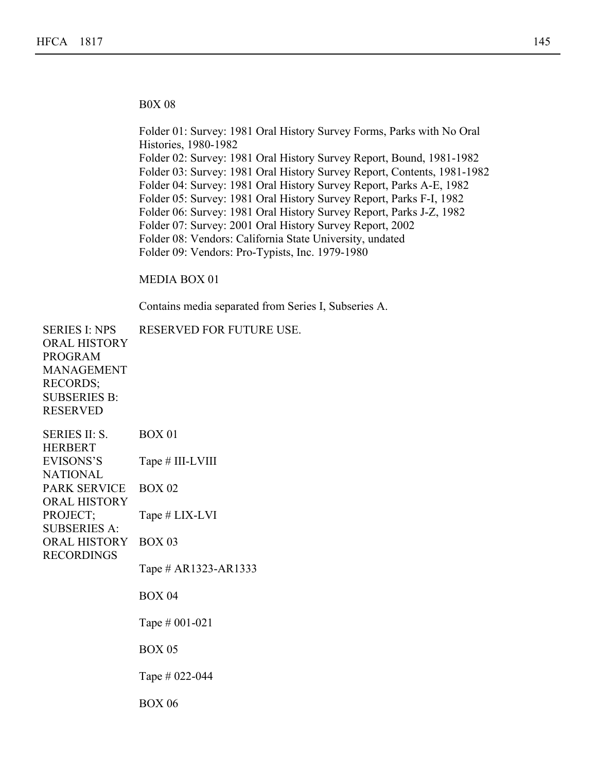B0X 08

1982

Folder 01: Survey: 1981 Oral History Survey Forms, Parks with No Oral Histories, 1980-1982 Folder 02: Survey: 1981 Oral History Survey Report, Bound, 1981-1982 Folder 03: Survey: 1981 Oral History Survey Report, Contents, 1981-1982 Folder 04: Survey: 1981 Oral History Survey Report, Parks A-E, 1982 Folder 05: Survey: 1981 Oral History Survey Report, Parks F-I, 1982 Folder 06: Survey: 1981 Oral History Survey Report, Parks J-Z, 1982 Folder 07: Survey: 2001 Oral History Survey Report, 2002 Folder 08: Vendors: California State University, undated Folder 09: Vendors: Pro-Typists, Inc. 1979-1980

MEDIA BOX 01

Contains media separated from Series I, Subseries A.

SERIES I: NPS ORAL HISTORY PROGRAM MANAGEMENT RECORDS; SUBSERIES B: RESERVED RESERVED FOR FUTURE USE. SERIES II: S. HERBERT EVISONS'S NATIONAL PARK SERVICE ORAL HISTORY PROJECT; SUBSERIES A: ORAL HISTORY RECORDINGS BOX 01 Tape # III-LVIII BOX 02 Tape # LIX-LVI BOX 03 Tape # AR1323-AR1333 BOX 04 Tape # 001-021 BOX 05 Tape # 022-044 BOX 06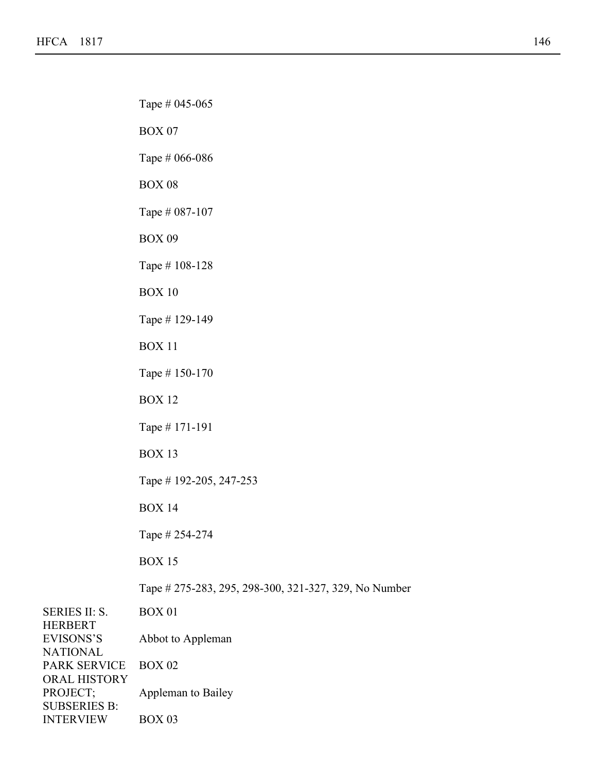Tape # 022-044

HERBERT

PROJECT; SUBSERIES B: INTERVIEW

BOX 03

SERIES II: S. EVISONS'S NATIONAL PARK SERVICE ORAL HISTORY BOX 01 Abbot to Appleman BOX 02 Appleman to Bailey Tape # 045-065 BOX 07 Tape # 066-086 BOX 08 Tape # 087-107 BOX 09 Tape # 108-128 BOX 10 Tape # 129-149 BOX 11 Tape # 150-170 BOX 12 Tape # 171-191 BOX 13 Tape # 192-205, 247-253 BOX 14 Tape # 254-274 BOX 15 Tape # 275-283, 295, 298-300, 321-327, 329, No Number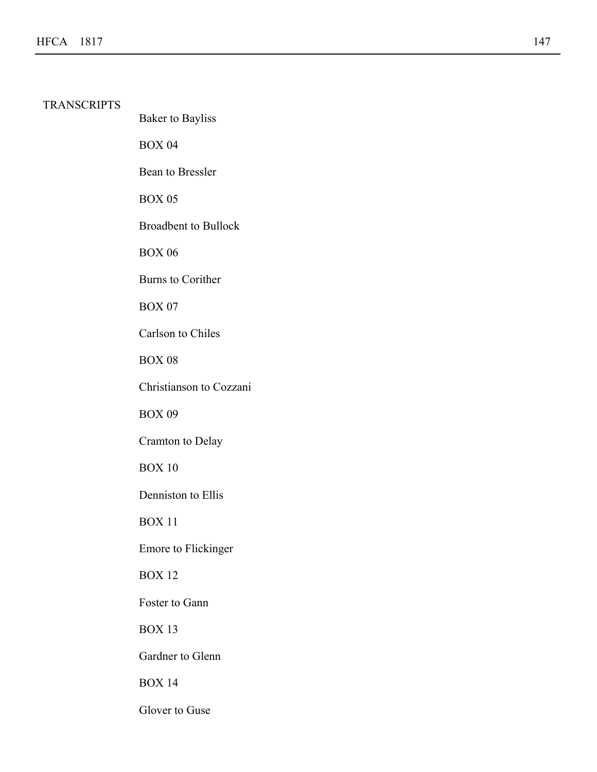# TRANSCRIPTS

Baker to Bayliss BOX 04 Bean to Bressler BOX 05 Broadbent to Bullock BOX 06 Burns to Corither BOX 07 Carlson to Chiles BOX 08 Christianson to Cozzani BOX 09 Cramton to Delay BOX 10 Denniston to Ellis BOX 11 Emore to Flickinger BOX 12 Foster to Gann BOX 13

Gardner to Glenn

BOX 14

Glover to Guse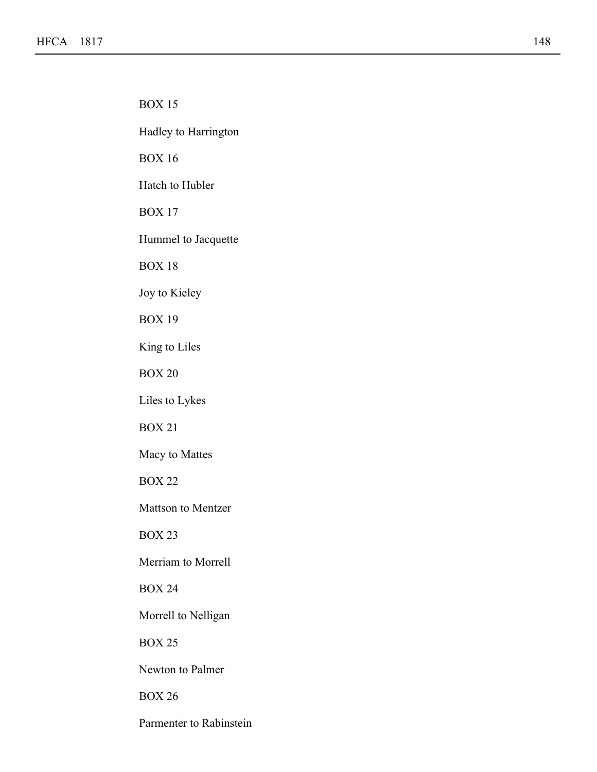$\mathcal{L}(\mathcal{A})$ 

BOX 15 Hadley to Harrington BOX 16 Hatch to Hubler BOX 17 Hummel to Jacquette BOX 18 Joy to Kieley BOX 19 King to Liles BOX 20 Liles to Lykes BOX 21 Macy to Mattes BOX 22 Mattson to Mentzer BOX 23 Merriam to Morrell BOX 24 Morrell to Nelligan BOX 25 Newton to Palmer BOX 26

Parmenter to Rabinstein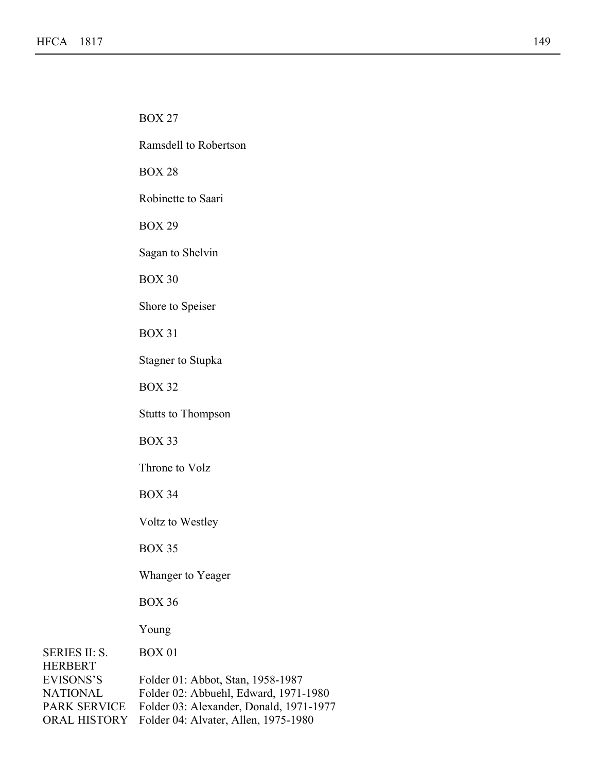HERBERT EVISONS'S

SERIES II: S. NATIONAL PARK SERVICE ORAL HISTORY BOX 01 Folder 01: Abbot, Stan, 1958-1987 Folder 02: Abbuehl, Edward, 1971-1980 Folder 03: Alexander, Donald, 1971-1977 Folder 04: Alvater, Allen, 1975-1980 BOX 27 Ramsdell to Robertson BOX 28 Robinette to Saari BOX 29 Sagan to Shelvin BOX 30 Shore to Speiser BOX 31 Stagner to Stupka BOX 32 Stutts to Thompson BOX 33 Throne to Volz BOX 34 Voltz to Westley BOX 35 Whanger to Yeager BOX 36 Young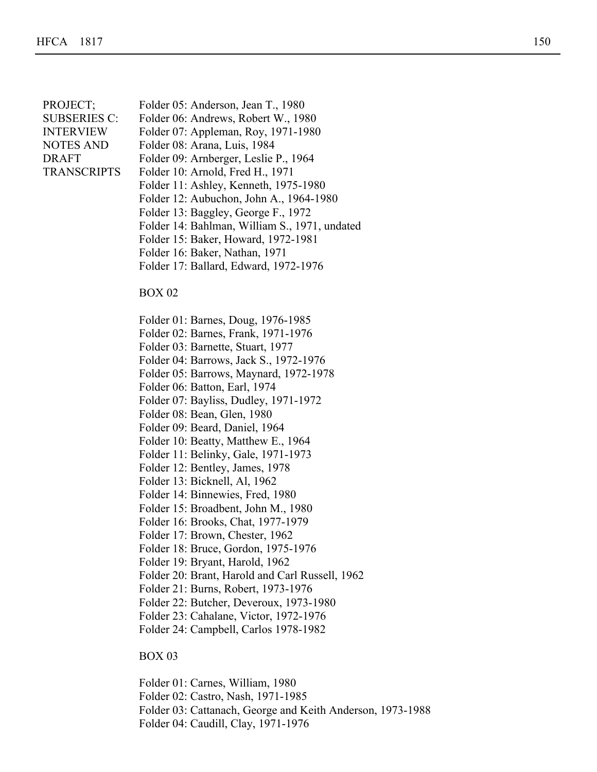| PROJECT;            | Folder 05: Anderson, Jean T.       |
|---------------------|------------------------------------|
| <b>SUBSERIES C:</b> | Folder 06: Andrews, Robert         |
| <b>INTERVIEW</b>    | Folder 07: Appleman, Roy, 1        |
| <b>NOTES AND</b>    | Folder 08: Arana, Luis, 1984       |
| <b>DRAFT</b>        | Folder 09: Arnberger, Leslie       |
| <b>TRANSCRIPTS</b>  | Folder 10: Arnold, Fred H., 1      |
|                     | $_{\rm Foldar}$ 11: Achlow Konneth |

- T., 1980
- $ert W., 1980$ 
	- $, 1971-1980$

Folder 01: Abbot, Stan, 1958-1987

- 
- lie P., 1964
	- $\ldots$  1971
	- Folder 11: Ashley, Kenneth, 1975-1980
	- Folder 12: Aubuchon, John A., 1964-1980
	- Folder 13: Baggley, George F., 1972
	- Folder 14: Bahlman, William S., 1971, undated
	- Folder 15: Baker, Howard, 1972-1981
	- Folder 16: Baker, Nathan, 1971
	- Folder 17: Ballard, Edward, 1972-1976

### BOX 02

- Folder 01: Barnes, Doug, 1976-1985
- Folder 02: Barnes, Frank, 1971-1976
- Folder 03: Barnette, Stuart, 1977
- Folder 04: Barrows, Jack S., 1972-1976
- Folder 05: Barrows, Maynard, 1972-1978
- Folder 06: Batton, Earl, 1974
- Folder 07: Bayliss, Dudley, 1971-1972
- Folder 08: Bean, Glen, 1980
- Folder 09: Beard, Daniel, 1964
- Folder 10: Beatty, Matthew E., 1964
- Folder 11: Belinky, Gale, 1971-1973
- Folder 12: Bentley, James, 1978
- Folder 13: Bicknell, Al, 1962
- Folder 14: Binnewies, Fred, 1980
- Folder 15: Broadbent, John M., 1980
- Folder 16: Brooks, Chat, 1977-1979
- Folder 17: Brown, Chester, 1962
- Folder 18: Bruce, Gordon, 1975-1976
- Folder 19: Bryant, Harold, 1962
- Folder 20: Brant, Harold and Carl Russell, 1962
- Folder 21: Burns, Robert, 1973-1976
- Folder 22: Butcher, Deveroux, 1973-1980
- Folder 23: Cahalane, Victor, 1972-1976
- Folder 24: Campbell, Carlos 1978-1982

## BOX 03

Folder 01: Carnes, William, 1980 Folder 02: Castro, Nash, 1971-1985 Folder 03: Cattanach, George and Keith Anderson, 1973-1988 Folder 04: Caudill, Clay, 1971-1976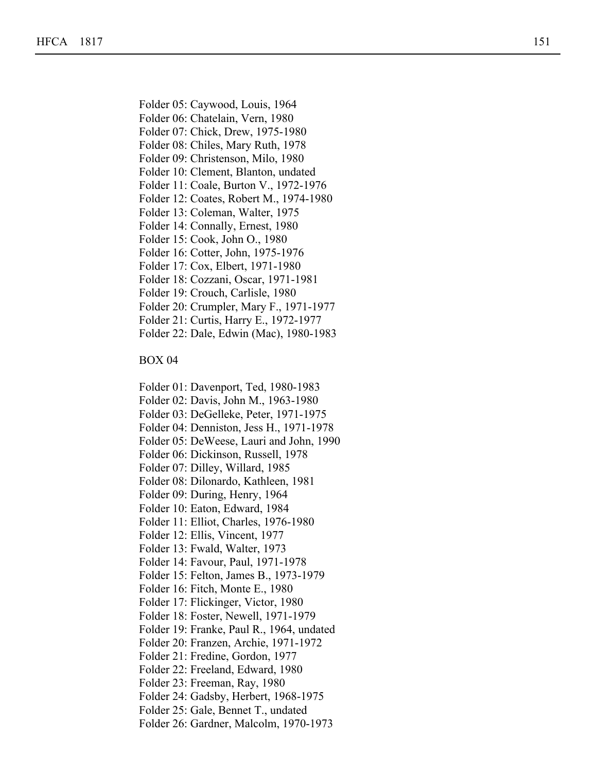Folder 01: Carnes, William, 1980

- Folder 06: Chatelain, Vern, 1980
- Folder 07: Chick, Drew, 1975-1980
- Folder 08: Chiles, Mary Ruth, 1978
- Folder 09: Christenson, Milo, 1980
- Folder 10: Clement, Blanton, undated
- Folder 11: Coale, Burton V., 1972-1976
- Folder 12: Coates, Robert M., 1974-1980
- Folder 13: Coleman, Walter, 1975
- Folder 14: Connally, Ernest, 1980
- Folder 15: Cook, John O., 1980
- Folder 16: Cotter, John, 1975-1976
- Folder 17: Cox, Elbert, 1971-1980
- Folder 18: Cozzani, Oscar, 1971-1981
- Folder 19: Crouch, Carlisle, 1980
- Folder 20: Crumpler, Mary F., 1971-1977
- Folder 21: Curtis, Harry E., 1972-1977
- Folder 22: Dale, Edwin (Mac), 1980-1983

- Folder 01: Davenport, Ted, 1980-1983
- Folder 02: Davis, John M., 1963-1980
- Folder 03: DeGelleke, Peter, 1971-1975
- Folder 04: Denniston, Jess H., 1971-1978
- Folder 05: DeWeese, Lauri and John, 1990
- Folder 06: Dickinson, Russell, 1978
- Folder 07: Dilley, Willard, 1985
- Folder 08: Dilonardo, Kathleen, 1981
- Folder 09: During, Henry, 1964
- Folder 10: Eaton, Edward, 1984
- Folder 11: Elliot, Charles, 1976-1980
- Folder 12: Ellis, Vincent, 1977
- Folder 13: Fwald, Walter, 1973
- Folder 14: Favour, Paul, 1971-1978
- Folder 15: Felton, James B., 1973-1979
- Folder 16: Fitch, Monte E., 1980
- Folder 17: Flickinger, Victor, 1980
- Folder 18: Foster, Newell, 1971-1979
- Folder 19: Franke, Paul R., 1964, undated
- Folder 20: Franzen, Archie, 1971-1972
- Folder 21: Fredine, Gordon, 1977
- Folder 22: Freeland, Edward, 1980
- Folder 23: Freeman, Ray, 1980
- Folder 24: Gadsby, Herbert, 1968-1975
- Folder 25: Gale, Bennet T., undated
- Folder 26: Gardner, Malcolm, 1970-1973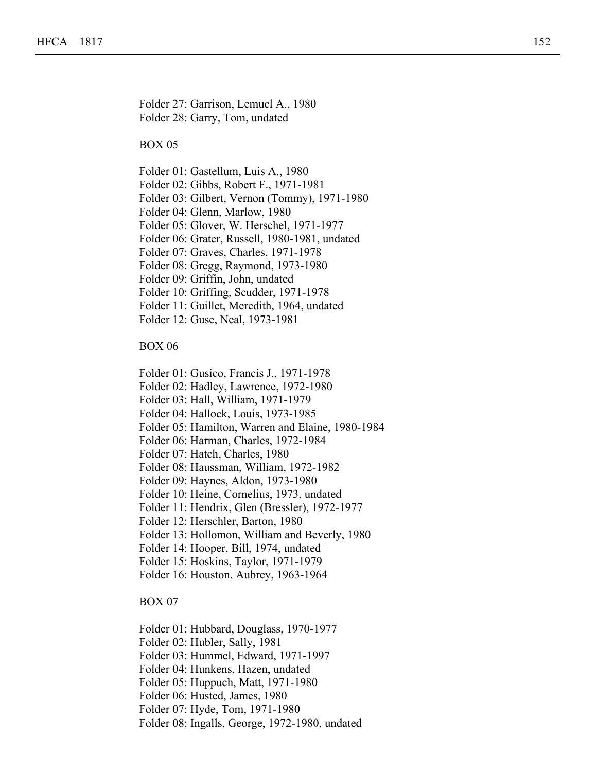Folder 27: Garrison, Lemuel A., 1980 Folder 28: Garry, Tom, undated

Folder 23: Freeman, Ray, 1980

## BOX 05

Folder 01: Gastellum, Luis A., 1980

- Folder 02: Gibbs, Robert F., 1971-1981
- Folder 03: Gilbert, Vernon (Tommy), 1971-1980
- Folder 04: Glenn, Marlow, 1980
- Folder 05: Glover, W. Herschel, 1971-1977
- Folder 06: Grater, Russell, 1980-1981, undated
- Folder 07: Graves, Charles, 1971-1978
- Folder 08: Gregg, Raymond, 1973-1980
- Folder 09: Griffin, John, undated
- Folder 10: Griffing, Scudder, 1971-1978
- Folder 11: Guillet, Meredith, 1964, undated
- Folder 12: Guse, Neal, 1973-1981

### BOX 06

- Folder 01: Gusico, Francis J., 1971-1978
- Folder 02: Hadley, Lawrence, 1972-1980
- Folder 03: Hall, William, 1971-1979
- Folder 04: Hallock, Louis, 1973-1985
- Folder 05: Hamilton, Warren and Elaine, 1980-1984
- Folder 06: Harman, Charles, 1972-1984
- Folder 07: Hatch, Charles, 1980
- Folder 08: Haussman, William, 1972-1982
- Folder 09: Haynes, Aldon, 1973-1980
- Folder 10: Heine, Cornelius, 1973, undated
- Folder 11: Hendrix, Glen (Bressler), 1972-1977
- Folder 12: Herschler, Barton, 1980
- Folder 13: Hollomon, William and Beverly, 1980
- Folder 14: Hooper, Bill, 1974, undated
- Folder 15: Hoskins, Taylor, 1971-1979
- Folder 16: Houston, Aubrey, 1963-1964

- Folder 01: Hubbard, Douglass, 1970-1977
- Folder 02: Hubler, Sally, 1981
- Folder 03: Hummel, Edward, 1971-1997
- Folder 04: Hunkens, Hazen, undated
- Folder 05: Huppuch, Matt, 1971-1980
- Folder 06: Husted, James, 1980
- Folder 07: Hyde, Tom, 1971-1980
- Folder 08: Ingalls, George, 1972-1980, undated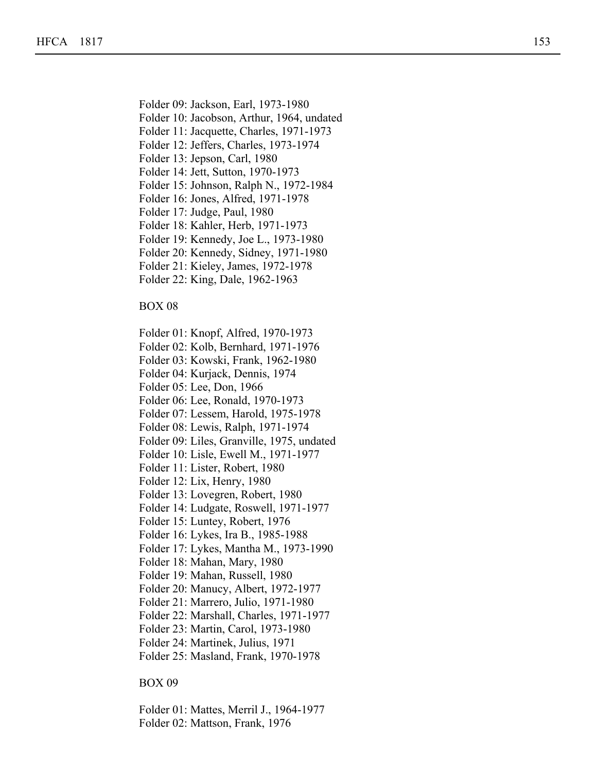Folder 09: Jackson, Earl, 1973-1980

Folder 05: Huppuch, Matt, 1971-1980

- Folder 10: Jacobson, Arthur, 1964, undated
- Folder 11: Jacquette, Charles, 1971-1973
- Folder 12: Jeffers, Charles, 1973-1974
- Folder 13: Jepson, Carl, 1980
- Folder 14: Jett, Sutton, 1970-1973
- Folder 15: Johnson, Ralph N., 1972-1984
- Folder 16: Jones, Alfred, 1971-1978
- Folder 17: Judge, Paul, 1980
- Folder 18: Kahler, Herb, 1971-1973
- Folder 19: Kennedy, Joe L., 1973-1980
- Folder 20: Kennedy, Sidney, 1971-1980
- Folder 21: Kieley, James, 1972-1978
- Folder 22: King, Dale, 1962-1963

## BOX 08

- Folder 01: Knopf, Alfred, 1970-1973
- Folder 02: Kolb, Bernhard, 1971-1976
- Folder 03: Kowski, Frank, 1962-1980
- Folder 04: Kurjack, Dennis, 1974
- Folder 05: Lee, Don, 1966
- Folder 06: Lee, Ronald, 1970-1973
- Folder 07: Lessem, Harold, 1975-1978
- Folder 08: Lewis, Ralph, 1971-1974
- Folder 09: Liles, Granville, 1975, undated
- Folder 10: Lisle, Ewell M., 1971-1977
- Folder 11: Lister, Robert, 1980
- Folder 12: Lix, Henry, 1980
- Folder 13: Lovegren, Robert, 1980
- Folder 14: Ludgate, Roswell, 1971-1977
- Folder 15: Luntey, Robert, 1976
- Folder 16: Lykes, Ira B., 1985-1988
- Folder 17: Lykes, Mantha M., 1973-1990
- Folder 18: Mahan, Mary, 1980
- Folder 19: Mahan, Russell, 1980
- Folder 20: Manucy, Albert, 1972-1977
- Folder 21: Marrero, Julio, 1971-1980
- Folder 22: Marshall, Charles, 1971-1977
- Folder 23: Martin, Carol, 1973-1980
- Folder 24: Martinek, Julius, 1971
- Folder 25: Masland, Frank, 1970-1978

## BOX 09

Folder 01: Mattes, Merril J., 1964-1977 Folder 02: Mattson, Frank, 1976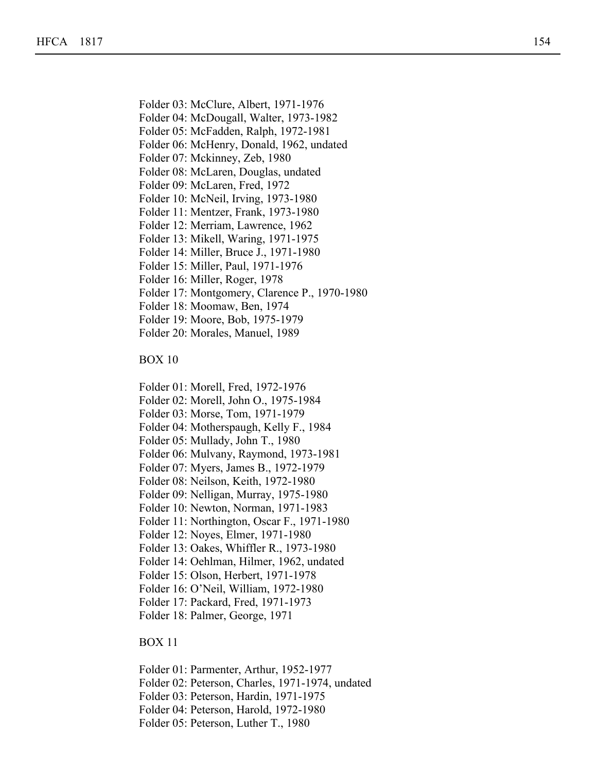- Folder 03: McClure, Albert, 1971-1976
- Folder 04: McDougall, Walter, 1973-1982
- Folder 05: McFadden, Ralph, 1972-1981
- Folder 06: McHenry, Donald, 1962, undated

Folder 07: Mckinney, Zeb, 1980

Folder 08: McLaren, Douglas, undated

Folder 09: McLaren, Fred, 1972

- Folder 10: McNeil, Irving, 1973-1980
- Folder 11: Mentzer, Frank, 1973-1980
- Folder 12: Merriam, Lawrence, 1962
- Folder 13: Mikell, Waring, 1971-1975
- Folder 14: Miller, Bruce J., 1971-1980
- Folder 15: Miller, Paul, 1971-1976
- Folder 16: Miller, Roger, 1978
- Folder 17: Montgomery, Clarence P., 1970-1980
- Folder 18: Moomaw, Ben, 1974
- Folder 19: Moore, Bob, 1975-1979
- Folder 20: Morales, Manuel, 1989

BOX 10

BOX 09

- Folder 01: Morell, Fred, 1972-1976
- Folder 02: Morell, John O., 1975-1984
- Folder 03: Morse, Tom, 1971-1979
- Folder 04: Motherspaugh, Kelly F., 1984
- Folder 05: Mullady, John T., 1980
- Folder 06: Mulvany, Raymond, 1973-1981
- Folder 07: Myers, James B., 1972-1979
- Folder 08: Neilson, Keith, 1972-1980
- Folder 09: Nelligan, Murray, 1975-1980
- Folder 10: Newton, Norman, 1971-1983
- Folder 11: Northington, Oscar F., 1971-1980
- Folder 12: Noyes, Elmer, 1971-1980
- Folder 13: Oakes, Whiffler R., 1973-1980
- Folder 14: Oehlman, Hilmer, 1962, undated
- Folder 15: Olson, Herbert, 1971-1978
- Folder 16: O'Neil, William, 1972-1980
- Folder 17: Packard, Fred, 1971-1973
- Folder 18: Palmer, George, 1971

- Folder 01: Parmenter, Arthur, 1952-1977
- Folder 02: Peterson, Charles, 1971-1974, undated
- Folder 03: Peterson, Hardin, 1971-1975
- Folder 04: Peterson, Harold, 1972-1980
- Folder 05: Peterson, Luther T., 1980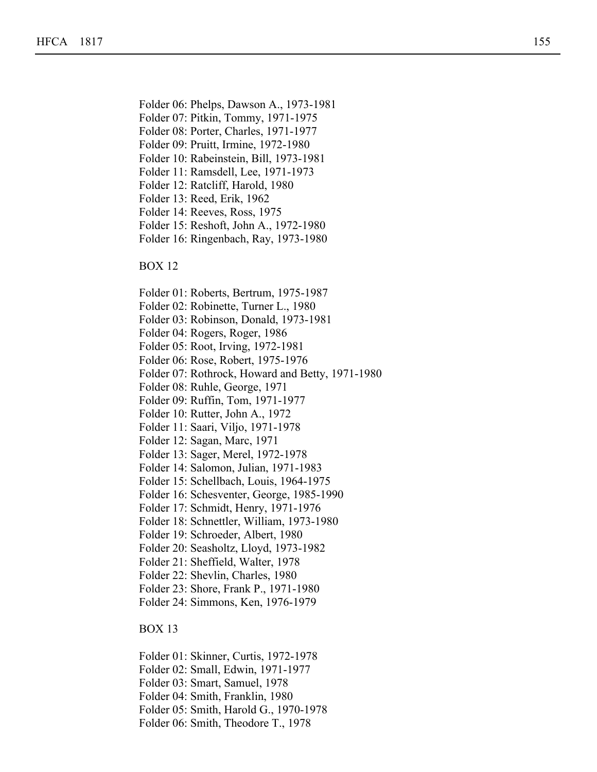Folder 06: Phelps, Dawson A., 1973-1981

Folder 02: Peterson, Charles, 1971-1974, undated

- Folder 07: Pitkin, Tommy, 1971-1975
- Folder 08: Porter, Charles, 1971-1977
- Folder 09: Pruitt, Irmine, 1972-1980
- Folder 10: Rabeinstein, Bill, 1973-1981
- Folder 11: Ramsdell, Lee, 1971-1973
- Folder 12: Ratcliff, Harold, 1980
- Folder 13: Reed, Erik, 1962
- Folder 14: Reeves, Ross, 1975
- Folder 15: Reshoft, John A., 1972-1980
- Folder 16: Ringenbach, Ray, 1973-1980

BOX 12

- Folder 01: Roberts, Bertrum, 1975-1987
- Folder 02: Robinette, Turner L., 1980
- Folder 03: Robinson, Donald, 1973-1981
- Folder 04: Rogers, Roger, 1986
- Folder 05: Root, Irving, 1972-1981
- Folder 06: Rose, Robert, 1975-1976
- Folder 07: Rothrock, Howard and Betty, 1971-1980
- Folder 08: Ruhle, George, 1971
- Folder 09: Ruffin, Tom, 1971-1977
- Folder 10: Rutter, John A., 1972
- Folder 11: Saari, Viljo, 1971-1978
- Folder 12: Sagan, Marc, 1971
- Folder 13: Sager, Merel, 1972-1978
- Folder 14: Salomon, Julian, 1971-1983
- Folder 15: Schellbach, Louis, 1964-1975
- Folder 16: Schesventer, George, 1985-1990
- Folder 17: Schmidt, Henry, 1971-1976
- Folder 18: Schnettler, William, 1973-1980
- Folder 19: Schroeder, Albert, 1980
- Folder 20: Seasholtz, Lloyd, 1973-1982
- Folder 21: Sheffield, Walter, 1978
- Folder 22: Shevlin, Charles, 1980
- Folder 23: Shore, Frank P., 1971-1980
- Folder 24: Simmons, Ken, 1976-1979

- Folder 01: Skinner, Curtis, 1972-1978
- Folder 02: Small, Edwin, 1971-1977
- Folder 03: Smart, Samuel, 1978
- Folder 04: Smith, Franklin, 1980
- Folder 05: Smith, Harold G., 1970-1978
- Folder 06: Smith, Theodore T., 1978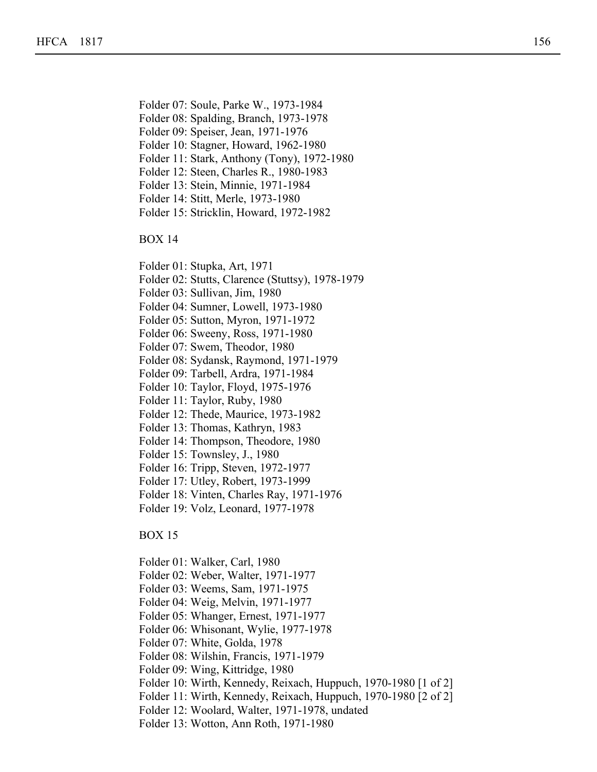- Folder 07: Soule, Parke W., 1973-1984
- Folder 08: Spalding, Branch, 1973-1978
- Folder 09: Speiser, Jean, 1971-1976

Folder 03: Smart, Samuel, 1978

- Folder 10: Stagner, Howard, 1962-1980
- Folder 11: Stark, Anthony (Tony), 1972-1980
- Folder 12: Steen, Charles R., 1980-1983
- Folder 13: Stein, Minnie, 1971-1984
- Folder 14: Stitt, Merle, 1973-1980
- Folder 15: Stricklin, Howard, 1972-1982

BOX 14

- Folder 01: Stupka, Art, 1971
- Folder 02: Stutts, Clarence (Stuttsy), 1978-1979
- Folder 03: Sullivan, Jim, 1980
- Folder 04: Sumner, Lowell, 1973-1980
- Folder 05: Sutton, Myron, 1971-1972
- Folder 06: Sweeny, Ross, 1971-1980
- Folder 07: Swem, Theodor, 1980
- Folder 08: Sydansk, Raymond, 1971-1979
- Folder 09: Tarbell, Ardra, 1971-1984
- Folder 10: Taylor, Floyd, 1975-1976
- Folder 11: Taylor, Ruby, 1980
- Folder 12: Thede, Maurice, 1973-1982
- Folder 13: Thomas, Kathryn, 1983
- Folder 14: Thompson, Theodore, 1980
- Folder 15: Townsley, J., 1980
- Folder 16: Tripp, Steven, 1972-1977
- Folder 17: Utley, Robert, 1973-1999
- Folder 18: Vinten, Charles Ray, 1971-1976
- Folder 19: Volz, Leonard, 1977-1978

- Folder 01: Walker, Carl, 1980
- Folder 02: Weber, Walter, 1971-1977
- Folder 03: Weems, Sam, 1971-1975
- Folder 04: Weig, Melvin, 1971-1977
- Folder 05: Whanger, Ernest, 1971-1977
- Folder 06: Whisonant, Wylie, 1977-1978
- Folder 07: White, Golda, 1978
- Folder 08: Wilshin, Francis, 1971-1979
- Folder 09: Wing, Kittridge, 1980
- Folder 10: Wirth, Kennedy, Reixach, Huppuch, 1970-1980 [1 of 2]
- Folder 11: Wirth, Kennedy, Reixach, Huppuch, 1970-1980 [2 of 2]
- Folder 12: Woolard, Walter, 1971-1978, undated
- Folder 13: Wotton, Ann Roth, 1971-1980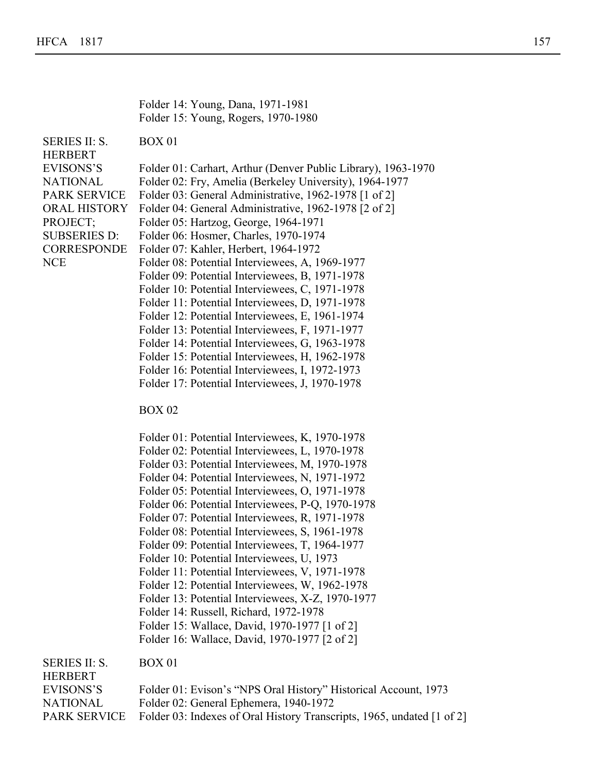Folder 14: Young, Dana, 1971-1981 Folder 15: Young, Rogers, 1970-1980

SERIES II: S. HERBERT BOX 01

EVISONS'S Folder 01: Carhart, Arthur (Denver Public Library), 1963-1970

Folder 10: Wirth, Kennedy, Reixach, Huppuch, 1970-1980 [1 of 2]

NATIONAL Folder 02: Fry, Amelia (Berkeley University), 1964-1977

PARK SERVICE Folder 03: General Administrative, 1962-1978 [1 of 2]

- ORAL HISTORY Folder 04: General Administrative, 1962-1978 [2 of 2]
- PROJECT; Folder 05: Hartzog, George, 1964-1971

SUBSERIES D:

**CORRESPONDE** 

NCE

- Folder 06: Hosmer, Charles, 1970-1974 Folder 07: Kahler, Herbert, 1964-1972 Folder 08: Potential Interviewees, A, 1969-1977 Folder 09: Potential Interviewees, B, 1971-1978 Folder 10: Potential Interviewees, C, 1971-1978 Folder 11: Potential Interviewees, D, 1971-1978 Folder 12: Potential Interviewees, E, 1961-1974 Folder 13: Potential Interviewees, F, 1971-1977 Folder 14: Potential Interviewees, G, 1963-1978 Folder 15: Potential Interviewees, H, 1962-1978 Folder 16: Potential Interviewees, I, 1972-1973
- Folder 17: Potential Interviewees, J, 1970-1978

BOX 02

Folder 01: Potential Interviewees, K, 1970-1978 Folder 02: Potential Interviewees, L, 1970-1978 Folder 03: Potential Interviewees, M, 1970-1978 Folder 04: Potential Interviewees, N, 1971-1972 Folder 05: Potential Interviewees, O, 1971-1978 Folder 06: Potential Interviewees, P-Q, 1970-1978 Folder 07: Potential Interviewees, R, 1971-1978 Folder 08: Potential Interviewees, S, 1961-1978 Folder 09: Potential Interviewees, T, 1964-1977 Folder 10: Potential Interviewees, U, 1973 Folder 11: Potential Interviewees, V, 1971-1978 Folder 12: Potential Interviewees, W, 1962-1978 Folder 13: Potential Interviewees, X-Z, 1970-1977 Folder 14: Russell, Richard, 1972-1978 Folder 15: Wallace, David, 1970-1977 [1 of 2] Folder 16: Wallace, David, 1970-1977 [2 of 2]

SERIES II: S. HERBERT

| HERBERT.  |                                                                                     |
|-----------|-------------------------------------------------------------------------------------|
| EVISONS'S | Folder 01: Evison's "NPS Oral History" Historical Account, 1973                     |
| NATIONAL  | Folder 02: General Ephemera, 1940-1972                                              |
|           | PARK SERVICE Folder 03: Indexes of Oral History Transcripts, 1965, undated [1 of 2] |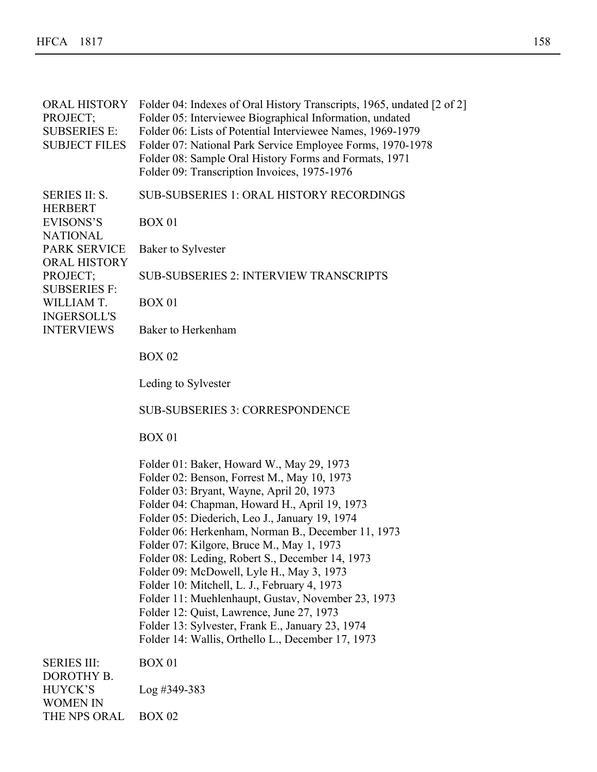| <b>ORAL HISTORY</b><br>PROJECT;<br><b>SUBSERIES E:</b><br><b>SUBJECT FILES</b> | Folder 04: Indexes of Oral History Transcripts, 1965, undated [2 of 2]<br>Folder 05: Interviewee Biographical Information, undated<br>Folder 06: Lists of Potential Interviewee Names, 1969-1979<br>Folder 07: National Park Service Employee Forms, 1970-1978<br>Folder 08: Sample Oral History Forms and Formats, 1971<br>Folder 09: Transcription Invoices, 1975-1976                                                                                                                                                                                                                                                                                                                               |
|--------------------------------------------------------------------------------|--------------------------------------------------------------------------------------------------------------------------------------------------------------------------------------------------------------------------------------------------------------------------------------------------------------------------------------------------------------------------------------------------------------------------------------------------------------------------------------------------------------------------------------------------------------------------------------------------------------------------------------------------------------------------------------------------------|
| <b>SERIES II: S.</b><br><b>HERBERT</b>                                         | <b>SUB-SUBSERIES 1: ORAL HISTORY RECORDINGS</b>                                                                                                                                                                                                                                                                                                                                                                                                                                                                                                                                                                                                                                                        |
| <b>EVISONS'S</b>                                                               | <b>BOX 01</b>                                                                                                                                                                                                                                                                                                                                                                                                                                                                                                                                                                                                                                                                                          |
| <b>NATIONAL</b><br><b>PARK SERVICE</b>                                         | Baker to Sylvester                                                                                                                                                                                                                                                                                                                                                                                                                                                                                                                                                                                                                                                                                     |
| <b>ORAL HISTORY</b><br>PROJECT;                                                | <b>SUB-SUBSERIES 2: INTERVIEW TRANSCRIPTS</b>                                                                                                                                                                                                                                                                                                                                                                                                                                                                                                                                                                                                                                                          |
| <b>SUBSERIES F:</b><br>WILLIAM T.                                              | <b>BOX 01</b>                                                                                                                                                                                                                                                                                                                                                                                                                                                                                                                                                                                                                                                                                          |
| <b>INGERSOLL'S</b><br><b>INTERVIEWS</b>                                        | Baker to Herkenham                                                                                                                                                                                                                                                                                                                                                                                                                                                                                                                                                                                                                                                                                     |
|                                                                                | <b>BOX 02</b>                                                                                                                                                                                                                                                                                                                                                                                                                                                                                                                                                                                                                                                                                          |
|                                                                                | Leding to Sylvester                                                                                                                                                                                                                                                                                                                                                                                                                                                                                                                                                                                                                                                                                    |
|                                                                                | <b>SUB-SUBSERIES 3: CORRESPONDENCE</b>                                                                                                                                                                                                                                                                                                                                                                                                                                                                                                                                                                                                                                                                 |
|                                                                                | <b>BOX 01</b>                                                                                                                                                                                                                                                                                                                                                                                                                                                                                                                                                                                                                                                                                          |
|                                                                                | Folder 01: Baker, Howard W., May 29, 1973<br>Folder 02: Benson, Forrest M., May 10, 1973<br>Folder 03: Bryant, Wayne, April 20, 1973<br>Folder 04: Chapman, Howard H., April 19, 1973<br>Folder 05: Diederich, Leo J., January 19, 1974<br>Folder 06: Herkenham, Norman B., December 11, 1973<br>Folder 07: Kilgore, Bruce M., May 1, 1973<br>Folder 08: Leding, Robert S., December 14, 1973<br>Folder 09: McDowell, Lyle H., May 3, 1973<br>Folder 10: Mitchell, L. J., February 4, 1973<br>Folder 11: Muehlenhaupt, Gustav, November 23, 1973<br>Folder 12: Quist, Lawrence, June 27, 1973<br>Folder 13: Sylvester, Frank E., January 23, 1974<br>Folder 14: Wallis, Orthello L., December 17, 1973 |
| <b>SERIES III:</b><br>DOROTHY B.                                               | <b>BOX 01</b>                                                                                                                                                                                                                                                                                                                                                                                                                                                                                                                                                                                                                                                                                          |
| <b>HUYCK'S</b><br><b>WOMEN IN</b>                                              | $Log$ #349-383                                                                                                                                                                                                                                                                                                                                                                                                                                                                                                                                                                                                                                                                                         |
| THE NPS ORAL                                                                   | <b>BOX 02</b>                                                                                                                                                                                                                                                                                                                                                                                                                                                                                                                                                                                                                                                                                          |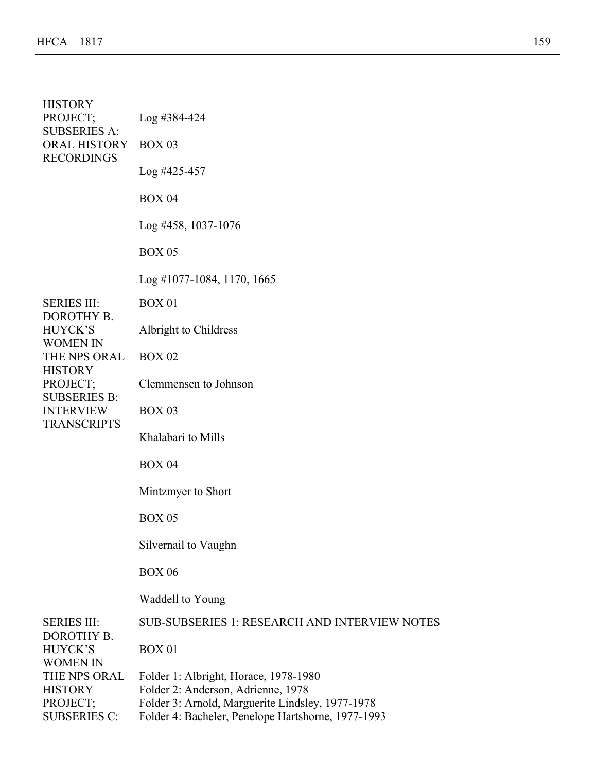| <b>HISTORY</b><br>PROJECT;<br><b>SUBSERIES A:</b><br><b>ORAL HISTORY</b><br><b>RECORDINGS</b> | $Log$ #384-424                                                                                                                  |
|-----------------------------------------------------------------------------------------------|---------------------------------------------------------------------------------------------------------------------------------|
|                                                                                               | <b>BOX 03</b>                                                                                                                   |
|                                                                                               | $Log$ #425-457                                                                                                                  |
|                                                                                               | <b>BOX 04</b>                                                                                                                   |
|                                                                                               | $Log$ #458, 1037-1076                                                                                                           |
|                                                                                               | <b>BOX 05</b>                                                                                                                   |
|                                                                                               | $Log$ #1077-1084, 1170, 1665                                                                                                    |
| <b>SERIES III:</b><br>DOROTHY B.                                                              | <b>BOX 01</b>                                                                                                                   |
| <b>HUYCK'S</b><br><b>WOMEN IN</b>                                                             | Albright to Childress                                                                                                           |
| THE NPS ORAL<br><b>HISTORY</b>                                                                | <b>BOX 02</b>                                                                                                                   |
| PROJECT;<br><b>SUBSERIES B:</b>                                                               | Clemmensen to Johnson                                                                                                           |
| <b>INTERVIEW</b>                                                                              | <b>BOX 03</b>                                                                                                                   |
| <b>TRANSCRIPTS</b>                                                                            | Khalabari to Mills                                                                                                              |
|                                                                                               | <b>BOX 04</b>                                                                                                                   |
|                                                                                               | Mintzmyer to Short                                                                                                              |
|                                                                                               | <b>BOX 05</b>                                                                                                                   |
|                                                                                               | Silvernail to Vaughn                                                                                                            |
|                                                                                               | <b>BOX 06</b>                                                                                                                   |
|                                                                                               | Waddell to Young                                                                                                                |
| <b>SERIES III:</b><br>DOROTHY B.                                                              | <b>SUB-SUBSERIES 1: RESEARCH AND INTERVIEW NOTES</b>                                                                            |
| <b>HUYCK'S</b><br><b>WOMEN IN</b><br>THE NPS ORAL<br><b>HISTORY</b><br>PROJECT;               | <b>BOX 01</b>                                                                                                                   |
|                                                                                               | Folder 1: Albright, Horace, 1978-1980<br>Folder 2: Anderson, Adrienne, 1978<br>Folder 3: Arnold, Marguerite Lindsley, 1977-1978 |
| <b>SUBSERIES C:</b>                                                                           | Folder 4: Bacheler, Penelope Hartshorne, 1977-1993                                                                              |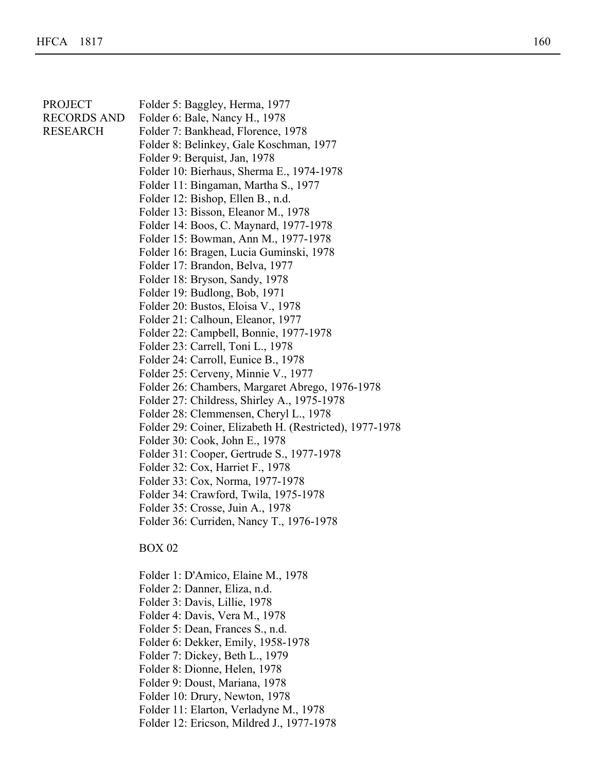| <b>PROJECT</b><br><b>RECORDS AND</b><br><b>RESEARCH</b> | Folder 5: Baggley, Herma, 1977<br>Folder 6: Bale, Nancy H., 1978<br>Folder 7: Bankhead, Florence, 1978<br>Folder 8: Belinkey, Gale Koschman, 1977<br>Folder 9: Berquist, Jan, 1978<br>Folder 10: Bierhaus, Sherma E., 1974-1978<br>Folder 11: Bingaman, Martha S., 1977<br>Folder 12: Bishop, Ellen B., n.d.<br>Folder 13: Bisson, Eleanor M., 1978<br>Folder 14: Boos, C. Maynard, 1977-1978<br>Folder 15: Bowman, Ann M., 1977-1978<br>Folder 16: Bragen, Lucia Guminski, 1978<br>Folder 17: Brandon, Belva, 1977<br>Folder 18: Bryson, Sandy, 1978<br>Folder 19: Budlong, Bob, 1971<br>Folder 20: Bustos, Eloisa V., 1978<br>Folder 21: Calhoun, Eleanor, 1977<br>Folder 22: Campbell, Bonnie, 1977-1978<br>Folder 23: Carrell, Toni L., 1978<br>Folder 24: Carroll, Eunice B., 1978<br>Folder 25: Cerveny, Minnie V., 1977<br>Folder 26: Chambers, Margaret Abrego, 1976-1978<br>Folder 27: Childress, Shirley A., 1975-1978<br>Folder 28: Clemmensen, Cheryl L., 1978 |
|---------------------------------------------------------|----------------------------------------------------------------------------------------------------------------------------------------------------------------------------------------------------------------------------------------------------------------------------------------------------------------------------------------------------------------------------------------------------------------------------------------------------------------------------------------------------------------------------------------------------------------------------------------------------------------------------------------------------------------------------------------------------------------------------------------------------------------------------------------------------------------------------------------------------------------------------------------------------------------------------------------------------------------------------|
|                                                         | Folder 31: Cooper, Gertrude S., 1977-1978<br>Folder 32: Cox, Harriet F., 1978<br>Folder 33: Cox, Norma, 1977-1978<br>Folder 34: Crawford, Twila, 1975-1978<br>Folder 35: Crosse, Juin A., 1978                                                                                                                                                                                                                                                                                                                                                                                                                                                                                                                                                                                                                                                                                                                                                                             |
|                                                         | Folder 36: Curriden, Nancy T., 1976-1978<br><b>BOX 02</b>                                                                                                                                                                                                                                                                                                                                                                                                                                                                                                                                                                                                                                                                                                                                                                                                                                                                                                                  |
|                                                         | Folder 1: D'Amico, Elaine M., 1978<br>Folder 2: Danner, Eliza, n.d.<br>Folder 3: Davis, Lillie, 1978<br>Folder 4: Davis, Vera M., 1978<br>Folder 5: Dean, Frances S., n.d.<br>Folder 6: Dekker, Emily, 1958-1978<br>Folder 7: Dickey, Beth L., 1979<br>Folder 8: Dionne, Helen, 1978                                                                                                                                                                                                                                                                                                                                                                                                                                                                                                                                                                                                                                                                                       |

Folder 1: Albright, Horace, 1978-1980

- Folder 9: Doust, Mariana, 1978
- Folder 10: Drury, Newton, 1978
- Folder 11: Elarton, Verladyne M., 1978
- Folder 12: Ericson, Mildred J., 1977-1978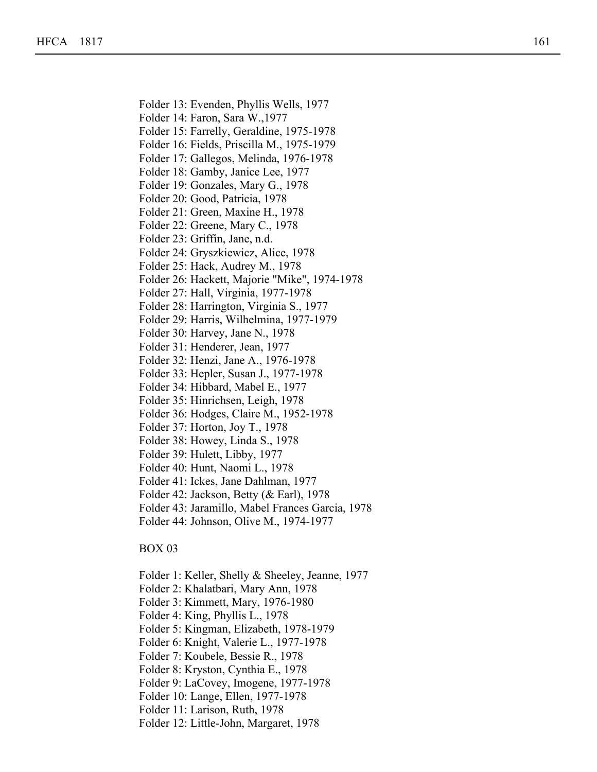Folder 13: Evenden, Phyllis Wells, 1977

Folder 14: Faron, Sara W.,1977

Folder 9: Doust, Mariana, 1978

Folder 15: Farrelly, Geraldine, 1975-1978

Folder 16: Fields, Priscilla M., 1975-1979

Folder 17: Gallegos, Melinda, 1976-1978

Folder 18: Gamby, Janice Lee, 1977

Folder 19: Gonzales, Mary G., 1978

Folder 20: Good, Patricia, 1978

Folder 21: Green, Maxine H., 1978

Folder 22: Greene, Mary C., 1978

Folder 23: Griffin, Jane, n.d.

Folder 24: Gryszkiewicz, Alice, 1978

Folder 25: Hack, Audrey M., 1978

Folder 26: Hackett, Majorie "Mike", 1974-1978

Folder 27: Hall, Virginia, 1977-1978

Folder 28: Harrington, Virginia S., 1977

Folder 29: Harris, Wilhelmina, 1977-1979

Folder 30: Harvey, Jane N., 1978

Folder 31: Henderer, Jean, 1977

Folder 32: Henzi, Jane A., 1976-1978

Folder 33: Hepler, Susan J., 1977-1978

Folder 34: Hibbard, Mabel E., 1977

Folder 35: Hinrichsen, Leigh, 1978

Folder 36: Hodges, Claire M., 1952-1978

Folder 37: Horton, Joy T., 1978

Folder 38: Howey, Linda S., 1978

Folder 39: Hulett, Libby, 1977

Folder 40: Hunt, Naomi L., 1978

Folder 41: Ickes, Jane Dahlman, 1977

Folder 42: Jackson, Betty (& Earl), 1978

Folder 43: Jaramillo, Mabel Frances Garcia, 1978

Folder 44: Johnson, Olive M., 1974-1977

BOX 03

Folder 1: Keller, Shelly & Sheeley, Jeanne, 1977

Folder 2: Khalatbari, Mary Ann, 1978

Folder 3: Kimmett, Mary, 1976-1980

Folder 4: King, Phyllis L., 1978

Folder 5: Kingman, Elizabeth, 1978-1979

Folder 6: Knight, Valerie L., 1977-1978

Folder 7: Koubele, Bessie R., 1978

Folder 8: Kryston, Cynthia E., 1978

Folder 9: LaCovey, Imogene, 1977-1978

Folder 10: Lange, Ellen, 1977-1978

Folder 11: Larison, Ruth, 1978

Folder 12: Little-John, Margaret, 1978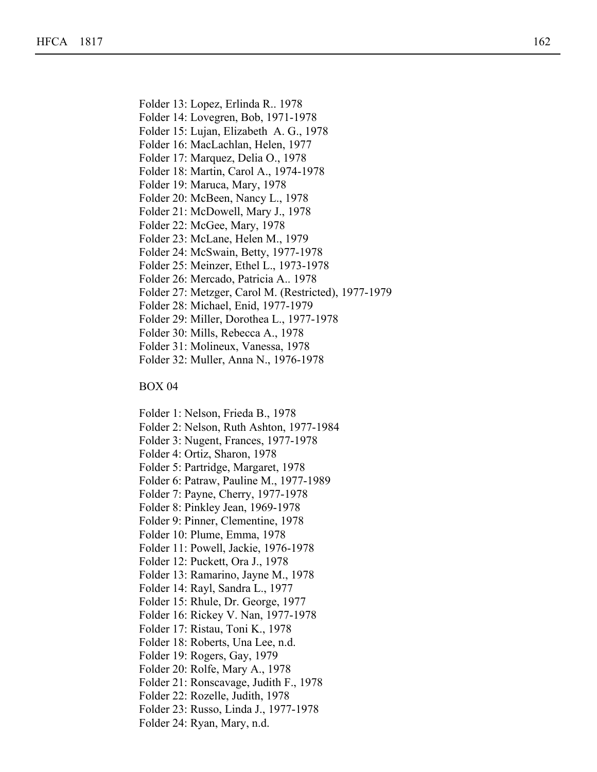- Folder 14: Lovegren, Bob, 1971-1978
- Folder 15: Lujan, Elizabeth A. G., 1978

Folder 9: LaCovey, Imogene, 1977-1978

Folder 16: MacLachlan, Helen, 1977

Folder 17: Marquez, Delia O., 1978

Folder 18: Martin, Carol A., 1974-1978

Folder 19: Maruca, Mary, 1978

- Folder 20: McBeen, Nancy L., 1978
- Folder 21: McDowell, Mary J., 1978
- Folder 22: McGee, Mary, 1978
- Folder 23: McLane, Helen M., 1979
- Folder 24: McSwain, Betty, 1977-1978
- Folder 25: Meinzer, Ethel L., 1973-1978
- Folder 26: Mercado, Patricia A.. 1978
- Folder 27: Metzger, Carol M. (Restricted), 1977-1979
- Folder 28: Michael, Enid, 1977-1979
- Folder 29: Miller, Dorothea L., 1977-1978
- Folder 30: Mills, Rebecca A., 1978
- Folder 31: Molineux, Vanessa, 1978
- Folder 32: Muller, Anna N., 1976-1978

### BOX 04

Folder 1: Nelson, Frieda B., 1978

- Folder 2: Nelson, Ruth Ashton, 1977-1984
- Folder 3: Nugent, Frances, 1977-1978

Folder 4: Ortiz, Sharon, 1978

- Folder 5: Partridge, Margaret, 1978
- Folder 6: Patraw, Pauline M., 1977-1989
- Folder 7: Payne, Cherry, 1977-1978
- Folder 8: Pinkley Jean, 1969-1978
- Folder 9: Pinner, Clementine, 1978
- Folder 10: Plume, Emma, 1978
- Folder 11: Powell, Jackie, 1976-1978
- Folder 12: Puckett, Ora J., 1978
- Folder 13: Ramarino, Jayne M., 1978
- Folder 14: Rayl, Sandra L., 1977
- Folder 15: Rhule, Dr. George, 1977
- Folder 16: Rickey V. Nan, 1977-1978
- Folder 17: Ristau, Toni K., 1978
- Folder 18: Roberts, Una Lee, n.d.
- Folder 19: Rogers, Gay, 1979
- Folder 20: Rolfe, Mary A., 1978
- Folder 21: Ronscavage, Judith F., 1978
- Folder 22: Rozelle, Judith, 1978
- Folder 23: Russo, Linda J., 1977-1978
- Folder 24: Ryan, Mary, n.d.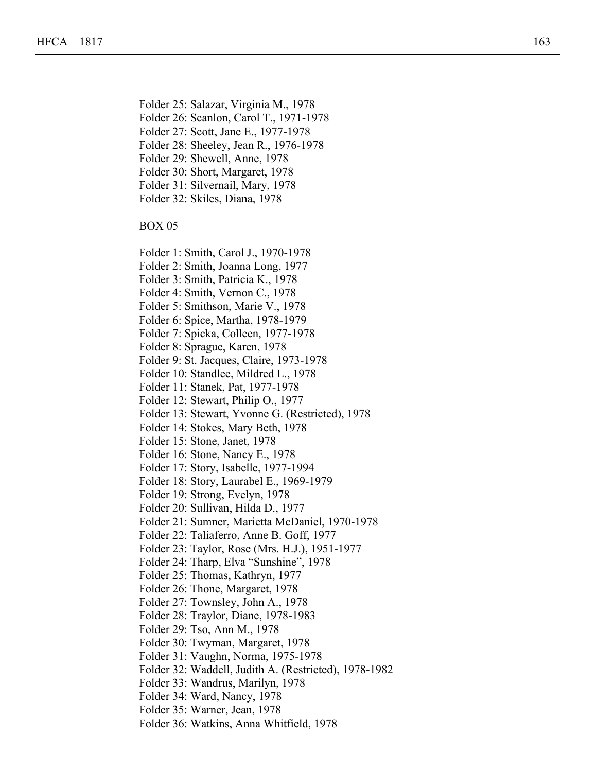Folder 25: Salazar, Virginia M., 1978

Folder 21: Ronscavage, Judith F., 1978

- Folder 26: Scanlon, Carol T., 1971-1978
- Folder 27: Scott, Jane E., 1977-1978
- Folder 28: Sheeley, Jean R., 1976-1978
- Folder 29: Shewell, Anne, 1978
- Folder 30: Short, Margaret, 1978
- Folder 31: Silvernail, Mary, 1978
- Folder 32: Skiles, Diana, 1978

- Folder 1: Smith, Carol J., 1970-1978
- Folder 2: Smith, Joanna Long, 1977
- Folder 3: Smith, Patricia K., 1978
- Folder 4: Smith, Vernon C., 1978
- Folder 5: Smithson, Marie V., 1978
- Folder 6: Spice, Martha, 1978-1979
- Folder 7: Spicka, Colleen, 1977-1978
- Folder 8: Sprague, Karen, 1978
- Folder 9: St. Jacques, Claire, 1973-1978
- Folder 10: Standlee, Mildred L., 1978
- Folder 11: Stanek, Pat, 1977-1978
- Folder 12: Stewart, Philip O., 1977
- Folder 13: Stewart, Yvonne G. (Restricted), 1978
- Folder 14: Stokes, Mary Beth, 1978
- Folder 15: Stone, Janet, 1978
- Folder 16: Stone, Nancy E., 1978
- Folder 17: Story, Isabelle, 1977-1994
- Folder 18: Story, Laurabel E., 1969-1979
- Folder 19: Strong, Evelyn, 1978
- Folder 20: Sullivan, Hilda D., 1977
- Folder 21: Sumner, Marietta McDaniel, 1970-1978
- Folder 22: Taliaferro, Anne B. Goff, 1977
- Folder 23: Taylor, Rose (Mrs. H.J.), 1951-1977
- Folder 24: Tharp, Elva "Sunshine", 1978
- Folder 25: Thomas, Kathryn, 1977
- Folder 26: Thone, Margaret, 1978
- Folder 27: Townsley, John A., 1978
- Folder 28: Traylor, Diane, 1978-1983
- Folder 29: Tso, Ann M., 1978
- Folder 30: Twyman, Margaret, 1978
- Folder 31: Vaughn, Norma, 1975-1978
- Folder 32: Waddell, Judith A. (Restricted), 1978-1982
- Folder 33: Wandrus, Marilyn, 1978
- Folder 34: Ward, Nancy, 1978
- Folder 35: Warner, Jean, 1978
- Folder 36: Watkins, Anna Whitfield, 1978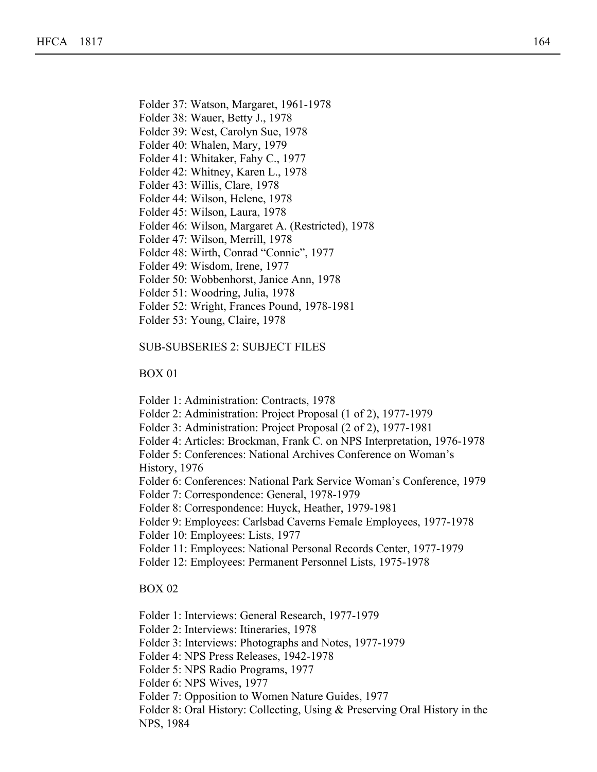- Folder 37: Watson, Margaret, 1961-1978
- Folder 38: Wauer, Betty J., 1978
- Folder 39: West, Carolyn Sue, 1978

Folder 33: Wandrus, Marilyn, 1978

- Folder 40: Whalen, Mary, 1979
- Folder 41: Whitaker, Fahy C., 1977
- Folder 42: Whitney, Karen L., 1978
- Folder 43: Willis, Clare, 1978
- Folder 44: Wilson, Helene, 1978
- Folder 45: Wilson, Laura, 1978
- Folder 46: Wilson, Margaret A. (Restricted), 1978
- Folder 47: Wilson, Merrill, 1978
- Folder 48: Wirth, Conrad "Connie", 1977
- Folder 49: Wisdom, Irene, 1977
- Folder 50: Wobbenhorst, Janice Ann, 1978
- Folder 51: Woodring, Julia, 1978
- Folder 52: Wright, Frances Pound, 1978-1981
- Folder 53: Young, Claire, 1978

#### SUB-SUBSERIES 2: SUBJECT FILES

#### BOX 01

- Folder 1: Administration: Contracts, 1978
- Folder 2: Administration: Project Proposal (1 of 2), 1977-1979
- Folder 3: Administration: Project Proposal (2 of 2), 1977-1981
- Folder 4: Articles: Brockman, Frank C. on NPS Interpretation, 1976-1978
- Folder 5: Conferences: National Archives Conference on Woman's History, 1976
- Folder 6: Conferences: National Park Service Woman's Conference, 1979
- Folder 7: Correspondence: General, 1978-1979
- Folder 8: Correspondence: Huyck, Heather, 1979-1981
- Folder 9: Employees: Carlsbad Caverns Female Employees, 1977-1978
- Folder 10: Employees: Lists, 1977
- Folder 11: Employees: National Personal Records Center, 1977-1979
- Folder 12: Employees: Permanent Personnel Lists, 1975-1978

### BOX 02

Folder 1: Interviews: General Research, 1977-1979

- Folder 2: Interviews: Itineraries, 1978
- Folder 3: Interviews: Photographs and Notes, 1977-1979
- Folder 4: NPS Press Releases, 1942-1978
- Folder 5: NPS Radio Programs, 1977
- Folder 6: NPS Wives, 1977
- Folder 7: Opposition to Women Nature Guides, 1977
- Folder 8: Oral History: Collecting, Using & Preserving Oral History in the NPS, 1984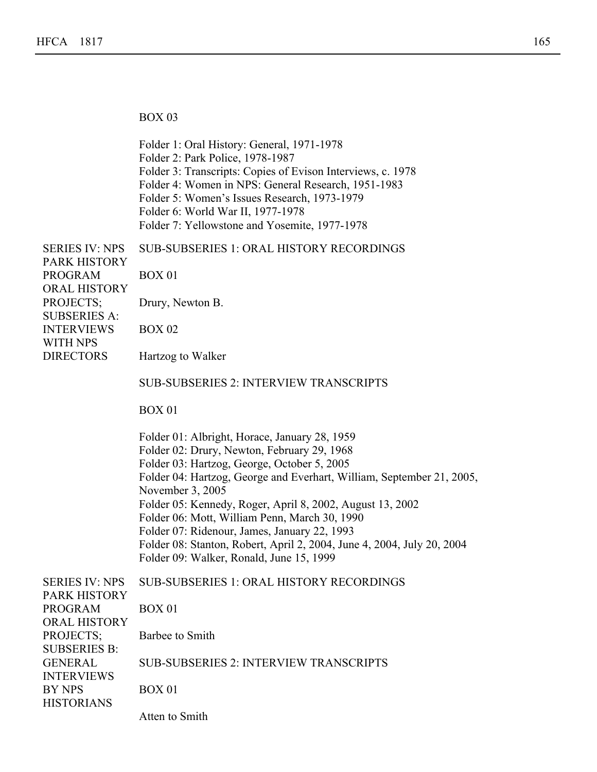BOX 03

Folder 6: NPS Wives, 1977

|                                                              | Folder 1: Oral History: General, 1971-1978<br>Folder 2: Park Police, 1978-1987<br>Folder 3: Transcripts: Copies of Evison Interviews, c. 1978<br>Folder 4: Women in NPS: General Research, 1951-1983<br>Folder 5: Women's Issues Research, 1973-1979<br>Folder 6: World War II, 1977-1978<br>Folder 7: Yellowstone and Yosemite, 1977-1978                                                                                                                                                                                   |
|--------------------------------------------------------------|------------------------------------------------------------------------------------------------------------------------------------------------------------------------------------------------------------------------------------------------------------------------------------------------------------------------------------------------------------------------------------------------------------------------------------------------------------------------------------------------------------------------------|
| <b>SERIES IV: NPS</b>                                        | <b>SUB-SUBSERIES 1: ORAL HISTORY RECORDINGS</b>                                                                                                                                                                                                                                                                                                                                                                                                                                                                              |
| <b>PARK HISTORY</b><br><b>PROGRAM</b><br><b>ORAL HISTORY</b> | <b>BOX 01</b>                                                                                                                                                                                                                                                                                                                                                                                                                                                                                                                |
| PROJECTS;<br><b>SUBSERIES A:</b>                             | Drury, Newton B.                                                                                                                                                                                                                                                                                                                                                                                                                                                                                                             |
| <b>INTERVIEWS</b>                                            | <b>BOX 02</b>                                                                                                                                                                                                                                                                                                                                                                                                                                                                                                                |
| <b>WITH NPS</b><br><b>DIRECTORS</b>                          | Hartzog to Walker                                                                                                                                                                                                                                                                                                                                                                                                                                                                                                            |
|                                                              | <b>SUB-SUBSERIES 2: INTERVIEW TRANSCRIPTS</b>                                                                                                                                                                                                                                                                                                                                                                                                                                                                                |
|                                                              | <b>BOX 01</b>                                                                                                                                                                                                                                                                                                                                                                                                                                                                                                                |
|                                                              | Folder 01: Albright, Horace, January 28, 1959<br>Folder 02: Drury, Newton, February 29, 1968<br>Folder 03: Hartzog, George, October 5, 2005<br>Folder 04: Hartzog, George and Everhart, William, September 21, 2005,<br>November 3, 2005<br>Folder 05: Kennedy, Roger, April 8, 2002, August 13, 2002<br>Folder 06: Mott, William Penn, March 30, 1990<br>Folder 07: Ridenour, James, January 22, 1993<br>Folder 08: Stanton, Robert, April 2, 2004, June 4, 2004, July 20, 2004<br>Folder 09: Walker, Ronald, June 15, 1999 |
| <b>SERIES IV: NPS</b><br><b>PARK HISTORY</b>                 | <b>SUB-SUBSERIES 1: ORAL HISTORY RECORDINGS</b>                                                                                                                                                                                                                                                                                                                                                                                                                                                                              |
| <b>PROGRAM</b>                                               | <b>BOX 01</b>                                                                                                                                                                                                                                                                                                                                                                                                                                                                                                                |
| <b>ORAL HISTORY</b><br>PROJECTS;                             | Barbee to Smith                                                                                                                                                                                                                                                                                                                                                                                                                                                                                                              |
| <b>SUBSERIES B:</b><br><b>GENERAL</b><br><b>INTERVIEWS</b>   | <b>SUB-SUBSERIES 2: INTERVIEW TRANSCRIPTS</b>                                                                                                                                                                                                                                                                                                                                                                                                                                                                                |
| <b>BY NPS</b><br><b>HISTORIANS</b>                           | <b>BOX 01</b>                                                                                                                                                                                                                                                                                                                                                                                                                                                                                                                |
|                                                              | Atten to Smith                                                                                                                                                                                                                                                                                                                                                                                                                                                                                                               |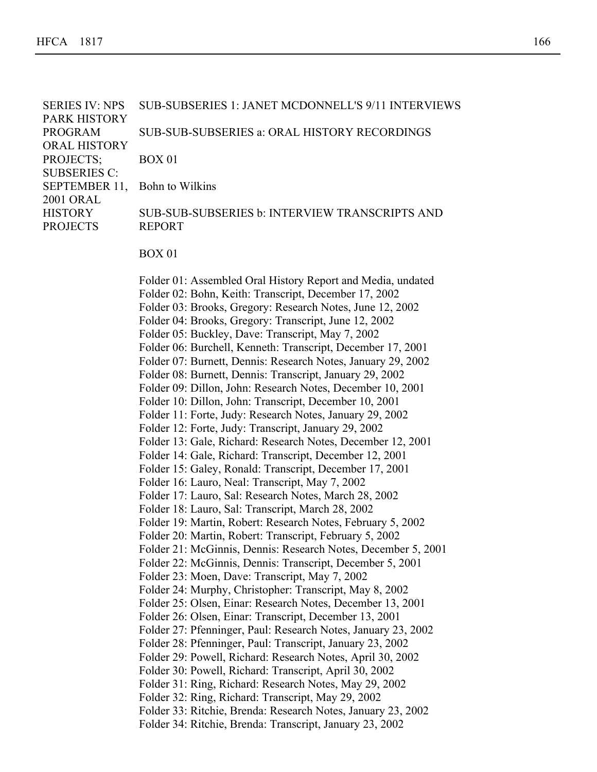SERIES IV: NPS PARK HISTORY PROGRAM ORAL HISTORY PROJECTS; SUBSERIES C: SEPTEMBER 11, Bohn to Wilkins 2001 ORAL **HISTORY** PROJECTS SUB-SUBSERIES 1: JANET MCDONNELL'S 9/11 INTERVIEWS SUB-SUB-SUBSERIES a: ORAL HISTORY RECORDINGS BOX 01 SUB-SUB-SUBSERIES b: INTERVIEW TRANSCRIPTS AND REPORT BOX 01 Folder 01: Assembled Oral History Report and Media, undated Folder 02: Bohn, Keith: Transcript, December 17, 2002 Folder 03: Brooks, Gregory: Research Notes, June 12, 2002 Folder 04: Brooks, Gregory: Transcript, June 12, 2002

- Folder 05: Buckley, Dave: Transcript, May 7, 2002
- 
- Folder 06: Burchell, Kenneth: Transcript, December 17, 2001
- Folder 07: Burnett, Dennis: Research Notes, January 29, 2002
- Folder 08: Burnett, Dennis: Transcript, January 29, 2002
- Folder 09: Dillon, John: Research Notes, December 10, 2001
- Folder 10: Dillon, John: Transcript, December 10, 2001
- Folder 11: Forte, Judy: Research Notes, January 29, 2002
- Folder 12: Forte, Judy: Transcript, January 29, 2002
- Folder 13: Gale, Richard: Research Notes, December 12, 2001
- Folder 14: Gale, Richard: Transcript, December 12, 2001
- Folder 15: Galey, Ronald: Transcript, December 17, 2001
- Folder 16: Lauro, Neal: Transcript, May 7, 2002
- Folder 17: Lauro, Sal: Research Notes, March 28, 2002
- Folder 18: Lauro, Sal: Transcript, March 28, 2002
- Folder 19: Martin, Robert: Research Notes, February 5, 2002
- Folder 20: Martin, Robert: Transcript, February 5, 2002
- Folder 21: McGinnis, Dennis: Research Notes, December 5, 2001
- Folder 22: McGinnis, Dennis: Transcript, December 5, 2001
- Folder 23: Moen, Dave: Transcript, May 7, 2002
- Folder 24: Murphy, Christopher: Transcript, May 8, 2002
- Folder 25: Olsen, Einar: Research Notes, December 13, 2001
- Folder 26: Olsen, Einar: Transcript, December 13, 2001
- Folder 27: Pfenninger, Paul: Research Notes, January 23, 2002
- Folder 28: Pfenninger, Paul: Transcript, January 23, 2002
- Folder 29: Powell, Richard: Research Notes, April 30, 2002
- Folder 30: Powell, Richard: Transcript, April 30, 2002
- Folder 31: Ring, Richard: Research Notes, May 29, 2002
- Folder 32: Ring, Richard: Transcript, May 29, 2002
- Folder 33: Ritchie, Brenda: Research Notes, January 23, 2002
- Folder 34: Ritchie, Brenda: Transcript, January 23, 2002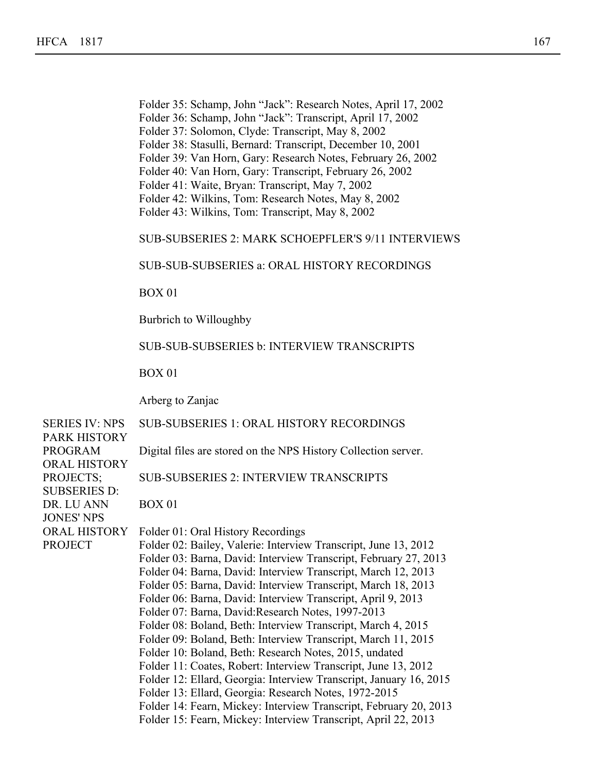- Folder 35: Schamp, John "Jack": Research Notes, April 17, 2002
- Folder 36: Schamp, John "Jack": Transcript, April 17, 2002

Folder 31: Ring, Richard: Research Notes, May 29, 2002

- Folder 37: Solomon, Clyde: Transcript, May 8, 2002
- Folder 38: Stasulli, Bernard: Transcript, December 10, 2001
- Folder 39: Van Horn, Gary: Research Notes, February 26, 2002
- Folder 40: Van Horn, Gary: Transcript, February 26, 2002
- Folder 41: Waite, Bryan: Transcript, May 7, 2002
- Folder 42: Wilkins, Tom: Research Notes, May 8, 2002
- Folder 43: Wilkins, Tom: Transcript, May 8, 2002

## SUB-SUBSERIES 2: MARK SCHOEPFLER'S 9/11 INTERVIEWS

SUB-SUB-SUBSERIES a: ORAL HISTORY RECORDINGS

BOX 01

Burbrich to Willoughby

#### SUB-SUB-SUBSERIES b: INTERVIEW TRANSCRIPTS

BOX 01

Arberg to Zanjac

SERIES IV: NPS PARK HISTORY PROGRAM ORAL HISTORY PROJECTS; SUBSERIES D: DR. LU ANN JONES' NPS ORAL HISTORY Folder 01: Oral History Recordings PROJECT SUB-SUBSERIES 1: ORAL HISTORY RECORDINGS Digital files are stored on the NPS History Collection server. SUB-SUBSERIES 2: INTERVIEW TRANSCRIPTS BOX 01 Folder 02: Bailey, Valerie: Interview Transcript, June 13, 2012 Folder 03: Barna, David: Interview Transcript, February 27, 2013 Folder 04: Barna, David: Interview Transcript, March 12, 2013 Folder 05: Barna, David: Interview Transcript, March 18, 2013 Folder 06: Barna, David: Interview Transcript, April 9, 2013 Folder 07: Barna, David:Research Notes, 1997-2013 Folder 08: Boland, Beth: Interview Transcript, March 4, 2015 Folder 09: Boland, Beth: Interview Transcript, March 11, 2015 Folder 10: Boland, Beth: Research Notes, 2015, undated Folder 11: Coates, Robert: Interview Transcript, June 13, 2012 Folder 12: Ellard, Georgia: Interview Transcript, January 16, 2015 Folder 13: Ellard, Georgia: Research Notes, 1972-2015 Folder 14: Fearn, Mickey: Interview Transcript, February 20, 2013 Folder 15: Fearn, Mickey: Interview Transcript, April 22, 2013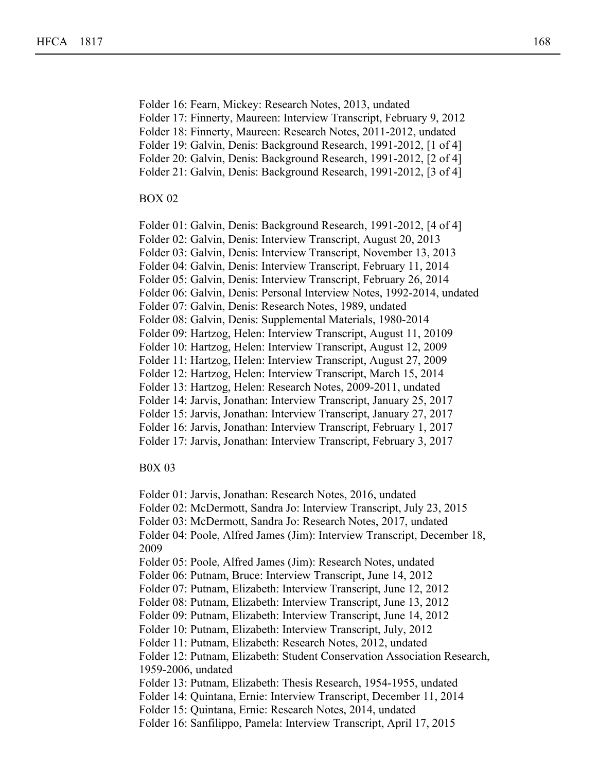Folder 16: Fearn, Mickey: Research Notes, 2013, undated

Folder 17: Finnerty, Maureen: Interview Transcript, February 9, 2012

Folder 18: Finnerty, Maureen: Research Notes, 2011-2012, undated

Folder 12: Ellard, Georgia: Interview Transcript, January 16, 2015

Folder 19: Galvin, Denis: Background Research, 1991-2012, [1 of 4]

Folder 20: Galvin, Denis: Background Research, 1991-2012, [2 of 4]

Folder 21: Galvin, Denis: Background Research, 1991-2012, [3 of 4]

# BOX 02

Folder 01: Galvin, Denis: Background Research, 1991-2012, [4 of 4]

Folder 02: Galvin, Denis: Interview Transcript, August 20, 2013

Folder 03: Galvin, Denis: Interview Transcript, November 13, 2013

Folder 04: Galvin, Denis: Interview Transcript, February 11, 2014

Folder 05: Galvin, Denis: Interview Transcript, February 26, 2014

Folder 06: Galvin, Denis: Personal Interview Notes, 1992-2014, undated

Folder 07: Galvin, Denis: Research Notes, 1989, undated

Folder 08: Galvin, Denis: Supplemental Materials, 1980-2014

Folder 09: Hartzog, Helen: Interview Transcript, August 11, 20109

Folder 10: Hartzog, Helen: Interview Transcript, August 12, 2009

Folder 11: Hartzog, Helen: Interview Transcript, August 27, 2009

Folder 12: Hartzog, Helen: Interview Transcript, March 15, 2014

Folder 13: Hartzog, Helen: Research Notes, 2009-2011, undated

Folder 14: Jarvis, Jonathan: Interview Transcript, January 25, 2017

Folder 15: Jarvis, Jonathan: Interview Transcript, January 27, 2017

Folder 16: Jarvis, Jonathan: Interview Transcript, February 1, 2017

Folder 17: Jarvis, Jonathan: Interview Transcript, February 3, 2017

## B0X 03

Folder 01: Jarvis, Jonathan: Research Notes, 2016, undated

Folder 02: McDermott, Sandra Jo: Interview Transcript, July 23, 2015

Folder 03: McDermott, Sandra Jo: Research Notes, 2017, undated

Folder 04: Poole, Alfred James (Jim): Interview Transcript, December 18, 2009

Folder 05: Poole, Alfred James (Jim): Research Notes, undated

Folder 06: Putnam, Bruce: Interview Transcript, June 14, 2012

Folder 07: Putnam, Elizabeth: Interview Transcript, June 12, 2012

Folder 08: Putnam, Elizabeth: Interview Transcript, June 13, 2012

Folder 09: Putnam, Elizabeth: Interview Transcript, June 14, 2012

Folder 10: Putnam, Elizabeth: Interview Transcript, July, 2012

Folder 11: Putnam, Elizabeth: Research Notes, 2012, undated

Folder 12: Putnam, Elizabeth: Student Conservation Association Research, 1959-2006, undated

Folder 13: Putnam, Elizabeth: Thesis Research, 1954-1955, undated

Folder 14: Quintana, Ernie: Interview Transcript, December 11, 2014

Folder 15: Quintana, Ernie: Research Notes, 2014, undated

Folder 16: Sanfilippo, Pamela: Interview Transcript, April 17, 2015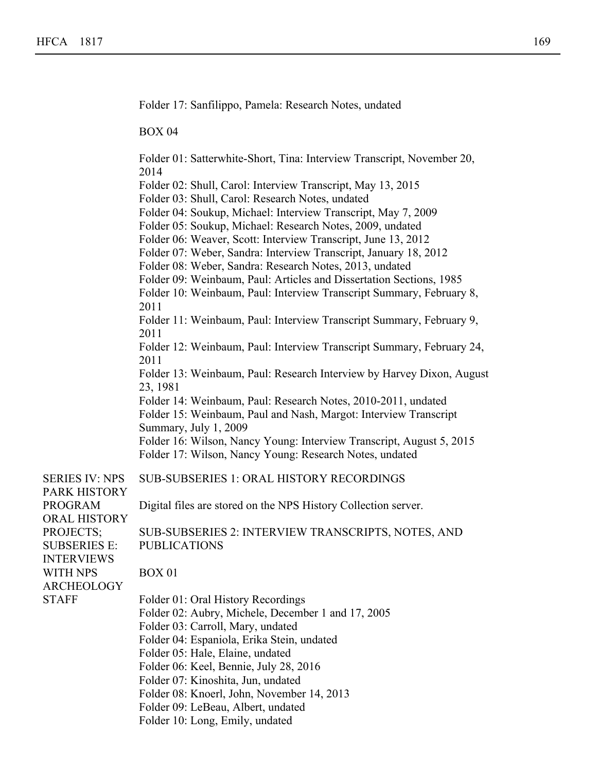PROGRAM

PROJECTS;

WITH NPS

STAFF

Folder 17: Sanfilippo, Pamela: Research Notes, undated BOX 04 Folder 01: Satterwhite-Short, Tina: Interview Transcript, November 20, 2014 Folder 02: Shull, Carol: Interview Transcript, May 13, 2015 Folder 03: Shull, Carol: Research Notes, undated Folder 04: Soukup, Michael: Interview Transcript, May 7, 2009 Folder 05: Soukup, Michael: Research Notes, 2009, undated Folder 06: Weaver, Scott: Interview Transcript, June 13, 2012 Folder 07: Weber, Sandra: Interview Transcript, January 18, 2012 Folder 08: Weber, Sandra: Research Notes, 2013, undated Folder 09: Weinbaum, Paul: Articles and Dissertation Sections, 1985 Folder 10: Weinbaum, Paul: Interview Transcript Summary, February 8, 2011 Folder 11: Weinbaum, Paul: Interview Transcript Summary, February 9, 2011 Folder 12: Weinbaum, Paul: Interview Transcript Summary, February 24, 2011 Folder 13: Weinbaum, Paul: Research Interview by Harvey Dixon, August 23, 1981 Folder 14: Weinbaum, Paul: Research Notes, 2010-2011, undated Folder 15: Weinbaum, Paul and Nash, Margot: Interview Transcript Summary, July 1, 2009 Folder 16: Wilson, Nancy Young: Interview Transcript, August 5, 2015 Folder 17: Wilson, Nancy Young: Research Notes, undated SERIES IV: NPS PARK HISTORY ORAL HISTORY SUBSERIES E: INTERVIEWS **ARCHEOLOGY** SUB-SUBSERIES 1: ORAL HISTORY RECORDINGS Digital files are stored on the NPS History Collection server. SUB-SUBSERIES 2: INTERVIEW TRANSCRIPTS, NOTES, AND PUBLICATIONS BOX 01 Folder 01: Oral History Recordings Folder 02: Aubry, Michele, December 1 and 17, 2005 Folder 03: Carroll, Mary, undated Folder 04: Espaniola, Erika Stein, undated Folder 05: Hale, Elaine, undated Folder 06: Keel, Bennie, July 28, 2016 Folder 07: Kinoshita, Jun, undated Folder 08: Knoerl, John, November 14, 2013 Folder 09: LeBeau, Albert, undated

Folder 13: Putnam, Elizabeth: Thesis Research, 1954-1955, undated

Folder 10: Long, Emily, undated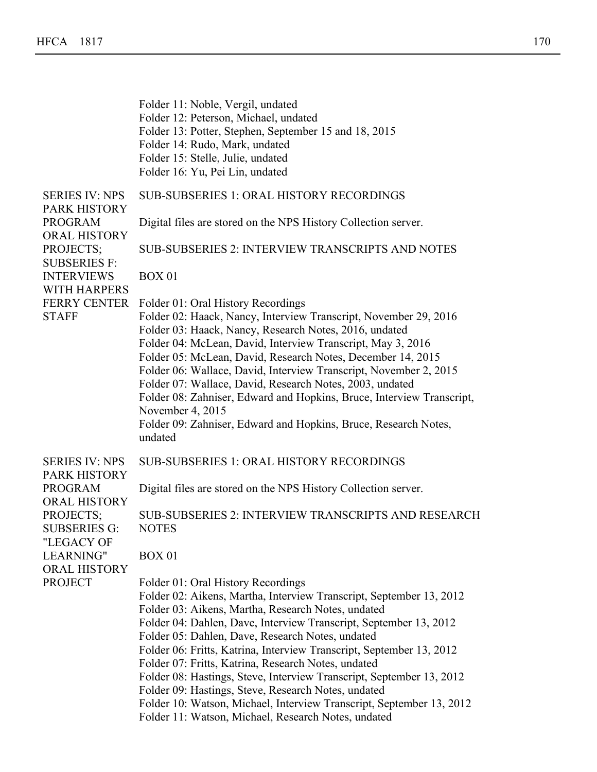Folder 11: Noble, Vergil, undated Folder 12: Peterson, Michael, undated Folder 13: Potter, Stephen, September 15 and 18, 2015 Folder 14: Rudo, Mark, undated Folder 15: Stelle, Julie, undated Folder 16: Yu, Pei Lin, undated SERIES IV: NPS PARK HISTORY PROGRAM ORAL HISTORY PROJECTS; SUBSERIES F: INTERVIEWS WITH HARPERS FERRY CENTER Folder 01: Oral History Recordings **STAFF** SUB-SUBSERIES 1: ORAL HISTORY RECORDINGS Digital files are stored on the NPS History Collection server. SUB-SUBSERIES 2: INTERVIEW TRANSCRIPTS AND NOTES BOX 01 Folder 02: Haack, Nancy, Interview Transcript, November 29, 2016 Folder 03: Haack, Nancy, Research Notes, 2016, undated Folder 04: McLean, David, Interview Transcript, May 3, 2016 Folder 05: McLean, David, Research Notes, December 14, 2015 Folder 06: Wallace, David, Interview Transcript, November 2, 2015 Folder 07: Wallace, David, Research Notes, 2003, undated Folder 08: Zahniser, Edward and Hopkins, Bruce, Interview Transcript, November 4, 2015 Folder 09: Zahniser, Edward and Hopkins, Bruce, Research Notes, undated SERIES IV: NPS PARK HISTORY PROGRAM ORAL HISTORY PROJECTS; SUBSERIES G: "LEGACY OF LEARNING" ORAL HISTORY PROJECT SUB-SUBSERIES 1: ORAL HISTORY RECORDINGS Digital files are stored on the NPS History Collection server. SUB-SUBSERIES 2: INTERVIEW TRANSCRIPTS AND RESEARCH NOTES BOX 01 Folder 01: Oral History Recordings Folder 02: Aikens, Martha, Interview Transcript, September 13, 2012 Folder 03: Aikens, Martha, Research Notes, undated Folder 04: Dahlen, Dave, Interview Transcript, September 13, 2012 Folder 05: Dahlen, Dave, Research Notes, undated Folder 06: Fritts, Katrina, Interview Transcript, September 13, 2012 Folder 07: Fritts, Katrina, Research Notes, undated Folder 08: Hastings, Steve, Interview Transcript, September 13, 2012 Folder 09: Hastings, Steve, Research Notes, undated Folder 10: Watson, Michael, Interview Transcript, September 13, 2012 Folder 11: Watson, Michael, Research Notes, undated

Folder 07: Kinoshita, Jun, undated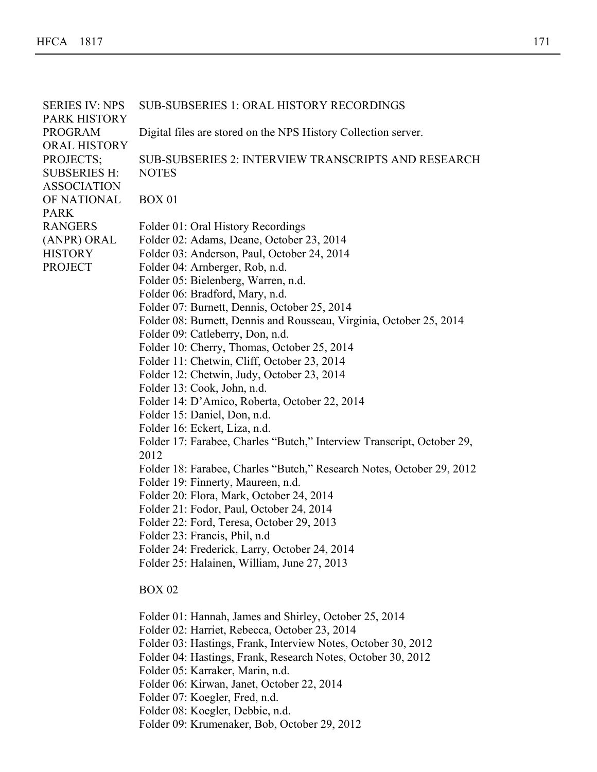| <b>SERIES IV: NPS</b><br>PARK HISTORY | <b>SUB-SUBSERIES 1: ORAL HISTORY RECORDINGS</b>                                  |
|---------------------------------------|----------------------------------------------------------------------------------|
| <b>PROGRAM</b>                        | Digital files are stored on the NPS History Collection server.                   |
| <b>ORAL HISTORY</b><br>PROJECTS;      | <b>SUB-SUBSERIES 2: INTERVIEW TRANSCRIPTS AND RESEARCH</b>                       |
| <b>SUBSERIES H:</b>                   | <b>NOTES</b>                                                                     |
| <b>ASSOCIATION</b><br>OF NATIONAL     | <b>BOX 01</b>                                                                    |
| <b>PARK</b>                           |                                                                                  |
| <b>RANGERS</b>                        | Folder 01: Oral History Recordings                                               |
| (ANPR) ORAL                           | Folder 02: Adams, Deane, October 23, 2014                                        |
| <b>HISTORY</b><br><b>PROJECT</b>      | Folder 03: Anderson, Paul, October 24, 2014                                      |
|                                       | Folder 04: Arnberger, Rob, n.d.<br>Folder 05: Bielenberg, Warren, n.d.           |
|                                       | Folder 06: Bradford, Mary, n.d.                                                  |
|                                       | Folder 07: Burnett, Dennis, October 25, 2014                                     |
|                                       | Folder 08: Burnett, Dennis and Rousseau, Virginia, October 25, 2014              |
|                                       | Folder 09: Catleberry, Don, n.d.                                                 |
|                                       | Folder 10: Cherry, Thomas, October 25, 2014                                      |
|                                       | Folder 11: Chetwin, Cliff, October 23, 2014                                      |
|                                       | Folder 12: Chetwin, Judy, October 23, 2014                                       |
|                                       | Folder 13: Cook, John, n.d.                                                      |
|                                       | Folder 14: D'Amico, Roberta, October 22, 2014                                    |
|                                       | Folder 15: Daniel, Don, n.d.                                                     |
|                                       | Folder 16: Eckert, Liza, n.d.                                                    |
|                                       | Folder 17: Farabee, Charles "Butch," Interview Transcript, October 29,<br>2012   |
|                                       | Folder 18: Farabee, Charles "Butch," Research Notes, October 29, 2012            |
|                                       | Folder 19: Finnerty, Maureen, n.d.                                               |
|                                       | Folder 20: Flora, Mark, October 24, 2014                                         |
|                                       | Folder 21: Fodor, Paul, October 24, 2014                                         |
|                                       | Folder 22: Ford, Teresa, October 29, 2013                                        |
|                                       | Folder 23: Francis, Phil, n.d                                                    |
|                                       | Folder 24: Frederick, Larry, October 24, 2014                                    |
|                                       | Folder 25: Halainen, William, June 27, 2013                                      |
|                                       | <b>BOX 02</b>                                                                    |
|                                       | Folder 01: Hannah, James and Shirley, October 25, 2014                           |
|                                       | Folder 02: Harriet, Rebecca, October 23, 2014                                    |
|                                       | Folder 03: Hastings, Frank, Interview Notes, October 30, 2012                    |
|                                       | Folder 04: Hastings, Frank, Research Notes, October 30, 2012                     |
|                                       | Folder 05: Karraker, Marin, n.d.                                                 |
|                                       | Folder 06: Kirwan, Janet, October 22, 2014                                       |
|                                       | Folder 07: Koegler, Fred, n.d.                                                   |
|                                       | Folder 08: Koegler, Debbie, n.d.<br>Folder 09: Krumenaker, Bob, October 29, 2012 |
|                                       |                                                                                  |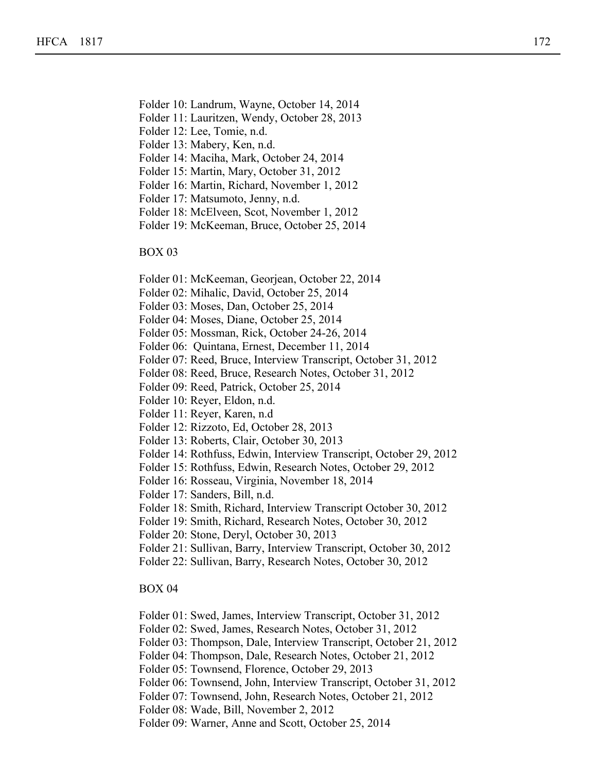- Folder 10: Landrum, Wayne, October 14, 2014
- Folder 11: Lauritzen, Wendy, October 28, 2013

Folder 06: Kirwan, Janet, October 22, 2014

- Folder 12: Lee, Tomie, n.d.
- Folder 13: Mabery, Ken, n.d.
- Folder 14: Maciha, Mark, October 24, 2014
- Folder 15: Martin, Mary, October 31, 2012
- Folder 16: Martin, Richard, November 1, 2012
- Folder 17: Matsumoto, Jenny, n.d.
- Folder 18: McElveen, Scot, November 1, 2012
- Folder 19: McKeeman, Bruce, October 25, 2014

### BOX 03

- Folder 01: McKeeman, Georjean, October 22, 2014
- Folder 02: Mihalic, David, October 25, 2014
- Folder 03: Moses, Dan, October 25, 2014
- Folder 04: Moses, Diane, October 25, 2014
- Folder 05: Mossman, Rick, October 24-26, 2014
- Folder 06: Quintana, Ernest, December 11, 2014
- Folder 07: Reed, Bruce, Interview Transcript, October 31, 2012
- Folder 08: Reed, Bruce, Research Notes, October 31, 2012
- Folder 09: Reed, Patrick, October 25, 2014
- Folder 10: Reyer, Eldon, n.d.
- Folder 11: Reyer, Karen, n.d
- Folder 12: Rizzoto, Ed, October 28, 2013
- Folder 13: Roberts, Clair, October 30, 2013
- Folder 14: Rothfuss, Edwin, Interview Transcript, October 29, 2012
- Folder 15: Rothfuss, Edwin, Research Notes, October 29, 2012
- Folder 16: Rosseau, Virginia, November 18, 2014
- Folder 17: Sanders, Bill, n.d.
- Folder 18: Smith, Richard, Interview Transcript October 30, 2012
- Folder 19: Smith, Richard, Research Notes, October 30, 2012
- Folder 20: Stone, Deryl, October 30, 2013
- Folder 21: Sullivan, Barry, Interview Transcript, October 30, 2012
- Folder 22: Sullivan, Barry, Research Notes, October 30, 2012

- Folder 01: Swed, James, Interview Transcript, October 31, 2012
- Folder 02: Swed, James, Research Notes, October 31, 2012
- Folder 03: Thompson, Dale, Interview Transcript, October 21, 2012
- Folder 04: Thompson, Dale, Research Notes, October 21, 2012
- Folder 05: Townsend, Florence, October 29, 2013
- Folder 06: Townsend, John, Interview Transcript, October 31, 2012
- Folder 07: Townsend, John, Research Notes, October 21, 2012
- Folder 08: Wade, Bill, November 2, 2012
- Folder 09: Warner, Anne and Scott, October 25, 2014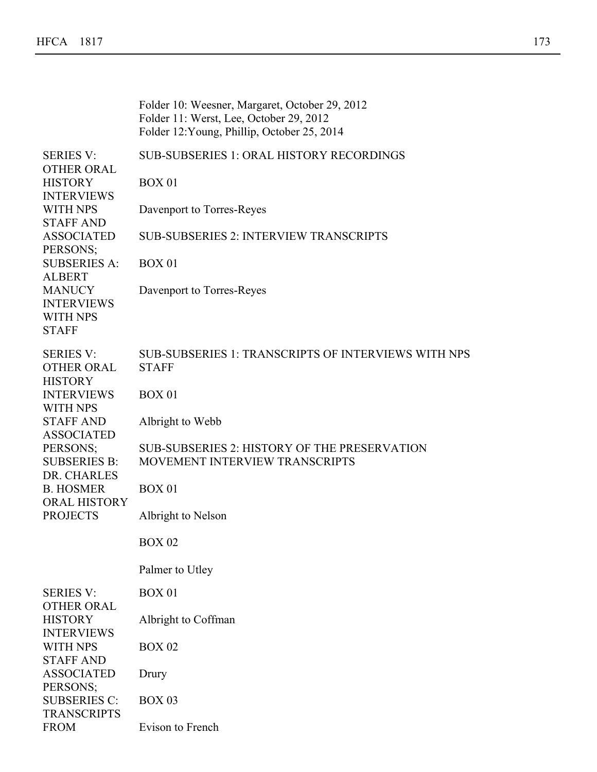|                                                                            | Folder 10: Weesner, Margaret, October 29, 2012<br>Folder 11: Werst, Lee, October 29, 2012<br>Folder 12: Young, Phillip, October 25, 2014 |
|----------------------------------------------------------------------------|------------------------------------------------------------------------------------------------------------------------------------------|
| <b>SERIES V:</b><br><b>OTHER ORAL</b>                                      | <b>SUB-SUBSERIES 1: ORAL HISTORY RECORDINGS</b>                                                                                          |
| <b>HISTORY</b><br><b>INTERVIEWS</b>                                        | <b>BOX 01</b>                                                                                                                            |
| <b>WITH NPS</b><br><b>STAFF AND</b>                                        | Davenport to Torres-Reyes                                                                                                                |
| <b>ASSOCIATED</b><br>PERSONS;                                              | <b>SUB-SUBSERIES 2: INTERVIEW TRANSCRIPTS</b>                                                                                            |
| <b>SUBSERIES A:</b><br><b>ALBERT</b>                                       | <b>BOX 01</b>                                                                                                                            |
| <b>MANUCY</b><br><b>INTERVIEWS</b><br><b>WITH NPS</b><br><b>STAFF</b>      | Davenport to Torres-Reyes                                                                                                                |
| <b>SERIES V:</b><br><b>OTHER ORAL</b><br><b>HISTORY</b>                    | <b>SUB-SUBSERIES 1: TRANSCRIPTS OF INTERVIEWS WITH NPS</b><br><b>STAFF</b>                                                               |
| <b>INTERVIEWS</b><br><b>WITH NPS</b>                                       | <b>BOX 01</b>                                                                                                                            |
| <b>STAFF AND</b><br><b>ASSOCIATED</b>                                      | Albright to Webb                                                                                                                         |
| PERSONS;<br><b>SUBSERIES B:</b><br>DR. CHARLES                             | <b>SUB-SUBSERIES 2: HISTORY OF THE PRESERVATION</b><br>MOVEMENT INTERVIEW TRANSCRIPTS                                                    |
| <b>B. HOSMER</b><br><b>ORAL HISTORY</b>                                    | <b>BOX 01</b>                                                                                                                            |
| <b>PROJECTS</b>                                                            | Albright to Nelson                                                                                                                       |
|                                                                            | <b>BOX 02</b>                                                                                                                            |
|                                                                            | Palmer to Utley                                                                                                                          |
| <b>SERIES V:</b><br><b>OTHER ORAL</b>                                      | <b>BOX 01</b>                                                                                                                            |
| <b>HISTORY</b><br><b>INTERVIEWS</b><br><b>WITH NPS</b><br><b>STAFF AND</b> | Albright to Coffman                                                                                                                      |
|                                                                            | <b>BOX 02</b>                                                                                                                            |
| <b>ASSOCIATED</b><br>PERSONS;                                              | Drury                                                                                                                                    |
| <b>SUBSERIES C:</b><br><b>TRANSCRIPTS</b>                                  | <b>BOX 03</b>                                                                                                                            |
| <b>FROM</b>                                                                | Evison to French                                                                                                                         |

Folder 06: Townsend, John, Interview Transcript, October 31, 2012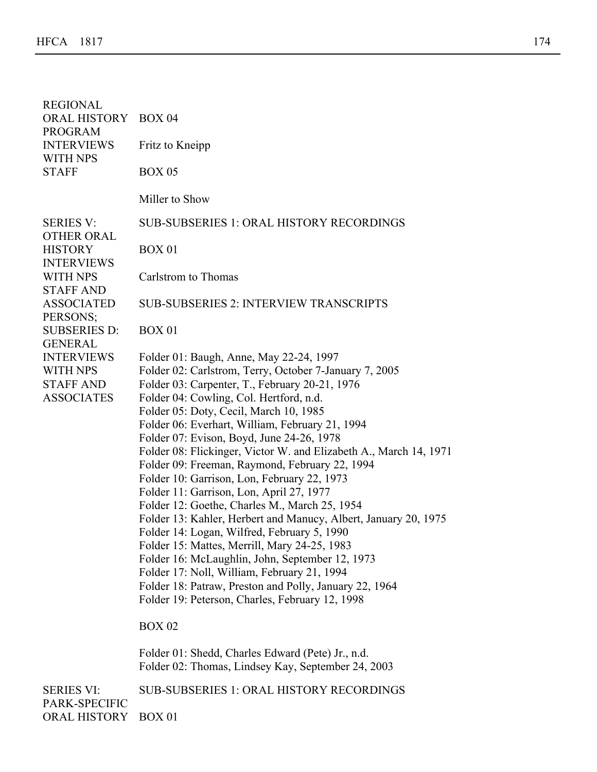| <b>REGIONAL</b><br>ORAL HISTORY<br><b>PROGRAM</b><br><b>INTERVIEWS</b>                          | <b>BOX 04</b><br>Fritz to Kneipp                                                                                                                                                                                                                                                                                                                                                                                                                                                                                                                                                                                                                                                                                                                                                                                                                                                                                                                                                             |
|-------------------------------------------------------------------------------------------------|----------------------------------------------------------------------------------------------------------------------------------------------------------------------------------------------------------------------------------------------------------------------------------------------------------------------------------------------------------------------------------------------------------------------------------------------------------------------------------------------------------------------------------------------------------------------------------------------------------------------------------------------------------------------------------------------------------------------------------------------------------------------------------------------------------------------------------------------------------------------------------------------------------------------------------------------------------------------------------------------|
| <b>WITH NPS</b><br><b>STAFF</b>                                                                 | <b>BOX 05</b>                                                                                                                                                                                                                                                                                                                                                                                                                                                                                                                                                                                                                                                                                                                                                                                                                                                                                                                                                                                |
|                                                                                                 | Miller to Show                                                                                                                                                                                                                                                                                                                                                                                                                                                                                                                                                                                                                                                                                                                                                                                                                                                                                                                                                                               |
| <b>SERIES V:</b><br><b>OTHER ORAL</b>                                                           | <b>SUB-SUBSERIES 1: ORAL HISTORY RECORDINGS</b>                                                                                                                                                                                                                                                                                                                                                                                                                                                                                                                                                                                                                                                                                                                                                                                                                                                                                                                                              |
| <b>HISTORY</b><br><b>INTERVIEWS</b>                                                             | <b>BOX 01</b>                                                                                                                                                                                                                                                                                                                                                                                                                                                                                                                                                                                                                                                                                                                                                                                                                                                                                                                                                                                |
| <b>WITH NPS</b><br><b>STAFF AND</b>                                                             | Carlstrom to Thomas                                                                                                                                                                                                                                                                                                                                                                                                                                                                                                                                                                                                                                                                                                                                                                                                                                                                                                                                                                          |
| <b>ASSOCIATED</b><br>PERSONS;                                                                   | <b>SUB-SUBSERIES 2: INTERVIEW TRANSCRIPTS</b>                                                                                                                                                                                                                                                                                                                                                                                                                                                                                                                                                                                                                                                                                                                                                                                                                                                                                                                                                |
| <b>SUBSERIES D:</b>                                                                             | <b>BOX 01</b>                                                                                                                                                                                                                                                                                                                                                                                                                                                                                                                                                                                                                                                                                                                                                                                                                                                                                                                                                                                |
| <b>GENERAL</b><br><b>INTERVIEWS</b><br><b>WITH NPS</b><br><b>STAFF AND</b><br><b>ASSOCIATES</b> | Folder 01: Baugh, Anne, May 22-24, 1997<br>Folder 02: Carlstrom, Terry, October 7-January 7, 2005<br>Folder 03: Carpenter, T., February 20-21, 1976<br>Folder 04: Cowling, Col. Hertford, n.d.<br>Folder 05: Doty, Cecil, March 10, 1985<br>Folder 06: Everhart, William, February 21, 1994<br>Folder 07: Evison, Boyd, June 24-26, 1978<br>Folder 08: Flickinger, Victor W. and Elizabeth A., March 14, 1971<br>Folder 09: Freeman, Raymond, February 22, 1994<br>Folder 10: Garrison, Lon, February 22, 1973<br>Folder 11: Garrison, Lon, April 27, 1977<br>Folder 12: Goethe, Charles M., March 25, 1954<br>Folder 13: Kahler, Herbert and Manucy, Albert, January 20, 1975<br>Folder 14: Logan, Wilfred, February 5, 1990<br>Folder 15: Mattes, Merrill, Mary 24-25, 1983<br>Folder 16: McLaughlin, John, September 12, 1973<br>Folder 17: Noll, William, February 21, 1994<br>Folder 18: Patraw, Preston and Polly, January 22, 1964<br>Folder 19: Peterson, Charles, February 12, 1998 |
|                                                                                                 | <b>BOX 02</b>                                                                                                                                                                                                                                                                                                                                                                                                                                                                                                                                                                                                                                                                                                                                                                                                                                                                                                                                                                                |
|                                                                                                 | Folder 01: Shedd, Charles Edward (Pete) Jr., n.d.<br>Folder 02: Thomas, Lindsey Kay, September 24, 2003                                                                                                                                                                                                                                                                                                                                                                                                                                                                                                                                                                                                                                                                                                                                                                                                                                                                                      |
| <b>SERIES VI:</b>                                                                               | <b>SUB-SUBSERIES 1: ORAL HISTORY RECORDINGS</b>                                                                                                                                                                                                                                                                                                                                                                                                                                                                                                                                                                                                                                                                                                                                                                                                                                                                                                                                              |
| PARK-SPECIFIC<br>ORAL HISTORY                                                                   | <b>BOX 01</b>                                                                                                                                                                                                                                                                                                                                                                                                                                                                                                                                                                                                                                                                                                                                                                                                                                                                                                                                                                                |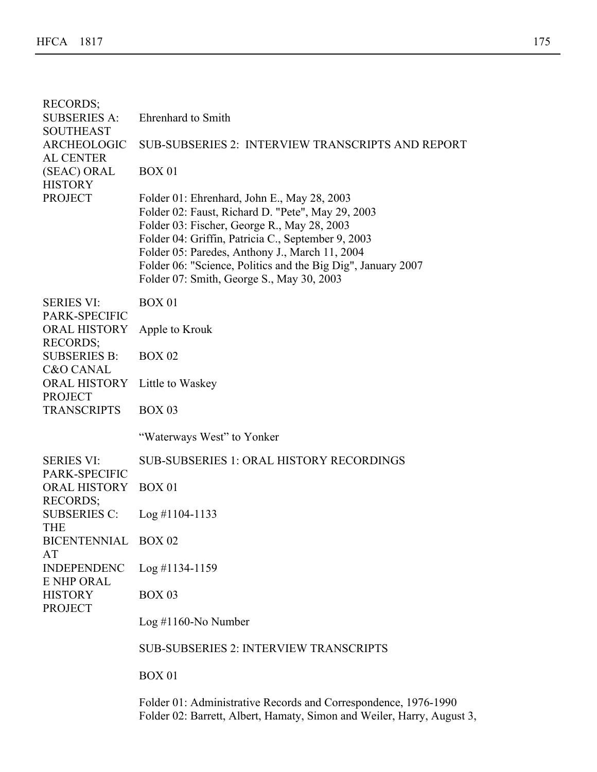| <b>RECORDS;</b><br><b>SUBSERIES A:</b>      | <b>Ehrenhard</b> to Smith                                                                                                                                                                                                                                                                                                                                            |
|---------------------------------------------|----------------------------------------------------------------------------------------------------------------------------------------------------------------------------------------------------------------------------------------------------------------------------------------------------------------------------------------------------------------------|
| <b>SOUTHEAST</b>                            |                                                                                                                                                                                                                                                                                                                                                                      |
| ARCHEOLOGIC<br><b>AL CENTER</b>             | <b>SUB-SUBSERIES 2: INTERVIEW TRANSCRIPTS AND REPORT</b>                                                                                                                                                                                                                                                                                                             |
| (SEAC) ORAL<br><b>HISTORY</b>               | <b>BOX 01</b>                                                                                                                                                                                                                                                                                                                                                        |
| <b>PROJECT</b>                              | Folder 01: Ehrenhard, John E., May 28, 2003<br>Folder 02: Faust, Richard D. "Pete", May 29, 2003<br>Folder 03: Fischer, George R., May 28, 2003<br>Folder 04: Griffin, Patricia C., September 9, 2003<br>Folder 05: Paredes, Anthony J., March 11, 2004<br>Folder 06: "Science, Politics and the Big Dig", January 2007<br>Folder 07: Smith, George S., May 30, 2003 |
| <b>SERIES VI:</b><br>PARK-SPECIFIC          | <b>BOX 01</b>                                                                                                                                                                                                                                                                                                                                                        |
| <b>ORAL HISTORY</b><br><b>RECORDS;</b>      | Apple to Krouk                                                                                                                                                                                                                                                                                                                                                       |
| <b>SUBSERIES B:</b><br><b>C&amp;O CANAL</b> | <b>BOX 02</b>                                                                                                                                                                                                                                                                                                                                                        |
| <b>ORAL HISTORY</b><br><b>PROJECT</b>       | Little to Waskey                                                                                                                                                                                                                                                                                                                                                     |
| <b>TRANSCRIPTS</b>                          | <b>BOX 03</b>                                                                                                                                                                                                                                                                                                                                                        |
|                                             | "Waterways West" to Yonker                                                                                                                                                                                                                                                                                                                                           |
| <b>SERIES VI:</b><br>PARK-SPECIFIC          | <b>SUB-SUBSERIES 1: ORAL HISTORY RECORDINGS</b>                                                                                                                                                                                                                                                                                                                      |
| <b>ORAL HISTORY</b><br><b>RECORDS;</b>      | <b>BOX 01</b>                                                                                                                                                                                                                                                                                                                                                        |
| <b>SUBSERIES C:</b><br><b>THE</b>           | $Log$ #1104-1133                                                                                                                                                                                                                                                                                                                                                     |
| BICENTENNIAL BOX 02<br>AT                   |                                                                                                                                                                                                                                                                                                                                                                      |
| <b>INDEPENDENC</b><br><b>E NHP ORAL</b>     | $Log$ #1134-1159                                                                                                                                                                                                                                                                                                                                                     |
| <b>HISTORY</b><br><b>PROJECT</b>            | <b>BOX 03</b>                                                                                                                                                                                                                                                                                                                                                        |
|                                             | $Log #1160-No Number$                                                                                                                                                                                                                                                                                                                                                |
|                                             | <b>SUB-SUBSERIES 2: INTERVIEW TRANSCRIPTS</b>                                                                                                                                                                                                                                                                                                                        |
|                                             | <b>BOX 01</b>                                                                                                                                                                                                                                                                                                                                                        |
|                                             | Folder 01: Administrative Records and Correspondence, 1976-1990<br>Folder 02: Barrett, Albert, Hamaty, Simon and Weiler, Harry, August 3,                                                                                                                                                                                                                            |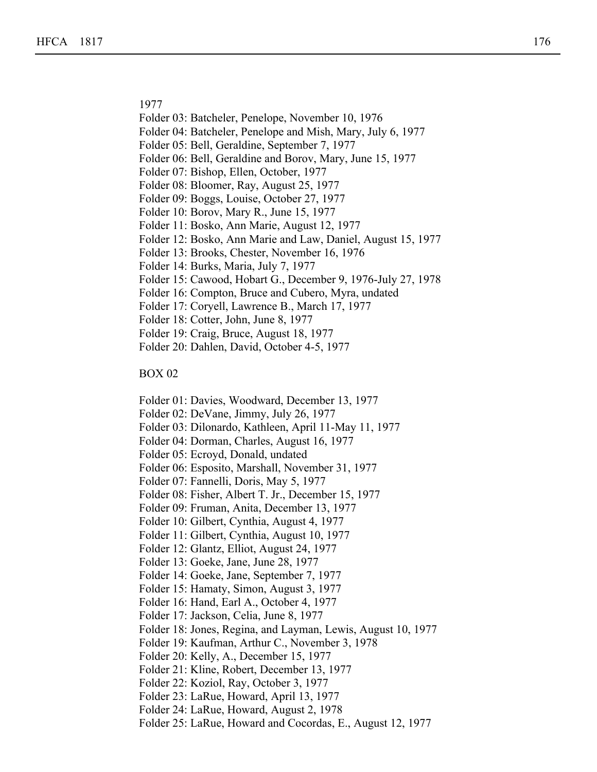1977

BOX 01

- Folder 03: Batcheler, Penelope, November 10, 1976
- Folder 04: Batcheler, Penelope and Mish, Mary, July 6, 1977
- Folder 05: Bell, Geraldine, September 7, 1977
- Folder 06: Bell, Geraldine and Borov, Mary, June 15, 1977
- Folder 07: Bishop, Ellen, October, 1977
- Folder 08: Bloomer, Ray, August 25, 1977
- Folder 09: Boggs, Louise, October 27, 1977
- Folder 10: Borov, Mary R., June 15, 1977
- Folder 11: Bosko, Ann Marie, August 12, 1977
- Folder 12: Bosko, Ann Marie and Law, Daniel, August 15, 1977
- Folder 13: Brooks, Chester, November 16, 1976
- Folder 14: Burks, Maria, July 7, 1977
- Folder 15: Cawood, Hobart G., December 9, 1976-July 27, 1978
- Folder 16: Compton, Bruce and Cubero, Myra, undated
- Folder 17: Coryell, Lawrence B., March 17, 1977
- Folder 18: Cotter, John, June 8, 1977
- Folder 19: Craig, Bruce, August 18, 1977
- Folder 20: Dahlen, David, October 4-5, 1977

- Folder 01: Davies, Woodward, December 13, 1977
- Folder 02: DeVane, Jimmy, July 26, 1977
- Folder 03: Dilonardo, Kathleen, April 11-May 11, 1977
- Folder 04: Dorman, Charles, August 16, 1977
- Folder 05: Ecroyd, Donald, undated
- Folder 06: Esposito, Marshall, November 31, 1977
- Folder 07: Fannelli, Doris, May 5, 1977
- Folder 08: Fisher, Albert T. Jr., December 15, 1977
- Folder 09: Fruman, Anita, December 13, 1977
- Folder 10: Gilbert, Cynthia, August 4, 1977
- Folder 11: Gilbert, Cynthia, August 10, 1977
- Folder 12: Glantz, Elliot, August 24, 1977
- Folder 13: Goeke, Jane, June 28, 1977
- Folder 14: Goeke, Jane, September 7, 1977
- Folder 15: Hamaty, Simon, August 3, 1977
- Folder 16: Hand, Earl A., October 4, 1977
- Folder 17: Jackson, Celia, June 8, 1977
- Folder 18: Jones, Regina, and Layman, Lewis, August 10, 1977
- Folder 19: Kaufman, Arthur C., November 3, 1978
- Folder 20: Kelly, A., December 15, 1977
- Folder 21: Kline, Robert, December 13, 1977
- Folder 22: Koziol, Ray, October 3, 1977
- Folder 23: LaRue, Howard, April 13, 1977
- Folder 24: LaRue, Howard, August 2, 1978
- Folder 25: LaRue, Howard and Cocordas, E., August 12, 1977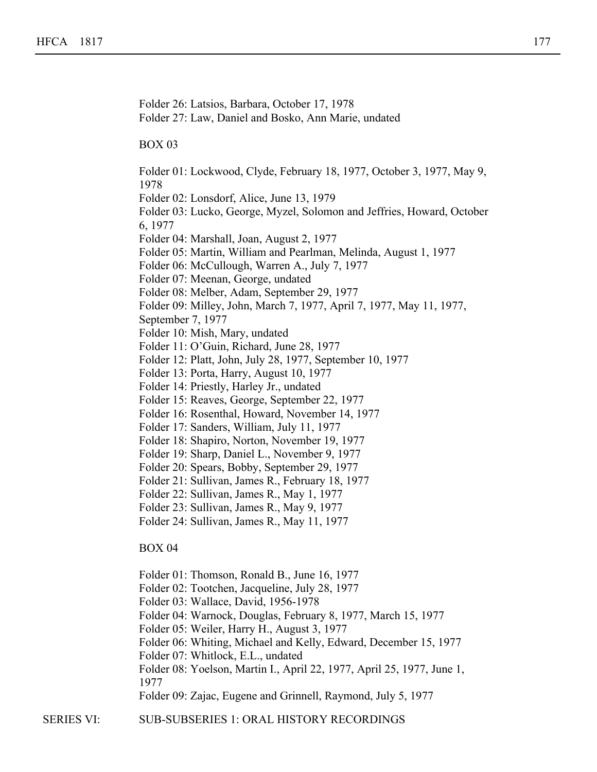Folder 26: Latsios, Barbara, October 17, 1978 Folder 27: Law, Daniel and Bosko, Ann Marie, undated BOX 03 Folder 01: Lockwood, Clyde, February 18, 1977, October 3, 1977, May 9, 1978 Folder 02: Lonsdorf, Alice, June 13, 1979 Folder 03: Lucko, George, Myzel, Solomon and Jeffries, Howard, October 6, 1977 Folder 04: Marshall, Joan, August 2, 1977 Folder 05: Martin, William and Pearlman, Melinda, August 1, 1977 Folder 06: McCullough, Warren A., July 7, 1977 Folder 07: Meenan, George, undated Folder 08: Melber, Adam, September 29, 1977 Folder 09: Milley, John, March 7, 1977, April 7, 1977, May 11, 1977, September 7, 1977 Folder 10: Mish, Mary, undated Folder 11: O'Guin, Richard, June 28, 1977 Folder 12: Platt, John, July 28, 1977, September 10, 1977 Folder 13: Porta, Harry, August 10, 1977 Folder 14: Priestly, Harley Jr., undated Folder 15: Reaves, George, September 22, 1977 Folder 16: Rosenthal, Howard, November 14, 1977 Folder 17: Sanders, William, July 11, 1977 Folder 18: Shapiro, Norton, November 19, 1977 Folder 19: Sharp, Daniel L., November 9, 1977 Folder 20: Spears, Bobby, September 29, 1977 Folder 21: Sullivan, James R., February 18, 1977 Folder 22: Sullivan, James R., May 1, 1977 Folder 23: Sullivan, James R., May 9, 1977 Folder 24: Sullivan, James R., May 11, 1977 BOX 04 Folder 01: Thomson, Ronald B., June 16, 1977 Folder 02: Tootchen, Jacqueline, July 28, 1977 Folder 03: Wallace, David, 1956-1978 Folder 04: Warnock, Douglas, February 8, 1977, March 15, 1977 Folder 05: Weiler, Harry H., August 3, 1977

- 
- Folder 06: Whiting, Michael and Kelly, Edward, December 15, 1977
- Folder 07: Whitlock, E.L., undated

Folder 22: Koziol, Ray, October 3, 1977

Folder 08: Yoelson, Martin I., April 22, 1977, April 25, 1977, June 1, 1977

Folder 09: Zajac, Eugene and Grinnell, Raymond, July 5, 1977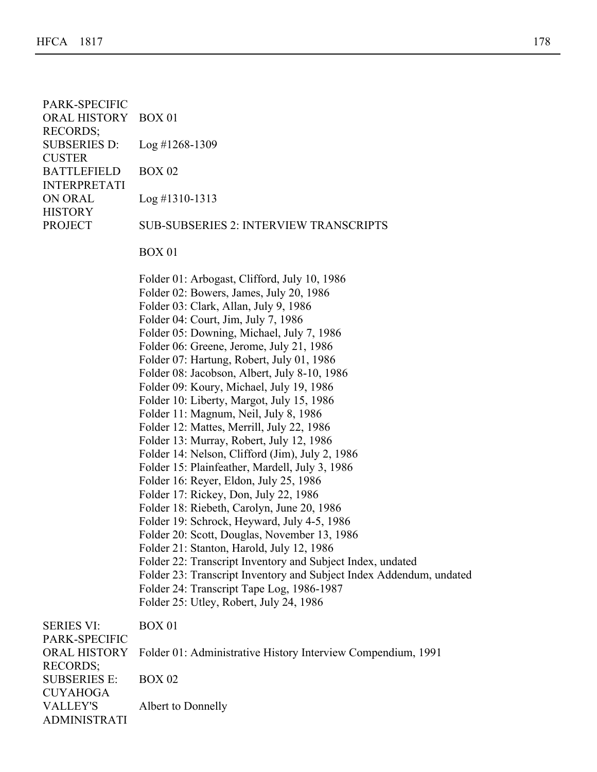|  | PARK-SPECIFIC<br>ORAL HISTORY BOX 01                               |                                                                                                                                                                                                                                                                                                                                                                                                                                                                                                                                                                                                                                                                                                                                                                                                                                                                                                                                                                                                                                                                                                                                                                                                         |
|--|--------------------------------------------------------------------|---------------------------------------------------------------------------------------------------------------------------------------------------------------------------------------------------------------------------------------------------------------------------------------------------------------------------------------------------------------------------------------------------------------------------------------------------------------------------------------------------------------------------------------------------------------------------------------------------------------------------------------------------------------------------------------------------------------------------------------------------------------------------------------------------------------------------------------------------------------------------------------------------------------------------------------------------------------------------------------------------------------------------------------------------------------------------------------------------------------------------------------------------------------------------------------------------------|
|  | <b>RECORDS;</b><br><b>SUBSERIES D:</b>                             | $Log$ #1268-1309                                                                                                                                                                                                                                                                                                                                                                                                                                                                                                                                                                                                                                                                                                                                                                                                                                                                                                                                                                                                                                                                                                                                                                                        |
|  | <b>CUSTER</b><br><b>BATTLEFIELD</b>                                | <b>BOX 02</b>                                                                                                                                                                                                                                                                                                                                                                                                                                                                                                                                                                                                                                                                                                                                                                                                                                                                                                                                                                                                                                                                                                                                                                                           |
|  | <b>INTERPRETATI</b><br>ON ORAL<br><b>HISTORY</b><br><b>PROJECT</b> | $Log$ #1310-1313                                                                                                                                                                                                                                                                                                                                                                                                                                                                                                                                                                                                                                                                                                                                                                                                                                                                                                                                                                                                                                                                                                                                                                                        |
|  |                                                                    | <b>SUB-SUBSERIES 2: INTERVIEW TRANSCRIPTS</b>                                                                                                                                                                                                                                                                                                                                                                                                                                                                                                                                                                                                                                                                                                                                                                                                                                                                                                                                                                                                                                                                                                                                                           |
|  |                                                                    | <b>BOX 01</b>                                                                                                                                                                                                                                                                                                                                                                                                                                                                                                                                                                                                                                                                                                                                                                                                                                                                                                                                                                                                                                                                                                                                                                                           |
|  |                                                                    | Folder 01: Arbogast, Clifford, July 10, 1986<br>Folder 02: Bowers, James, July 20, 1986<br>Folder 03: Clark, Allan, July 9, 1986<br>Folder 04: Court, Jim, July 7, 1986<br>Folder 05: Downing, Michael, July 7, 1986<br>Folder 06: Greene, Jerome, July 21, 1986<br>Folder 07: Hartung, Robert, July 01, 1986<br>Folder 08: Jacobson, Albert, July 8-10, 1986<br>Folder 09: Koury, Michael, July 19, 1986<br>Folder 10: Liberty, Margot, July 15, 1986<br>Folder 11: Magnum, Neil, July 8, 1986<br>Folder 12: Mattes, Merrill, July 22, 1986<br>Folder 13: Murray, Robert, July 12, 1986<br>Folder 14: Nelson, Clifford (Jim), July 2, 1986<br>Folder 15: Plainfeather, Mardell, July 3, 1986<br>Folder 16: Reyer, Eldon, July 25, 1986<br>Folder 17: Rickey, Don, July 22, 1986<br>Folder 18: Riebeth, Carolyn, June 20, 1986<br>Folder 19: Schrock, Heyward, July 4-5, 1986<br>Folder 20: Scott, Douglas, November 13, 1986<br>Folder 21: Stanton, Harold, July 12, 1986<br>Folder 22: Transcript Inventory and Subject Index, undated<br>Folder 23: Transcript Inventory and Subject Index Addendum, undated<br>Folder 24: Transcript Tape Log, 1986-1987<br>Folder 25: Utley, Robert, July 24, 1986 |
|  | <b>SERIES VI:</b><br>PARK-SPECIFIC                                 | <b>BOX 01</b>                                                                                                                                                                                                                                                                                                                                                                                                                                                                                                                                                                                                                                                                                                                                                                                                                                                                                                                                                                                                                                                                                                                                                                                           |
|  | <b>ORAL HISTORY</b>                                                | Folder 01: Administrative History Interview Compendium, 1991                                                                                                                                                                                                                                                                                                                                                                                                                                                                                                                                                                                                                                                                                                                                                                                                                                                                                                                                                                                                                                                                                                                                            |
|  | <b>RECORDS;</b><br><b>SUBSERIES E:</b><br><b>CUYAHOGA</b>          | <b>BOX 02</b>                                                                                                                                                                                                                                                                                                                                                                                                                                                                                                                                                                                                                                                                                                                                                                                                                                                                                                                                                                                                                                                                                                                                                                                           |
|  | <b>VALLEY'S</b><br><b>ADMINISTRATI</b>                             | Albert to Donnelly                                                                                                                                                                                                                                                                                                                                                                                                                                                                                                                                                                                                                                                                                                                                                                                                                                                                                                                                                                                                                                                                                                                                                                                      |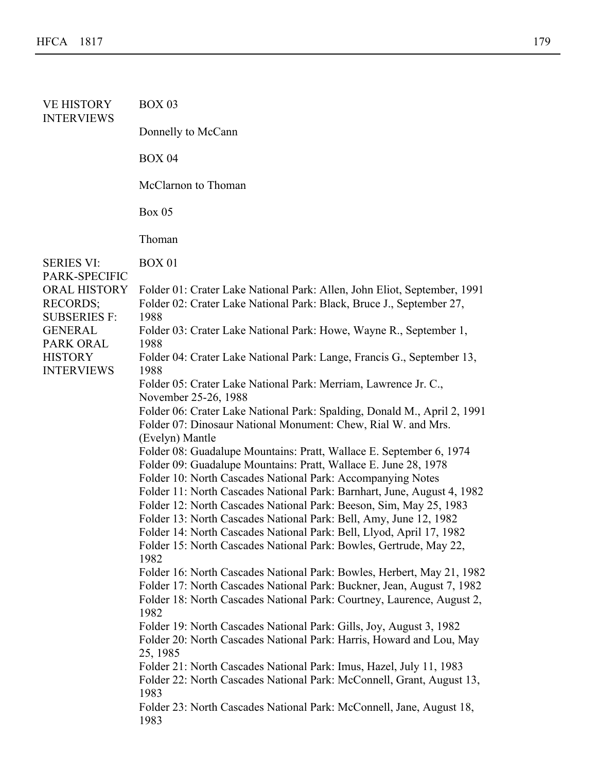| <b>VE HISTORY</b><br><b>INTERVIEWS</b>                        | <b>BOX 03</b>                                                                                                                                                                                                                                                                                                                                                                                                                                                                                                                                                                                        |
|---------------------------------------------------------------|------------------------------------------------------------------------------------------------------------------------------------------------------------------------------------------------------------------------------------------------------------------------------------------------------------------------------------------------------------------------------------------------------------------------------------------------------------------------------------------------------------------------------------------------------------------------------------------------------|
|                                                               | Donnelly to McCann                                                                                                                                                                                                                                                                                                                                                                                                                                                                                                                                                                                   |
|                                                               | <b>BOX 04</b>                                                                                                                                                                                                                                                                                                                                                                                                                                                                                                                                                                                        |
|                                                               | McClarnon to Thoman                                                                                                                                                                                                                                                                                                                                                                                                                                                                                                                                                                                  |
|                                                               | <b>Box 05</b>                                                                                                                                                                                                                                                                                                                                                                                                                                                                                                                                                                                        |
|                                                               | Thoman                                                                                                                                                                                                                                                                                                                                                                                                                                                                                                                                                                                               |
| <b>SERIES VI:</b><br>PARK-SPECIFIC                            | <b>BOX 01</b>                                                                                                                                                                                                                                                                                                                                                                                                                                                                                                                                                                                        |
| <b>ORAL HISTORY</b><br><b>RECORDS;</b><br><b>SUBSERIES F:</b> | Folder 01: Crater Lake National Park: Allen, John Eliot, September, 1991<br>Folder 02: Crater Lake National Park: Black, Bruce J., September 27,<br>1988                                                                                                                                                                                                                                                                                                                                                                                                                                             |
| <b>GENERAL</b><br>PARK ORAL                                   | Folder 03: Crater Lake National Park: Howe, Wayne R., September 1,<br>1988                                                                                                                                                                                                                                                                                                                                                                                                                                                                                                                           |
| <b>HISTORY</b><br><b>INTERVIEWS</b>                           | Folder 04: Crater Lake National Park: Lange, Francis G., September 13,<br>1988                                                                                                                                                                                                                                                                                                                                                                                                                                                                                                                       |
|                                                               | Folder 05: Crater Lake National Park: Merriam, Lawrence Jr. C.,                                                                                                                                                                                                                                                                                                                                                                                                                                                                                                                                      |
|                                                               | November 25-26, 1988<br>Folder 06: Crater Lake National Park: Spalding, Donald M., April 2, 1991<br>Folder 07: Dinosaur National Monument: Chew, Rial W. and Mrs.                                                                                                                                                                                                                                                                                                                                                                                                                                    |
|                                                               | (Evelyn) Mantle<br>Folder 08: Guadalupe Mountains: Pratt, Wallace E. September 6, 1974<br>Folder 09: Guadalupe Mountains: Pratt, Wallace E. June 28, 1978<br>Folder 10: North Cascades National Park: Accompanying Notes<br>Folder 11: North Cascades National Park: Barnhart, June, August 4, 1982<br>Folder 12: North Cascades National Park: Beeson, Sim, May 25, 1983<br>Folder 13: North Cascades National Park: Bell, Amy, June 12, 1982<br>Folder 14: North Cascades National Park: Bell, Llyod, April 17, 1982<br>Folder 15: North Cascades National Park: Bowles, Gertrude, May 22,<br>1982 |
|                                                               | Folder 16: North Cascades National Park: Bowles, Herbert, May 21, 1982<br>Folder 17: North Cascades National Park: Buckner, Jean, August 7, 1982<br>Folder 18: North Cascades National Park: Courtney, Laurence, August 2,<br>1982                                                                                                                                                                                                                                                                                                                                                                   |
|                                                               | Folder 19: North Cascades National Park: Gills, Joy, August 3, 1982<br>Folder 20: North Cascades National Park: Harris, Howard and Lou, May<br>25, 1985                                                                                                                                                                                                                                                                                                                                                                                                                                              |
|                                                               | Folder 21: North Cascades National Park: Imus, Hazel, July 11, 1983<br>Folder 22: North Cascades National Park: McConnell, Grant, August 13,<br>1983                                                                                                                                                                                                                                                                                                                                                                                                                                                 |
|                                                               | Folder 23: North Cascades National Park: McConnell, Jane, August 18,<br>1983                                                                                                                                                                                                                                                                                                                                                                                                                                                                                                                         |